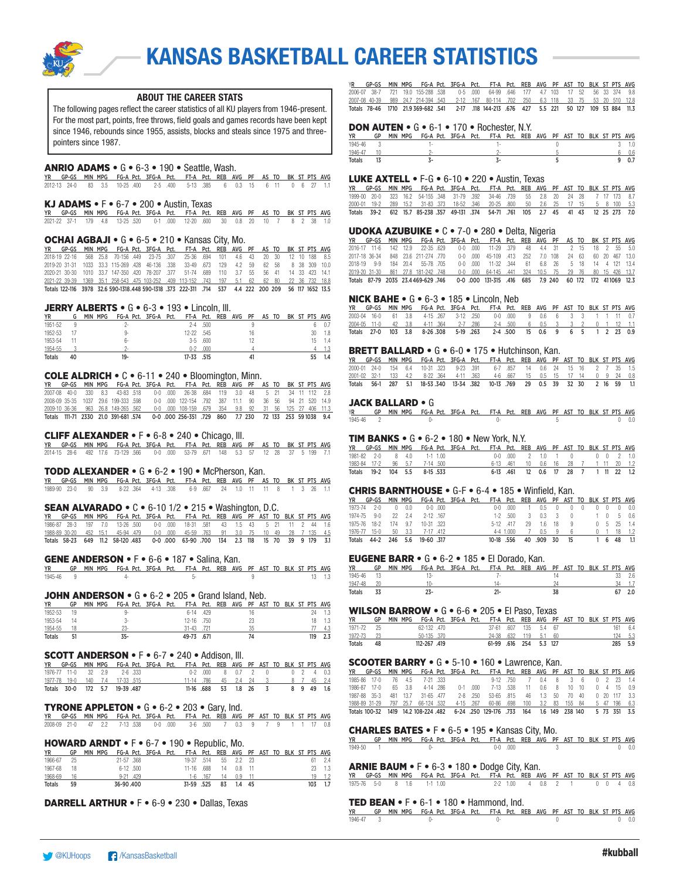

#### ABOUT THE CAREER STATS

The following pages reflect the career statistics of all KU players from 1946-present. For the most part, points, free throws, field goals and games records have been kept since 1946, rebounds since 1955, assists, blocks and steals since 1975 and threepointers since 1987.

#### ANRIO ADAMS • G • 6-3 • 190 • Seattle, Wash.

YR GP-GS MIN MPG FG-A Pct. 3FG-A Pct. FT-A Pct. REB AVG PF AS TO BK ST PTS AVG 2012-13 24-0 83 3.5 10-25 .400 2-5 .400 5-13 .385 6 0.3 15 6 11 0 6 27 1.1

#### KJ ADAMS  $\bullet$  F $\bullet$  6-7  $\bullet$  200  $\bullet$  Austin, Texas

|  |  | YR GP-GS MIN-MPG FG-A-Pct. 3FG-A-Pct. FT-A-Pct. REB AVG PF AS-TO-BK-ST-PTS-AVG |  |  |  |  |  |  |  |
|--|--|--------------------------------------------------------------------------------|--|--|--|--|--|--|--|
|  |  | 2021-22 37-1 179 4.8 13-25 520 0-1 000 12-20 600 30 0.8 20 10 7 8 2 38 1.0     |  |  |  |  |  |  |  |

#### OCHAI AGBAJI • G • 6-5 • 210 • Kansas City, Mo.

1<mark>7R GP-GS MIN MPG FG-A Pct. 3FG-A Pct. FT-A Pct. REB AVG PF AS TO BK ST PTS AVG<br>2018-19 22-16 566 25.8 70-156 .449 23-75 .307 25-36 .694 101 4.6 43 20 30 12 10 188 8.5<br>2019-20 31-31 1033 33.3 115-269 .428 46-136 .338 33-4</mark> 2020-21 30-30 1010 33.7 147-350 .420 78-207 .377 51-74 .689 110 3.7 55 56 41 14 33 423 14.1 2021-22 39-39 1369 35.1 258-543 .475 103-252 .409 113-152 .743 197 5.1 62 62 80 22 36 732 18.8 Totals 122-116 3978 32.6 590-1318.448 590-1318 .373 222-311 .714 537 4.4 222 200 209 56 117 1652 13.5

#### JERRY ALBERTS • G • 6-3 • 193 • Lincoln, III.

| <b>YR</b>     | G  | MIN MPG | FG-A Pct. 3FG-A Pct. |  | FT-A Pct. REB AVG PF |            |  |    | AS TO |  |    | BK ST PTS AVG |
|---------------|----|---------|----------------------|--|----------------------|------------|--|----|-------|--|----|---------------|
| 1951-52       |    |         |                      |  | $2 - 4$              | .500       |  |    |       |  |    | 0.7           |
| 1952-53       |    |         | 9-                   |  | 12-22 .545           |            |  | 16 |       |  | 30 | 1.8           |
| 1953-54       |    |         | հ.                   |  |                      | $3-5$ .600 |  |    |       |  | 15 | 1.4           |
| 1954-55       |    |         |                      |  | n-2                  | .000       |  |    |       |  |    |               |
| <b>Totals</b> | 40 |         | $19 -$               |  | 17-33 .515           |            |  |    |       |  |    |               |

#### COLE ALDRICH • C • 6-11 • 240 • Bloomington, Minn.

|  |  |                                     |  | YR GP-GS MIN-MPG FG-A-Pct. 3FG-A-Pct. FT-A-Pct. REB AVG PF AS-TO-BK-ST-PTS-AVG-                       |  |  |  |  |  |
|--|--|-------------------------------------|--|-------------------------------------------------------------------------------------------------------|--|--|--|--|--|
|  |  |                                     |  | 2007-08 40-0 330 8.3 43-83 518 0-0 000 26-38 684 119 3.0 48 5 21 34 11 112 2.8                        |  |  |  |  |  |
|  |  | 2008-09 35-35 1037 29.6 199-333 598 |  | 0-0 000 122-154 792 387 11.1 90 36 56 94 21 520 14.9                                                  |  |  |  |  |  |
|  |  |                                     |  | 2009-10 36-36 963 26.8 149-265 562 0-0 000 108-159 679 354 9.8 92 31 56 125 27 406 11.3               |  |  |  |  |  |
|  |  |                                     |  | Totals 111-71 2330 21.0 391-681 574    0-0 000 256-351 729 860    7.7 230    72 133 253 591038    9.4 |  |  |  |  |  |

#### CLIFF ALEXANDER • F • 6-8 • 240 • Chicago, Ill.

YR GP-GS MIN MPG FG-A Pct. 3FG-A Pct. FT-A Pct. REB AVG PF AS TO BK ST PTS AVG 2014-15 28-6 492 17.6 73-129 .566 0-0 .000 53-79 .671 148 5.3 57 12 28 37 5 199 7.1

#### TODD ALEXANDER • G • 6-2 • 190 • McPherson, Kan.

YR GP-GS MIN MPG FG-A Pct. 3FG-A Pct. FT-A Pct. REB AVG PF AS TO BK ST PTS AVG 1989-90 23-0 90 3.9 8-22 .364 4-13 .308 6-9 .667 24 1.0 11 11 8 1 3 26 1.1

### SEAN ALVARADO • C • 6-10 1/2 • 215 • Washington, D.C.

YR GP-GS MIN MPG FG-A Pct. 3FG-A Pct. FT-A Pct. REB AVG PF AST TO BLK ST PTS AVG 1986-87 28-3 197 7.0 13-26 .500 0-0 .000 18-31 .581 43 1.5 43 5 21 11 2 44 1.6 1988-89 30-20 452 15.1 45-94 .479 0-0 .000 45-59 .763 91 3.0 75 10 49 28 7 135 4.5 Totals 58-23 649 11.2 58-120 .483 0-0 .000 63-90 .700 134 2.3 118 15 70 39 9 179 3.1

**GENE ANDERSON •** F • 6-6 • 187 • Salina, Kan.<br><u>YR GP MIN MPG FG-A Pct. 3FG-A Pct. FT-A Pct. REB AVG PF AST TO BLK ST PTS AVG<br>1945-46 9 13 1.3</u>

#### **JOHN ANDERSON •**  $G \cdot 6 - 2 \cdot 205 \cdot 6$  rand Island, Neb.

| <b>YR</b>     | GP | MIN<br>MPG | FG-A Pct. 3FG-A Pct. |  | FT-A Pct. REB AVG PF AST TO BLK ST PTS AVG |      |  |    |  |  |     |     |
|---------------|----|------------|----------------------|--|--------------------------------------------|------|--|----|--|--|-----|-----|
| 1952-53       | 19 |            | u.                   |  | 6-14 .429                                  |      |  | 16 |  |  | 24  | 1.3 |
| 1953-54       | 14 |            | ۰.                   |  | $12 - 16$ 750                              |      |  | 23 |  |  |     | 1.3 |
| 1954-55       |    |            |                      |  | 31-43 .721                                 |      |  | 35 |  |  |     |     |
| <b>Totals</b> |    |            | ҡ.                   |  | 49-73                                      | .671 |  | 74 |  |  | 119 |     |

#### SCOTT ANDERSON • F • 6-7 • 240 • Addison, Ill.

|  |  | YR GP-GS MIN-MPG FG-A-Pct. 3FG-A-Pct. FT-A-Pct. REB-AVG PF-AST-TO-BLK-ST-PTS-AVG- |  |                                  |                             |  |  |  |            |
|--|--|-----------------------------------------------------------------------------------|--|----------------------------------|-----------------------------|--|--|--|------------|
|  |  | 1976-77 11-0 32 2.9 2-6 333                                                       |  |                                  | 0-2 000 8 0.7 2 0 0 2 4 0.3 |  |  |  |            |
|  |  | 1977-78 19-0 140 7.4 17-33 515                                                    |  | 11-14 786 45 2.4 24 3 8 7 45 2.4 |                             |  |  |  |            |
|  |  | Totals 30-0 172 5.7 19-39 487                                                     |  |                                  | 11-16 688 53 1.8 26 3       |  |  |  | 8 9 49 1.6 |

#### **TYRONE APPLETON •**  $G \cdot 6 - 2 \cdot 203 \cdot 6$ **ary, Ind.**

|  |  | YR GP-GS MIN MPG FG-A-Pct. 3FG-A-Pct. FT-A-Pct. REB AVG PF AST TO BLK ST-PTS AVG |  |  |  |  |  |  |  |
|--|--|----------------------------------------------------------------------------------|--|--|--|--|--|--|--|
|  |  | 2008-09 21-0 47 2.2 7-13 538 0-0 000 3-6 500 7 0.3 9 7 9 1 1 17 0.8              |  |  |  |  |  |  |  |

#### HOWARD ARNDT • F • 6-7 • 190 • Republic, Mo.

| <b>YR</b>     | GP | MIN MPG FG-A Pct. 3FG-A Pct. FT-A Pct. REB AVG PF AST TO BLK ST PTS AVG |               |  |                            |    |                         |  |  |     |        |
|---------------|----|-------------------------------------------------------------------------|---------------|--|----------------------------|----|-------------------------|--|--|-----|--------|
| 1966-67       | 25 |                                                                         | 21-57.368     |  | 19-37 .514   55   2.2   23 |    |                         |  |  |     | 61 2.4 |
| 1967-68       | 18 |                                                                         | $6-12$ $.500$ |  |                            |    | 11-16 .688  14  0.8  11 |  |  |     | 23 1.3 |
| 1968-69       | 16 |                                                                         | $9-21$ 429    |  |                            |    | 1-6 167 14 0.9 11       |  |  |     | 19 1.2 |
| <b>Totals</b> | 59 |                                                                         | 36-90.400     |  | 31-59 525                  | 83 | 1.4 45                  |  |  | 103 |        |

DARRELL ARTHUR • F • 6-9 • 230 • Dallas, Texas

|  |  |  |  | YR GP-GS MIN MPG FG-A Pct. 3FG-A Pct. FT-A Pct. REB AVG PF AST TO BLK ST PTS AVG           |  |  |  |  |  |
|--|--|--|--|--------------------------------------------------------------------------------------------|--|--|--|--|--|
|  |  |  |  | 2006-07 38-7 721 19.0 155-288 538 0-5 000 64-99 646 177 4.7 103 17 52 56 33 374 9.8        |  |  |  |  |  |
|  |  |  |  | 2007-08 40-39 989 24.7 214-394 543 2-12 167 80-114 702 250 6.3 118 33 75 53 20 510 12.8    |  |  |  |  |  |
|  |  |  |  | Totals 78-46 1710 21.9.369-682 541 2-17 118 144-213 676 427 5.5 221 50 127 109 53 884 11.3 |  |  |  |  |  |

#### DON AUTEN • G • 6-1 • 170 • Rochester, N.Y.

| ΥR            | GP | MIN MPG FG-A Pct. 3FG-A Pct. FT-A Pct. REB AVG PF AST TO BLK ST PTS AVG |  |  |  |  |  |  |     |
|---------------|----|-------------------------------------------------------------------------|--|--|--|--|--|--|-----|
| 1945-46       |    |                                                                         |  |  |  |  |  |  |     |
| 1946-47       |    |                                                                         |  |  |  |  |  |  | 0.6 |
| <b>Totals</b> |    |                                                                         |  |  |  |  |  |  |     |

### LUKE AXTELL • F-G • 6-10 • 220 • Austin, Texas

|  |  |  |  | YR GP-GS MIN MPG FG-A Pct. 3FG-A Pct. FT-A Pct. REB AVG PF AST TO BLK ST PTS AVG    |  |  |  |  |  |
|--|--|--|--|-------------------------------------------------------------------------------------|--|--|--|--|--|
|  |  |  |  | 1999-00 20-0 323 16.2 54-155 348 31-79 392 34-46 739 55 2.8 20 24 28 7 17 173 8.7   |  |  |  |  |  |
|  |  |  |  | 2000-01 19-2 289 15.2 31-83 373 18-52 346 20-25 800 50 2.6 25 17 15 5 8 100 5.3     |  |  |  |  |  |
|  |  |  |  | Totals 39-2 612 15.7 85-238 357 49-131 374 54-71 761 105 2.7 45 41 43 12 25 273 7.0 |  |  |  |  |  |

#### UDOKA AZUBUIKE • C • 7-0 • 280 • Delta, Nigeria

|  |  |                                |  | YR GP-GS MIN MPG FG-A Pct. 3FG-A Pct. FT-A Pct. REB AVG PF AS TO BK ST PTS AVG            |  |  |  |  |  |
|--|--|--------------------------------|--|-------------------------------------------------------------------------------------------|--|--|--|--|--|
|  |  |                                |  | 2016-17 11-6 142 12.9 22-35 629 0-0 000 11-29 379 48 4.4 31 2 15 18 2 55 5.0              |  |  |  |  |  |
|  |  |                                |  | 2017-18 36-34 848 23.6 211-274 .770 0-0 .000 45-109 .413 252 7.0 108 24 63 60 20 467 13.0 |  |  |  |  |  |
|  |  | 2018-19 9-9 184 20.4 55-78 705 |  | 0-0 000 11-32 344 61 6.8 26 5 18 14 4 121 13.4                                            |  |  |  |  |  |
|  |  |                                |  | 2019-20 31-30 861 27.8 181-242 748 0-0 000 64-145 441 324 10.5 75 29 76 80 15 426 13.7    |  |  |  |  |  |
|  |  |                                |  | Totals 87-79 2035 23.4469-629 746 0-0 000 131-315 .416 685 7.9 240 60 172 172 411069 12.3 |  |  |  |  |  |

#### NICK BAHE • G • 6-3 • 185 • Lincoln, Neb

|  |  |  |  | YR GP-GS MIN MPG FG-A Pct. 3FG-A Pct. FT-A Pct. REB AVG PF AST TO BLK ST PTS AVG |  |  |  |  |  |
|--|--|--|--|----------------------------------------------------------------------------------|--|--|--|--|--|
|  |  |  |  | 2003-04 16-0 61 3.8 4-15 267 3-12 250 0-0 000 9 0.6 6 3 3 1 1 11 0.7             |  |  |  |  |  |
|  |  |  |  | 2004-05 11-0 42 3.8 4-11 364 2-7 286 2-4 500 6 0.5 3 3 2 0 1 12 1.1              |  |  |  |  |  |
|  |  |  |  | Totals 27-0 103 3.8 8-26 308 5-19 263 2-4 500 15 0.6 9 6 5 1 2 23 0.9            |  |  |  |  |  |

#### BRETT BALLARD • G • 6-0 • 175 • Hutchinson, Kan.

|  |  |  |  | YR GP-GS MIN MPG FG-A Pct. 3FG-A Pct. FT-A Pct. REB AVG PF AST TO BLK ST PTS AVG |  |  |  |  |  |
|--|--|--|--|----------------------------------------------------------------------------------|--|--|--|--|--|
|  |  |  |  | 2000-01 24-0 154 6.4 10-31 323 9-23 391 6-7 857 14 0.6 24 15 16 2 7 35 1.5       |  |  |  |  |  |
|  |  |  |  | 2001-02 32-1 133 4.2 8-22 364 4-11 363 4-6 667 15 0.5 15 17 14 0 9 24 0.8        |  |  |  |  |  |
|  |  |  |  | Totals 56-1 287 5.1 18-53.340 13-34 382 10-13 769 29 0.5 39 32 30 2 16 59 1.1    |  |  |  |  |  |

JACK BALLARD • G YR GP MIN MPG FG-A Pct. 3FG-A Pct. FT-A Pct. REB AVG PF AST TO BLK ST PTS AVG 1945-46 2 0- 0- 5 0 0.0

#### **TIM BANKS •**  $G \cdot 6 - 2 \cdot 180 \cdot \text{New York}, N.Y.$

| YR GP-GS MIN MPG FG-A Pct. 3FG-A Pct. FT-A Pct. REB AVG PF AST TO BLK ST PTS AVG |  |  |  |  |                                     |  |  |  |                                               |
|----------------------------------------------------------------------------------|--|--|--|--|-------------------------------------|--|--|--|-----------------------------------------------|
| 1981-82 2-0 8 4.0 1-1 1.00                                                       |  |  |  |  |                                     |  |  |  | 0-0 000 2 1.0 1 0 0 0 0 2 1.0                 |
| 1983-84 17-2 96 5.7 7-14 500                                                     |  |  |  |  |                                     |  |  |  | 6-13 .461  10  0.6  16  28  7  1  11  20  1.2 |
| Totals 19-2 104 5.5 8-15 533                                                     |  |  |  |  | 6-13 461 12 0.6 17 28 7 1 11 22 1.2 |  |  |  |                                               |

#### CHRIS BARNTHOUSE • G-F • 6-4 • 185 • Winfield, Kan.

| <b>YR</b>   |              |     |     |                   |           | GP-GS MIN MPG FG-A Pct. 3FG-A Pct. FT-A Pct. REB AVG PF AST TO BLK ST PTS AVG |           |               |    |               |                           |                |  |    |      |                                |
|-------------|--------------|-----|-----|-------------------|-----------|-------------------------------------------------------------------------------|-----------|---------------|----|---------------|---------------------------|----------------|--|----|------|--------------------------------|
| 1973-74     | $2-0$        |     | 0.0 |                   | $0-0.000$ |                                                                               |           | 0-0 .000      |    |               | $0.5 \quad 0$             |                |  |    |      | $0 \t 0 \t 0 \t 0.0$           |
| 1974-75 9-0 |              | 22  | 24  |                   | 2-12 167  |                                                                               |           | $1-2$ 500     |    | 3 0.3         | $\overline{\phantom{a}3}$ |                |  |    |      | 1 0 5 0.6                      |
|             | 1975-76 18-2 | 174 | 97  | 10-31 .323        |           |                                                                               |           | 5-12 417      | 29 | 16            | - 18                      | $\overline{9}$ |  |    |      | 0 5 25 14                      |
|             | 1976-77 15-0 | 50  | 3.3 | 7-17 412          |           |                                                                               |           | $4 - 4$ 1.000 |    | $0.5 \quad 9$ |                           | - 6            |  |    |      | $0 \quad 1 \quad 18 \quad 1.2$ |
| Totals      | 44-2         |     |     | 246 5.6 19-60 317 |           |                                                                               | 10-18 556 |               |    | 40 .909 30    |                           | -15            |  | 16 | - 48 |                                |

#### EUGENE BARR • G • 6-2 • 185 • El Dorado, Kan.

| YR         |      | GP MIN MPG FG-A Pct. 3FG-A Pct. FT-A Pct. REB AVG PF AST TO BLK ST PTS AVG |  |     |  |    |  |  |        |  |
|------------|------|----------------------------------------------------------------------------|--|-----|--|----|--|--|--------|--|
| 1945-46 13 |      |                                                                            |  |     |  |    |  |  | 33 2.6 |  |
| 1947-48 20 |      |                                                                            |  | 14. |  |    |  |  | 34 1.7 |  |
| Totals     | - 33 |                                                                            |  | 71- |  | 38 |  |  | 67 2.0 |  |

#### WILSON BARROW • G • 6-6 • 205 • El Paso, Texas

| <b>YR</b>      |    | GP MIN MPG FG-A Pct. 3FG-A Pct. FT-A Pct. REB AVG PF AST TO BLK ST PTS AVG |             |  |                        |  |  |  |  |         |
|----------------|----|----------------------------------------------------------------------------|-------------|--|------------------------|--|--|--|--|---------|
| $1971 - 72$ 25 |    |                                                                            | 62-132.470  |  | 37-61 .607 135 5.4 67  |  |  |  |  | 161 6.4 |
| 1972-73 23     |    |                                                                            | 50-135 370  |  | 24-38 632 119 5.1 60   |  |  |  |  | 124 5.3 |
| Totals         | 48 |                                                                            | 112-267.419 |  | 61-99 .616 254 5.3 127 |  |  |  |  | 285 5.9 |

#### SCOOTER BARRY • G • 5-10 • 160 • Lawrence, Kan.

|                                         |  |  |  | GP-GS MIN MPG FG-A Pct. 3FG-A Pct. FT-A Pct. REB AVG PF AST TO BLK ST PTS AVG             |  |  |  |  |  |
|-----------------------------------------|--|--|--|-------------------------------------------------------------------------------------------|--|--|--|--|--|
| 1985-86 17-0 76 4.5 7-21 333            |  |  |  | 9-12 750 7 0.4 8 3 6 0 2 23 1.4                                                           |  |  |  |  |  |
|                                         |  |  |  | 1986-87 17-0 65 3.8 4-14 286 0-1 000 7-13 538 11 0.6 8 10 10 0 4 15 0.9                   |  |  |  |  |  |
| 1987-88 35-3 481 13.7 31-65 477 2-8 250 |  |  |  | 53-65 815 46 1.3 50 70 40 0 20 117 3.3                                                    |  |  |  |  |  |
|                                         |  |  |  | 1988-89 31-29 797 25.7 66-124 532 4-15 267 60-86 698 100 3.2 83 155 84 5 47 196 6.3       |  |  |  |  |  |
|                                         |  |  |  | Totals 100-32 1419 14.2 108-224 482 6-24 250 129-176 733 164 1.6 149 238 140 5 73 351 3.5 |  |  |  |  |  |

#### CHARLES BATES • F • 6-5 • 195 • Kansas City, Mo.

YR GP MIN MPG FG-A Pct. 3FG-A Pct. FT-A Pct. REB AVG PF AST TO BLK ST PTS AVG 1949-50 1 0- 0-0 .000 3 0 0.0

#### ARNIE BAUM • F • 6-3 • 180 • Dodge City, Kan.

YR GP-GS MIN MPG FG-A Pct. 3FG-A Pct. FT-A Pct. REB AVG PF AST TO BLK ST PTS AVG 1975-76 5-0 8 1.6 1-1 1.00 2-2 1.00 4 0.8 2 1 0 0 4 0.8

#### TED BEAN • F • 6-1 • 180 • Hammond, Ind.

 $\frac{\text{YR}}{1946-47}$  (SP MIN MPG FG-A Pct. 3FG-A Pct. FT-A Pct. REB AVG PF AST TO BLK ST PTS AVG 1946-47 3 0- 0- 0 0 0.0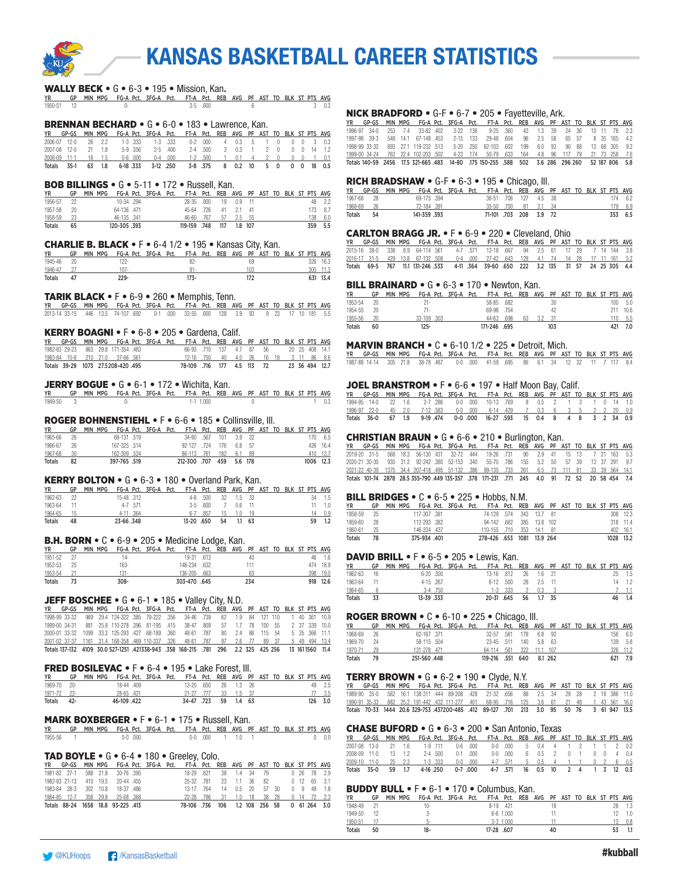

#### WALLY BECK • G • 6-3 • 195 • Mission, Kan.

|            | YR GP MIN MPG FG-A Pct. 3FG-A Pct. FT-A Pct. REB AVG PF AST TO BLK ST PTS AVG |  |         |  |  |  |  |            |
|------------|-------------------------------------------------------------------------------|--|---------|--|--|--|--|------------|
| 1950-51 12 |                                                                               |  | 3-5 600 |  |  |  |  | $3 \t 0.3$ |

#### BRENNAN BECHARD • G • 6-0 • 183 • Lawrence, Kan.

|  |  |  |  | YR GP-GS MIN-MPG FG-A-Pct. 3FG-A-Pct. FT-A-Pct. REB AVG PF AST TO-BLK ST-PTS-AVG |  |  |  |  |  |
|--|--|--|--|----------------------------------------------------------------------------------|--|--|--|--|--|
|  |  |  |  | 2006-07 12-0 26 2.2 1-3 333 1-3 333 0-2 000 4 0.3 5 1 0 0 0 3 0.3                |  |  |  |  |  |
|  |  |  |  | 2007-08 12-0 21 1.8 5-9 556 2-5 400 2-4 500 3 0.3 1 2 0 0 0 14 1.2               |  |  |  |  |  |
|  |  |  |  | 2008-09 11-1 16 1.5 0-6 000 0-4 000 1-2 .500 1 0.1 4 2 0 0 0 1 0.1               |  |  |  |  |  |
|  |  |  |  | Totals 35-1 63 1.8 6-18 333 3-12 250 3-8 375 8 0.2 10 5 0 0 0 18 0.5             |  |  |  |  |  |

#### BOB BILLINGS • G • 5-11 • 172 • Russell, Kan.

| YR      | GP   | MIN MPG FG-A Pct. 3FG-A Pct. FT-A Pct. REB AVG PF AST TO BLK ST PTS AVG |            |  |                         |  |  |  |  |         |
|---------|------|-------------------------------------------------------------------------|------------|--|-------------------------|--|--|--|--|---------|
| 1956-57 | - 22 |                                                                         | 10-34 .294 |  | 28-35 .800 19 0.9 11    |  |  |  |  | 48 2.2  |
| 1957-58 | - 20 | 64-136 .471                                                             |            |  | 45-64 726 41 2.1 41     |  |  |  |  | 173 8.7 |
| 1958-59 | - 23 | 46-135 .341                                                             |            |  | 46-60 .767 57 2.5 55    |  |  |  |  | 138 6.0 |
| Totals  | 65   | 120-305 .393                                                            |            |  | 119-159 748 117 1.8 107 |  |  |  |  | 359 5.5 |

#### CHARLIE B. BLACK • F • 6-4 1/2 • 195 • Kansas City, Kan.

| <b>YR</b>     | GP | MPG<br><b>MIN</b> |       | FG-A Pct. 3FG-A Pct. FT-A Pct. REB AVG PF AST TO BLK ST PTS AVG |      |  |    |  |  |     |      |
|---------------|----|-------------------|-------|-----------------------------------------------------------------|------|--|----|--|--|-----|------|
| 1945-46       | 20 |                   | ' 22- |                                                                 | 82-  |  | 69 |  |  | 326 | 16.3 |
| 1946-47       |    |                   | 107-  |                                                                 | 01   |  |    |  |  | 305 |      |
| <b>Totals</b> |    | $229 -$           |       |                                                                 | '73- |  |    |  |  | 631 | 13.4 |

#### TARIK BLACK • F • 6-9 • 260 • Memphis, Tenn.

| YR GP-GS MIN MPG FG-A Pct. 3FG-A Pct. FT-A Pct. REB AVG PF AST TO BLK ST PTS AVG  |  |  |  |  |  |  |  |  |  |
|-----------------------------------------------------------------------------------|--|--|--|--|--|--|--|--|--|
| 2013-14 33-15 446 13.5 74-107 692 0-1 000 33-55 600 128 3.9 93 9 23 17 10 181 5.5 |  |  |  |  |  |  |  |  |  |

#### KERRY BOAGNI • F • 6-8 • 205 • Gardena, Calif.

| YR 1999 |  | GP-GS MIN MPG FG-A Pct. 3FG-A Pct. FT-A Pct. REB AVG PF AST TO BLK ST PTS AVG |  |                                       |  |  |  |  |                |
|---------|--|-------------------------------------------------------------------------------|--|---------------------------------------|--|--|--|--|----------------|
|         |  | 1982-83 29-23 863 29.8 171-354 483                                            |  | 66-93 710 137 4.7 87 56               |  |  |  |  | 20 25 408 14.1 |
|         |  | 1983-84 10-6 210 21.0 37-66 561                                               |  | 12-16 750 40 4.0 26 16 18 3 11 86 8.6 |  |  |  |  |                |
|         |  | Totals 39-29 1073 27.5208-420 495                                             |  | 78-109 716 177 4.5 113 72             |  |  |  |  | 23 36 494 12.7 |

#### JERRY BOGUE • G • 6-1 • 172 • Wichita, Kan.

| <b>YR</b> | GP MIN MPG FG-A Pct. 3FG-A Pct. FT-A Pct. REB AVG PF AST TO BLK ST PTS AVG |  |  |           |  |  |  |  |  |
|-----------|----------------------------------------------------------------------------|--|--|-----------|--|--|--|--|--|
| 1949-50 3 |                                                                            |  |  | 1-1 1.000 |  |  |  |  |  |

#### ROGER BOHNENSTIEHL • F • 6-6 • 185 • Collinsville, Ill.

| ΥR            | GP | <b>MIN</b> | MPG |              | FG-A Pct. 3FG-A Pct. | FT-A Pct. REB AVG PF AST TO BLK ST PTS AVG |      |     |     |         |  |  |      |          |
|---------------|----|------------|-----|--------------|----------------------|--------------------------------------------|------|-----|-----|---------|--|--|------|----------|
| 1965-66       | 26 |            |     | 68-131 519   |                      | 34-60                                      | .567 | 101 | 3.9 | - 32    |  |  | 170. | 6.5      |
| 1966-67       | 26 |            |     | 167-325 .514 |                      | 92-127                                     | 724  | 176 | 68  | -57     |  |  |      | 426 16.4 |
| 1967-68       | 30 |            |     | 162-309 .524 |                      | 86-113 .761                                |      | 182 | 6.1 | -89     |  |  | 410  | 13.7     |
| <b>Totals</b> | 82 |            |     | 397-765 .519 |                      | 212-300                                    | .707 | 459 |     | 5.6 178 |  |  | 1006 | 12.3     |

#### KERRY BOLTON • G • 6-3 • 180 • Overland Park, Kan.

| YR            | GP | <b>MPG</b><br><b>MIN</b> |            |           | FG-A Pct. 3FG-A Pct. |         |      |    | FT-A Pct. REB AVG PF AST TO |      |  |  |    | BLK ST PTS AVG |
|---------------|----|--------------------------|------------|-----------|----------------------|---------|------|----|-----------------------------|------|--|--|----|----------------|
| 1962-63       | 22 |                          | 15-48.312  |           |                      | $4 - 8$ | .500 | 32 | 1.5                         | - 33 |  |  | 34 | 1.5            |
| 1963-64       |    |                          |            | 4-7 571   |                      | 3.5     | .600 |    | 06.                         |      |  |  |    | 1.0            |
| 1964-65       | 15 |                          |            | 4-11 .364 |                      | $6 - 7$ | .857 | 15 |                             | 19   |  |  |    | 0.9            |
| <b>Totals</b> | 48 |                          | 23-66 .348 |           |                      | 13-20   | .650 | 54 |                             | 63   |  |  | 59 |                |

#### B.H. BORN • C • 6-9 • 205 • Medicine Lodge, Kan.

| <b>YR</b>     | GP | MPG<br>MIN | FG-A Pct. 3FG-A Pct. |              |  | FT-A Pct. REB AVG PF AST TO BLK ST PTS AVG |     |  |  |     |      |
|---------------|----|------------|----------------------|--------------|--|--------------------------------------------|-----|--|--|-----|------|
| 1951-52       |    |            | 14-                  | 19-31 613    |  |                                            | 40  |  |  | 46  | 1.6  |
| 1952-53       | 25 |            | 163-                 | 148-234 .632 |  |                                            |     |  |  | 474 | 18.9 |
| 1953-54       |    |            | $131 -$              | 136-205 .663 |  |                                            | 83  |  |  | 398 | 19.0 |
| <b>Totals</b> |    |            | 308-                 | 303-470 .645 |  |                                            | 234 |  |  | 918 | 12.6 |

#### **JEFF BOSCHEE •**  $G \cdot 6 - 1 \cdot 185 \cdot$  Valley City, N.D.

|  |               |  |  |  | YR GP-GS MIN-MPG FG-A-Pct. 3FG-A-Pct. FT-A-Pct. REB AVG PF-AST-TO-BLK-ST-PTS-AVG-                   |  |  |  |  |  |
|--|---------------|--|--|--|-----------------------------------------------------------------------------------------------------|--|--|--|--|--|
|  | 1998-99 33-32 |  |  |  | 969 29.4 124-322 385 79-222 356 34-46 739 62 1.9 84 121 110 1 40 361 10.9                           |  |  |  |  |  |
|  | 1999-00 34-31 |  |  |  | 881 25.9 110-278 396 81-195 415 38-47 809 57 1.7 78 100 55 2 37 339 10.0                            |  |  |  |  |  |
|  |               |  |  |  | 2000-01 33-32 1099 33.3 125-293 427 68-189 360 48-61 787 80 2.4 86 115 54 5 35 366 11.1             |  |  |  |  |  |
|  |               |  |  |  | 2001-02 37:37 1161 31.4 168-358 469 110-337 .326 48-61 .787 97 2.6 77 89 37 5 49 494 13.4           |  |  |  |  |  |
|  |               |  |  |  | Totals 137-132 4109 30.0 527-1251 .421338-943 .358 168-215 .781 296 2.2 325 425 256 13 1611560 11.4 |  |  |  |  |  |

#### FRED BOSILEVAC • F • 6-4 • 195 • Lake Forest, Ill.

| <b>YR</b>   | GP    | MIN MPG |            | FG-A Pct. 3FG-A Pct. FT-A Pct. REB AVG PF AST TO BLK ST PTS AVG |                    |  |           |  |  |      |      |
|-------------|-------|---------|------------|-----------------------------------------------------------------|--------------------|--|-----------|--|--|------|------|
| 1969-70     | $20-$ |         | 18-44 .409 |                                                                 | 13-20 .650         |  | 26 1.3 26 |  |  | 49.  | - 25 |
| 1971-72 22- |       |         | 28-65 431  |                                                                 | 21-27 777          |  | 33 1.5 37 |  |  |      |      |
| Totals      | 42-   |         | 46-109 422 |                                                                 | 34-47 723 59 14 63 |  |           |  |  | 126. | 30   |

#### MARK BOXBERGER • F • 6-1 • 175 • Russell, Kan.

| <b>YR</b> | GP | MIN MPG FG-A Pct. 3FG-A Pct. FT-A Pct. REB AVG PF AST TO BLK ST PTS AVG |     |      |  |      |  |  |  |  |  |
|-----------|----|-------------------------------------------------------------------------|-----|------|--|------|--|--|--|--|--|
| 1955-56   |    |                                                                         | 0-0 | .000 |  | .000 |  |  |  |  |  |

#### TAD BOYLE • G • 6-4 • 180 • Greeley, Colo.

| YR GP-GS MIN-MPG FG-A-Pct. 3FG-A-Pct. FT-A-Pct. REB AVG PF AST TO-BLK-ST-PTS-AVG- |  |  |  |                                            |                        |                     |  |  |  |               |
|-----------------------------------------------------------------------------------|--|--|--|--------------------------------------------|------------------------|---------------------|--|--|--|---------------|
| 1981-82 27-1 588 21.8 30-76 395                                                   |  |  |  |                                            | 18-29 621 38 1.4 34 79 |                     |  |  |  | 0 26 78 2.9   |
| 1982-83 21-13 410 19.5 20-44 455                                                  |  |  |  | 25-32 781                                  |                        | 23 1.1 36 82        |  |  |  | $0$ 12 65 3.1 |
| 1983-84 28-3 302 10.8 18-37 486                                                   |  |  |  | 13-17 764                                  |                        | 14  0.5  20  57  30 |  |  |  | 0 9 49 18     |
| 1984-85 12-7 358 29.8 25-68 368                                                   |  |  |  | 22-28 786 31 1.0 18 38 28 0 14 72 2.3      |                        |                     |  |  |  |               |
| Totals 88-24 1658 18.8 93-225 .413                                                |  |  |  | 78-106 736 106 1.2 108 256 58 0 61 264 3.0 |                        |                     |  |  |  |               |

#### NICK BRADFORD • G-F • 6-7 • 205 • Fayetteville, Ark.

|               |  |                              |  | YR GP-GS MIN MPG FG-A Pct. 3FG-A Pct. FT-A Pct. REB AVG PF AST TO BLK ST PTS AVG             |  |  |  |  |             |
|---------------|--|------------------------------|--|----------------------------------------------------------------------------------------------|--|--|--|--|-------------|
| 1996-97 34-0  |  |                              |  | 253 7.4 33-82 402 3-22 136 9-25 360 43 1.3 39 24 36 10 11 78 2.3                             |  |  |  |  |             |
| 1997-98 39-3  |  | 548 14.1 67-148 453 2-15 133 |  | 29-48 604 96 25 58 65 57                                                                     |  |  |  |  | 8 35 165 42 |
| 1998-99 33-32 |  | 893 27.1 119-232 513         |  | 5-20 250 62-103 602 199 6.0 93 90 88 13 68 305 9.2                                           |  |  |  |  |             |
| 1999-00 34-24 |  |                              |  | 762 22.4 102-203 .502  4-23 .174  50-79 .633  164  4.8  96  117  79  21  73  258  7.6        |  |  |  |  |             |
|               |  |                              |  | Totals 140-59 2456 17.5 321-665 483 14-80 175 150-255 588 502 3.6 286 296 260 52 187 806 5.8 |  |  |  |  |             |

#### RICH BRADSHAW • G-F • 6-3 • 195 • Chicago, Ill.

| YR.           | GP-GS      | MIN MPG FG-A Pct. 3FG-A Pct. FT-A Pct. REB AVG PF AST TO BLK ST PTS AVG |             |  |                        |  |  |  |  |         |
|---------------|------------|-------------------------------------------------------------------------|-------------|--|------------------------|--|--|--|--|---------|
|               | 1967-68 28 |                                                                         | 69-175 394  |  | 36-51 .706 127 4.5 38  |  |  |  |  | 174 62  |
| 1968-69       | - 26       |                                                                         | 72-184 .391 |  | 35-50 .700 81 3.1 34   |  |  |  |  | 179 6.9 |
| <b>Totals</b> | 54         |                                                                         | 141-359 393 |  | 71-101 .703 208 3.9 72 |  |  |  |  | 353 6.5 |

#### CARLTON BRAGG JR. • F • 6-9 • 220 • Cleveland, Ohio

| YR GP-GS MIN MPG FG-A Pct. 3FG-A Pct. FT-A Pct. REB AVG PF AST TO BLK ST PTS AVG               |  |  |  |  |  |  |  |  |  |
|------------------------------------------------------------------------------------------------|--|--|--|--|--|--|--|--|--|
| 2015-16 38-0 338 8.9 64-114 561 4-7 571 12-18 667 94 2.5 61 17 29 7 14 144 3.8                 |  |  |  |  |  |  |  |  |  |
| 2016-17 31-5 429 13.8 67-132 508  0-4  000  27-42  643  128  4.1  74  14  28  17  11  161  5.2 |  |  |  |  |  |  |  |  |  |
| Totals 69-5 767 11.1 131-246 533 4-11 364 39-60 650 222 3.2 135 31 57 24 25 305 4.4            |  |  |  |  |  |  |  |  |  |

#### BILL BRAINARD • G • 6-3 • 170 • Newton, Kan.

| ΥR            | GP  | MPG<br>MIN  | FG-A Pct. 3FG-A Pct. |           |              | FT-A Pct. REB AVG PF AST TO BLK ST PTS AVG |     |  |  |     |       |
|---------------|-----|-------------|----------------------|-----------|--------------|--------------------------------------------|-----|--|--|-----|-------|
| 1953-54       | 20  | 21 -        |                      |           | 58-85 .682   |                                            | 30  |  |  | 100 | - 5.0 |
| 1954-55       | -20 |             |                      |           | 69-98 704    |                                            | 42  |  |  | 211 | 10.6  |
| 1955-56       | 20  | 33-109 .303 |                      | $44 - 63$ | .698         | 63                                         |     |  |  | 110 | 5.5   |
| <b>Totals</b> | 60  | 125-        |                      |           | 171-246 .695 |                                            | 103 |  |  | 421 |       |

#### MARVIN BRANCH • C • 6-10 1/2 • 225 • Detroit, Mich.

YR GP-GS MIN MPG FG-A Pct. 3FG-A Pct. FT-A Pct. REB AVG PF AST TO BLK ST PTS AVG 1987-88 14-14 305 21.8 38-78 .487 0-0 .000 41-59 .695 86 6.1 34 12 32 11 7 117 8.4

#### JOEL BRANSTROM • F • 6-6 • 197 • Half Moon Bay, Calif.

| YR GP-GS MIN-MPG FG-A-Pct. 3FG-A-Pct. FT-A-Pct. REB AVG PF AST TO BLK ST-PTS AVG |  |  |  |  |  |  |  |  |  |
|----------------------------------------------------------------------------------|--|--|--|--|--|--|--|--|--|
| 1994-95 14-0 22 1.6 2-7 286 0-0 000 10-13 769 8 0.5 2 1 3 1 0 14 1.0             |  |  |  |  |  |  |  |  |  |
| 1996-97 22-0 45 2.0 7-12 583 0-0 000 6-14 429 7 0.3 6 3 5 2 2 20 0.9             |  |  |  |  |  |  |  |  |  |
| Totals 36-0 67 1.9 9-19 474 0-0 000 16-27 593 15 0.4 8 4 8 3 2 34 0.9            |  |  |  |  |  |  |  |  |  |

#### CHRISTIAN BRAUN • G • 6-6 • 210 • Burlington, Kan.

|  |  |  |  | YR GP-GS MIN-MPG FG-A-Pct. 3FG-A-Pct. FT-A-Pct. REB AVG PF AST TO BLK ST-PTS AVG             |  |  |  |  |  |
|--|--|--|--|----------------------------------------------------------------------------------------------|--|--|--|--|--|
|  |  |  |  | 2019-20 31-5 568 18.3 56-130 431 32-72 444 19-26 731 90 2.9 41 15 13 7 21 163 5.3            |  |  |  |  |  |
|  |  |  |  | 2020-21 30-30 935 31.2 92-242 380 52-153 340 55-70 786 155 5.2 50 57 39 13 37 291 9.7        |  |  |  |  |  |
|  |  |  |  | 2021-22 40-39 1375 34.4 207-418 495 51-132 386 99-135 733 261 6.5 73 111 81 33 39 564 14.1   |  |  |  |  |  |
|  |  |  |  | Totals 101-74 2878 28.5 355-790 449 135-357 .378 171-231 .771 245 4.0 91 72 52 20 58 454 7.4 |  |  |  |  |  |

#### BILL BRIDGES  $\bullet$  C  $\bullet$  6-5  $\bullet$  225  $\bullet$  Hobbs, N.M.

| YR            | GP   |  | MIN MPG FG-A Pct. 3FG-A Pct. FT-A Pct. REB AVG PF AST TO BLK ST PTS AVG |  |                            |  |  |  |  |           |
|---------------|------|--|-------------------------------------------------------------------------|--|----------------------------|--|--|--|--|-----------|
| 1958-59       | - 25 |  | 117-307 381                                                             |  | 74-129 .574 343 13.7 81    |  |  |  |  | 308 12.3  |
| 1959-60       | - 28 |  | 112-293 .382                                                            |  | 94-142 .662 385 13.8 102   |  |  |  |  | 318 11.4  |
| 1960-61       | - 25 |  | 146-334 .437                                                            |  | 110-155 .710 353 14.1 81   |  |  |  |  | 402 16.1  |
| <b>Totals</b> | 78   |  | 375-934 .401                                                            |  | 278-426 .653 1081 13.9 264 |  |  |  |  | 1028 13.2 |

#### DAVID BRILL • F • 6-5 • 205 • Lewis, Kan.

| <b>YR</b> | GP   | MIN MPG FG-A Pct. 3FG-A Pct. FT-A Pct. REB AVG PF AST TO BLK ST PTS AVG |           |           |  |           |               |    |           |  |  |     |        |
|-----------|------|-------------------------------------------------------------------------|-----------|-----------|--|-----------|---------------|----|-----------|--|--|-----|--------|
| 1962-63   | - 16 |                                                                         |           | 6-20.300  |  | 13-16 812 |               |    | 26 1.6 21 |  |  |     | 25 1.5 |
| 1963-64   |      |                                                                         |           | 4-15 .267 |  |           | $6-12$ $.500$ |    | 28 2.5 11 |  |  |     | 14 1.2 |
| 1964-65   |      |                                                                         |           | 3-4 750   |  |           | $1-3$ .333    |    | 0.3       |  |  |     | 7 1.1  |
| Totals    | 33   |                                                                         | 13-39.333 |           |  | 20-31 645 |               | 56 | 1.7 35    |  |  | 46. | 1.4    |

#### ROGER BROWN • C • 6-10 • 225 • Chicago, Ill.

| ΥR            | GP | MIN | MPG         | FG-A Pct. 3FG-A Pct. | FT-A Pct. REB AVG PF AST TO BLK ST PTS AVG |      |     |               |  |  |     |      |
|---------------|----|-----|-------------|----------------------|--------------------------------------------|------|-----|---------------|--|--|-----|------|
| 1968-69       | 26 |     | 62-167 371  |                      | 32-57                                      | .561 | 178 | 6.8 92        |  |  | 156 | 6.0  |
| 1969-70       | 24 |     | 58-115 .504 |                      | 23-45 .511                                 |      | 140 | $5.8\quad 63$ |  |  | 139 | 5.8  |
| 1970-71       | 29 |     | 131-278 471 |                      | 64-114                                     | .561 | 322 | 107           |  |  | 326 | 11.2 |
| <b>Totals</b> | 79 |     | 251-560.448 |                      | 119-216 .551                               |      | 640 | 8.1 262       |  |  | 621 | 7.9  |

#### TERRY BROWN  $\bullet$  G  $\bullet$  6-2  $\bullet$  190  $\bullet$  Clyde, N.Y.

YR GP-GS MIN MPG FG-A Pct. 3FG-A Pct. FT-A Pct. REB AVG PF AST TO BLK ST PTS AVG 1989-90 35-0 562 16.1 138-311 444 89-208 428 21-32 656 88 2.5 34 29 28 2 18 386 11.0<br>1990-91 35-33 882 25.2 191-442 4.32 111-277 401 68-95 7.16 125 3.6 61 21 48 1 43 561<br>**Totals 70-33 1444 20.6 329-753 437200-485 412 89-12** 

#### CHASE BUFORD • G • 6-3 • 200 • San Antonio, Texas

|             |  | GP-GS MIN MPG FG-A Pct. 3FG-A Pct. FT-A Pct. REB AVG PF AST TO BLK ST PTS AVG |  |         |                                         |          |                                  |                       |  |  |  |  |
|-------------|--|-------------------------------------------------------------------------------|--|---------|-----------------------------------------|----------|----------------------------------|-----------------------|--|--|--|--|
|             |  | 2007-08 13-0 21 1.6 1-9 111 0-6 000                                           |  |         | 0-0 .000  5  0.4  4  1  2  1  1  2  0.2 |          |                                  |                       |  |  |  |  |
|             |  | 2008-09 11-0 13 1.2 2-4 500 0-1 000                                           |  |         |                                         | 0-0 .000 |                                  | 6 0.5 2 0 1 0 0 4 0.4 |  |  |  |  |
|             |  | 2009-10 11-0 25 2.3 1-3 333 0-0 000 4-7 571 5 0.5 4 1 1 0 2 6 0.5             |  |         |                                         |          |                                  |                       |  |  |  |  |
| Totals 35-0 |  | 59 1.7 4-16 250                                                               |  | 0-7.000 |                                         |          | 4-7 571 16 0.5 10 2 4 1 3 12 0.3 |                       |  |  |  |  |

#### BUDDY BULL • F • 6-1 • 170 • Columbus, Kan.

| YR            | GP | <b>MPG</b><br>MIN | FG-A Pct. 3FG-A Pct. |  |            |             | FT-A Pct. REB | AVG PF AST TO |    |  | BLK ST PTS AVG |    |     |
|---------------|----|-------------------|----------------------|--|------------|-------------|---------------|---------------|----|--|----------------|----|-----|
| 1948-49       |    |                   | 10-                  |  | 8-19       | .421        |               |               | 18 |  |                | 28 | 1.3 |
| 1949-50       |    |                   | ۰.                   |  |            | $6-6$ 1.000 |               |               |    |  |                |    | 1.0 |
| 1950-51       |    |                   | ۰.                   |  |            | $3-3$ 1.000 |               |               |    |  |                |    | 0.8 |
| <b>Totals</b> | 50 |                   | 18-                  |  | 17-28 .607 |             |               |               | 40 |  |                |    |     |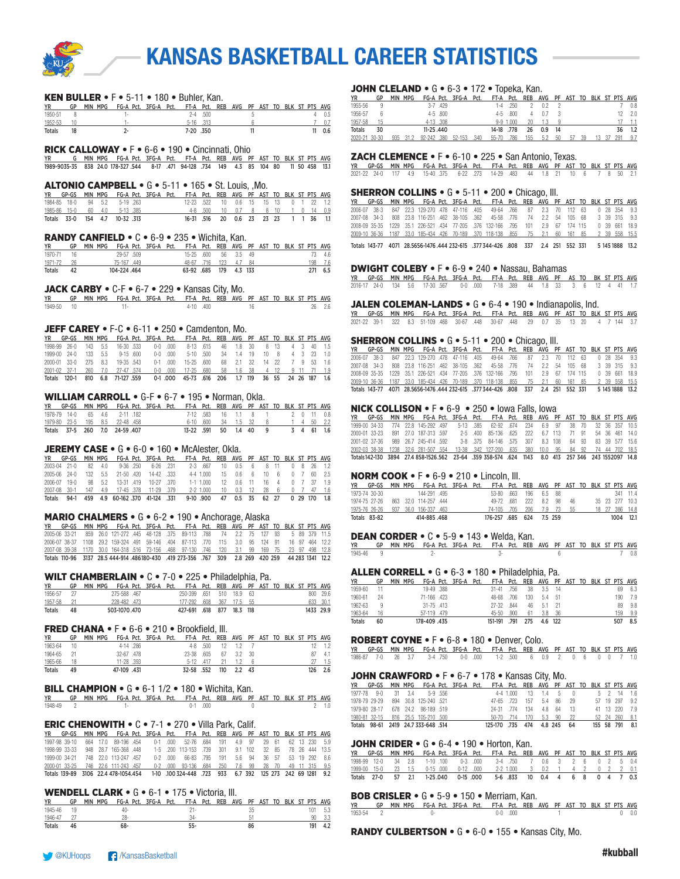

#### KEN BULLER  $\bullet$  F $\bullet$  5-11  $\bullet$  180  $\bullet$  Buhler, Kan.

| <b>YR</b>     | GP | MIN MPG FG-A Pct. 3FG-A Pct. FT-A Pct. REB AVG PF AST TO BLK ST PTS AVG |  |               |              |  |  |  |  |     |
|---------------|----|-------------------------------------------------------------------------|--|---------------|--------------|--|--|--|--|-----|
| 1950-51       |    |                                                                         |  |               | $2 - 4$ .500 |  |  |  |  | 0.5 |
| 1952-53       |    |                                                                         |  | $5-16$ $.313$ |              |  |  |  |  |     |
| <b>Totals</b> |    |                                                                         |  | 7-20.350      |              |  |  |  |  | 0.6 |

#### RICK CALLOWAY • F • 6-6 • 190 • Cincinnati, Ohio

YR G MIN MPG FG-A Pct. 3FG-A Pct. FT-A Pct. REB AVG PF AST TO BLK ST PTS AVG 1989-9035-35 838 24.0 178-327 .544 8-17 .471 94-128 .734 149 4.3 85 104 80 11 50 458 13.1

#### ALTONIO CAMPBELL • G • 5-11 • 165 • St. Louis, ,Mo.

| <b>YR</b> | GP-GS MIN MPG FG-A Pct. 3FG-A Pct. FT-A Pct. REB AVG PF AST TO BLK ST PTS AVG |  |  |  |                                      |  |                                       |  |  |  |  |
|-----------|-------------------------------------------------------------------------------|--|--|--|--------------------------------------|--|---------------------------------------|--|--|--|--|
|           | 1984-85 18-0 94 5.2 5-19 263                                                  |  |  |  | 12-23 522 10 0.6 15 15 13 0 1 22 1.2 |  |                                       |  |  |  |  |
|           | 1985-86 15-0 60 4.0 5-13 385                                                  |  |  |  |                                      |  | 4-8 500 10 0.7 8 8 10 1 0 14 0.9      |  |  |  |  |
|           | Totals 33-0 154 4.7 10-32 313                                                 |  |  |  |                                      |  | 16-31 .516 20 0.6 23 23 23 1 1 36 1.1 |  |  |  |  |

#### RANDY CANFIELD • C • 6-9 • 235 • Wichita, Kan.

| YR         |      |  |              | GP MIN MPG FG-A Pct. 3FG-A Pct. FT-A Pct. REB AVG PF AST TO BLK ST PTS AVG |                        |  |  |  |  |         |
|------------|------|--|--------------|----------------------------------------------------------------------------|------------------------|--|--|--|--|---------|
| 1970-71 16 |      |  | 29-57 .509   |                                                                            | 15-25 .600 56 3.5 49   |  |  |  |  | 73 4.6  |
| 1971-72 26 |      |  | 75-167 449   |                                                                            | 48-67 716 123 4.7 84   |  |  |  |  | 198 7.6 |
| Totals     | - 42 |  | 104-224 .464 |                                                                            | 63-92 .685 179 4.3 133 |  |  |  |  | 271 6.5 |

#### JACK CARBY  $\bullet$  C-F  $\bullet$  6-7  $\bullet$  229  $\bullet$  Kansas City, Mo.

|            | YR GP MIN MPG FG-A Pct. 3FG-A Pct. FT-A Pct. REB AVG PF AST TO BLK ST PTS AVG |  |          |  |  |  |  |            |
|------------|-------------------------------------------------------------------------------|--|----------|--|--|--|--|------------|
| 1949-50 10 |                                                                               |  | 4-10 400 |  |  |  |  | $26$ $2.6$ |

#### JEFF CAREY  $\bullet$  F-C  $\bullet$  6-11  $\bullet$  250  $\bullet$  Camdenton, Mo.

| YR      | GP-GS        |     |         |                |            |             | MIN MPG FG-A Pct. 3FG-A Pct. FT-A Pct. REB AVG PF AST TO BLK ST PTS AVG |                 |           |     |     |       |       |             |
|---------|--------------|-----|---------|----------------|------------|-------------|-------------------------------------------------------------------------|-----------------|-----------|-----|-----|-------|-------|-------------|
| 1998-99 | 26-0         | 143 | 55      | 16-30 533      |            | $0-0$ $000$ | 8-13 615                                                                |                 | 46 1.8 30 |     |     | 8 13  |       | 40 15       |
|         | 1999-00 24-0 | 133 | 55      |                | $9-15.600$ | $0-0$ $000$ |                                                                         | 5-10 500 34 1.4 |           | 19  | 10. | - 8   |       |             |
|         | 2000-01 33-0 |     | 275 8.3 | 19-35 543      |            | $0-1$ $000$ | 15-25 600                                                               |                 | 68 21 32  |     | 14  | - 22  |       | 7 9 53 16   |
|         | 2001-02 37-1 | 260 |         | 7.0 27-47 574  |            |             | 0-0 000 17-25 680 58 1.6 38                                             |                 |           |     |     | 4 12  |       | 9 11 71 1.9 |
| Totals  | $120 - 1$    |     |         | 6.8 71-127 559 |            | 0-1.000     | 45-73 .616 206 1.7                                                      |                 |           | 119 |     | 36 55 | 24 26 | 187 1.6     |

#### WILLIAM CARROLL • G-F • 6-7 • 195 • Norman, Okla.

|  |  | YR GP-GS MIN MPG FG-A Pct. 3FG-A Pct. FT-A Pct. REB AVG PF AST TO BLK ST PTS AVG |  |                       |  |                                 |  |  |  |            |
|--|--|----------------------------------------------------------------------------------|--|-----------------------|--|---------------------------------|--|--|--|------------|
|  |  | 1978-79 14-0 65 4.6 2-11 182                                                     |  |                       |  | 7-12 583 16 1.1 8 1 2 0 11 0.8  |  |  |  |            |
|  |  | 1979-80 23-5 195 8.5 22-48 458                                                   |  |                       |  | 6-10 600 34 1.5 32 8 1 4 50 2.2 |  |  |  |            |
|  |  | Totals 37-5 260 7.0 24-59 407                                                    |  | 13-22 591 50 1.4 40 9 |  |                                 |  |  |  | 3 4 61 1.6 |

#### JEREMY CASE • G • 6-0 • 160 • McAlester, Okla.

|        |              |     |            | YR GP-GS MIN-MPG FG-A-Pct. 3FG-A-Pct. FT-A-Pct. REB AVG PF-AST-TO-BLK-ST-PTS-AVG- |                   |  |           |                                     |  |       |  |              |
|--------|--------------|-----|------------|-----------------------------------------------------------------------------------|-------------------|--|-----------|-------------------------------------|--|-------|--|--------------|
|        | 2003-04 21-0 | 82  | 4.0        |                                                                                   | 9-36 250 6-26 231 |  |           | 2-3 667 10 0.5 6 8 11               |  |       |  | 0 8 26 12    |
|        | 2005-06 24-0 | 132 | $-5.5 - 1$ | 21-50 420                                                                         | 14-42 333         |  |           | 4-4 1.000 15 0.6 6                  |  | 10 6  |  | 60 25        |
|        | 2006-07 19-0 |     |            | 98 5.2 13-31 419 10-27 370                                                        |                   |  | 1-1 1.000 | 12 06 11                            |  | 164   |  | 37 19        |
|        |              |     |            | 2007-08 30-1 147 4.9 17-45 378 11-29 379                                          |                   |  |           | 2-2 1.000 10 0.3 12 28 6 0 7 47 1.6 |  |       |  |              |
| Totals | 94-1         |     |            | 459 4.9 60-162 370 41-124 .331                                                    |                   |  | 9-10 .900 | 47 0.5 35                           |  | 62 27 |  | 0 29 170 1.8 |

#### MARIO CHALMERS • G • 6-2 • 190 • Anchorage, Alaska

|  |  |  |  | YR GP-GS MIN MPG FG-A Pct. 3FG-A Pct. FT-A Pct. REB AVG PF AST TO BLK ST PTS AVG                  |  |  |  |  |  |
|--|--|--|--|---------------------------------------------------------------------------------------------------|--|--|--|--|--|
|  |  |  |  | 2005-06 33-21 859 26.0 121-272 445 48-128 .375 89-113 .788 74 2.2 75 127 93 5 89 379 11.5         |  |  |  |  |  |
|  |  |  |  | 2006-07 38-37 1108 29.2 159-324 491 59-146 404 87-113 770 115 3.0 95 124 91 16 97 464 12.2        |  |  |  |  |  |
|  |  |  |  | 2007-08 39-38 1170 30.0 164-318 516 73-156 .468 97-130 .746 120 3.1 99 169 75 23 97 498 12.8      |  |  |  |  |  |
|  |  |  |  | Totals 110-96 3137 28.5 444-914 486180-430 .419 273-356 .767 309 2.8 269 420 259 44 283 1341 12.2 |  |  |  |  |  |

#### WILT CHAMBERLAIN • C • 7-0 • 225 • Philadelphia, Pa.

| YR      | GP   |  |              |  | MIN MPG FG-A Pct. 3FG-A Pct. FT-A Pct. REB AVG PF AST TO BLK ST PTS AVG |  |  |  |  |           |
|---------|------|--|--------------|--|-------------------------------------------------------------------------|--|--|--|--|-----------|
| 1956-57 | - 27 |  | 275-588.467  |  | 250-399 .651 510 18.9 63                                                |  |  |  |  | 800 29.6  |
| 1957-58 | - 21 |  | 228-482 473  |  | 177-292 608 367 17.5 55                                                 |  |  |  |  | 633 30.1  |
| Totals  | 48   |  | 503-1070.470 |  | 427-691 618 877 18.3 118                                                |  |  |  |  | 1433 29.9 |

#### FRED CHANA • F • 6-6 • 210 • Brookfield, Ill.

| <b>YR</b>     | GP | MIN | MPG         |           | FG-A Pct. 3FG-A Pct. |            |            |     | FT-A Pct. REB AVG PF AST TO BLK ST PTS AVG |      |  |  |     |     |
|---------------|----|-----|-------------|-----------|----------------------|------------|------------|-----|--------------------------------------------|------|--|--|-----|-----|
| 1963-64       | 10 |     |             | 4-14 .286 |                      |            | $4-8$ .500 |     |                                            |      |  |  |     | 12  |
| 1964-65       |    |     |             | 32-67 478 |                      | 23-38 605  |            | 67  | 3.2                                        | - 30 |  |  | 87  | 4.1 |
| 1965-66       | 18 |     |             | 11-28 393 |                      |            | 5-12 417   | -21 |                                            |      |  |  |     | 1.5 |
| <b>Totals</b> | 49 |     | 47-109 .431 |           |                      | 32-58 .552 |            | 110 | 2.2 43                                     |      |  |  | 126 | 2.6 |

#### BILL CHAMPION • G • 6-1 1/2 • 180 • Wichita, Kan.

|               | YR - GP MIN MPG FG-A Pct. 3FG-A Pct. FT-A Pct. REB AVG PF AST TO BLK ST PTS AVG |  |             |  |  |  |  |  |
|---------------|---------------------------------------------------------------------------------|--|-------------|--|--|--|--|--|
| $1948 - 49$ 2 |                                                                                 |  | $0-1$ $000$ |  |  |  |  |  |

#### ERIC CHENOWITH • C • 7-1 • 270 • Villa Park, Calif.

|  |               |  |                                     |  |           | YR GP-GS MIN-MPG FG-A-Pct. 3FG-A-Pct. FT-A-Pct. REB AVG PF-AST-TO-BLK-ST-PTS-AVG-            |  |  |  |  |  |
|--|---------------|--|-------------------------------------|--|-----------|----------------------------------------------------------------------------------------------|--|--|--|--|--|
|  | 1997-98 39-10 |  |                                     |  |           | 664 17.0 89-196 454  0-1  000  52-76  684  191  4.9  97  29  61  62  13  230  5.9            |  |  |  |  |  |
|  | 1998-99 33-33 |  | 948 28.7 165-368 448                |  |           | 1-5 200 113-153 739 301 9.1 102 32 85 78 26 444 13.5                                         |  |  |  |  |  |
|  |               |  | 1999-00 34-21 748 22.0 113-247 457  |  | $0-2$ 000 | 66-83 795 191 5.6 94 36 57 53 19 292 8.6                                                     |  |  |  |  |  |
|  |               |  | 2000-01 33-25 746 22.6 111-243 .457 |  |           | 0-2 .000 93-136 .684 250 7.6 99 28 70 49 11 315 9.5                                          |  |  |  |  |  |
|  |               |  |                                     |  |           | Totals 139-89 3106 22.4 478-1054.454 1-10 100324-448 723 933 6.7 392 125 273 242 69 1281 9.2 |  |  |  |  |  |

#### WENDELL CLARK • G • 6-1 • 175 • Victoria, Ill.

|               | GP | MPG<br><b>MIN</b> | FG-A Pct. 3FG-A Pct. |  |      |  | FT-A Pct. REB AVG PF AST TO BLK ST PTS AVG |    |  |  |     |     |
|---------------|----|-------------------|----------------------|--|------|--|--------------------------------------------|----|--|--|-----|-----|
| 1945-46       |    |                   | $4() -$              |  |      |  |                                            |    |  |  |     | 5.3 |
| 1946-47       |    |                   |                      |  | -24- |  |                                            |    |  |  | 90  |     |
| <b>Totals</b> | 46 |                   | 68-                  |  |      |  |                                            | 86 |  |  | 191 | 4.2 |

#### JOHN CLELAND • G • 6-3 • 172 • Topeka, Kan.

| YR            |      |  |           |              |                                | GP MIN MPG FG-A Pct. 3FG-A Pct. FT-A Pct. REB AVG PF AST TO BLK ST PTS AVG |              |     |           |      |       |  |       |     |                |
|---------------|------|--|-----------|--------------|--------------------------------|----------------------------------------------------------------------------|--------------|-----|-----------|------|-------|--|-------|-----|----------------|
| 1955-56       |      |  |           | 3-7.429      |                                |                                                                            | $1-4$ 250    |     | 0.2       |      |       |  |       |     | 7 0.8          |
| 1956-57       |      |  |           | $4 - 5$ .800 |                                |                                                                            | $4-5$ $800$  |     | 07        |      |       |  |       |     | $12 \quad 2.0$ |
| 1957-58       |      |  |           | 4-13 .308    |                                |                                                                            | $9-9, 1.000$ |     |           |      |       |  |       |     | $-1.1$         |
| Totals        | - 30 |  | 11-25.440 |              |                                | 14-18 .778                                                                 |              |     | 26 0.9 14 |      |       |  |       |     | 36 1.2         |
| 2020-21 30-30 |      |  |           |              | 935 31.2 92-242 380 52-153 340 | 55-70 .786                                                                 |              | 155 | - 5.2     | - 50 | 57 39 |  | 13 37 | 291 | 9.7            |

#### ZACH CLEMENCE • F • 6-10 • 225 • San Antonio, Texas.

YR GP-GS MIN MPG FG-A Pct. 3FG-A Pct. FT-A Pct. REB AVG PF AST TO BLK ST PTS AVG 2021-22 24-0 117 4.9 15-40 .375 6-22 .273 14-29 .483 44 1.8 21 10 6 7 8 50 2.1

#### SHERRON COLLINS • G • 5-11 • 200 • Chicago, Ill.

|  |  |  |  | YR GP-GS MIN MPG FG-A Pct. 3FG-A Pct. FT-A Pct. REB AVG PF AST TO BLK ST PTS AVG                  |  |  |  |  |  |
|--|--|--|--|---------------------------------------------------------------------------------------------------|--|--|--|--|--|
|  |  |  |  | 2006-07 38-3 847 22.3 129-270 478 47-116 405 49-64 766 87 2.3 70 112 63 0 28 354 9.3              |  |  |  |  |  |
|  |  |  |  | 2007-08 34-3 808 23.8 116-251 462 38-105 362 45-58 776 74 2.2 54 105 68 3 39 315 9.3              |  |  |  |  |  |
|  |  |  |  | 2008-09 35-35 1229 35.1 226-521 434 77-205 376 132-166 795 101 2.9 67 174 115 0 39 661 18.9       |  |  |  |  |  |
|  |  |  |  | 2009-10 36-36 1187 33.0 185-434 426 70-189 .370 118-138 .855 75 2.1 60 161 85 2 39 558 15.5       |  |  |  |  |  |
|  |  |  |  | Totals 143-77 4071 28.5656-1476.444 232-615 .377 344-426 .808 337 2.4 251 552 331 5 145 1888 13.2 |  |  |  |  |  |

#### DWIGHT COLEBY • F • 6-9 • 240 • Nassau, Bahamas

YR GP-GS MIN MPG FG-A Pct. 3FG-A Pct. FT-A Pct. REB AVG PF AS TO BK ST PTS AVG 2016-17 24-0 134 5.6 17-30 .567 0-0 .000 7-18 .389 44 1.8 33 3 6 12 4 41 1.7

#### JALEN COLEMAN-LANDS • G • 6-4 • 190 • Indianapolis, Ind.

YR GP-GS MIN MPG FG-A Pct. 3FG-A Pct. FT-A Pct. REB AVG PF AST TO BLK ST PTS AVG 2021-22 39-1 322 8.3 51-109 .468 30-67 .448 30-67 .448 29 0.7 35 13 20 4 7 144 3.7

#### SHERRON COLLINS • G • 5-11 • 200 • Chicago, Ill.

|  |  |  |  | YR GP-GS MIN MPG FG-A Pct. 3FG-A Pct. FT-A Pct. REB AVG PF AST TO BLK ST PTS AVG                  |  |  |  |  |  |
|--|--|--|--|---------------------------------------------------------------------------------------------------|--|--|--|--|--|
|  |  |  |  | 2006-07 38-3 847 22.3 129-270 478 47-116 405 49-64 766 87 2.3 70 112 63 0 28 354 9.3              |  |  |  |  |  |
|  |  |  |  | 2007-08 34-3 808 23.8 116-251 462 38-105 .362 45-58 .776 74 2.2 54 105 68 3 39 315 9.3            |  |  |  |  |  |
|  |  |  |  | 2008-09 35-35 1229 35.1 226-521 434 77-205 .376 132-166 .795 101 2.9 67 174 115 0 39 661 18.9     |  |  |  |  |  |
|  |  |  |  | 2009-10 36-36 1187 33.0 185-434 426 70-189 .370 118-138 .855 75 2.1 60 161 85 2 39 558 15.5       |  |  |  |  |  |
|  |  |  |  | Totals 143-77 4071 28.5656-1476.444 232-615 .377 344-426 .808 337 2.4 251 552 331 5 145 1888 13.2 |  |  |  |  |  |

#### NICK COLLISON • F • 6-9 • 250 • Iowa Falls, Iowa

|  |  |  |  | YR GP-GS MIN MPG FG-A Pct. 3FG-A Pct. FT-A Pct. REB AVG PF AST TO BLK ST PTS AVG                     |  |  |  |  |  |
|--|--|--|--|------------------------------------------------------------------------------------------------------|--|--|--|--|--|
|  |  |  |  | 1999-00 34-33 774 22.8 145-292 497 5-13 .385 62-92 .674 234 6.9 97 38 70 32 36 357 10.5              |  |  |  |  |  |
|  |  |  |  | 2000-01 33-23 891 27.0 187-313 597 2-5 400 85-136 625 222 6.7 113 71 91 54 36 461 14.0               |  |  |  |  |  |
|  |  |  |  | 2001-02 37-36 989 26.7 245-414 592 3-8 375 84-146 575 307 8.3 108 64 93 83 39 577 15.6               |  |  |  |  |  |
|  |  |  |  | 2002-03 38-38 1238 32.6 281-507 554 13-38 342 127-200 635 380 10.0 95 84 92 74 44 702 18.5           |  |  |  |  |  |
|  |  |  |  | 70 14.8 1552097 14.8 1552097 14.8 101 143 1624 1624 1743 1744 1745 1745 18.0 1744 1755 1846 1855 174 |  |  |  |  |  |

#### NORM COOK  $\bullet$  F  $\bullet$  6-9  $\bullet$  210  $\bullet$  Lincoln, III.

| YR GP-GS MIN MPG FG-A Pct. 3FG-A Pct. FT-A Pct. REB AVG PF AST TO BLK ST PTS AVG |  |              |  |                           |  |  |  |  |                |
|----------------------------------------------------------------------------------|--|--------------|--|---------------------------|--|--|--|--|----------------|
| 1973-74 30-30                                                                    |  | 144-291 .495 |  | 53-80 663 196 6.5 88      |  |  |  |  | 341 11.4       |
| 1974-75 27-26    863    32.0    114-257    .444                                  |  |              |  | 49-72 681 222 8.2 98 46   |  |  |  |  | 35 23 277 10.3 |
| 1975-76 26-26 937 36.0 156-337 .463                                              |  |              |  | 74-105 .705 206 7.9 73 55 |  |  |  |  | 18 27 386 14.8 |
| Totals 83-82                                                                     |  | 414-885.468  |  | 176-257 685 624 7.5 259   |  |  |  |  | 1004 12.1      |

DEAN CORDER • C • 5-9 • 143 • Welda, Kan. YR GP MIN MPG FG-A Pct. 3FG-A Pct. FT-A Pct. REB AVG PF AST TO BLK ST PTS AVG 1945-46 9 2- 3- 6 7 0.8

#### ALLEN CORRELL • G • 6-3 • 180 • Philadelphia, Pa.

| <b>YR</b> | GP | MIN MPG          | FG-A Pct. 3FG-A Pct. FT-A Pct. REB AVG PF AST TO BLK ST PTS AVG |              |      |     |     |         |  |  |      |     |
|-----------|----|------------------|-----------------------------------------------------------------|--------------|------|-----|-----|---------|--|--|------|-----|
| 1959-60   |    | 19-49 388        |                                                                 | $31 - 41$    | .756 | 38  | 3.5 |         |  |  | 69   | 6.3 |
| 1960-61   | 24 | 71-166 .423      |                                                                 | 48-68 706    |      | 130 | 5.4 | - 51    |  |  | 190. | 7.9 |
| 1962-63   | g  | $31 - 75$ $.413$ |                                                                 | 27-32 844    |      | 46  | 5.1 |         |  |  | 89   | 9.8 |
| 1963-64   | 16 | 57-119 .479      |                                                                 | 45-50 .900   |      | 61  | 3.8 | -36     |  |  | 159  | 9.9 |
| Totals    | 60 | 178-409.435      |                                                                 | 151-191 .791 |      | 275 |     | 4.6 122 |  |  |      | 8.5 |

#### ROBERT COYNE • F • 6-8 • 180 • Denver, Colo.

YR GP-GS MIN MPG FG-A Pct. 3FG-A Pct. FT-A Pct. REB AVG PF AST TO BLK ST PTS AVG 1986-87 7-0 26 3.7 3-4 .750 0-0 .000 1-2 .500 6 0.9 2 0 6 0 0 7 1.0

#### JOHN CRAWFORD • F • 6-7 • 178 • Kansas City, Mo.

|  |  | YR GP-GS MIN MPG FG-A Pct. 3FG-A Pct. FT-A Pct. REB AVG PF AST TO BLK ST PTS AVG |  |                                 |                         |  |  |  |                |
|--|--|----------------------------------------------------------------------------------|--|---------------------------------|-------------------------|--|--|--|----------------|
|  |  | 1977-78 9-0 31 3.4 5-9 556                                                       |  | 4-4 1.000 13 1.4 5 0 5 2 14 1.6 |                         |  |  |  |                |
|  |  | 1978-79 29-29 894 30.8 125-240 .521                                              |  |                                 | 47-65 723 157 5.4 86 29 |  |  |  | 57 19 297 9.2  |
|  |  | 1979-80 28-17 678 24.2 98-189 519                                                |  | 24-31 774 134 4.8 64 13         |                         |  |  |  | 41 13 220 7.9  |
|  |  | 1980-81 32-15 816 25.5 105-210 .500                                              |  | 50-70 714 170 5.3 90 22         |                         |  |  |  | 52 24 260 8.1  |
|  |  | Totals 98-61 2419 24.7 333-648 .514                                              |  | 125-170 .735 474 4.8 245 64     |                         |  |  |  | 155 58 791 8.1 |

#### JOHN CRIDER • G • 6-4 • 190 • Horton, Kan.

|  |  |  |  | YR GP-GS MIN MPG FG-A Pct. 3FG-A Pct. FT-A Pct. REB AVG PF AST TO BLK ST PTS AVG |  |  |  |  |  |
|--|--|--|--|----------------------------------------------------------------------------------|--|--|--|--|--|
|  |  |  |  | 1998-99 12-0 34 2.8 1-10 100 0-3 000 3-4 750 7 0.6 3 2 6 0 2 5 0.4               |  |  |  |  |  |
|  |  |  |  | 1999-00 15-0 23 1.5 0-15 000 0-12 000 2-2 1.000 3 0.2 1 4 2 0 2 2 0.1            |  |  |  |  |  |
|  |  |  |  | Totals 27-0 57 2.1 1-25.040 0-15.000 5-6 833 10 0.4 4 6 8 0 4 7 0.3              |  |  |  |  |  |

#### BOB CRISLER • G • 5-9 • 150 • Merriam, Kan.

|           | YR - GP MIN MPG FG-A Pct. 3FG-A Pct. FT-A Pct. REB AVG PF AST TO BLK ST PTS AVG |  |  |  |               |  |  |  |               |
|-----------|---------------------------------------------------------------------------------|--|--|--|---------------|--|--|--|---------------|
| 1953-54 2 |                                                                                 |  |  |  | $0-0$ $000$ 1 |  |  |  | $0 \quad 0.0$ |

RANDY CULBERTSON • G • 6-0 • 155 • Kansas City, Mo.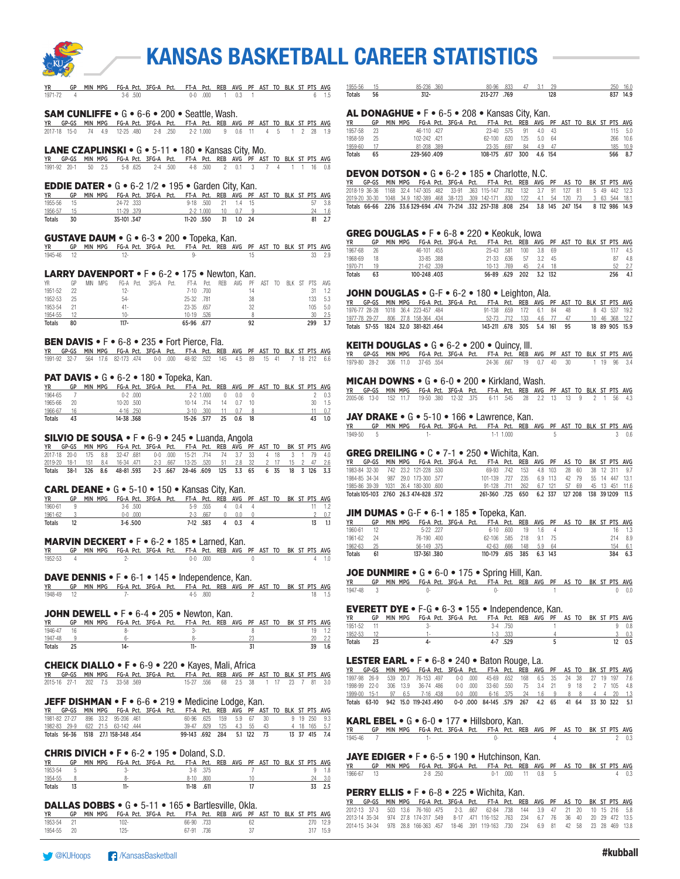

| MIN MPG FG-A Pct. 3FG-A Pct. FT-A Pct. REB AVG PF AST TO BLK ST PTS AVG<br>GP<br>$0-0$ .000<br>0.3<br>$6 - 1.5$<br>1971-72<br>$\overline{4}$<br>$3-6$ .500<br>$\overline{1}$<br>$\overline{1}$ | 3.1<br>15<br>85-236<br>.360<br>47<br>29<br>250 16.0<br>1955-56<br>80-96<br>.833<br>837 14.9<br>128<br>56<br>$312 -$<br>213-277 .769<br>Totals                                                                     |
|------------------------------------------------------------------------------------------------------------------------------------------------------------------------------------------------|-------------------------------------------------------------------------------------------------------------------------------------------------------------------------------------------------------------------|
| <b>SAM CUNLIFFE</b> $\bullet$ G $\bullet$ 6-6 $\bullet$ 200 $\bullet$ Seattle, Wash.                                                                                                           | AL DONAGHUE • F • 6-5 • 208 • Kansas City, Kan.                                                                                                                                                                   |
| GP-GS MIN MPG FG-A Pct. 3FG-A Pct. FT-A Pct. REB AVG PF AST TO BLK ST PTS AVG<br>YR                                                                                                            | GP MIN MPG FG-A Pct. 3FG-A Pct. FT-A Pct. REB AVG PF AST TO BLK ST PTS AVG<br>YR<br>1957-58<br>23<br>46-110 .427<br>23-40 .575<br>91<br>$4.0$ $43$                                                                |
| 2017-18 15-0 74 4.9 12-25 480<br>2-8 .250<br>2-2 1.000 9 0.6 11 4 5 1 2 28 1.9                                                                                                                 | 115 5.0<br>1958-59 25<br>102-242 .421<br>62-100 .620<br>125<br>5.0 64<br>266 10.6                                                                                                                                 |
| LANE CZAPLINSKI • G • 5-11 • 180 • Kansas City, Mo.                                                                                                                                            | 1959-60<br>17<br>81-208 .389<br>$23 - 35$<br>.697<br>84<br>4.9 47<br>185 10.9<br>566 8.7<br>108-175 .617 300<br>4.6 154<br>229-560.409                                                                            |
| YR GP-GS MIN MPG FG-A Pct. 3FG-A Pct. FT-A Pct. REB AVG PF AST TO BLK ST PTS AVG                                                                                                               | Totals<br>65                                                                                                                                                                                                      |
| 50 2.5<br>$5 - 8$ .625<br>2-4 .500<br>4-8 .500<br>2 0.1 3 7 4 1 1 16 0.8<br>1991-92 20-1                                                                                                       | <b>DEVON DOTSON • <math>G \cdot 6 - 2 \cdot 185 \cdot</math></b> Charlotte, N.C.                                                                                                                                  |
| <b>EDDIE DATER •</b> $G \cdot 6 - 21/2 \cdot 195 \cdot 6$ arden City, Kan.                                                                                                                     | YR GP-GS MIN MPG FG-A Pct. 3FG-A Pct. FT-A Pct. REB AVG PF AS TO BK ST PTS AVG                                                                                                                                    |
| GP MIN MPG FG-A Pct. 3FG-A Pct. FT-A Pct. REB AVG PF AST TO BLK ST PTS AVG<br>YR                                                                                                               | 2018-19 36-36 1168 32.4 147-305 .482 33-91 .363 115-147 .782<br>132<br>3.7 91 127 81<br>5 49 442 12.3<br>2019-20 30-30 1048 34.9 182-389 468 38-123 .309 142-171<br>.830<br>122<br>4.1 54 120 73<br>3 63 544 18.1 |
| 1955-56<br>24-72 333<br>$9-18$ .500<br>- 15<br>21  1.4  15<br>57 3.8<br>1956-57<br>11-29 .379<br>$2 - 2$ 1.000<br>10 <sup>°</sup><br>0.7<br>$24 - 1.6$<br>15<br>- 9                            | Totals 66-66 2216 33.6329-694 474 71-214 .332 257-318 .808 254 3.8 145 247 154<br>8 112 986 14.9                                                                                                                  |
| 31 1.0 24<br>Totals<br>30<br>35-101.347<br>11-20 .550<br>81 2.7                                                                                                                                |                                                                                                                                                                                                                   |
|                                                                                                                                                                                                | GREG DOUGLAS • F • 6-8 • 220 • Keokuk, Iowa                                                                                                                                                                       |
| <b>GUSTAVE DAUM • G • 6-3 • 200 • Topeka, Kan.</b><br>GP MIN MPG FG-A Pct. 3FG-A Pct. FT-A Pct. REB AVG PF AST TO BLK ST PTS AVG<br><b>YR</b>                                                  | YR<br>GP MIN MPG FG-A Pct. 3FG-A Pct.<br>FT-A Pct. REB AVG PF AST TO BLK ST PTS AVG                                                                                                                               |
| 1945-46<br>12<br>$12 -$<br>9-<br>15<br>33 2.9                                                                                                                                                  | 1967-68<br>26<br>46-101 .455<br>25-43 .581<br>100<br>3.8<br>69<br>117 4.5<br>1968-69 18<br>33-85 .388<br>21-33 .636<br>57<br>$3.2$ 45<br>87 4.8                                                                   |
|                                                                                                                                                                                                | $52$ $2.7$<br>1970-71<br>19<br>21-62 .339<br>10-13<br>.769<br>45<br>$2.4$ 18                                                                                                                                      |
| LARRY DAVENPORT • F • 6-2 • 175 • Newton, Kan.<br>MIN MPG<br>FG-A Pct. 3FG-A Pct.<br>YR<br>GP<br>FT-A Pct. REB AVG<br>AST TO BLK ST PTS AVG<br>PF                                              | 56-89 .629 202<br>3.2 132<br>256 4.1<br>Totals<br>63<br>100-248.403                                                                                                                                               |
| 22<br>7-10 .700<br>1951-52<br>$12 -$<br>14<br>31 1.2                                                                                                                                           | JOHN DOUGLAS • G-F • 6-2 • 180 • Leighton, Ala.                                                                                                                                                                   |
| 1952-53 25<br>25-32 .781<br>38<br>133 5.3<br>$54-$<br>105 5.0                                                                                                                                  | YR GP-GS MIN MPG FG-A Pct. 3FG-A Pct. FT-A Pct. REB AVG PF AST TO BLK ST PTS AVG                                                                                                                                  |
| 1953-54 21<br>23-35 .657<br>32<br>$41 -$<br>1954-55<br>12<br>10-19 .526<br>$30$ $2.5$<br>$10 -$                                                                                                | 1976-77 28-28 1018 36.4 223-457 .484<br>91-138 .659<br>172<br>6.1 84<br>8 43 537 19.2<br>48                                                                                                                       |
| 80<br>$117 -$<br>92<br>299 3.7<br>Totals<br>65-96 .677                                                                                                                                         | 1977-78 29-27 806 27.8 158-364 .434<br>52-73 .712<br>133<br>47<br>10 46 368 12.7<br>4.6<br>77<br>Totals 57-55 1824 32.0 381-821.464<br>143-211 .678 305 5.4 161 95<br>18 89 905 15.9                              |
|                                                                                                                                                                                                |                                                                                                                                                                                                                   |
| <b>BEN DAVIS • F</b> • 6-8 • 235 • Fort Pierce, Fla.<br>GP-GS MIN MPG FG-A Pct. 3FG-A Pct. FT-A Pct. REB AVG PF AST TO BLK ST PTS AVG<br>ΥR                                                    | <b>KEITH DOUGLAS • <math>G \cdot 6 - 2 \cdot 200 \cdot</math> Quincy, III.</b>                                                                                                                                    |
| 0-0 .000 48-92 .522 145 4.5 89 15 41 7 18 212 6.6<br>1991-92 32-7<br>564 17.6 82-173 .474                                                                                                      | YR GP-GS MIN MPG FG-A Pct. 3FG-A Pct. FT-A Pct. REB AVG PF AST TO BLK ST PTS AVG<br>1979-80 28-2 306 11.0<br>37-65 .554<br>24-36 .667<br>19 0.7<br>40 30<br>1 19<br>96 3.4                                        |
|                                                                                                                                                                                                |                                                                                                                                                                                                                   |
| <b>PAT DAVIS</b> • $G \cdot 6 - 2 \cdot 180 \cdot$ Topeka, Kan.<br>GP MIN MPG FG-A Pct. 3FG-A Pct. FT-A Pct.<br>AVG PF AST TO BLK ST PTS AVG<br><b>YR</b><br>REB                               | <b>MICAH DOWNS • <math>G \cdot 6 - 0 \cdot 200 \cdot</math> Kirkland, Wash.</b>                                                                                                                                   |
| 1964-65<br>$0-2$ .000<br>2 0.3<br>$\overline{7}$<br>$2 - 2$ 1.000<br>$\mathbf{0}$<br>0.0<br>$\overline{0}$                                                                                     | YR GP-GS MIN MPG FG-A Pct. 3FG-A Pct. FT-A Pct. REB AVG PF AST TO BLK ST PTS AVG<br>2005-06 13-0 152 11.7 19-50 380 12-32 375<br>6-11 .545 28 2.2 13 13 9 2 1                                                     |
| 30 1.5<br>1965-66<br>20<br>10-20 .500<br>10-14 .714<br>14  0.7  10<br>4-16 .250<br>$3-10$ .300<br>1966-67<br>16<br>11<br>0.7<br>- 8                                                            |                                                                                                                                                                                                                   |
| 11 0.7<br>25<br>43 1.0<br>Totals<br>43<br>14-38.368<br>15-26 .577<br>0.6<br>18                                                                                                                 | JAY DRAKE • G • 5-10 • 166 • Lawrence, Kan.                                                                                                                                                                       |
|                                                                                                                                                                                                | GP MIN MPG FG-A Pct. 3FG-A Pct. FT-A Pct. REB AVG PF AST TO BLK ST PTS AVG<br>YR<br>1949-50<br>$-5$<br>$1-1$ $1.000$<br>5<br>30.6<br>$1-$                                                                         |
| SILVIO DE SOUSA · F · 6-9 · 245 · Luanda, Angola<br>GP-GS MIN MPG FG-A Pct. 3FG-A Pct. FT-A Pct. REB AVG PF AST TO BK ST PTS AVG<br>YR                                                         |                                                                                                                                                                                                                   |
| 175 8.8<br>32-47 .681<br>$0 - 0$ .000<br>15-21 .714<br>74 3.7 33<br>4 18<br>3 1 79 4.0<br>2017-18 20-0                                                                                         | <b>GREG DREILING • C</b> • 7-1 • 250 • Wichita, Kan.                                                                                                                                                              |
| $2 - 3$ .667<br>32<br>2 17 15 2 47 2.6<br>2019-20 18-1<br>151<br>8.4<br>16-34 .471<br>13-25 .520<br>51<br>2.8                                                                                  | YR GP-GS MIN MPG FG-A Pct. 3FG-A Pct. FT-A Pct. REB AVG PF AS TO BK ST PTS AVG                                                                                                                                    |
| Totals 38-1 326 8.6 48-81.593<br>2-3 .667 28-46 .609 125 3.3 65 6 35 18 3 126 3.3                                                                                                              | 1983-84 32-30<br>742 23.2 121-228 .530<br>69-93 .742<br>4.8 103<br>28 60<br>153<br>38<br>12<br>311 9.7<br>987 29.0 173-300 .577<br>101-139 .727 235<br>6.9 113 42 79 55 14 447 13.1<br>1984-85 34-34              |
| <b>CARL DEANE •</b> $G \cdot 5\n-10 \cdot 150 \cdot$ Kansas City, Kan.                                                                                                                         | 1985-86 39-39 1031 26.4 180-300 600<br>91-128 .711<br>262<br>$6.7$ 121<br>57 69<br>45 13 451 11.6                                                                                                                 |
| GP MIN MPG FG-A Pct. 3FG-A Pct. FT-A Pct. REB AVG PF AST TO BK ST PTS AVG<br>YR                                                                                                                | Totals 105-103 2760 26.3 474-828 .572<br>261-360 .725 650<br>6.2 337 127 208 138 39 1209 11.5                                                                                                                     |
| $5-9$ .555<br>1960-61<br>$3-6$ .500<br>4 0.4<br>4<br>$11 \t 1.2$<br>9<br>20.7<br>$2 - 3$ .667<br>1961-62<br>$0 - 0.000$<br>$\mathbf{0}$<br>0.0<br>$\overline{0}$                               | JIM DUMAS $\bullet$ G-F $\bullet$ 6-1 $\bullet$ 185 $\bullet$ Topeka, Kan.                                                                                                                                        |
| 12<br>7-12 .583<br>$\overline{4}$<br>0.3<br>$\overline{4}$<br>$13 - 1.1$<br>Totals<br>$3 - 6.500$                                                                                              | GP MIN MPG FG-A Pct. 3FG-A Pct. FT-A Pct. REB<br>AS TO BK ST PTS AVG<br>YR<br>AVG PF                                                                                                                              |
|                                                                                                                                                                                                | 1960-61<br>12<br>5-22 .227<br>19<br>1.6<br>$6-10$ .600<br>4<br>$16$ 1.3<br>214 8.9<br>1961-62 24<br>76-190 .400<br>62-106 .585<br>218<br>9.1 75                                                                   |
| <b>MARVIN DECKERT • F</b> • 6-2 • 185 • Larned, Kan.<br>GP MIN MPG FG-A Pct. 3FG-A Pct. FT-A Pct. REB AVG PF AST TO BK ST PTS AVG<br>YR                                                        | 1962-63<br>25<br>56-149 .375<br>$42 - 63$<br>.666<br>148<br>$5.9$ 64<br>154 6.1                                                                                                                                   |
| 1952-53<br>$\overline{4}$<br>$2 -$<br>$0-0$ .000<br>$4 - 1.0$<br>$\begin{array}{c} \n\end{array}$                                                                                              | 384 6.3<br>110-179 .615 385<br>6.3 143<br>61<br>137-361.380<br>Totals                                                                                                                                             |
|                                                                                                                                                                                                | JOE DUNMIRE • G • 6-0 • 175 • Spring Hill, Kan.                                                                                                                                                                   |
| <b>DAVE DENNIS • F</b> • 6-1 • 145 • Independence, Kan.<br>FT-A Pct. REB AVG PF AST TO BK ST PTS AVG<br>GP MIN MPG FG-A Pct. 3FG-A Pct.                                                        | AS TO BK ST PTS AVG<br>GP<br>MIN MPG<br>FG-A Pct. 3FG-A Pct.<br>FT-A Pct. REB AVG PF                                                                                                                              |
| <b>YR</b><br>4-5 .800<br>$\mathfrak{p}$<br>18 1.5<br>1948-49<br>-12<br>$7-$                                                                                                                    | 1947-48<br>$_{3}$<br>$0-$<br>$\overline{1}$<br>0-<br>$0 \t 0.0$                                                                                                                                                   |
|                                                                                                                                                                                                | <b>EVERETT DYE</b> $\bullet$ F-G $\bullet$ 6-3 $\bullet$ 155 $\bullet$ Independence, Kan.                                                                                                                         |
| <b>JOHN DEWELL • F</b> • 6-4 • 205 • Newton, Kan.                                                                                                                                              | GP MIN MPG FG-A Pct. 3FG-A Pct. FT-A Pct. REB AVG PF AS TO BK ST PTS AVG<br>YR                                                                                                                                    |
| GP MIN MPG FG-A Pct. 3FG-A Pct. FT-A Pct. REB AVG PF AST TO BK ST PTS AVG<br>YR<br>1946-47<br>8<br>16<br>8-<br>$3-$<br>19 1.2                                                                  | 1951-52 11<br>$3-4$ .750<br>90.8<br>3-                                                                                                                                                                            |
| $8-$<br>23<br>1947-48<br>9<br>$6-$<br>$20 \t 2.2$                                                                                                                                              | $3 - 0.3$<br>1952-53<br>12<br>$1 - 3$ .333<br>$1 -$<br>23<br>$4-$<br>4-7 .529<br>5<br>12 0.5<br>Totals                                                                                                            |
| $14 -$<br>$11-$<br>31<br>39 1.6<br>Totals<br>25                                                                                                                                                |                                                                                                                                                                                                                   |
| CHEICK DIALLO • F • 6-9 • 220 • Kayes, Mali, Africa                                                                                                                                            | <b>LESTER EARL • F</b> • 6-8 • 240 • Baton Rouge, La.                                                                                                                                                             |
| YR GP-GS MIN MPG FG-A Pct. 3FG-A Pct. FT-A Pct. REB AVG PF AST TO BLK ST PTS AVG                                                                                                               | GP-GS MIN MPG FG-A Pct. 3FG-A Pct. FT-A Pct. REB AVG PF AS TO BK ST PTS AVG<br>539 20.7 76-153 .497<br>$0-0$ .000<br>45-69 .652 168<br>6.5 35<br>1997-98 26-9<br>24 38 27 19 197 7.6                              |
| 2015-16 27-1 202 7.5 33-58 569<br>15-27 .556<br>68  2.5  38  1  17  23  7  81  3.0                                                                                                             | 1998-99 22-0 306 13.9 36-74 486<br>$0-0$ .000<br>33-60 .550<br>75<br>3.4 21<br>9 18 2 7 105 4.8                                                                                                                   |
| <b>JEFF DISHMAN • F •</b> 6-6 • 219 • Medicine Lodge, Kan.                                                                                                                                     | $6-16$ .375<br>1999-00 15-1<br>976.5<br>7-16 .438<br>$0 - 0$ .000<br>$20 - 1.3$<br>24<br>1.6<br>9<br>88<br>4 4<br>Totals 63-10 942 15.0 119-243 490<br>0-0.000 84-145 .579 267<br>4.2 65 41 64 33 30 322 5.1      |
| YR GP-GS MIN MPG FG-A Pct. 3FG-A Pct.<br>FT-A Pct. REB AVG PF AST TO BLK ST PTS AVG                                                                                                            |                                                                                                                                                                                                                   |
| 1981-82 27-27<br>896 33.2 95-206 .461<br>60-96 .625 159<br>5.9 67 30<br>9 19 250 9.3                                                                                                           | <b>KARL EBEL •</b> G • 6-0 • 177 • Hillsboro, Kan.                                                                                                                                                                |
| 1982-83 29-9 622 21.5 63-142 444<br>$39 - 47$<br>.829<br>125<br>$4.3$ 55<br>4 18 165 5.7<br>43<br>Totals 56-36 1518 27.1 158-348 454<br>99-143 .692 284<br>5.1 122 73<br>13 37 415 7.4         | GP MIN MPG FG-A Pct. 3FG-A Pct.<br>FT-A Pct. REB AVG PF AS TO BK ST PTS AVG                                                                                                                                       |
|                                                                                                                                                                                                | 1945-46<br>$()$ -<br>$\overline{7}$<br>$1 -$<br>20.3                                                                                                                                                              |
| <b>CHRIS DIVICH • F</b> • 6-2 • 195 • Doland, S.D.                                                                                                                                             | <b>JAYE EDIGER •</b> F • 6-5 • 190 • Hutchinson, Kan.                                                                                                                                                             |
| GP MIN MPG FG-A Pct. 3FG-A Pct. FT-A Pct. REB AVG PF AST TO BLK ST PTS AVG<br>YR<br>1953-54<br>5<br>3-8 .375<br>$\overline{7}$<br>$9 - 1.8$<br>$3-$                                            | GP MIN MPG FG-A Pct. 3FG-A Pct.<br>FT-A Pct. REB AVG PF AS TO BK ST PTS AVG<br>YR                                                                                                                                 |
| 1954-55<br>8-<br>8-10 .800<br>- 8<br>10<br>24, 3.0                                                                                                                                             | 0-1 .000 11 0.8 5<br>1966-67 13<br>$2 - 8$ .250<br>40.3                                                                                                                                                           |
| $11 -$<br>17<br>33 2.5<br>Totals<br>13<br>11-18 .611                                                                                                                                           | <b>PERRY ELLIS • F</b> • 6-8 • 225 • Wichita, Kan.                                                                                                                                                                |
|                                                                                                                                                                                                | GP-GS MIN MPG FG-A Pct. 3FG-A Pct. FT-A Pct. REB AVG PF AS TO BK ST PTS AVG                                                                                                                                       |
| <b>DALLAS DOBBS • G • 5-11 • 165 • Bartlesville, Okla.</b><br>GP MIN MPG FG-A Pct. 3FG-A Pct. FT-A Pct. REB AVG PF AST TO BLK ST PTS AVG                                                       | 2012-13 37-3 503 13.6 76-160 475 2-3 667 62-84 738 144 3.9 47 21 20 10 15 216 5.8                                                                                                                                 |
|                                                                                                                                                                                                | 2013-14 35-34 974 27.8 174-317 549 8-17 .471 116-152 .763 234 6.7 76 36 40 20 29 472 13.5                                                                                                                         |

1953-54 21 102- 66-90 .733 62 270 12.9 1954-55 20 125- 67-91 .736 37 317 15.9 2014-15 34-34 978 28.8 166-363 .457 18-46 .391 119-163 .730 234 6.9 81 42 58 23 28 469 13.8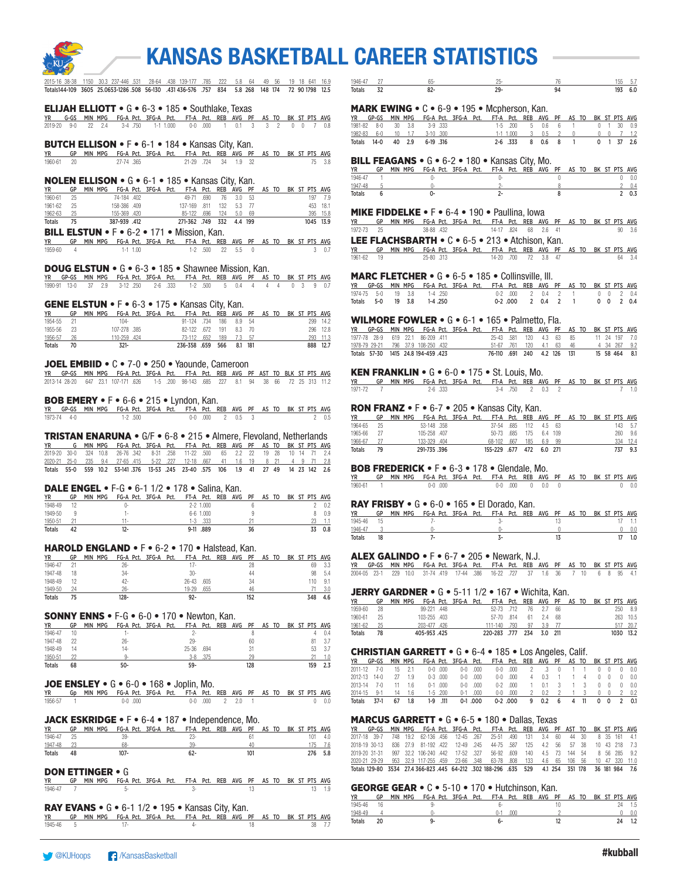

|  | 2015-16 38-38 1150 30.3 237-446 531 28-64 .438 139-177 .785 222 5.8 64 49 56 19 18 641 16.9      |  |  |  |  |
|--|--------------------------------------------------------------------------------------------------|--|--|--|--|
|  | Totals144-109 3605 25.0653-1286 508 56-130 .431 436-576 .757 834 5.8 268 148 174 72 90 1798 12.5 |  |  |  |  |

#### ELIJAH ELLIOTT • G • 6-3 • 185 • Southlake, Texas

|  |  |  |  | YR G-GS MIN-MPG FG-A-Pct. 3FG-A-Pct. FT-A-Pct. REB AVG PF AS-TO BK-ST-PTS-AVG- |  |  |  |  |  |
|--|--|--|--|--------------------------------------------------------------------------------|--|--|--|--|--|
|  |  |  |  | 2019-20 9-0 22 2.4 3-4 750 1-1 1.000 0-0 000 1 0.1 3 3 2 0 0 7 0.8             |  |  |  |  |  |

#### BUTCH ELLISON • F • 6-1 • 184 • Kansas City, Kan.

YR GP MIN MPG FG-A Pct. 3FG-A Pct. FT-A Pct. REB AVG PF AS TO BK ST PTS AVG 1960-61 20 27-74 .365 21-29 .724 34 1.9 32 75 3.8

#### NOLEN ELLISON • G • 6-1 • 185 • Kansas City, Kan.

| <b>YR</b>     | GP |  |              |  | MIN MPG FG-A Pct. 3FG-A Pct. FT-A Pct. REB AVG PF AS TO BK ST PTS AVG |  |           |  |  |  |           |
|---------------|----|--|--------------|--|-----------------------------------------------------------------------|--|-----------|--|--|--|-----------|
| 1960-61       | 25 |  | 74-184 .402  |  | 49-71 690                                                             |  | 76 3.0 53 |  |  |  | 197 7.9   |
| 1961-62       | 25 |  | 158-386 .409 |  | 137-169 811 132 5.3 77                                                |  |           |  |  |  | 453 18.1  |
| 1962-63       | 25 |  | 155-369 .420 |  | 85-122 .696 124 5.0 69                                                |  |           |  |  |  | 395 15.8  |
| <b>Totals</b> | 75 |  | 387-939 412  |  | 271-362 .749 332 4.4 199                                              |  |           |  |  |  | 1045 13.9 |

**BILL ELSTUN •** F • 6-2 • 171 • Mission, Kan.<br><u>YR GP MIN MPG FG-A Pct. 3FG-A Pct. FT-A Pct. REB AVG PF AS TO BK ST PTS AVG</u><br>1959-60 4 1-1 1.00 1-2 .500 22 5.5 0

#### DOUG ELSTUN • G • 6-3 • 185 • Shawnee Mission, Kan.

YR GP-GS MIN MPG FG-A Pct. 3FG-A Pct. FT-A Pct. REB AVG PF AS TO BK ST PTS AVG 1990-91 13-0 37 2.9 3-12 250 2-6 333 1-2 500 5 0.4 4 4 4 0 3 9 0.7

#### GENE ELSTUN • F • 6-3 • 175 • Kansas City, Kan.

| <b>YR</b> | GP   |  |             |  | MIN MPG FG-A Pct. 3FG-A Pct. FT-A Pct. REB AVG PF AS TO BK ST PTS AVG |     |            |  |  |  |          |
|-----------|------|--|-------------|--|-----------------------------------------------------------------------|-----|------------|--|--|--|----------|
| 1954-55   |      |  | 104-        |  | 91-124 734                                                            |     | 186 8.9 54 |  |  |  | 299 14.2 |
| 1955-56   | - 23 |  | 107-278 385 |  | 82-122 672                                                            | 191 | 8.3 70     |  |  |  | 296 12.8 |
| 1956-57   | 26   |  | 110-259 424 |  | 73-112 .652                                                           | 189 | 7.3 57     |  |  |  | 293 11.3 |
| Totals    |      |  | $321 -$     |  | 236-358 659 566                                                       |     | 8.1 181    |  |  |  | 888 12.7 |

### JOEL EMBIID • C • 7-0 • 250 • Yaounde, Cameroon

YR GP-GS MIN MPG FG-A Pct. 3FG-A Pct. FT-A Pct. REB AVG PF AST TO BLK ST PTS AVG 2013-14 28-20 647 23.1 107-171 .626 1-5 .200 98-143 .685 227 8.1 94 38 66 72 25 313 11.2

#### BOB EMERY • F • 6-6 • 215 • Lyndon, Kan.

|             | YR GP-GS MIN MPG FG-A Pct. 3FG-A Pct. FT-A Pct. REB AVG PF AS TO BK ST PTS AVG |         |  |  |                 |  |  |  |              |
|-------------|--------------------------------------------------------------------------------|---------|--|--|-----------------|--|--|--|--------------|
| 1973-74 4-0 |                                                                                | 1-2 500 |  |  | 0-0 000 2 0.5 3 |  |  |  | $2\quad 0.5$ |

### **TRISTAN ENARUNA •** G/F • 6-8 • 215 • Almere, Flevoland, Netherlands<br>YR G MIN MPG FG-A Pct. 3FG-A Pct. FT-A Pct. REB AVG PF AS TO BK ST PTS AVG

G MIN MPG FG-A Pct. 3FG-A Pct. FT-A Pct. REB AVG PF AS TO BK ST PTS AVG 2019-20 30-0 324 10.8 26-76 342 8-31 258 11-22 5.00 65 2.2 22 19 28 10 14 71 2.4<br>2020-21 25-0 235 9.4 27-65 415 5-22 227 12-18 667 41 1.6 19 8 21 4 9 71<br>Totals 55-0 559 10.2 53-141.376 13-53 245 23-40 575 106 1.9 41 27 49

#### DALE ENGEL • F-G • 6-1 1/2 • 178 • Salina, Kan.

| <b>YR</b>     | GP | <b>MPG</b><br>MIN | FG-A Pct. 3FG-A Pct.     |  |        |               | FT-A Pct. REB | AVG | PF | AS | TO |  | BK ST PTS AVG |     |
|---------------|----|-------------------|--------------------------|--|--------|---------------|---------------|-----|----|----|----|--|---------------|-----|
| 1948-49       |    |                   |                          |  |        | $2 - 2$ 1.000 |               |     |    |    |    |  |               | 0.2 |
| 1949-50       |    |                   | $\overline{\phantom{a}}$ |  |        | 6-6 1.000     |               |     |    |    |    |  |               | 0.9 |
| 1950-51       |    |                   | 11.                      |  | 1-3    | 333           |               |     |    |    |    |  |               |     |
| <b>Totals</b> |    |                   | 12-                      |  | $9-11$ | .889          |               |     | 36 |    |    |  |               | 0.8 |

#### HAROLD ENGLAND • F • 6-2 • 170 • Halstead, Kan.

| YR      | GP | <b>MPG</b><br><b>MIN</b> | FG-A Pct. 3FG-A Pct. |           | FT-A Pct. | REB | AVG | PF | AS | TO |  |    | BK ST PTS AVG |
|---------|----|--------------------------|----------------------|-----------|-----------|-----|-----|----|----|----|--|----|---------------|
| 1946-47 |    |                          | 26-                  | 17.       |           |     |     |    |    |    |  | 69 | 3.3           |
| 1947-48 | 18 |                          | $34 -$               | 30-       |           |     |     | 44 |    |    |  | 98 | 5.4           |
| 1948-49 |    |                          | 42-                  | $26 - 43$ | .605      |     |     | 34 |    |    |  | 10 | 9.1           |
| 1949-50 | 24 |                          | $26 -$               | 19-29     | 655       |     |     | 46 |    |    |  |    |               |

Totals 75 128- 92- 152 348 4.6

#### SONNY ENNS • F-G • 6-0 • 170 • Newton, Kan.

| <b>YR</b>     | GP | MIN MPG |     | FG-A Pct. 3FG-A Pct. |           | FT-A Pct. REB | AVG | PF  | AS TO |  |     | BK ST PTS AVG |
|---------------|----|---------|-----|----------------------|-----------|---------------|-----|-----|-------|--|-----|---------------|
| 1946-47       | 10 |         | . . |                      |           |               |     |     |       |  |     | 0.4           |
| 1947-48       | 22 |         | 26- |                      | $29 -$    |               |     | 60  |       |  | 81  | 3.7           |
| 1948-49       | 14 |         | 14- |                      | $25 - 36$ | .694          |     |     |       |  | 53  |               |
| 1950-51       |    |         |     |                      | $3-8$     | .375          |     | 29  |       |  |     |               |
| <b>Totals</b> | 68 |         | 50- |                      | 59-       |               |     | 128 |       |  | 159 |               |

### JOE ENSLEY  $\bullet$  G  $\bullet$  6-0  $\bullet$  168  $\bullet$  Joplin, Mo.

| YR - GD MIN MPG FG-A Pct. 3FG-A Pct. FT-A Pct. REB AVG PF AS TO BK ST PTS AVG |  |  |         |  |  |                         |  |  |  |     |
|-------------------------------------------------------------------------------|--|--|---------|--|--|-------------------------|--|--|--|-----|
| 1956-57                                                                       |  |  | 0-0.000 |  |  | $0-0$ $000$ $2$ $2.0$ 1 |  |  |  | 0.0 |

#### JACK ESKRIDGE • F • 6-4 • 187 • Independence, Mo.

| YR            | GP | MIN<br>MPG |     | FG-A Pct. 3FG-A Pct. | FT-A Pct. | REB | AVG | - PF | AS | TO. |  | BK ST PTS AVG |     |
|---------------|----|------------|-----|----------------------|-----------|-----|-----|------|----|-----|--|---------------|-----|
| 1946-47       |    |            | 39- |                      | $7.5-$    |     |     |      |    |     |  | 101           | 4.0 |
| 1947-48       |    |            | 68- |                      | 30.       |     |     |      |    |     |  |               |     |
| <b>Totals</b> | 48 | $107 -$    |     |                      | 62-       |     |     |      |    |     |  | 276           |     |

#### DON ETTINGER • G

|           | YR GP MIN MPG FG-A Pct. 3FG-A Pct. FT-A Pct. REB AVG PF AS TO BK ST PTS AVG |  |  |  |  |  |  |        |
|-----------|-----------------------------------------------------------------------------|--|--|--|--|--|--|--------|
| 1946-47 7 |                                                                             |  |  |  |  |  |  | 13 1.9 |

#### RAY EVANS • G • 6-1 1/2 • 195 • Kansas City, Kan.

|           | YR GP MIN MPG FG-A Pct. 3FG-A Pct. FT-A Pct. REB AVG PF AS TO BK ST PTS AVG |  |  |  |  |  |  |        |
|-----------|-----------------------------------------------------------------------------|--|--|--|--|--|--|--------|
| 1945-46 5 |                                                                             |  |  |  |  |  |  | 38 7.7 |

| 10A6.4        | $\sim$ |              |  | .<br>1 BK 9<br>5.55 |  |
|---------------|--------|--------------|--|---------------------|--|
| <b>Totals</b> | ےر     | $\sim$<br>٥۷ |  | נטו                 |  |

#### MARK EWING • C • 6-9 • 195 • Mcpherson, Kan.

| YR GP-GS MIN MPG FG-A Pct. 3FG-A Pct. FT-A Pct. REB AVG PF AS TO BK ST PTS AVG |  |           |  |  |                              |  |  |  |                    |
|--------------------------------------------------------------------------------|--|-----------|--|--|------------------------------|--|--|--|--------------------|
| 1981-82 8-0 30 3.8 3-9 333                                                     |  |           |  |  | 1-5 200 5 0.6 6 1 0 1 30 0.9 |  |  |  |                    |
| 1982-83 6-0 10 1.7 3-10 300                                                    |  |           |  |  |                              |  |  |  |                    |
| Totals 14-0 40 2.9                                                             |  | 6-19 .316 |  |  | 2-6 333 8 0.6 8 1            |  |  |  | $0 \t1 \t37 \t2.6$ |

#### BILL FEAGANS • G • 6-2 • 180 • Kansas City, Mo.

| <b>YR</b>     | GP | MPG<br>MIN | FG-A Pct. 3FG-A Pct. FT-A Pct. REB AVG PF AS TO BK ST PTS AVG |  |  | . |  |  |  |     |
|---------------|----|------------|---------------------------------------------------------------|--|--|---|--|--|--|-----|
|               |    |            |                                                               |  |  |   |  |  |  |     |
| 1946-47       |    |            |                                                               |  |  |   |  |  |  | 0.0 |
| 1947-48       |    |            |                                                               |  |  |   |  |  |  |     |
| <b>Totals</b> |    |            |                                                               |  |  |   |  |  |  |     |

#### MIKE FIDDELKE • F • 6-4 • 190 • Paullina, Iowa

YR GP MIN MPG FG-A Pct. 3FG-A Pct. FT-A Pct. REB AVG PF AS TO BK ST PTS AVG 1972-73 25 38-88 .432 14-17 .824 68 2.6 41 90 3.6

### LEE FLACHSBARTH • C • 6-5 • 213 • Atchison, Kan.

YR GP MIN MPG FG-A Pct. 3FG-A Pct. FT-A Pct. REB AVG PF AS TO BK ST PTS AVG 1961-62 19 25-80 .313 14-20 .700 72 3.8 47 64 3.4

#### MARC FLETCHER • G • 6-5 • 185 • Collinsville, Ill.

|  |  | YR GP-GS MIN MPG FG-A Pct. 3FG-A Pct. FT-A Pct. REB AVG PF AS TO BK ST PTS AVG |  |  |                             |  |  |  |  |
|--|--|--------------------------------------------------------------------------------|--|--|-----------------------------|--|--|--|--|
|  |  | 1974-75 5-0 19 3.8 1-4 250                                                     |  |  | 0-2 000 2 0.4 2 1 0 0 2 0.4 |  |  |  |  |
|  |  | Totals 5-0 19 3.8 1-4.250                                                      |  |  | 0-2.000 2 0.4 2 1 0 0 2 0.4 |  |  |  |  |

#### WILMORE FOWLER • G • 6-1 • 165 • Palmetto, Fla.

|  |  | YR GP-GS MIN-MPG FG-A-Pct. 3FG-A-Pct. FT-A-Pct. REB AVG PF AS-TO-BK-ST-PTS-AVG |  |                            |  |  |  |  |               |
|--|--|--------------------------------------------------------------------------------|--|----------------------------|--|--|--|--|---------------|
|  |  | 1977-78 28-9 619 22.1 86-209 411                                               |  | 25-43 581 120 4.3 63 85    |  |  |  |  | 11 24 197 7.0 |
|  |  | 1978-79 29-21 796 37.9 108-250 .432                                            |  | 51-67 .761 120 4.1 63 46   |  |  |  |  | 4 34 267 9.2  |
|  |  | Totals 57-30 1415 24.8 194-459 423                                             |  | 76-110 691 240 4.2 126 131 |  |  |  |  | 15 58 464 8.1 |

#### KEN FRANKLIN • G • 6-0 • 175 • St. Louis, Mo.

|           | YR GP MIN MPG FG-A Pct. 3FG-A Pct. FT-A Pct. REB AVG PF AS TO BK ST PTS AVG |         |  |  |                 |  |  |  |      |
|-----------|-----------------------------------------------------------------------------|---------|--|--|-----------------|--|--|--|------|
| 1971-72 7 |                                                                             | 2-6.333 |  |  | 3-4 750 2 0.3 2 |  |  |  | 7 10 |

#### RON FRANZ • F • 6-7 • 205 • Kansas City, Kan.

| YR         |  |              | GP MIN MPG FG-A Pct. 3FG-A Pct. FT-A Pct. REB AVG PF AS TO BK ST PTS AVG |                          |  |  |  |  |          |
|------------|--|--------------|--------------------------------------------------------------------------|--------------------------|--|--|--|--|----------|
| 1964-65 25 |  | 53-148.358   |                                                                          | 37-54 .685 112 4.5 63    |  |  |  |  | 143 5.7  |
| 1965-66 27 |  | 105-258 .407 |                                                                          | 50-73 .685 175 6.4 109   |  |  |  |  | 260 9.6  |
| 1966-67 27 |  | 133-329 404  |                                                                          | 68-102 .667 185 6.9 99   |  |  |  |  | 334 12.4 |
| Totals 79  |  | 291-735.396  |                                                                          | 155-229 .677 472 6.0 271 |  |  |  |  | 737 9.3  |

#### BOB FREDERICK • F • 6-3 • 178 • Glendale, Mo.

| YR      | GP MIN MPG FG-A Pct. 3FG-A Pct. FT-A Pct. REB AVG PF AS TO BK ST PTS AVG |              |  |  |                           |  |  |  |               |
|---------|--------------------------------------------------------------------------|--------------|--|--|---------------------------|--|--|--|---------------|
| 1960-61 |                                                                          | $0.0$ $0.00$ |  |  | $0-0$ $000$ $0$ $0.0$ $0$ |  |  |  | $0 \quad 0.0$ |

#### RAY FRISBY • G • 6-0 • 165 • El Dorado, Kan.

| <b>YR</b>     | GP | MPG<br>MIN | FG-A Pct. 3FG-A Pct. FT-A Pct. REB AVG PF AS TO | BK ST PTS AVG |  |
|---------------|----|------------|-------------------------------------------------|---------------|--|
| 1945-46       |    | ٠.         |                                                 |               |  |
| 1946-47       |    |            |                                                 |               |  |
| <b>Totals</b> | 18 |            |                                                 |               |  |

#### ALEX GALINDO • F • 6-7 • 205 • Newark, N.J.

YR GP-GS MIN MPG FG-A Pct. 3FG-A Pct. FT-A Pct. REB AVG PF AS TO BK ST PTS AVG 2004-05 23-1 229 10.0 31-74 419 17-44 .386 16-22 .727 37 1.6 36 7 10

#### JERRY GARDNER • G • 5-11 1/2 • 167 • Wichita, Kan.

| <b>YR</b>  | GP   |  |              |  | MIN MPG FG-A Pct. 3FG-A Pct. FT-A Pct. REB AVG PF AS TO BK ST PTS AVG |  |                            |  |  |  |           |
|------------|------|--|--------------|--|-----------------------------------------------------------------------|--|----------------------------|--|--|--|-----------|
| 1959-60    | - 28 |  | 99-221 .448  |  |                                                                       |  | 52-73 712 76 2.7 66        |  |  |  | 250 8.9   |
| 1960-61    | - 25 |  | 103-255 .403 |  |                                                                       |  | 57-70 .814   61   2.4   68 |  |  |  | 263 10.5  |
| 1961-62 25 |      |  | 203-477 426  |  |                                                                       |  | 111-140 .793 97 3.9 77     |  |  |  | 517 20.7  |
| Totals     | 78   |  | 405-953.425  |  |                                                                       |  | 220-283 777 234 3.0 211    |  |  |  | 1030 13.2 |

#### CHRISTIAN GARRETT • G • 6-4 • 185 • Los Angeles, Calif.

| YR GP-GS MIN-MPG FG-A-Pct. 3FG-A-Pct. FT-A-Pct. REB AVG PF AS-TO-BK-ST-PTS-AVG |  |  |  |  |                                         |  |  |  |  |
|--------------------------------------------------------------------------------|--|--|--|--|-----------------------------------------|--|--|--|--|
| 2011-12 7-0 15 2.1 0-0.000 0-0.000 0-0.000 2 .3 0 1 1 0 0 0 0.0                |  |  |  |  |                                         |  |  |  |  |
| 2012-13 14-0 27 1.9 0-3 000 0-0 000                                            |  |  |  |  | 0-0 .000  4  0.3  1  1  4  0  0  0  0.0 |  |  |  |  |
| 2013-14 7-0 11 1.6 0-1 000 0-0 000 0-2 000 1 0.1 3 1 3 0 0 0 0.0               |  |  |  |  |                                         |  |  |  |  |
| 2014-15 9-1 14 1.6 1-5 200 0-1 000 0-0 000 2 0.2 2 1 3 0 0 2 0.2               |  |  |  |  |                                         |  |  |  |  |
| Totals 37-1 67 1.8 1-9 111 0-1 000 0-2 000 9 0.2 6 4 11 0 0 2 0.1              |  |  |  |  |                                         |  |  |  |  |

#### MARCUS GARRETT • G • 6-5 • 180 • Dallas, Texas

|  |  |  |  | YR GP-GS MIN MPG FG-A Pct. 3FG-A Pct. FT-A Pct. REB AVG PF AST TO BK ST PTS AVG         |  |  |  |  |  |
|--|--|--|--|-----------------------------------------------------------------------------------------|--|--|--|--|--|
|  |  |  |  | 2017-18 39-7 748 19.2 62-136 456 12-45 .267 25-51 .490 131 3.4 60 44 30 8 35 161 4.1    |  |  |  |  |  |
|  |  |  |  | 2018-19 30-13 836 27.9 81-192 422 12-49 245 44-75 587 125 4.2 56 57 38 10 43 218 7.3    |  |  |  |  |  |
|  |  |  |  | 2019-20 31-31 997 32.2 106-240 442 17-52 327 56-92 609 140 4.5 73 144 54 8 56 285 9.2   |  |  |  |  |  |
|  |  |  |  | 2020-21 29-29 953 32.9 117-255 459 23-66 348 63-78 808 133 4.6 65 106 56 10 47 320 11.0 |  |  |  |  |  |
|  |  |  |  |                                                                                         |  |  |  |  |  |

#### GEORGE GEAR • C • 5-10 • 170 • Hutchinson, Kan.

| <b>YR</b>     | GP | MIN<br>MPG | FG-A Pct. 3FG-A Pct. |  |     | FT-A Pct. REB AVG PF | AS TO |  |  | BK ST PTS AVG |
|---------------|----|------------|----------------------|--|-----|----------------------|-------|--|--|---------------|
| 1945-46       | 16 |            |                      |  |     |                      |       |  |  |               |
| 1948-49       |    |            |                      |  | 000 |                      |       |  |  |               |
| <b>Totals</b> |    |            |                      |  |     |                      |       |  |  |               |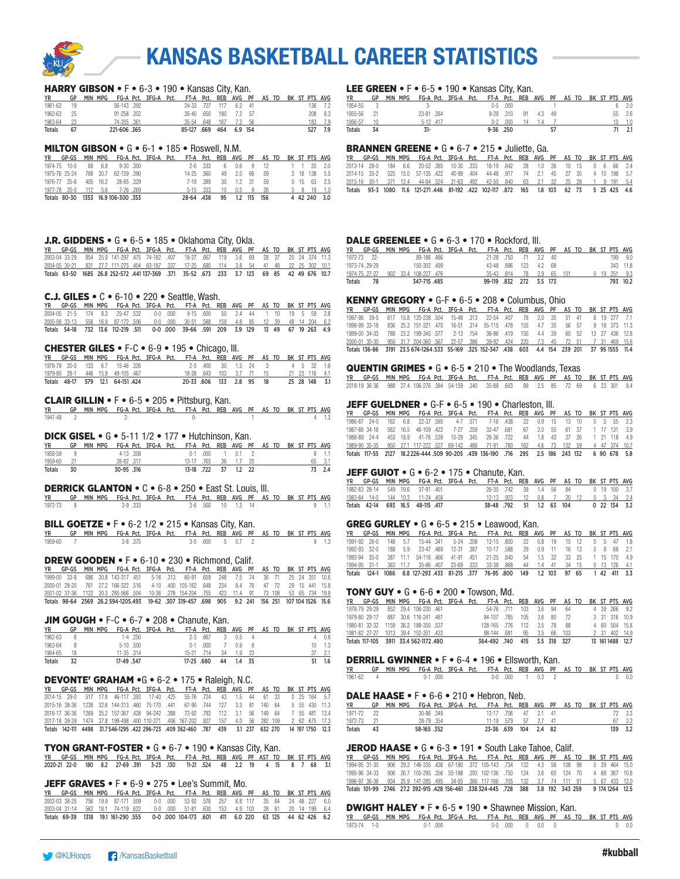

#### HARRY GIBSON • F • 6-3 • 190 • Kansas City, Kan.

| YR            | GP   | MIN MPG |              | FG-A Pct. 3FG-A Pct. FT-A Pct. REB AVG PF AS TO BK ST PTS AVG |               |     |          |  |  |     |         |
|---------------|------|---------|--------------|---------------------------------------------------------------|---------------|-----|----------|--|--|-----|---------|
| 1961-62       | - 19 |         | 56-143.392   |                                                               | 24-33 727 117 |     | 62 41    |  |  |     | 136 7.2 |
| 1962-63       | - 25 |         | 91-258 .352  |                                                               | $26-40.650$   | 180 | 72 57    |  |  |     | 208 8.3 |
| 1963-64       | 23   |         | 74-205 .361  |                                                               | 35-54 648     | 167 | - 7.3 56 |  |  |     | 183 7.9 |
| <b>Totals</b> | 67   |         | 221-606 .365 |                                                               | 85-127 .669   | 464 | 6.9 154  |  |  | 527 | 7.9     |

#### MILTON GIBSON • G • 6-1 • 185 • Roswell, N.M.

| YR GP-GS MIN MPG FG-A Pct. 3FG-A Pct. FT-A Pct. REB AVG PF AS TO BK ST PTS AVG |  |  |  |                          |                       |              |  |  |              |                       |
|--------------------------------------------------------------------------------|--|--|--|--------------------------|-----------------------|--------------|--|--|--------------|-----------------------|
| 1974-75 10-0 68 6.8 9-30 300                                                   |  |  |  |                          | 2-6 333 6 0.6 9 12    |              |  |  |              | 1 1 20 20             |
| 1975-76 25-24 768 30.7 62-159 390                                              |  |  |  | 14-25 560                |                       | 49 2.0 66 59 |  |  |              | 3 18 138 5.5          |
| 1976-77 25-6 405 16.2 28-85 329                                                |  |  |  |                          | 7-18 389 30 1.2 31 59 |              |  |  |              | $0$ 15 63 2.5         |
| 1977-78 20-0 112 5.6 7-26 269                                                  |  |  |  |                          | 5-15 .333 10 0.5 9 26 |              |  |  |              | $0 \t 8 \t 19 \t 1.0$ |
| Totals 80-30 1353 16.9 106-300 .353                                            |  |  |  | 28-64 438 95 1.2 115 156 |                       |              |  |  | 4 42 240 3.0 |                       |

#### **J.R. GIDDENS** •  $G \cdot 6 - 5 \cdot 185 \cdot 0$  klahoma City, Okla.

|  |  |  | YR GP-GS MIN MPG FG-A Pct. 3FG-A Pct. FT-A Pct. REB AVG PF AS TO BK ST PTS AVG               |  |  |  |  |  |  |
|--|--|--|----------------------------------------------------------------------------------------------|--|--|--|--|--|--|
|  |  |  | 2003-04 33-29 854 25.9 141-297 475 74-182 407 18-27 667 119 3.6 69 28 37 20 24 374 11.3      |  |  |  |  |  |  |
|  |  |  | 2004-05 30-21 831 27.7 111-275 404 63-187 .337 17-25 .680 114 3.8 54 41 48 22 25 302 10.1    |  |  |  |  |  |  |
|  |  |  | Totals 63-50 1685 26.8 252-572 .441 137-369 .371 35-52 .673 233 3.7 123 69 85 42 49 676 10.7 |  |  |  |  |  |  |

#### C.J. GILES • C • 6-10 • 220 • Seattle, Wash.

| YR GP-GS MIN-MPG FG-A-Pct. 3FG-A-Pct. FT-A-Pct. REB AVG PF AS-TO-BK-ST-PTS-AVG-     |  |  |  |  |  |  |  |  |  |
|-------------------------------------------------------------------------------------|--|--|--|--|--|--|--|--|--|
| 2004-05 21-5 174 8.3 25-47 532 0-0 000 9-15 600 50 2.4 44 1 10 19 5 59 2.8          |  |  |  |  |  |  |  |  |  |
| 2005-06 33-13 558 16.9 87-172 506 0-0 000 30-51 588 159 4.8 85 12 39 48 14 204 6.2  |  |  |  |  |  |  |  |  |  |
| Totals 54-18 732 13.6 112-219 511 0-0 000 39-66 591 209 3.9 129 13 49 67 19 263 4.9 |  |  |  |  |  |  |  |  |  |

#### CHESTER GILES • F-C • 6-9 • 195 • Chicago, Ill.

|  |  | YR GP-GS MIN MPG FG-A Pct. 3FG-A Pct. FT-A Pct. REB AVG PF AS TO BK ST PTS AVG |  |                                        |  |                                |  |  |  |               |
|--|--|--------------------------------------------------------------------------------|--|----------------------------------------|--|--------------------------------|--|--|--|---------------|
|  |  | 1978-79 20-0 133 6.7 15-46 326                                                 |  |                                        |  | 2-5 400 30 1.5 24 3 4 5 32 1.6 |  |  |  |               |
|  |  | 1979-80 28-1 446 15.9 49-105 467                                               |  | 18-28 .643 103 3.7 71 15 21 23 116 4.1 |  |                                |  |  |  |               |
|  |  | Totals 48-17 579 12.1 64-151 424                                               |  | 20-33 606 133 2.8 95 18                |  |                                |  |  |  | 25 28 148 3.1 |

#### CLAIR GILLIN • F • 6-5 • 205 • Pittsburg, Kan.

|           | YR GP MIN MPG FG-A Pct. 3FG-A Pct. FT-A Pct. REB AVG PF AS TO BK ST PTS AVG |  |  |  |  |  |  |  |
|-----------|-----------------------------------------------------------------------------|--|--|--|--|--|--|--|
| 1947-48 3 |                                                                             |  |  |  |  |  |  |  |

#### DICK GISEL • G • 5-11 1/2 • 177 • Hutchinson, Kan.

| YR      | GP | MIN MPG |           | - FG-A Pct. 3FG-A Pct. - FT-A Pct. REB AVG PF - AS TO - BK ST PTS AVG |            |             |    |           |  |  |  |        |
|---------|----|---------|-----------|-----------------------------------------------------------------------|------------|-------------|----|-----------|--|--|--|--------|
| 1958-59 | ч  |         | 4-13 .308 |                                                                       |            | $0-1$ $000$ |    | 01        |  |  |  |        |
| 1959-60 |    |         | 26-82.317 |                                                                       | 13-17 765  |             |    | 36 1.7 20 |  |  |  |        |
| Totals  | 30 |         | 30-95.316 |                                                                       | 13-18 .722 |             | 37 | $1.2$ 22  |  |  |  | 73 2.4 |

#### DERRICK GLANTON • C • 6-8 • 250 • East St. Louis, Ill.

|           | YR GP MIN MPG FG-A-Pct. 3FG-A-Pct. FT-A-Pct. REB AVG PF AS-TO-BK-ST-PTS-AVG |         |  |  |                   |  |  |  |               |
|-----------|-----------------------------------------------------------------------------|---------|--|--|-------------------|--|--|--|---------------|
| 1972-73 8 |                                                                             | 3-9.333 |  |  | 3-6 500 10 1.3 14 |  |  |  | $9 \quad 1.1$ |

#### **BILL GOETZE • F** • 6-2  $1/2$  • 215 • Kansas City, Kan.

| YR      | GP MIN MPG FG-A Pct. 3FG-A Pct. FT-A Pct. REB AVG PF AS TO BK ST PTS AVG |  |  |  |                         |  |  |  |  |
|---------|--------------------------------------------------------------------------|--|--|--|-------------------------|--|--|--|--|
| 1959-60 |                                                                          |  |  |  | $3-5$ $600$ $5$ $0.7$ 2 |  |  |  |  |

#### DREW GOODEN • F • 6-10 • 230 • Richmond, Calif.

YR GP-GS MIN MPG FG-A Pct. 3FG-A Pct. FT-A Pct. REB AVG PF AS TO BK ST PTS AVG 1999-00 33-8 686 20.8 143-317 .451 5-16 .313 60-91 .659 248 7.5 74 36 71 25 24 351 10.6 2000-01 28-20 761 27.2 166-322 .516 4-10 .400 105-162 .648 234 8.4 76 47 72 29 15 441 15.8 2001-02 37-36 1122 30.3 285-566 .504 10-36 .278 154-204 .755 423 11.4 91 73 108 53 65 734 19.8 Totals 98-64 2569 26.2 594-1205.493 19-62 .307 319-457 .698 905 9.2 241 156 251 107 104 1526 15.6

#### JIM GOUGH • F-C • 6-7 • 208 • Chanute, Kan.

| <b>YR</b>     | GP | <b>MIN</b> | MPG       |             | FG-A Pct. 3FG-A Pct. |            |          |    | FT-A Pct. REB AVG PF AS TO |      |  |  |     | BK ST PTS AVG |
|---------------|----|------------|-----------|-------------|----------------------|------------|----------|----|----------------------------|------|--|--|-----|---------------|
| 1962-63       | 6  |            |           | 1-4 .250    |                      |            | 2-3 .667 |    | $0.5 \quad 4$              |      |  |  |     | 0.6           |
| 1963-64       |    |            |           | $5-10$ .500 |                      | $0 - 1$    | .000     |    | 09                         | - 8  |  |  | 10. |               |
| 1964-65       | 18 |            |           | 11-35 .314  |                      | 15-21 714  |          | 34 | 1.9                        |      |  |  |     |               |
| <b>Totals</b> |    |            | 17-49.347 |             |                      | 17-25 .680 |          | 44 |                            | - 35 |  |  |     |               |

#### DEVONTE' GRAHAM •G • 6-2 • 175 • Raleigh, N.C.

YR GP-GS MIN MPG FG-A Pct. 3FG-A Pct. FT-A Pct. REB AVG PF AS TO BK ST PTS AVG 2014-15 29-0 517 17.8 46-117 .393 17-40 .425 55-76 .724 43 1.5 44 61 33 0 25 164 5.7 2015-16 38-36 1238 32.6 144-313 .460 75-170 .441 67-90 .744 127 3.3 81 140 64 5 55 430 11.3 2016-17 36-36 1269 35.2 157-367 .428 94-242 .388 73-92 .793 112 3.1 56 149 64 2017-18 39-39 1474 37.8 199-498 .400 110-271 .406 167-202 .827 157 4.0 56 282 109 2 62 675 17.3 Totals 142-111 4498 31.7 546-1295 .422 296-723 .409 362-460 .787 439 3.1 237 632 270 14 197 1750 12.3

### TYON GRANT-FOSTER • G • 6-7 • 190 • Kansas City, Kan.

YR GP-GS MIN MPG FG-A Pct. 3FG-A Pct. FT-A Pct. REB AVG PF AST TO BK ST PTS AVG 2020-21 22-0 180 8.2 27-69 .391 3-23 .130 11-21 .524 48 2.2 19 4 15 8 7 68 3.1

#### JEFF GRAVES • F • 6-9 • 275 • Lee's Summit, Mo.

|  |  |  |  | YR GP-GS MIN-MPG FG-A-Pct. 3FG-A-Pct. FT-A-Pct. REB-AVG-PF-AS-TO-BK-ST-PTS-AVG-        |  |  |  |  |  |
|--|--|--|--|----------------------------------------------------------------------------------------|--|--|--|--|--|
|  |  |  |  | 2002-03 38-25 756 19.9 87-171 509 0-0 000 53-92 576 257 6.8 117 35 64 24 48 227 6.0    |  |  |  |  |  |
|  |  |  |  | 2003-04 31-14 562 18.1 74-119 622 0-0 000 51-81 630 153 4.9 103 28 61 20 14 199 6.4    |  |  |  |  |  |
|  |  |  |  | Totals 69-39 1318 191 161-290 555 0-0 000 104-173 601 411 6.0 220 63 125 44 62 426 6.2 |  |  |  |  |  |

#### LEE GREEN • F • 6-5 • 190 • Kansas City, Kan.

| <b>YR</b>     | GP | MIN MPG |            | FG-A Pct. 3FG-A Pct. FT-A Pct. REB AVG PF AS TO BK ST PTS AVG |           |              |    |     |     |  |  |    |     |
|---------------|----|---------|------------|---------------------------------------------------------------|-----------|--------------|----|-----|-----|--|--|----|-----|
| 1954-55       |    |         |            |                                                               |           | $0-5$ .000   |    |     |     |  |  |    | 2.0 |
| 1955-56       |    |         | 23-81 .284 |                                                               |           | $9-29$ $310$ | 91 | 4.3 | -49 |  |  | 55 | 2.6 |
| 1956-57       |    |         | 5-12 417   |                                                               | n-2       | .000.        | 14 |     |     |  |  |    |     |
| <b>Totals</b> |    |         | 31-        |                                                               | 9-36 .250 |              |    |     |     |  |  |    |     |

#### BRANNEN GREENE • G • 6-7 • 215 • Juliette, Ga.

|  |  |  |  | YR GP-GS MIN MPG FG-A Pct. 3FG-A Pct. FT-A Pct. REB AVG PF AS TO BK ST PTS AVG          |  |  |  |  |  |
|--|--|--|--|-----------------------------------------------------------------------------------------|--|--|--|--|--|
|  |  |  |  | 2013-14 28-0 184 6.6 20-52 385 10-30 333 16-19 842 28 1.0 26 10 15 0 6 66 2.4           |  |  |  |  |  |
|  |  |  |  | 2014-15 35-2 525 15.0 57-135 422 40-99 404 44-48 917 74 2.1 45 27 30 4 10 198 5.7       |  |  |  |  |  |
|  |  |  |  | 2015-16 30-1 371 12.4 44-84 524 31-63 492 42-50 840 63 2.1 32 25 28 1 9 191 5.4         |  |  |  |  |  |
|  |  |  |  | Totals 93-3 1080 11.6 121-271 446 81-192 422 102-117 872 165 1.8 103 62 73 5 25 425 4.6 |  |  |  |  |  |

#### DALE GREENLEE • G • 6-3 • 170 • Rockford, Ill.

| YR GP-GS MIN MPG FG-A Pct. 3FG-A Pct. FT-A Pct. REB AVG PF AS TO BK ST PTS AVG |  |              |  |                          |  |  |  |  |                |
|--------------------------------------------------------------------------------|--|--------------|--|--------------------------|--|--|--|--|----------------|
| 1972-73 22-                                                                    |  | 89-186.486   |  | 21-28 750 71 3.2 40      |  |  |  |  | 199 9.0        |
| 1973-7429-29                                                                   |  | 150-302 499  |  | 43-48 .896 123 4.2 68    |  |  |  |  | 343 11.8       |
| 1974-7527-27 902 33.4 108-227 .476                                             |  |              |  | 35-43 .814 78 2.9 65 101 |  |  |  |  | $0$ 19 251 9.3 |
| Totals 78                                                                      |  | 347-715 .485 |  | 99-119 .832 272 3.5 173  |  |  |  |  | 793 10.2       |

#### KENNY GREGORY • G-F • 6-5 • 208 • Columbus, Ohio

|  |  |  |  | YR GP-GS MIN MPG FG-A Pct. 3FG-A Pct. FT-A Pct. REB AVG PF AS TO BK ST PTS AVG                    |  |  |  |  |  |
|--|--|--|--|---------------------------------------------------------------------------------------------------|--|--|--|--|--|
|  |  |  |  | 1997-98 39-5 617 15.8 120-238 504 15-48 313 22-54 407 78 2.0 35 51 41 8 19 277 7.1                |  |  |  |  |  |
|  |  |  |  | 1998-99 33-18 836 25.3 151-321 470 16-51 314 55-115 478 155 4.7 35 56 57 9 18 373 11.3            |  |  |  |  |  |
|  |  |  |  | 1999-00 34-33 788 23.2 199-345 577 2-13 154 36-86 419 150 4.4 39 60 52 13 27 436 12.8             |  |  |  |  |  |
|  |  |  |  | 2000-01 30-30 950 31.7 204-360 567 22-57 386 39-92 424 220 7.3 45 72 51 7 31 469 15.6             |  |  |  |  |  |
|  |  |  |  | Totals 136-86 3191 23.5 674-1264.533 55-169 .325 152-347 .438 603 4.4 154 239 201 37 95 1555 11.4 |  |  |  |  |  |

#### QUENTIN GRIMES • G • 6-5 • 210 • The Woodlands, Texas

YR GP-GS MIN MPG FG-A Pct. 3FG-A Pct. FT-A Pct. REB AVG PF AS TO BK ST PTS AVG 2018-19 36-36 988 27.4 106-276 .384 54-159 .340 35-88 .603 89 2.5 85 72 69 6 23 301 8.4

#### JEFF GUELDNER • G-F • 6-5 • 190 • Charleston, III.

|               |  |  |  | YR GP-GS MIN MPG FG-A Pct. 3FG-A Pct. FT-A Pct. REB AVG PF AS TO BK ST PTS AVG               |  |  |  |  |  |
|---------------|--|--|--|----------------------------------------------------------------------------------------------|--|--|--|--|--|
|               |  |  |  | 1986-87 24-0 162 6.8 22-37 595 4-7 571 7-16 438 22 0.9 15 13 10 0 5 55 2.3                   |  |  |  |  |  |
| 1987-88 34-16 |  |  |  | 562 16.5 46-109 422 7-27 259 32-47 681 67 2.0 55 61 37 1 17 131 3.9                          |  |  |  |  |  |
|               |  |  |  | 1988-89 24-4 453 18.9 41-76 539 10-29 345 26-36 722 44 1.8 43 37 26 1 21 118 4.9             |  |  |  |  |  |
|               |  |  |  | 1989-90 35-35 950 27.1 117-222 527 69-142 .486 71-91 .780 162 4.6 73 132 59 4 47 374 10.7    |  |  |  |  |  |
|               |  |  |  | Totals 117-55 2127 18.2226-444.509 90-205 .439 136-190 .716 295 2.5 186 243 132 6 90 678 5.8 |  |  |  |  |  |

#### JEFF GUIOT • G • 6-2 • 175 • Chanute, Kan.

| <b>YR</b> | GP-GS MIN MPG FG-A Pct. 3FG-A Pct. FT-A Pct. REB AVG PF AS TO BK ST PTS AVG |  |  |  |                                     |  |               |  |  |  |                 |
|-----------|-----------------------------------------------------------------------------|--|--|--|-------------------------------------|--|---------------|--|--|--|-----------------|
|           | 1982-83 28-14 549 19.6 37-91 401                                            |  |  |  | 26-35 742 39 1.4 56 84              |  |               |  |  |  | 0 19 100 3.7    |
|           | 1983-84 14-0 144 10.3 11-24 458                                             |  |  |  | 12-13 923 12 0.8 7 20 12 0 3 34 2.4 |  |               |  |  |  |                 |
|           | Totals 42-14 693 16.5 48-115 417                                            |  |  |  | 38-48 .792                          |  | 51 1.2 63 104 |  |  |  | 0, 22, 134, 3.2 |

#### GREG GURLEY • G • 6-5 • 215 • Leawood, Kan.

|              |  | YR GP-GS MIN-MPG FG-A-Pct. 3FG-A-Pct. FT-A-Pct. REB AVG PF AS-TO-BK-ST-PTS-AVG-   |  |  |  |  |  |  |              |
|--------------|--|-----------------------------------------------------------------------------------|--|--|--|--|--|--|--------------|
|              |  | 1991-92 26-0 148 5.7 15-44 341 5-24 208 12-15 800 22 0.8 19 15 12                 |  |  |  |  |  |  | 0 5 47 18    |
| 1992-93 32-0 |  | 188 5.9 23-47 489 12-31 387 10-17 588 29 0.9 11 16 13                             |  |  |  |  |  |  | 0 9 68 21    |
|              |  | 1993-94 35-0 387 11.1 54-116 466 41-91 451 21-25 840 54 1.5 32 33 25 1 15 170 4.9 |  |  |  |  |  |  |              |
|              |  | 1994-95 31-1 363 11.7 35-86 407 23-69 333 33-38 868 44 1.4 41 34 15 0 13 126 4.1  |  |  |  |  |  |  |              |
|              |  | Totals 124-1 1086 8.8 127-293 433 81-215 .377 76-95 .800 149 1.2 103 97 65        |  |  |  |  |  |  | 1 42 411 3.3 |

#### TONY GUY • G • 6-6 • 200 • Towson, Md.

| YR GP-GS MIN MPG FG-A Pct. 3FG-A Pct. FT-A Pct. REB AVG PF AS TO BK ST PTS AVG |  |  |  |                               |  |  |  |  |                  |
|--------------------------------------------------------------------------------|--|--|--|-------------------------------|--|--|--|--|------------------|
| 1978-79 29-29 852 29.4 106-230 .461                                            |  |  |  | 54-76 .711 103 3.6 94 64      |  |  |  |  | 4 39 266 9.2     |
| 1979-80 29-17 887 30.6 116-241 481                                             |  |  |  | 84-107 785 105 3.6 80 72      |  |  |  |  | 3 31 316 10.9    |
| 1980-81 32-32 1159 36.2 188-350 537                                            |  |  |  | 128-165 776 112 3.5 78 88     |  |  |  |  | 4 60 504 15.8    |
| 1981-82 27-27 1013 39.4 152-351 .433                                           |  |  |  | 98-144 .681  95  3.5  66  103 |  |  |  |  | 2 31 402 14.9    |
| Totals 117-105 3911 33.4 562-1172.480                                          |  |  |  | 364-492 .740 415 3.5 318 327  |  |  |  |  | 13 161 1488 12.7 |

#### DERRILL GWINNER • F • 6-4 • 196 • Ellsworth, Kan.

| $\blacksquare$                                                              |  |             |  |  |  |                 |  |  |  |              |
|-----------------------------------------------------------------------------|--|-------------|--|--|--|-----------------|--|--|--|--------------|
| YR GP MIN MPG FG-A Pct. 3FG-A Pct. FT-A Pct. REB AVG PF AS TO BK ST PTS AVG |  |             |  |  |  |                 |  |  |  |              |
| 1961-62 4                                                                   |  | $0-1$ 0.000 |  |  |  | 0-0 000 1 0.3 2 |  |  |  | $0\quad 0.0$ |

#### DALE HAASE • F • 6-6 • 210 • Hebron, Neb.

| <b>YR</b>  | GP | MPG<br>MIN |                  | FG-A Pct. 3FG-A Pct. FT-A Pct. REB AVG PF AS TO BK ST PTS AVG |                     |    |            |  |  |      |        |
|------------|----|------------|------------------|---------------------------------------------------------------|---------------------|----|------------|--|--|------|--------|
| 1971-72    |    |            | $30 - 86$ $.349$ |                                                               | 12-17 706           | 47 | 21 41      |  |  |      | 72 3.3 |
| 1972-73 21 |    |            | 28-79 354        |                                                               | 11-19 579 57 2.7 41 |    |            |  |  |      |        |
| Totals     | 43 |            | 58-165 .352      |                                                               | 23-36.639           |    | 104 2.4 82 |  |  | 139. | - 3.2  |

#### JEROD HAASE • G • 6-3 • 191 • South Lake Tahoe, Calif.

YR GP-GS MIN MPG FG-A Pct. 3FG-A Pct. FT-A Pct. REB AVG PF AS TO BK ST PTS AVG 1994-95 31-30 906 29.2 146-335 .436 67-180 .372 105-143 .734 132 4.3 58 108 98 0 39 464 15.0 1995-96 34-33 906 26.7 105-295 .356 55-188 .293 102-136 .750 124 3.6 60 124 70 4 68 367 10.8 1996-97 36-36 934 25.9 141-285 495 34-93 366 117-166 705 132 3.7 74 111 91 5 67 433 12.0 Totals 101-99 2746 27.2 392-915 .428 156-461 .338 324-445 .728 388 3.8 192 343 259 9 174 1264 12.5

#### DWIGHT HALEY • F • 6-5 • 190 • Shawnee Mission, Kan.

|             | YR GP-GS MIN MPG FG-A-Pct. 3FG-A-Pct. FT-A-Pct. REB AVG PF AS-TO-BK-ST-PTS-AVG |         |  |  |                  |  |  |  |               |
|-------------|--------------------------------------------------------------------------------|---------|--|--|------------------|--|--|--|---------------|
| 1973-74 1-0 |                                                                                | 0-1 000 |  |  | 0.0 .000 0 0.0 0 |  |  |  | $0 \quad 0.0$ |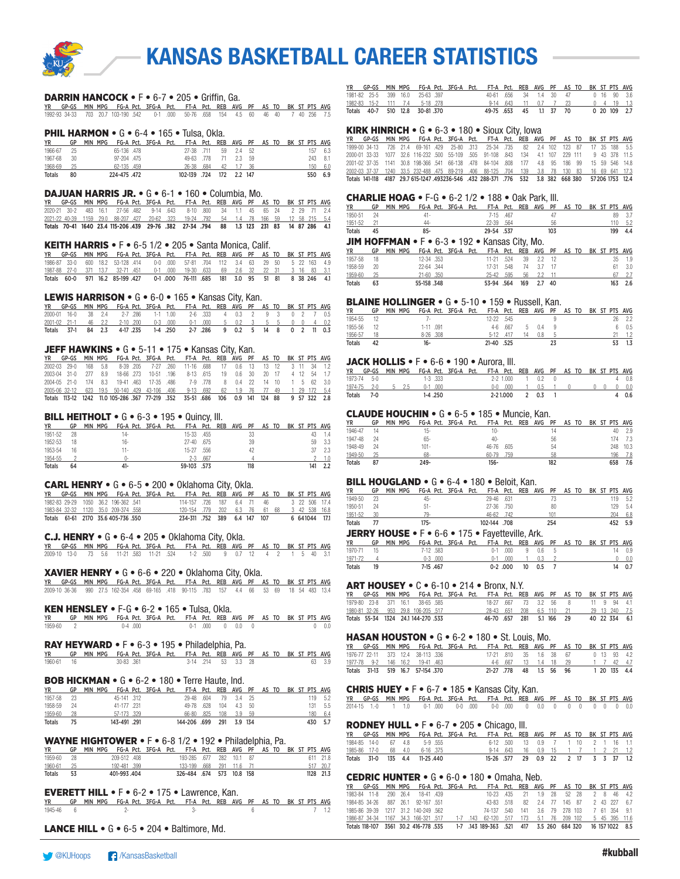

#### DARRIN HANCOCK • F • 6-7 • 205 • Griffin, Ga.

YR GP-GS MIN MPG FG-A Pct. 3FG-A Pct. FT-A Pct. REB AVG PF AS TO BK ST PTS AVG 1992-93 34-33 703 20.7 103-190 .542 0-1 .000 50-76 .658 154 4.5 60 46 40 7 40 256 7.5

#### **PHIL HARMON • G • 6-4 • 165 • Tulsa, Okla.**

| <b>YR</b>     | GP   | MIN MPG |             | FG-A Pct. 3FG-A Pct. FT-A Pct. REB AVG PF AS TO BK ST PTS AVG |              |     |         |        |  |  |      |         |
|---------------|------|---------|-------------|---------------------------------------------------------------|--------------|-----|---------|--------|--|--|------|---------|
| 1966-67       | 25   |         | 65-136 .478 |                                                               | 27-38 .711   | 59  | 2.4 52  |        |  |  |      | 157 6.3 |
| 1967-68       | - 30 |         | 97-204 475  |                                                               | 49-63 778    |     |         | 2.3 59 |  |  |      | 243 8.1 |
| 1968-69       | 25   |         | 62-135 .459 |                                                               | 26-38 684    | 42  |         | - 36   |  |  | 150. | 6.0     |
| <b>Totals</b> | 80   |         | 224-475.472 |                                                               | 102-139 .724 | 172 | 2.2 147 |        |  |  |      | 550 6.9 |

#### DAJUAN HARRIS JR. • G • 6-1 • 160 • Columbia, Mo.

|  |  | YR GP-GS MIN MPG FG-A Pct. 3FG-A Pct. FT-A Pct. REB AVG PF AS TO BK ST PTS AVG          |  |  |  |  |  |  |  |
|--|--|-----------------------------------------------------------------------------------------|--|--|--|--|--|--|--|
|  |  | 2020-21 30-2 483 16.1 27-56 482 9-14 643 8-10 800 34 1.1 45 65 24 2 29 71 2.4           |  |  |  |  |  |  |  |
|  |  | 2021-22 40-39 1159 29.0 88-207 427 20-62 .323 19-24 .792 54 1.4 78 166 59 12 58 215 5.4 |  |  |  |  |  |  |  |
|  |  | Totals 70-41 1640 23.4 115-206 439 29-76 382 27-34 794 88 1.3 123 231 83 14 87 286 4.1  |  |  |  |  |  |  |  |

#### KEITH HARRIS • F • 6-5 1/2 • 205 • Santa Monica, Calif.

|  |  |  |  | YR GP-GS MIN MPG FG-A Pct. 3FG-A Pct. FT-A Pct. REB AVG PF AS TO BK ST PTS AVG   |  |  |  |  |  |
|--|--|--|--|----------------------------------------------------------------------------------|--|--|--|--|--|
|  |  |  |  | 1986-87 33-0 600 18.2 53-128 414 0-0 000 57-81 704 112 3.4 63 29 50 5 22 163 4.9 |  |  |  |  |  |
|  |  |  |  | 1987-88 27-0 371 13.7 32-71 451 0-1 000 19-30 633 69 2.6 32 22 31 3 16 83 3.1    |  |  |  |  |  |
|  |  |  |  | Totals 60-0 971 16.2 85-199 427 0-1 000 76-111 685 181 3.0 95 51 81 8 38 246 4.1 |  |  |  |  |  |

#### LEWIS HARRISON • G • 6-0 • 165 • Kansas City, Kan.

| YR GP-GS MIN-MPG FG-A-Pct. 3FG-A-Pct. FT-A-Pct. REB AVG PF AS-TO-BK-ST-PTS-AVG- |  |  |  |  |  |  |  |  |  |
|---------------------------------------------------------------------------------|--|--|--|--|--|--|--|--|--|
| 2000-01 16-0 38 2.4 2-7 286 1-1 1.00 2-6 333 4 0.3 2 9 3 0 2 7 0.5              |  |  |  |  |  |  |  |  |  |
| 2001-02 21-1 46 2.2 2-10 200 0-3 000 0-1 000 5 0.2 3 5 5 0 0 4 0.2              |  |  |  |  |  |  |  |  |  |
| Totals 37-1 84 2.3 4-17 235 1-4 250 2-7 286 9 0.2 5 14 8 0 2 11 0.3             |  |  |  |  |  |  |  |  |  |

#### JEFF HAWKINS • G • 5-11 • 175 • Kansas City, Kan.

|                      |  | GP-GS MIN MPG FG-A Pct. 3FG-A Pct. FT-A Pct. REB AVG PF AS TO BK ST PTS AVG                 |  |                                              |  |  |  |  |            |
|----------------------|--|---------------------------------------------------------------------------------------------|--|----------------------------------------------|--|--|--|--|------------|
| $2002 - 03$ $29 - 0$ |  | 168 5.8 8-39 205 7-27 260 11-16 688 17 0.6 13 13 12 3 11 34 1.2                             |  |                                              |  |  |  |  |            |
| 2003-04 31-0 277 8.9 |  |                                                                                             |  | 18-66 273 10-51 196 8-13 615 19 0.6 30 20 17 |  |  |  |  | 4 12 54 17 |
|                      |  | 2004-05 21-0 174 8.3 19-41 463 17-35 486 7-9 778 8 0.4 22 14 10 1 5 62 3.0                  |  |                                              |  |  |  |  |            |
|                      |  | 2005-06 32-12 623 19.5 50-140 429 43-106 406 9-13 692 62 1.9 76 77 49 1 29 172 5.4          |  |                                              |  |  |  |  |            |
|                      |  | Totals 113-12 1242 11.0 105-286 .367 77-219 .352 35-51 .686 106 0.9 141 124 88 9 57 322 2.8 |  |                                              |  |  |  |  |            |

#### BILL HEITHOLT • G • 6-3 • 195 • Quincy, Ill.

| <b>YR</b>     | GP | MPG<br><b>MIN</b> | FG-A Pct. 3FG-A Pct. |  |             |      | FT-A Pct. REB AVG PF AS TO |     |  |  |     | BK ST PTS AVG |
|---------------|----|-------------------|----------------------|--|-------------|------|----------------------------|-----|--|--|-----|---------------|
| 1951-52       | 28 |                   | 14-                  |  | 15-33 .455  |      |                            | 33  |  |  |     |               |
| 1952-53       | 18 |                   | 16-                  |  | 27-40 .675  |      |                            | 39  |  |  | 59  | - 3.3         |
| 1953-54       | 16 |                   | 11-                  |  | $15-27$     | .556 |                            | 42  |  |  |     | 2.3           |
| 1954-55       |    |                   |                      |  | $2-3$       | .667 |                            |     |  |  |     |               |
| <b>Totals</b> | 64 |                   | 41-                  |  | 59-103 .573 |      |                            | 118 |  |  | 141 | 2.2           |

#### CARL HENRY • G • 6-5 • 200 • Oklahoma City, Okla.

| <b>YR</b> |  |                                      |  | GP-GS MIN MPG FG-A Pct. 3FG-A Pct. FT-A Pct. REB AVG PF AS TO BK ST PTS AVG |  |  |  |  |               |  |
|-----------|--|--------------------------------------|--|-----------------------------------------------------------------------------|--|--|--|--|---------------|--|
|           |  | 1982-83 29-29 1050 36.2 196-362 541  |  | 114-157 726 187 6.4 71 46                                                   |  |  |  |  | 3 22 506 17.4 |  |
|           |  | 1983-84 32-32 1120 35.0 209-374 .558 |  | 120-154 779 202 6.3 76 61 68 3 42 538 16.8                                  |  |  |  |  |               |  |
|           |  | Totals 61-61 2170 35.6 405-736 550   |  | 234-311 .752 389 6.4 147 107                                                |  |  |  |  | 6 641044 17.1 |  |

#### C.J. HENRY • G • 6-4 • 205 • Oklahoma City, Okla.

|  |  |  |  | YR GP-GS MIN-MPG FG-A-Pct. 3FG-A-Pct. FT-A-Pct. REB AVG PF AS-TO-BK-ST-PTS-AVG- |  |  |  |  |  |
|--|--|--|--|---------------------------------------------------------------------------------|--|--|--|--|--|
|  |  |  |  | 2009-10 13-0 73 5.6 11-21 583 11-21 524 1-2 500 9 0.7 12 4 2 1 5 40 3.1         |  |  |  |  |  |

#### XAVIER HENRY • G • 6-6 • 220 • Oklahoma City, Okla.

YR GP-GS MIN MPG FG-A Pct. 3FG-A Pct. FT-A Pct. REB AVG PF AS TO BK ST PTS AVG 2009-10 36-36 990 27.5 162-354 .458 69-165 .418 90-115 .783 157 4.4 66 53 69 18 54 483 13.4

#### KEN HENSLEY • F-G • 6-2 • 165 • Tulsa, Okla.

| YR        | GP MIN MPG FG-A Pct. 3FG-A Pct. FT-A Pct. REB AVG PF AS TO BK ST PTS AVG |           |  |  |                    |  |  |  |              |
|-----------|--------------------------------------------------------------------------|-----------|--|--|--------------------|--|--|--|--------------|
| 1959-60 2 |                                                                          | $0-4$ 000 |  |  | $0-1$ .000 0 0.0 0 |  |  |  | $0\quad 0.0$ |

#### RAY HEYWARD • F • 6-3 • 195 • Philadelphia, Pa.

| YR         | GP MIN MPG FG-A Pct. 3FG-A Pct. FT-A Pct. REB AVG PF AS TO BK ST PTS AVG |            |  |  |                    |  |  |  |        |
|------------|--------------------------------------------------------------------------|------------|--|--|--------------------|--|--|--|--------|
| 1960-61 16 |                                                                          | 30-83 .361 |  |  | 3-14 214 53 3.3 28 |  |  |  | 63 3.9 |

#### BOB HICKMAN • G • 6-2 • 180 • Terre Haute, Ind.

| <b>YR</b>     | GP   | MIN MPG |              |  | - FG-A Pct. 3FG-A Pct. FT-A Pct. REB AVG PF AS TO BK ST PTS AVG |           |                  |                       |           |  |  |      |         |
|---------------|------|---------|--------------|--|-----------------------------------------------------------------|-----------|------------------|-----------------------|-----------|--|--|------|---------|
| 1957-58       | - 23 |         | 45-141 312   |  |                                                                 | 29-48 604 |                  |                       | 79 3.4 25 |  |  |      | 119 5.2 |
| 1958-59       | - 24 |         | 41-177 .231  |  |                                                                 |           |                  | 49-78 .628 104 4.3 50 |           |  |  |      | 131 5.5 |
| 1959-60       |      |         | 57-173 329   |  |                                                                 |           |                  | 66-80 .825 108 3.9 59 |           |  |  | 180. | 6.4     |
| <b>Totals</b> |      |         | 143-491 .291 |  |                                                                 |           | 144-206 .699 291 |                       | 3.9 134   |  |  |      | 430 5.7 |

#### WAYNE HIGHTOWER • F • 6-8 1/2 • 192 • Philadelphia, Pa.

| YR      | GP | <b>MIN</b> | MPG         |  | FG-A Pct. 3FG-A Pct. |             |             | FT-A Pct. REB AVG PF     |              |  | AS TO |  | BK ST PTS AVG |
|---------|----|------------|-------------|--|----------------------|-------------|-------------|--------------------------|--------------|--|-------|--|---------------|
| 1959-60 | 28 |            | 209-512 408 |  |                      | 193-285 677 |             |                          | 282 10.1 87  |  |       |  | 611 218       |
| 1960-61 | 25 |            | 192-481 399 |  |                      |             |             | 133-199 .668 291 11.6 71 |              |  |       |  | 517 20.7      |
| Totals  | 53 |            | 401-993.404 |  |                      |             | 326-484 674 |                          | 573 10.8 158 |  |       |  | 1128 21.3     |

EVERETT HILL • F • 6-2 • 175 • Lawrence, Kan. YR GP MIN MPG FG-A Pct. 3FG-A Pct. FT-A Pct. REB AVG PF AS TO BK ST PTS AVG 1945-46 6 2- 3- 6 7 1.2

LANCE HILL • G • 6-5 • 204 • Baltimore, Md.

|  |  | GP-GS MIN MPG FG-A Pct. 3FG-A Pct. FT-A Pct. REB AVG PF AS TO BK ST PTS AVG |  |                        |                      |  |  |  |                    |  |
|--|--|-----------------------------------------------------------------------------|--|------------------------|----------------------|--|--|--|--------------------|--|
|  |  | 1981-82 25-5 399 16.0 25-63 397                                             |  | 40-61 656 34 1.4 30 47 |                      |  |  |  | 0 16 90 3.6        |  |
|  |  | 1982-83 15-2 111 7.4 5-18 278                                               |  |                        | 9-14 643 11 0.7 7 23 |  |  |  | $0 \t4 \t19 \t1.3$ |  |
|  |  | Totals 40-7 510 12.8 30-81 370                                              |  | 49-75 653 45 11 37 70  |                      |  |  |  | 0 20 109 2.7       |  |

#### KIRK HINRICH • G • 6-3 • 180 • Sioux City, Iowa

|  |  |  |  | YR GP-GS MIN MPG FG-A Pct. 3FG-A Pct. FT-A Pct. REB AVG PF AS TO BK ST PTS AVG                      |  |  |  |  |  |
|--|--|--|--|-----------------------------------------------------------------------------------------------------|--|--|--|--|--|
|  |  |  |  | 1999-00 34-13 726 21.4 69-161 429 25-80 313 25-34 735 82 2.4 102 123 87 17 35 188 5.5               |  |  |  |  |  |
|  |  |  |  | 2000-01 33-33 1077 32.6 116-232 500 55-109 505 91-108 843 134 4.1 107 229 111 9 43 378 11.5         |  |  |  |  |  |
|  |  |  |  | 2001-02 37-35 1141 30.8 198-366 541 66-138 .478 84-104 .808 177 4.8 95 186 99 15 59 546 14.8        |  |  |  |  |  |
|  |  |  |  | 2002-03 37-37 1240 33.5 232-488 .475 89-219 .406 88-125 .704 139 3.8 78 130 83 16 69 641 17.3       |  |  |  |  |  |
|  |  |  |  | Totals 141-118 4187 29.7 615-1247 493236-546 .432 288-371 .776 532 3.8 382 668 380 57 206 1753 12.4 |  |  |  |  |  |

#### CHARLIE HOAG • F-G • 6-2 1/2 • 188 • Oak Park, Ill.

| YR            |    | GP MIN MPG FG-A Pct. 3FG-A Pct. FT-A Pct. REB AVG PF AS TO BK ST PTS AVG |        |  |            |  |     |  |  |         |
|---------------|----|--------------------------------------------------------------------------|--------|--|------------|--|-----|--|--|---------|
| 1950-51 24    |    |                                                                          | 41 -   |  | 7-15 467   |  |     |  |  | 89 3.7  |
| 1951-52 21    |    |                                                                          | 44-    |  | 22-39 .564 |  | 56  |  |  | 110 5.2 |
| <b>Totals</b> | 45 |                                                                          | $85 -$ |  | 29-54 .537 |  | 103 |  |  | 199 4.4 |
|               |    |                                                                          |        |  |            |  |     |  |  |         |

#### JIM HOFFMAN  $\bullet$  F $\bullet$  6-3  $\bullet$  192  $\bullet$  Kansas City, Mo.

| YR            | GP   | MIN MPG FG-A Pct. 3FG-A Pct. FT-A Pct. REB AVG PF AS TO BK ST PTS AVG |            |  |               |  |                      |  |  |     |        |
|---------------|------|-----------------------------------------------------------------------|------------|--|---------------|--|----------------------|--|--|-----|--------|
| 1957-58       | 18   |                                                                       | 12-34 .353 |  | $11-21$ $524$ |  | 39 2.2 12            |  |  |     | 35 1.9 |
| 1958-59       | - 20 |                                                                       | 22-64 .344 |  | 17-31 .548    |  | 74 37 17             |  |  |     | 61 3.0 |
| 1959-60       | 25   |                                                                       | 21-60 .350 |  |               |  | 25-42 .595 56 2.2 11 |  |  |     | 2.7    |
| <b>Totals</b> | 63   |                                                                       | 55-158.348 |  | 53-94 .564    |  | 169 2.7 40           |  |  | 163 | - 2.6  |

#### BLAINE HOLLINGER • G • 5-10 • 159 • Russell, Kan.

| <b>YR</b>     | GP | MIN MPG |     |           | FG-A Pct. 3FG-A Pct. FT-A Pct. REB AVG PF AS TO BK ST PTS AVG |             |          |    |     |  |  |  |        |
|---------------|----|---------|-----|-----------|---------------------------------------------------------------|-------------|----------|----|-----|--|--|--|--------|
| 1954-55       |    |         |     |           |                                                               | $12-22.545$ |          |    |     |  |  |  | 26 2.2 |
| 1955-56       |    |         |     | 1-11 .091 |                                                               |             | 4-6 .667 | 5. | 0.4 |  |  |  | 0.5    |
| 1956-57       |    |         |     | 8-26 .308 |                                                               | 5-12 417    |          |    | 0.8 |  |  |  | 1.2    |
| <b>Totals</b> | 42 |         | 16- |           |                                                               | 21-40 .525  |          |    |     |  |  |  |        |

#### JACK HOLLIS • F • 6-6 • 190 • Aurora, III.

| <b>YR</b> | GP-GS MIN MPG FG-A Pct. 3FG-A Pct. FT-A Pct. REB AVG PF AS TO BK ST PTS AVG |  |            |              |  |  |                   |  |  |  |                                                         |
|-----------|-----------------------------------------------------------------------------|--|------------|--------------|--|--|-------------------|--|--|--|---------------------------------------------------------|
|           | 1973-74 5-0                                                                 |  |            | $1-3$ .333   |  |  | 2-2 1.000 1 0.2 0 |  |  |  | $4 \t0.8$                                               |
|           | 1974-75 2-0 5 2.5                                                           |  | $0-1$ .000 |              |  |  | 0-0 000 1 0.5 1   |  |  |  | $\begin{array}{cccccccc}\n0 & 0 & 0 & 0.0\n\end{array}$ |
|           | Totals 7-0                                                                  |  |            | $1 - 4$ .250 |  |  | 2-21.000 2 0.3    |  |  |  | 40.6                                                    |

#### CLAUDE HOUCHIN • G • 6-5 • 185 • Muncie, Kan.

| ΥR            | GP | MIN MPG | FG-A Pct. 3FG-A Pct. |  | FT-A Pct. REB AVG PF |  |     | AS TO |  |     | BK ST PTS AVG |
|---------------|----|---------|----------------------|--|----------------------|--|-----|-------|--|-----|---------------|
| 1946-47       | 14 |         | $15 -$               |  | 10-                  |  |     |       |  | 40  | 2.9           |
| 1947-48       | 24 |         | $65 -$               |  | $40 -$               |  | 56  |       |  | 174 | 7.3           |
| 1948-49       | 24 |         | $101 -$              |  | 46-76 .605           |  | 54  |       |  | 248 | 10.3          |
| 1949-50       | 25 |         | 68-                  |  | 60-79 759            |  | 58  |       |  | 196 | 7.8           |
| <b>Totals</b> | 87 |         | 249-                 |  | $156 -$              |  | 182 |       |  | 658 | 7.6           |

#### BILL HOUGLAND • G • 6-4 • 180 • Beloit, Kan.

| ΥR            | GP   | MIN MPG |        | FG-A Pct. 3FG-A Pct. FT-A Pct. REB AVG PF AS TO BK ST PTS AVG                                                                  |  |     |  |  |     |         |
|---------------|------|---------|--------|--------------------------------------------------------------------------------------------------------------------------------|--|-----|--|--|-----|---------|
| 1949-50       | 23   |         | 45-    | 29-46 .631                                                                                                                     |  |     |  |  | 119 | 5.2     |
| 1950-51       | - 24 |         | $51 -$ | 27-36 750                                                                                                                      |  | 80  |  |  | 129 | - 5.4   |
| 1951-52       |      |         | $70 -$ | 46-62 742                                                                                                                      |  |     |  |  | 204 | 6.8     |
| <b>Totals</b> | -77  |         | 175-   | 102-144 .708                                                                                                                   |  | 254 |  |  |     | 452 5.9 |
|               |      |         |        | <b>IFBBV HAHAF</b> $\cdot$ <b>F</b> $\cdot$ <i>P</i> $\cdot$ $\cdot$ 47 <b>F</b> $\cdot$ <b>F</b> <sub>2</sub> . (44, 201) And |  |     |  |  |     |         |

### **JERRY HOUSE •**  $F \cdot 6 - 6 \cdot 175 \cdot F$  Fayetteville, Ark.

| YR            | GP. | min MPG FG-A Pct. 3FG-A Pct. FT-A Pct. REB AVG PF AS TO BK ST PTS AVG |           |  |     |            |                         |  |  |    |        |
|---------------|-----|-----------------------------------------------------------------------|-----------|--|-----|------------|-------------------------|--|--|----|--------|
| 1970-71       |     |                                                                       | 7-12 .583 |  |     |            | $0-1$ $000$ $9$ $0.6$ 5 |  |  | 14 | 0.9    |
| 1971-72       |     |                                                                       | $0-3$ 000 |  | n-1 | .000.      | 03                      |  |  |    | 0.0    |
| <b>Totals</b> | 19  |                                                                       | 7-15 .467 |  |     | $0-2$ .000 | 10 0.5                  |  |  |    | 14 0.7 |

#### ART HOUSEY • C • 6-10 • 214 • Bronx, N.Y.

|  |  | GP-GS MIN MPG FG-A Pct. 3FG-A Pct. FT-A Pct. REB AVG PF AS TO BK ST PTS AVG |  |                           |                       |  |  |  |               |
|--|--|-----------------------------------------------------------------------------|--|---------------------------|-----------------------|--|--|--|---------------|
|  |  | 1979-80 23-8 371 16.1 38-65 585                                             |  |                           | 18-27 667 73 3.2 56 8 |  |  |  | 11 9 94 41    |
|  |  | 1980-81 32-26 953 29.8 106-205 .517                                         |  | 28-43 .651 208 6.5 110 21 |                       |  |  |  | 29 13 240 7.5 |
|  |  | Totals 55-34 1324 24.1 144-270 533                                          |  | 46-70 657 281 51 166 29   |                       |  |  |  | 40 22 334 6.1 |

#### HASAN HOUSTON • G • 6-2 • 180 • St. Louis, Mo.

| YR GP-GS MIN MPG FG-A Pct. 3FG-A Pct. FT-A Pct. REB AVG PF AS TO BK ST PTS AVG |  |  |  |                                    |  |                                 |  |  |  |              |
|--------------------------------------------------------------------------------|--|--|--|------------------------------------|--|---------------------------------|--|--|--|--------------|
| 1976-77 22-11 373 12.4 38-113 336                                              |  |  |  | 17-21 810 35 1.6 38 67 0 13 93 4.2 |  |                                 |  |  |  |              |
| 1977-78 9-2 146 16.2 19-41 463                                                 |  |  |  |                                    |  | 4-6 667 13 1.4 18 29 1 7 42 4.7 |  |  |  |              |
| Totals 31-13 519 16.7 57-154 370                                               |  |  |  | 21-27 778 48 1.5 56 96             |  |                                 |  |  |  | 1 20 135 4.4 |

#### CHRIS HUEY • F • 6-7 • 185 • Kansas City, Kan.

|  |  |  |  | YR GP-GS MIN MPG FG-A Pct. 3FG-A Pct. FT-A Pct. REB AVG PF AS TO BK ST PTS AVG |  |  |  |  |  |
|--|--|--|--|--------------------------------------------------------------------------------|--|--|--|--|--|
|  |  |  |  |                                                                                |  |  |  |  |  |

#### RODNEY HULL • F • 6-7 • 205 • Chicago, Ill.

|  |  | YR GP-GS MIN MPG FG-A Pct. 3FG-A Pct. FT-A Pct. REB AVG PF AS TO BK ST PTS AVG |  |           |  |  |  |  |                                   |
|--|--|--------------------------------------------------------------------------------|--|-----------|--|--|--|--|-----------------------------------|
|  |  | 1984-85 14-0 67 4.8 5-9 555                                                    |  |           |  |  |  |  | 6-12 500 13 0.9 7 1 10 2 1 16 1.1 |
|  |  | 1985-86 17-0 68 4.0 6-16 375                                                   |  |           |  |  |  |  | 9-14 643 16 0.9 15 1 7 1 2 21 1.2 |
|  |  | Totals 31-0 135 4.4 11-25.440                                                  |  | 15-26 577 |  |  |  |  | 29  0.9  22  2  17  3  3  37  1.2 |

#### CEDRIC HUNTER • G • 6-0 • 180 • Omaha, Neb.

|  |  |                                     |  | YR GP-GS MIN MPG FG-A Pct. 3FG-A Pct. FT-A Pct. REB AVG PF AS TO BK ST PTS AVG               |                                      |  |  |  |  |
|--|--|-------------------------------------|--|----------------------------------------------------------------------------------------------|--------------------------------------|--|--|--|--|
|  |  | 1983-84 11-8 290 26.4 18-41 439     |  |                                                                                              | 10-23 435 21 1.9 28 52 28 2 8 46 4.2 |  |  |  |  |
|  |  | 1984-85 34-26 887 26.1 92-167 551   |  | 43-83 518 82 2.4 77 145 87 2 43 227 6.7                                                      |                                      |  |  |  |  |
|  |  | 1985-86 39-39 1217 31.2 140-249 562 |  | 74-137 540 141 3.6 79 278 103 7 61 354 9.1                                                   |                                      |  |  |  |  |
|  |  |                                     |  | 1986-87 34-34 1167 34.3 166-321 517 1-7 143 62-120 517 173 5.1 76 209 102 5 45 395 11.6      |                                      |  |  |  |  |
|  |  |                                     |  | Totals 118-107 3561 30.2 416-778 535 1-7 143 189-363 521 417 3.5 260 684 320 16 157 1022 8.5 |                                      |  |  |  |  |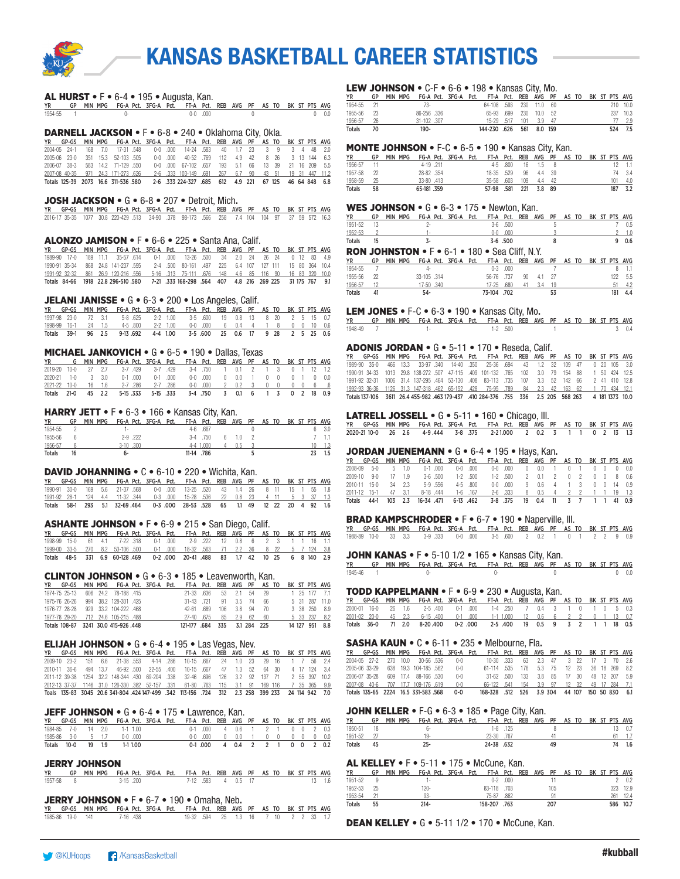

#### AL HURST • F • 6-4 • 195 • Augusta, Kan.

|         | YR GP MIN MPG FG-A-Pct. 3FG-A-Pct. FT-A-Pct. REB AVG PF AS TO BK ST-PTS AVG |  |  |         |  |  |  |  |     |
|---------|-----------------------------------------------------------------------------|--|--|---------|--|--|--|--|-----|
| 1954-55 |                                                                             |  |  | 0-0 000 |  |  |  |  | 0.0 |

#### DARNELL JACKSON • F • 6-8 • 240 • Oklahoma City, Okla.

|  |  |                                    |  | YR GP-GS MIN MPG FG-A Pct. 3FG-A Pct. FT-A Pct. REB AVG PF AS TO BK ST PTS AVG           |  |  |  |  |  |
|--|--|------------------------------------|--|------------------------------------------------------------------------------------------|--|--|--|--|--|
|  |  |                                    |  | 2004-05 24-1 168 7.0 17-31 548 0-0 000 14-24 583 40 1.7 23 3 9 3 4 48 2.0                |  |  |  |  |  |
|  |  | 2005-06 23-0 351 15.3 52-103 505   |  | 0-0 000 40-52 769 112 4.9 42 8 26 3 13 144 6.3                                           |  |  |  |  |  |
|  |  | 2006-07 38-3 583 14.2 71-129 550   |  | 0-0 000 67-102 657 193 5.1 66 13 39 21 16 209 5.5                                        |  |  |  |  |  |
|  |  | 2007-08 40-35 971 24.3 171-273 626 |  | 2-6 .333 103-149 .691 267 6.7 90 43 51 19 31 447 11.2                                    |  |  |  |  |  |
|  |  |                                    |  | Totals 125-39 2073 16.6 311-536 580 2-6 333 224-327 685 612 4.9 221 67 125 46 64 848 6.8 |  |  |  |  |  |

#### JOSH JACKSON • G • 6-8 • 207 • Detroit, Mich.

|  |  | YR GP-GS MIN MPG FG-A Pct. 3FG-A Pct. FT-A Pct. REB AVG PF AS TO BK ST PTS AVG             |  |  |  |  |  |  |  |
|--|--|--------------------------------------------------------------------------------------------|--|--|--|--|--|--|--|
|  |  | 2016-17 35-35 1077 30.8 220-429 513 34-90 378 98-173 566 258 7.4 104 104 97 37 59 572 16.3 |  |  |  |  |  |  |  |

#### ALONZO JAMISON • F • 6-6 • 225 • Santa Ana, Calif.

|  |  |  |  | YR GP-GS MIN-MPG FG-A-Pct. 3FG-A-Pct. FT-A-Pct. REB AVG PF AS-TO-BK-ST-PTS-AVG-            |  |  |  |  |  |
|--|--|--|--|--------------------------------------------------------------------------------------------|--|--|--|--|--|
|  |  |  |  | 1989-90 17-0 189 11.1 35-57 614 0-1 000 13-26 500 34 2.0 24 26 24 0 12 83 4.9              |  |  |  |  |  |
|  |  |  |  | 1990-91 35-34 868 24.8 141-237 595 2-4 500 80-161 497 225 6.4 107 127 111 15 80 364 10.4   |  |  |  |  |  |
|  |  |  |  | 1991-92 32-32 861 26.9 120-216 556 5-16 313 75-111 676 148 4.6 85 116 90 16 83 320 10.0    |  |  |  |  |  |
|  |  |  |  | Totals 84-66 1918 22.8 296-510 580 7-21 333 168-298 564 407 4.8 216 269 225 31 175 767 9.1 |  |  |  |  |  |

#### JELANI JANISSE • G • 6-3 • 200 • Los Angeles, Calif.

|  |  |  |  | YR GP-GS MIN MPG FG-A Pct. 3FG-A Pct. FT-A Pct. REB AVG PF AS TO BK ST PTS AVG |  |  |  |  |  |
|--|--|--|--|--------------------------------------------------------------------------------|--|--|--|--|--|
|  |  |  |  | 1997-98 23-0 72 3.1 5-8 625 2-2 1.00 3-5 600 19 0.8 13 8 20 2 5 15 0.7         |  |  |  |  |  |
|  |  |  |  | 1998-99 16-1 24 1.5 4-5 800 2-2 1.00 0-0 000 6 0.4 4 1 8 0 0 10 0.6            |  |  |  |  |  |
|  |  |  |  | Totals 39-1 96 2.5 9-13.692 4-4 1.00 3-5.600 25 0.6 17 9 28 2 5 25 0.6         |  |  |  |  |  |

#### MICHAEL JANKOVICH • G • 6-5 • 190 • Dallas, Texas

| <b>YR</b>                                                           |  |  |  | G MIN MPG FG-A Pct. 3FG-A Pct. FT-A Pct. REB AVG PF AS TO BK ST PTS AVG |  |  |  |  |  |
|---------------------------------------------------------------------|--|--|--|-------------------------------------------------------------------------|--|--|--|--|--|
| 2019-20 10-0 27 2.7 3-7 429 3-7 429 3-4 750 1 0.1 2 1 3 0 1 12 1.2  |  |  |  |                                                                         |  |  |  |  |  |
| 2020-21 1-0 3 3.0 0-1 000 0-1 000 0-0 000 0 0.0 1 0 0 0 1 0 0.0     |  |  |  |                                                                         |  |  |  |  |  |
| 2021-22 10-0 16 1.6 2-7 286 2-7 286 0-0 000 2 0.2 3 0 0 0 0 6 .6    |  |  |  |                                                                         |  |  |  |  |  |
| Totals 21-0 45 2.2 5-15 333 5-15 333 3-4 750 3 0.1 6 1 3 0 2 18 0.9 |  |  |  |                                                                         |  |  |  |  |  |

#### HARRY JETT • F • 6-3 • 166 • Kansas City, Kan.

| YR      | GP | <b>MIN</b> | MPG |              |          | FG-A Pct. 3FG-A Pct. | FT-A Pct. REB AVG PF AS TO |             |     |  |  |  | BK ST PTS AVG |
|---------|----|------------|-----|--------------|----------|----------------------|----------------------------|-------------|-----|--|--|--|---------------|
| 1954-55 |    |            |     | . .          |          |                      |                            | $4-6$ $667$ |     |  |  |  | 3.0           |
| 1955-56 |    |            |     |              | 2-9 .222 |                      | $3-4$                      | .750        | 10  |  |  |  |               |
| 1956-57 |    |            |     | $3-10$ $300$ |          |                      | 4-4                        | 1.000       | 0.5 |  |  |  |               |
| Totals  | 16 |            |     |              |          |                      | 11-14.786                  |             |     |  |  |  |               |

#### DAVID JOHANNING • C • 6-10 • 220 • Wichita, Kan.

|  |  |  |  | YR GP-GS MIN-MPG FG-A-Pct. 3FG-A-Pct. FT-A-Pct. REB AVG PF AS-TO-BK-ST-PTS-AVG |  |  |  |  |  |
|--|--|--|--|--------------------------------------------------------------------------------|--|--|--|--|--|
|  |  |  |  | 1990-91 30-0 169 5.6 21-37 568 0-0 000 13-25 520 43 1.4 26 8 11 15 1 55 1.8    |  |  |  |  |  |
|  |  |  |  | 1991-92 28-1 124 4.4 11-32 344 0-3 000 15-28 536 22 0.8 23 4 11 5 3 37 1.3     |  |  |  |  |  |
|  |  |  |  | Totals 58-1 293 5.1 32-69 464 0-3 000 28-53 528 65 1.1 49 12 22 20 4 92 1.6    |  |  |  |  |  |

#### ASHANTE JOHNSON • F • 6-9 • 215 • San Diego, Calif.

|  |  |  |  | YR GP-GS MIN MPG FG-A Pct. 3FG-A Pct. FT-A Pct. REB AVG PF AS TO BK ST PTS AVG         |  |  |  |  |  |
|--|--|--|--|----------------------------------------------------------------------------------------|--|--|--|--|--|
|  |  |  |  | 1998-99 15-0 61 4.1 7-22 318 0-1 000 2-9 222 12 0.8 6 2 3 1 1 16 1.1                   |  |  |  |  |  |
|  |  |  |  | 1999-00 33-5 270 8.2 53-106 500 0-1 000 18-32 563 71 2.2 36 8 22 5 7 124 3.8           |  |  |  |  |  |
|  |  |  |  | Totals 48-5 331 6.9 60-128 469  0-2 000  20-41 488  83  1.7 42  10  25  6  8  140  2.9 |  |  |  |  |  |

#### CLINTON JOHNSON • G • 6-3 • 185 • Leavenworth, Kan.

| YR GP-GS MIN MPG FG-A Pct. 3FG-A Pct. FT-A Pct. REB AVG PF AS TO BK ST PTS AVG |  |                       |  |                              |    |              |  |  |  |                |
|--------------------------------------------------------------------------------|--|-----------------------|--|------------------------------|----|--------------|--|--|--|----------------|
| 1974-75 25-13                                                                  |  | 606 24.2 78-188 .415  |  | 21-33 636                    |    | 53 2.1 54 29 |  |  |  | 1 25 177 7.1   |
| 1975-76 26-26                                                                  |  | 994 38.2 128-301 .425 |  | $31-43$ 721                  | 91 | 3.5 74 66    |  |  |  | 5 31 287 11.0  |
| 1976-77 28-28                                                                  |  | 929 33.2 104-222 468  |  | 42-61 689 106 3.8 94 70      |    |              |  |  |  | 3 38 250 8.9   |
| 1977-78 29-20 712 24.6 105-215 .488                                            |  |                       |  | 27-40 675                    |    | 85 2.9 62 60 |  |  |  | 5 33 237 8.2   |
| Totals 108-87 3241 30.0 415-926 448                                            |  |                       |  | 121-177 .684 335 3.1 284 225 |    |              |  |  |  | 14 127 951 8.8 |

#### **ELIJAH JOHNSON •**  $G \cdot 6 - 4 \cdot 195 \cdot$  **Las Vegas, Nev.**

|  |  |  |  | YR GP-GS MIN-MPG FG-A-Pct. 3FG-A-Pct. FT-A-Pct. REB AVG PF AS-TO-BK-ST-PTS-AVG-                 |  |  |  |  |  |
|--|--|--|--|-------------------------------------------------------------------------------------------------|--|--|--|--|--|
|  |  |  |  | 2009-10 23-2 151 6.6 21-38 553 4-14 286 10-15 667 24 1.0 23 29 16 1 7 56 2.4                    |  |  |  |  |  |
|  |  |  |  | 2010-11 36-6 494 13.7 46-92 500 22-55 400 10-15 667 47 1.3 52 64 30 4 17 124 3.4                |  |  |  |  |  |
|  |  |  |  | 2011-12 39-38 1254 32.2 148-344 430 69-204 338 32-46 696 126 3.2 92 137 71 2 55 397 10.2        |  |  |  |  |  |
|  |  |  |  | 2012-13 37-37 1146 31.0 126-330 382 52-157 331 61-80 763 115 3.1 91 169 116 7 35 365 9.9        |  |  |  |  |  |
|  |  |  |  | Toals 135-83 3045 20.6 341-804 424 147-499 .342 113-156 .724 312 2.3 258 399 233 24 114 942 7.0 |  |  |  |  |  |

#### JEFF JOHNSON • G • 6-4 • 175 • Lawrence, Kan.

| YR     |                    |     |      | GP-GS MIN MPG FG-A Pct. 3FG-A Pct. FT-A Pct. REB AVG PF AS TO BK ST PTS AVG |  |  |                               |  |  |  |  |
|--------|--------------------|-----|------|-----------------------------------------------------------------------------|--|--|-------------------------------|--|--|--|--|
|        | 1984-85 7-0 14 2.0 |     |      | $1-1$ 1 0 0                                                                 |  |  | 0-1 000 4 0.6 1 2 1 0 0 2 0.3 |  |  |  |  |
|        | 1985-86 3-0 5 1.7  |     |      | $0-0.000$                                                                   |  |  | 0-0.000 0 0.0 1 0 0 0 0 0 0.0 |  |  |  |  |
| Totals | $10 - 0$           | 19. | - 19 | 1-1 1.00                                                                    |  |  | 0-1.000 4 0.4 2 2 1 0 0 2 0.2 |  |  |  |  |

#### JERRY JOHNSON

|           | YR GP MIN MPG FG-A Pct. 3FG-A Pct. FT-A Pct. REB AVG PF AS TO BK ST PTS AVG |          |  |  |  |                   |  |  |  |                |
|-----------|-----------------------------------------------------------------------------|----------|--|--|--|-------------------|--|--|--|----------------|
| 1957-58 8 |                                                                             | 3-15 200 |  |  |  | 7-12 583 4 0.5 17 |  |  |  | $13 \quad 1.6$ |

#### JERRY JOHNSON • F • 6-7 • 190 • Omaha, Neb.

|  |  | YR GP-GS MIN-MPG FG-A-Pct. 3FG-A-Pct. FT-A-Pct. REB-AVG-PF-AS-TO-BK-ST-PTS-AVG |  |                                     |  |  |  |  |  |
|--|--|--------------------------------------------------------------------------------|--|-------------------------------------|--|--|--|--|--|
|  |  | 1985-86 19-0 141 7-16 438                                                      |  | 19-32 594 25 1.3 16 7 10 2 2 33 1.7 |  |  |  |  |  |

#### LEW JOHNSON • C-F • 6-6 • 198 • Kansas City, Mo.

| ΥR         |      | GP MIN MPG FG-A Pct. 3FG-A Pct. FT-A Pct. REB AVG PF AS TO BK ST PTS AVG |  |                          |  |  |  |  |     |          |
|------------|------|--------------------------------------------------------------------------|--|--------------------------|--|--|--|--|-----|----------|
| 1954-55 21 |      | 73-                                                                      |  | 64-108 .593 230 11.0 60  |  |  |  |  |     | 210 10.0 |
| 1955-56 23 |      | 86-256 .336                                                              |  | 65-93 .699 230 10.0 52   |  |  |  |  |     | 237 10.3 |
| 1956-57 26 |      | 31-102 .307                                                              |  | 15-29 517 101 3.9 47     |  |  |  |  |     | 77 2.9   |
| Totals     | - 70 | 190-                                                                     |  | 144-230 .626 561 8.0 159 |  |  |  |  | 524 | 7.5      |

## MONTE JOHNSON • F-C • 6-5 • 190 • Kansas City, Kan.

| YR            |      |            | GP MIN MPG FG-A Pct. 3FG-A Pct. FT-A Pct. REB AVG PF AS TO BK ST PTS AVG |                         |        |  |  |     |                |
|---------------|------|------------|--------------------------------------------------------------------------|-------------------------|--------|--|--|-----|----------------|
| 1956-57 11    |      | 4-19 .211  |                                                                          | 4-5 .800  16  1.5  8    |        |  |  |     | $12 \quad 1.1$ |
| 1957-58 22    |      | 28-82 .354 |                                                                          | 18-35 .529  96  4.4  39 |        |  |  |     | 74 3.4         |
| 1958-59       | - 25 | 33-80 413  | 35-58 603 109                                                            |                         | 4.4 42 |  |  | 101 | - 4.0          |
| <b>Totals</b> | 58   | 65-181.359 | 57-98 .581                                                               | 221                     | 3.8 89 |  |  | 187 | 3.2            |

#### WES JOHNSON • G • 6-3 • 175 • Newton, Kan.

| <b>YR</b> |      | GP MIN MPG FG-A Pct. 3FG-A Pct. FT-A Pct. REB AVG PF AS TO BK ST PTS AVG |  |  |              |  |  |  |           |
|-----------|------|--------------------------------------------------------------------------|--|--|--------------|--|--|--|-----------|
| 1951-52   | - 13 |                                                                          |  |  | $3-6$ .500   |  |  |  | 0.5       |
| 1952-53   |      |                                                                          |  |  | $0-0$ .000   |  |  |  | $2 - 1.0$ |
| Totals    | 15   |                                                                          |  |  | $3 - 6$ .500 |  |  |  | 90.6      |
|           |      | <b>RON JOHNSTON • F • 6-1 • 180 • Sea Cliff. N.Y.</b>                    |  |  |              |  |  |  |           |
| YR        |      | GP MIN MPG FG-A Pct. 3FG-A Pct. FT-A Pct. REB AVG PF AS TO BK ST PTS AVG |  |  |              |  |  |  |           |

| ---           | -- | .           | .          |            |      |            |     | _____ | . | -------------- |     |
|---------------|----|-------------|------------|------------|------|------------|-----|-------|---|----------------|-----|
| 1954-55       |    | д.          |            | $0 - 3$    | .000 |            |     |       |   |                |     |
| 1955-56       | 22 | 33-105 .314 |            | 56-76 .737 |      | 90         | 4.1 | 27    |   |                | 5.5 |
| 1956-57       |    |             | 17-50 .340 | $7 - 25$   | .680 | $\Delta$ 1 | 34  | 19    |   |                | 4.2 |
| <b>Totals</b> | 4  | $54-$       |            | 73-104     | .702 |            |     | 53    |   | 181            |     |

## **LEM JONES • F-C • 6-3 • 190 • Kansas City, Mo.**<br>YR GP MIN MPG FG-A Pct. 3FG-A Pct. FT-A Pct. REB AV

 $\frac{YR}{1948-49}$   $\frac{3P}{7}$  MIN MPG FG-A Pct. 3FG-A Pct. FT-A Pct. REB AVG PF AS TO BK ST PTS AVG 1948-49 7 1- 1-2 .500 1 3 0.4

#### ADONIS JORDAN • G • 5-11 • 170 • Reseda, Calif.

GP-GS MIN MPG FG-A Pct. 3FG-A Pct. FT-A Pct. REB AVG PF AS TO BK ST PTS AVG 1989-90 35-0 466 13.3 33-97 .340 14-40 .350 25-36 .694 43 1.2 32 109 47 0 20 105 3.0 1990-91 34-33 1013 29.8 138-272 .507 47-115 .409 101-132 .765 102 3.0 79 154 88 1 50 424 12.5 1991-92 32-31 1006 31.4 137-295 .464 53-130 .408 83-113 .735<br>1992-93 36-36 1126 31.3 147-318 462 65-152 428 75-95 789 1992-93 36-36 1126 31.3 147-318 .462 65-152 .428 75-95 .789 84 2.3 42 163 62 1 70 434 12.1 Totals 137-106 3611 26.4 455-982 .463 179-437 .410 284-376 .755 336 2.5 205 568 263 4 181 1373 10.0

#### LATRELL JOSSELL • G • 5-11 • 160 • Chicago, III.

YR GP-GS MIN MPG FG-A Pct. 3FG-A Pct. FT-A Pct. REB AVG PF AS TO BK ST PTS AVG 2020-21 10-0 26 2.6 4-9 .444 3-8 .375 2-2 1.000 2 0.2 3 1 1 0 2 13 1.3

#### JORDAN JUENEMANN • G • 6-4 • 195 • Hays, Kan.

|         |              |              |                |           |              |                |             | YR GP-GS MIN MPG FG-A Pct. 3FG-A Pct. FT-A Pct. REB AVG PF AS TO BK ST PTS AVG |              |               |                      |     |  |     |        |
|---------|--------------|--------------|----------------|-----------|--------------|----------------|-------------|--------------------------------------------------------------------------------|--------------|---------------|----------------------|-----|--|-----|--------|
| 2008-09 | $5-0$        | $\mathbf{r}$ | $-1.0$         |           | $0-1$ 000    | n-n            | .000.       | n-n                                                                            | .000.        | $\theta$      | 0.0                  |     |  |     |        |
| 2009-10 | $9 - 0$      |              | 19             |           | 3-6 500      |                | $1-2$ .500  |                                                                                | $1-2$ .500   | $\mathcal{P}$ | 01                   |     |  |     |        |
|         | 2010-11 15-0 | -34          | 23             |           | $5-9$ $.556$ |                | $4 - 5$ 800 | n-n                                                                            | 000          | 9             | 06.                  | - 4 |  | 0 0 |        |
|         | 2011-12 15-1 | 47           | 3.1            | 8-18 .444 |              | $1 - 6$ $.167$ |             |                                                                                | 2-6 .333     | 8             | 0.5 4 2 2 1 1 19 1.3 |     |  |     |        |
| Totals  | $44-1$       |              | $103 \quad 23$ | 16-34 471 |              |                | 6-13.462    |                                                                                | $3 - 8$ .375 | 19            | $0.4$ 11             |     |  |     | 41 0.9 |

#### BRAD KAMPSCHRODER • F • 6-7 • 190 • Naperville, Ill.

|  |  |  |  | YR GP-GS MIN MPG FG-A-Pct. 3FG-A-Pct. FT-A-Pct. REB AVG PF AS-TO-BK-ST-PTS-AVG |  |  |  |  |  |
|--|--|--|--|--------------------------------------------------------------------------------|--|--|--|--|--|
|  |  |  |  | 1988-89 10-0 33 3.3 3-9 333 0-0 000 3-5 600 2 0.2 1 0 1 2 2 9 0.9              |  |  |  |  |  |

#### JOHN KANAS • F • 5-10 1/2 • 165 • Kansas City, Kan.

|           | YR GP MIN MPG FG-A Pct. 3FG-A Pct. FT-A Pct. REB AVG PF AS TO BK ST PTS AVG |  |  |  |  |  |  |              |
|-----------|-----------------------------------------------------------------------------|--|--|--|--|--|--|--------------|
| 1945-46 1 |                                                                             |  |  |  |  |  |  | $0\quad 0.0$ |

#### TODD KAPPELMANN • F • 6-9 • 230 • Augusta, Kan.

|  |  | YR GP-GS MIN MPG FG-A Pct. 3FG-A Pct. FT-A Pct. REB AVG PF AS TO BK ST PTS AVG |  |  |  |  |  |  |  |
|--|--|--------------------------------------------------------------------------------|--|--|--|--|--|--|--|
|  |  | 2000-01 16-0 26 1.6 2-5 400 0-1 000 1-4 250 7 0.4 3 1 0 1 0 5 0.3              |  |  |  |  |  |  |  |
|  |  | 2001-02 20-0 45 2.3 6-15 400 0-1 000 1-1 1.000 12 0.6 6 2 2 0 1 13 0.7         |  |  |  |  |  |  |  |
|  |  | Totals 36-0 71 2.0 8-20.400 0-2.000 2-5.400 19 0.5 9 3 2 1 1 18 0.5            |  |  |  |  |  |  |  |

#### SASHA KAUN • C • 6-11 • 235 • Melbourne, Fla.

|  |  | YR GP-GS MIN MPG FG-A Pct. 3FG-A Pct. FT-A Pct. REB AVG PF AS TO BK ST PTS AVG |  |                                                |  |  |  |  |  |
|--|--|--------------------------------------------------------------------------------|--|------------------------------------------------|--|--|--|--|--|
|  |  | 2004-05 27-2 270 10.0 30-56 536 0-0                                            |  | 10-30 333 63 2.3 47 3 22 17 3 70 2.6           |  |  |  |  |  |
|  |  | 2005-06 33-29 638 19.3 104-185 562 0-0                                         |  | 61-114 535 176 5.3 75 12 23 36 18 269 8.2      |  |  |  |  |  |
|  |  | 2006-07 35-28 609 17.4 88-166 530 0-0                                          |  | 31-62 500 133 3.8 85 17 30 48 12 207 5.9       |  |  |  |  |  |
|  |  | 2007-08 40-6 707 17.7 109-176 619 0-0                                          |  | 66-122 .541 154 3.9 97 12 32 49 17 284 7.1     |  |  |  |  |  |
|  |  | Totals 135-65 2224 16.5 331-583 568 0-0                                        |  | 168-328 .512 526 3.9 304 44 107 150 50 830 6.1 |  |  |  |  |  |

#### JOHN KELLER • F-G • 6-3 • 185 • Page City, Kan.

| ΥR            | GP  | MIN MPG | FG-A Pct. 3FG-A Pct. |            |            |  |    | FT-A Pct. REB AVG PF AS TO | BK ST PTS AVG |    |         |
|---------------|-----|---------|----------------------|------------|------------|--|----|----------------------------|---------------|----|---------|
| 1950-51       | -18 |         |                      |            | $1-8$ .125 |  |    |                            |               |    |         |
| 1951-52       |     |         | 10.                  | 23-30 .767 |            |  |    |                            |               |    |         |
| <b>Totals</b> | 45  |         | 25-                  | 24-38 .632 |            |  | 49 |                            |               | 7Δ | $1.6\,$ |

#### AL KELLEY • F • 5-11 • 175 • McCune, Kan.

| YR            | GP   | MPG<br>MIN | FG-A Pct. 3FG-A Pct. |  |              |      |  |     |  | FT-A Pct. REB AVG PF AS TO BK ST PTS AVG |          |
|---------------|------|------------|----------------------|--|--------------|------|--|-----|--|------------------------------------------|----------|
| 1951-52       |      |            | ٠                    |  | n-2          | .000 |  |     |  |                                          |          |
| 1952-53       | - 25 |            | 120-                 |  | 83-118 703   |      |  | 105 |  |                                          | 323 12.9 |
| 1953-54       |      |            | $93-$                |  | 75-87        | 862  |  | 01  |  | 261                                      | - 12.4   |
| <b>Totals</b> | 55   |            | $214 -$              |  | 158-207 .763 |      |  | 207 |  |                                          | 586 10.7 |

DEAN KELLEY • G • 5-11 1/2 • 170 • McCune, Kan.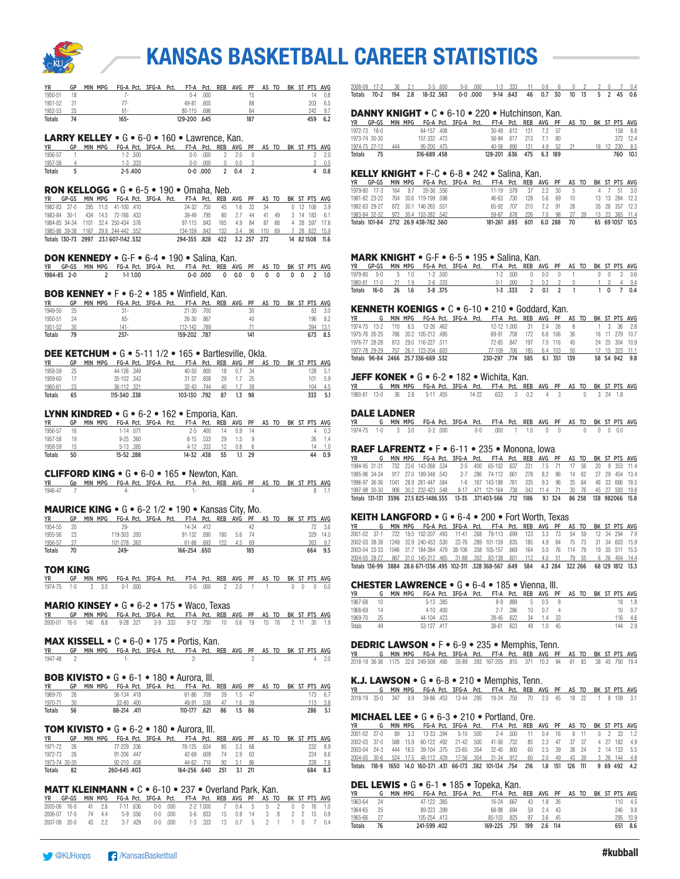

| YR      | GP | MIN MPG |         | - FG-A Pct. 3FG-A Pct. FT-A Pct. REB AVG PF AS TO BK ST PTS AVG |            |  |     |  |  |     |     |
|---------|----|---------|---------|-----------------------------------------------------------------|------------|--|-----|--|--|-----|-----|
| 1950-51 | 18 |         | . .     |                                                                 | $0-4$ .000 |  |     |  |  | 14  | 0.8 |
| 1951-52 |    |         | 77.     | 49-81 605                                                       |            |  | 88  |  |  | 203 | 6.5 |
| 1952-53 |    |         | 81 -    | 80-115 .696                                                     |            |  |     |  |  | 242 | 9.7 |
| Totals  | 74 |         | $165 -$ | 129-200 .645                                                    |            |  | 187 |  |  | 459 | 6.2 |

#### LARRY KELLEY • G • 6-0 • 160 • Lawrence, Kan.

| <b>YR</b>     | GP |  |             | MIN MPG FG-A Pct. 3FG-A Pct. FT-A Pct. REB AVG PF AS TO BK ST PTS AVG |  |             |         |  |  |  |           |
|---------------|----|--|-------------|-----------------------------------------------------------------------|--|-------------|---------|--|--|--|-----------|
| 1956-57       |    |  | $1-2$ 500   |                                                                       |  | 0-0 000     | 2 2.0 0 |  |  |  | $2 \t2.0$ |
| 1957-58       |    |  | $1-3$ $333$ |                                                                       |  | $0-0$ $000$ | 0.0     |  |  |  | 20.5      |
| <b>Totals</b> |    |  | $2 - 5.400$ |                                                                       |  | $0-0.000$   | 2 0.4 2 |  |  |  | 4 0.8     |

#### RON KELLOGG • G • 6-5 • 190 • Omaha, Neb.

|              |  |                                      |  | YR GP-GS MIN MPG FG-A Pct. 3FG-A Pct. FT-A Pct. REB AVG PF AS TO BK ST PTS AVG |           |                                             |                         |  |      |  |                 |
|--------------|--|--------------------------------------|--|--------------------------------------------------------------------------------|-----------|---------------------------------------------|-------------------------|--|------|--|-----------------|
| 1982-83 27-0 |  | 295 11.0 41-100 .410                 |  |                                                                                | 24-32 750 |                                             | 45 1.6 33 34            |  |      |  | $0$ 12 106 3.9  |
| 1983-84 30-1 |  | 434 14.5 72-166 433                  |  |                                                                                | 39-49 795 |                                             | 80   2.7   44   41   49 |  |      |  | 3 14 183 6.1    |
|              |  | 1984-85 34-34 1101 32.4 250-434 576  |  |                                                                                |           | 97-115 843 165 4.9 84 87                    |                         |  | - 68 |  | 4 28 597 176    |
|              |  | 1985-86 39-38 1167 29.9 244-442 .552 |  |                                                                                |           | 134-159 843 132 3.4 96 110 69 7 28 622 15.9 |                         |  |      |  |                 |
|              |  | Totals 130-73 2997 23.1607-1142.532  |  |                                                                                |           | 294-355 .828 422 3.2 257 272                |                         |  |      |  | 14 82 1508 11.6 |

#### DON KENNEDY • G-F • 6-4 • 190 • Salina, Kan.

|  |             | YR GP-GS MIN MPG FG-A Pct. 3FG-A Pct. FT-A Pct. REB AVG PF AS TO BK ST PTS AVG |  |  |                                 |  |  |  |  |
|--|-------------|--------------------------------------------------------------------------------|--|--|---------------------------------|--|--|--|--|
|  | 1984-85 2-0 | 2 1-1 1.00                                                                     |  |  | 0-0.000 0 0.0 0 0 0 0 0 0 2 1.0 |  |  |  |  |

#### BOB KENNEY • F • 6-2 • 185 • Winfield, Kan.

| <b>YR</b>     | GP | MPG<br><b>MIN</b> | FG-A Pct. 3FG-A Pct. |              | FT-A Pct. REB | AVG PF |     | AS TO |  | BK ST PTS AVG |      |
|---------------|----|-------------------|----------------------|--------------|---------------|--------|-----|-------|--|---------------|------|
| 1949-50       |    |                   | 31 -                 |              | 21-30 .700    |        | 30  |       |  | 83            | 3.0  |
| 1950-51       | 24 |                   | $85 -$               |              | 26-30 .867    |        | 40  |       |  | 196           | 8.2  |
| 1951-52       | 30 |                   | 141-                 |              | 112-142 .789  |        |     |       |  | 394           | 13.1 |
| <b>Totals</b> | 79 |                   | 257-                 | 159-202 .787 |               |        | 141 |       |  | 673           | 8.5  |

#### DEE KETCHUM • G • 5-11 1/2 • 165 • Bartlesville, Okla.

| ΥR            | GP | MIN MPG |             | FG-A Pct. 3FG-A Pct. | FT-A Pct. REB AVG PF AS TO BK ST PTS AVG |    |             |      |  |  |     |     |
|---------------|----|---------|-------------|----------------------|------------------------------------------|----|-------------|------|--|--|-----|-----|
| 1958-59       | 25 |         | 44-126 349  |                      | $40 - 50$ $.800$                         |    | 18  0.7  34 |      |  |  | 128 | 5.1 |
| 1959-60       |    |         | 35-102 343  |                      | 31-37 .838                               | 29 | - 17        | - 25 |  |  | 101 | 5.9 |
| 1960-61       | 23 |         | 36-112 321  |                      | 32-43 744                                |    | 40 1.7      | 39   |  |  | 104 | 4.5 |
| <b>Totals</b> | 65 |         | 115-340.338 |                      | 103-130 .792                             | 87 |             | - 98 |  |  | 333 | 5.1 |

#### LYNN KINDRED • G • 6-2 • 162 • Emporia, Kan.

| YR      | GP | MPG<br>MIN |               | FG-A Pct. 3FG-A Pct. | FT-A Pct. REB AVG PF AS TO |              |     |          |     |  |  |     | BK ST PTS AVG |
|---------|----|------------|---------------|----------------------|----------------------------|--------------|-----|----------|-----|--|--|-----|---------------|
| 1956-57 | 16 |            | 1-14 .071     |                      |                            | $2-5$ $.400$ | -14 | $0.9$ 14 |     |  |  |     | 0.3           |
| 1957-58 | 19 |            | $9 - 25$ .360 |                      | 8-15 .533                  |              | 29  | 1.5      | - 9 |  |  | 26. |               |
| 1958-59 |    |            | 5-13 .385     |                      |                            | 4-12 333     | 12  | 0.8      |     |  |  | 14. |               |
| Totals  | 50 |            | 15-52.288     |                      | 14-32.438                  |              | 55  |          | 29  |  |  |     | 0.9           |

#### CLIFFORD KING • G • 6-0 • 165 • Newton, Kan.

| <b>YR</b> | Gp MIN MPG FG-A Pct. 3FG-A Pct. FT-A Pct. REB AVG PF AS TO BK ST PTS AVG |  |  |  |  |  |  |  |
|-----------|--------------------------------------------------------------------------|--|--|--|--|--|--|--|
| 1946-47   |                                                                          |  |  |  |  |  |  |  |

#### MAURICE KING • G • 6-2 1/2 • 190 • Kansas City, Mo.

| YR.           | GP   |  | - MIN MPG - FG-A Pct. 3FG-A - Pct. - FT-A - Pct. - REB - AVG - PF - AS TO - BK - ST - PTS - AVG |  |                        |  |       |     |  |  |      |          |
|---------------|------|--|-------------------------------------------------------------------------------------------------|--|------------------------|--|-------|-----|--|--|------|----------|
| 1954-55       | - 20 |  | 29-                                                                                             |  | 14-34 412              |  |       |     |  |  |      | 72 3.6   |
| 1955-56       | - 23 |  | 119-303 .393                                                                                    |  | 91-132 .690 180 5.6 74 |  |       |     |  |  |      | 329 14.0 |
| 1956-57       |      |  | 101-278 363                                                                                     |  | 61-88 693 122          |  | 45 69 |     |  |  | 263. | 9.7      |
| <b>Totals</b> | 70   |  | $249 -$                                                                                         |  | 166-254 .650           |  |       | 185 |  |  |      | 664 9.5  |

#### TOM KING

| YR GP MIN MPG FG-A Pct. 3FG-A Pct. FT-A Pct. REB AVG PF AS TO BK ST PTS AVG |  |  |  |  |  |                             |  |  |  |  |
|-----------------------------------------------------------------------------|--|--|--|--|--|-----------------------------|--|--|--|--|
| 1974-75 1-0 3 3.0 0-1 000                                                   |  |  |  |  |  | 0-0 000 2 2.0 1 1 0 0 0 0.0 |  |  |  |  |

#### MARIO KINSEY • G • 6-2 • 175 • Waco, Texas

| YR GP MIN MPG FG-A Pct. 3FG-A Pct. FT-A Pct. REB AVG PF AS TO BK ST PTS AVG |  |  |  |  |  |  |  |  |  |
|-----------------------------------------------------------------------------|--|--|--|--|--|--|--|--|--|
| 2000-01 16-0 140 8.8 9-28 321 3-9 333 9-12 750 10 0.6 19 15 18 2 11 30 1.9  |  |  |  |  |  |  |  |  |  |

#### MAX KISSELL • C • 6-0 • 175 • Portis, Kan.

YR GP MIN MPG FG-A Pct. 3FG-A Pct. FT-A Pct. REB AVG PF AS TO BK ST PTS AVG 1947-48 2 1- 2- 2 4 2.0

#### BOB KIVISTO • G • 6-1 • 180 • Aurora, Ill.

| YR            | GP | MIN MPG FG-A Pct. 3FG-A Pct. FT-A Pct. REB AVG PF AS TO BK ST PTS AVG |                  |  |                     |    |           |  |  |     |     |
|---------------|----|-----------------------------------------------------------------------|------------------|--|---------------------|----|-----------|--|--|-----|-----|
| 1969-70       |    |                                                                       | 56-134 .418      |  | 61-86 709 39 1.5 47 |    |           |  |  | 173 | 6.7 |
| 1970-71       |    |                                                                       | $32 - 80$ $.400$ |  | 49-91 538           | 47 | 1.6 39    |  |  |     | 3.8 |
| <b>Totals</b> | 56 |                                                                       | 88-214 .411      |  | 110-177 .621        |    | 86 1.5 86 |  |  | 286 | 5.1 |

#### TOM KIVISTO • G • 6-2 • 180 • Aurora, Ill.

| <b>YR</b>     |      | GP MIN MPG FG-A Pct. 3FG-A Pct. FT-A Pct. REB AVG PF AS TO BK ST PTS AVG |             |  |                       |                     |         |  |  |  |           |
|---------------|------|--------------------------------------------------------------------------|-------------|--|-----------------------|---------------------|---------|--|--|--|-----------|
| 1971-72       | - 26 |                                                                          | 77-229 336  |  | 78-125 .624 85 3.3 68 |                     |         |  |  |  | 232 8.9   |
| 1972-73 26    |      |                                                                          | 91-206 .447 |  |                       | 42-69 609 74 2.9 63 |         |  |  |  | $224$ 8.6 |
| 1973-74 30-30 |      |                                                                          | 92-210 438  |  | 44-62 710 92 3.1 86   |                     |         |  |  |  | 228 7.6   |
| <b>Totals</b> | 82   | 260-645.403                                                              |             |  | 164-256 640 251       |                     | 3.1 211 |  |  |  | 684 8.3   |

#### MATT KLEINMANN • C • 6-10 • 237 • Overland Park, Kan.

|  |  |  | YR GP-GS MIN MPG FG-A Pct. 3FG-A Pct. FT-A Pct. REB AVG PF AS TO BK ST PTS AVG |  |  |  |  |  |  |
|--|--|--|--------------------------------------------------------------------------------|--|--|--|--|--|--|
|  |  |  | 2005-06 16-0 41 2.6 7-11 636 0-0 000 2-2 1.000 7 0.4 5 5 2 0 0 16 1.0          |  |  |  |  |  |  |
|  |  |  | 2006-07 17-0 74 4.4 5-9 556 0-0 000 5-6 833 15 0.9 14 3 8 2 2 15 0.9           |  |  |  |  |  |  |
|  |  |  | 2007-08 20-0 43 2.2 3-7 429 0-0 000 1-3 333 13 0.7 5 2 1 1 0 7 0.4             |  |  |  |  |  |  |

2008-09 17-2 36 2.1 3-5 .600 0-0 .000 1-3 .333 11 0.6 6 0 2 2 0 7 0.4 Totals 70-2 194 2.8 18-32 .563 0-0 .000 9-14 .643 46 0.7 30 10 13 5 2 45 0.6

#### DANNY KNIGHT • C • 6-10 • 220 • Hutchinson, Kan.

| YR GP-GS MIN MPG FG-A Pct. 3FG-A Pct. FT-A Pct. REB AVG PF AS TO BK ST PTS AVG |  |             |  |                          |  |  |  |  |               |
|--------------------------------------------------------------------------------|--|-------------|--|--------------------------|--|--|--|--|---------------|
| 1972-73 18-0                                                                   |  | 64-157 .408 |  | 30-49 .612 131 7.2 57    |  |  |  |  | 158 8.8       |
| 1973-74 30-30                                                                  |  | 157-332 473 |  | 58-94 617 213 7.1 80     |  |  |  |  | 372 124       |
| 1974-75 27-12 444                                                              |  | 95-200 475  |  | 40-58 690 131 4.9 52 21  |  |  |  |  | 16 12 230 8.5 |
| Totals 75                                                                      |  | 316-689.458 |  | 128-201 .636 475 6.3 189 |  |  |  |  | 760 10.1      |

#### KELLY KNIGHT • F-C • 6-8 • 242 • Salina, Kan.

| <b>YR</b> |  | GP-GS MIN MPG FG-A Pct. 3FG-A Pct. FT-A Pct. REB AVG PF AS TO BK ST PTS AVG |  |                            |     |                |     |  |  |                 |
|-----------|--|-----------------------------------------------------------------------------|--|----------------------------|-----|----------------|-----|--|--|-----------------|
|           |  | 1979-80 17-3 164 9.7 20-36 556                                              |  | 11-19 579 37 2.2 30        |     |                | - 5 |  |  | 4 7 51 3.0      |
|           |  | 1981-82 23-22 704 30.6 119-199 598                                          |  | 46-63 730                  | 128 | 5.6 69 10      |     |  |  | 13 13 284 12.3  |
|           |  | 1982-83 29-27 872 30.1 146-265 551                                          |  | 65-92 707 210              |     | 72 91          | 28  |  |  | 35 26 357 12.3  |
|           |  | 1983-84 32-32 972 30.4 153-282 .542                                         |  | 59-87 678 226 7.0 98 27 39 |     |                |     |  |  | 13 23 365 11.4  |
|           |  | Totals 101-84 2712 26.9 438-782.560                                         |  | 181-261 .693               |     | 601 6.0 288 70 |     |  |  | 65 69 1057 10.5 |

#### MARK KNIGHT • G-F • 6-5 • 195 • Salina, Kan.

| YR GP-GS MIN MPG FG-A Pct. 3FG-A Pct. FT-A Pct. REB AVG PF AS TO BK ST PTS AVG |  |  |  |                                                                    |                             |  |  |  |  |
|--------------------------------------------------------------------------------|--|--|--|--------------------------------------------------------------------|-----------------------------|--|--|--|--|
| 1979-80 5-0 5 1.0 1-2.500                                                      |  |  |  | 1-2 .500     0     0.0     0     1     0     0     0     3     0.6 |                             |  |  |  |  |
| 1980-81 11-0 21 1.9 2-6 333                                                    |  |  |  |                                                                    | 0-1.000 2 0.2 2 0 1 0 4 0.4 |  |  |  |  |
| Totals 16-0 26 1.6 3-8 375                                                     |  |  |  |                                                                    | 1-3 333 2 0.1 2 1 1 0 7 0.4 |  |  |  |  |

#### KENNETH KOENIGS • C • 6-10 • 210 • Goddard, Kan.

| YR          G    MIN  MPG     FG-A  Pct.    3FG-A   Pct.     FT-A   Pct.    REB   AVG   PF    AS  TO    BK  ST  PTS  AVG |  |  |  |                                         |  |  |  |  |                |
|--------------------------------------------------------------------------------------------------------------------------|--|--|--|-----------------------------------------|--|--|--|--|----------------|
| 1974-75 13-2 110 8.5 12-26 462                                                                                           |  |  |  | 12-12 1.000 31 2.4 26 8 1 3 36 2.8      |  |  |  |  |                |
| 1975-76 26-25 786 30.2 105-212 495                                                                                       |  |  |  | 69-91 758 172 6.6 106 36 16 11 279 10.7 |  |  |  |  |                |
| 1976-77 28-28 813 29.0 116-227 511                                                                                       |  |  |  | 72-85 847 197 7.0 116 45                |  |  |  |  | 24 25 304 10.9 |
| 1977-78 29-29 757 26.1 123-204 603                                                                                       |  |  |  | 77-109 706 185 6.4 103 50               |  |  |  |  | 17 15 323 11.1 |
| Totals 96-84 2466 25.7 356-669 .532                                                                                      |  |  |  | 230-297 .774 585 6.1 351 139            |  |  |  |  | 58 54 942 9.8  |

#### JEFF KONEK • G • 6-2 • 182 • Wichita, Kan.

|  |  |  | YR G MIN MPG FG-A Pct. 3FG-A Pct. FT-A Pct. REB AVG PF AS TO BK ST PTS AVG |  |  |  |  |  |  |
|--|--|--|----------------------------------------------------------------------------|--|--|--|--|--|--|
|  |  |  | 1980-81 13-0 36 2.8 5-11 455 14-22 .633 3 0.2 4 3 0 3 24 1.8               |  |  |  |  |  |  |

#### DALE LADNER

 $\frac{\text{YR}}{\text{1974-75}}$  G MIN MPG FG-A Pct. 3FG-A Pct. FT-A Pct. REB AVG PF AS TO BK ST PTS AVG<br>1974-75 1-0 3 3.0 0-2 .000 0-0 .000 1 1.0 0 0 0 0 0 0 0.00 1974-75 1-0 3 3.0 0-2 .000 0-0 .000 1 1.0 0 0 0 0 0 0.0

### **RAEF LAFRENTZ • F • 6-11 • 235 • Monona, Iowa**<br>YR G MIN MPG FG-A Pct. 3FG-A Pct. FT-A Pct. REB AVG P

YR G MIN MPG FG-A Pct. 3FG-A Pct. FT-A Pct. REB AVG PF AS TO BK ST PTS AVG 1994-95 31-31 732 23.6 143-268 .534 2-5 .400 65-102 .637 231 7.5 71 17 56 20 9 353 11.4<br>1995-96 34-34 917 27.0 189-348 .543 2-7 .286 74-112 .661 278 8.2 86 14 1997-98 30-30 906 30.2 232-423 .548 8-17 .471 121-164 .738 342 11.4 71 30 76 45 27 593 19.8<br>Totals 131-131 3596 27.5 825-1486.555 13-35 .371403-566 .712 1186 9.1 324 86 258 138 982066 15.8 Totals 131-131 3596 27.5 825-1486.555 13-35 .371403-566 .712 1186

#### KEITH LANGFORD • G • 6-4 • 200 • Fort Worth, Texas

|  |  |  |  | YR G MIN MPG FG-A Pct. 3FG-A Pct. FT-A Pct. REB AVG PF AS TO BK ST PTS AVG                        |  |  |  |  |  |
|--|--|--|--|---------------------------------------------------------------------------------------------------|--|--|--|--|--|
|  |  |  |  | 2001-02 37-1 722 19.5 102-207 493 11-41 268 79-113 699 123 3.3 73 54 59 12 34 294 7.9             |  |  |  |  |  |
|  |  |  |  | 2002-03 38-38 1249 32.9 240-453 530 22-76 289 101-159 635 185 4.9 84 75 73 31 34 603 15.9         |  |  |  |  |  |
|  |  |  |  | 2003-04 33-33 1046 31.7 184-384 479 38-106 .358 105-157 .669 164 5.0 76 114 79 19 35 511 15.5     |  |  |  |  |  |
|  |  |  |  | 2004-05 28-27 867 31.0 145-312 465 31-88 352 83-138 601 112 4.0 51 79 55 6 26 404 14.4            |  |  |  |  |  |
|  |  |  |  | Totals 136-99 3884 28.6 671-1356 495 102-311 328 368-567 649 584 4.3 284 322 266 68 129 1812 13.3 |  |  |  |  |  |

#### CHESTER LAWRENCE • G • 6-4 • 185 • Vienna, Ill.

|         |           | G MIN MPG |               | FG-A Pct. 3FG-A Pct. | FT-A Pct. REB AVG PF AS TO BK ST PTS AVG |      |                  |      |  |  |     |             |
|---------|-----------|-----------|---------------|----------------------|------------------------------------------|------|------------------|------|--|--|-----|-------------|
| 1967-68 | $10^{-1}$ |           | 5-13.385      |                      | $8-9$                                    | .889 | 5 0.5 8          |      |  |  | 18  | 1.8         |
| 1968-69 | -14       |           | $4-10$ $.400$ |                      | $2 - 7$                                  | .286 | $10 \t 0.7 \t 4$ |      |  |  |     | $10 \t 0.7$ |
| 1969-70 | 25        |           | 44-104 423    |                      | 28-45 622                                |      | 34 1.4 33        |      |  |  | 116 | -4.6        |
| Totals  | 49        |           | 53-127 .417   |                      | 38-61                                    | .623 | 49 1.0           | - 45 |  |  | 144 | 2.9         |

#### DEDRIC LAWSON • F • 6-9 • 235 • Memphis, Tenn.

YR G MIN MPG FG-A Pct. 3FG-A Pct. FT-A Pct. REB AVG PF AS TO BK ST PTS AVG 2018-19 36-36 1175 32.6 249-508 .490 35-89 .393 167-205 .815 371 10.3 94 61 83 38 45 700 19.4

### K.J. LAWSON • G • 6-8 • 210 • Memphis, Tenn.

YR G MIN MPG FG-A Pct. 3FG-A Pct. FT-A Pct. REB AVG PF AS TO BK ST PTS AVG 2018-19 35-0 347 9.9 39-86 .453 13-44 .295 18-24 .750 70 2.0 45 18 22 1 8 109 3.1

#### MICHAEL LEE • G • 6-3 • 210 • Portland, Ore.

| <b>YR</b>    |  |  |  | G MIN MPG FG-A Pct. 3FG-A Pct. FT-A Pct. REB AVG PF AS TO BK ST PTS AVG                      |  |  |  |  |  |
|--------------|--|--|--|----------------------------------------------------------------------------------------------|--|--|--|--|--|
| 2001-02 27-0 |  |  |  | 89  3.3  13-33  394  5-10  500  2-4  500  11  0.4  16  8  11  0  2  33  1.2                  |  |  |  |  |  |
|              |  |  |  | 2002-03 37-0 588 15.9 60-122 492 21-42 500 41-56 732 85 2.3 47 37 37 4 27 182 4.9            |  |  |  |  |  |
|              |  |  |  | 2003-04 24-3 444 18.5 39-104 375 23-65 354 32-40 800 60 2.5 39 38 24 2 14 133 5.5            |  |  |  |  |  |
|              |  |  |  | 2004-05 30-6 524 17.5 48-112 429 17-56 304 31-34 912 60 2.0 49 43 39 3 26 144 4.8            |  |  |  |  |  |
|              |  |  |  | Totals 118-9 1650 14.0 160-371 431 66-173 .382 101-134 .754 216 1.8 151 126 111 9 69 492 4.2 |  |  |  |  |  |

#### DEL LEWIS • G • 6-1 • 185 • Topeka, Kan.

| ΥR            |    | <b>MIN</b> | MPG          | FG-A Pct. 3FG-A Pct. | FT-A Pct. REB AVG PF AS TO |      |     |         |      |  |  |      | BK ST PTS AVG |
|---------------|----|------------|--------------|----------------------|----------------------------|------|-----|---------|------|--|--|------|---------------|
| 1963-64       | 24 |            | 47-122 385   |                      | 16-24                      | .667 | 43  | 18      | - 26 |  |  | 110  | 4.5           |
| 1964-65       | 25 |            | 89-223 .399  |                      | 68-98                      | .694 | 59  | 24      | -43  |  |  | 246  | 9.8           |
| 1965-66       |    |            | 105-254 .413 |                      | $85 - 103$                 | .825 | 97  | Rβ      | 45   |  |  | 295. | 10.9          |
| <b>Totals</b> | 76 |            | 241-599.402  |                      | 169-225 .751               |      | 199 | 2.6 114 |      |  |  | 651  | 8.6           |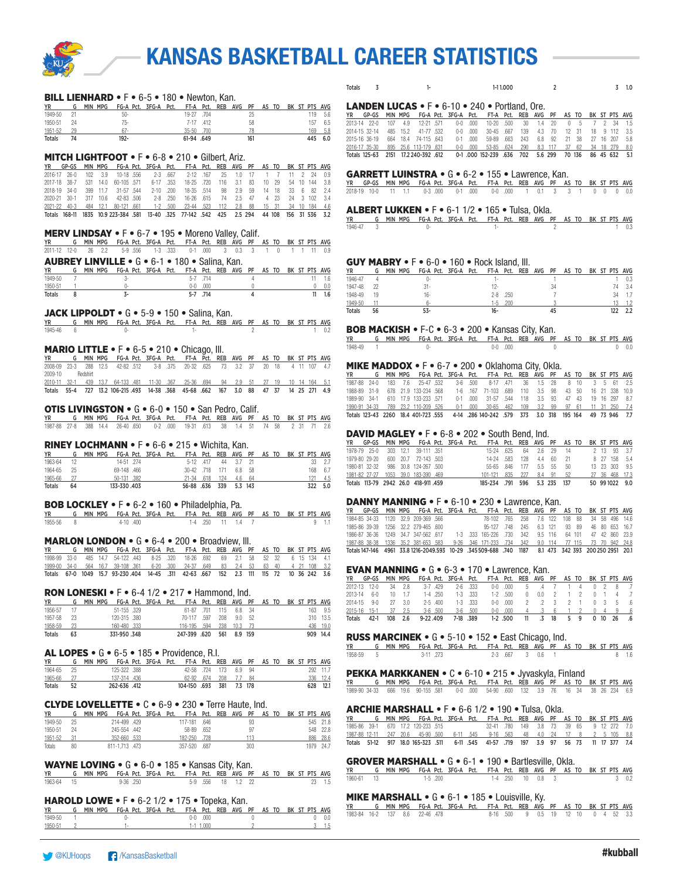

| Totals<br>1-11.000<br>-1.0                                                                                                                                                                                                   |
|------------------------------------------------------------------------------------------------------------------------------------------------------------------------------------------------------------------------------|
| <b>LANDEN LUCAS</b> $\bullet$ F $\bullet$ 6-10 $\bullet$ 240 $\bullet$ Portland, Ore.                                                                                                                                        |
| <b>YR</b><br>GP-GS<br>MIN MPG<br>FG-A Pct. 3FG-A Pct.<br>FT-A Pct. REB AVG PF<br>AS TO<br>BK ST PTS AVG                                                                                                                      |
| 12-21 .571<br>.500<br>2013-14 22-0<br>4.9<br>$0-0$<br>.000.<br>10-20<br>30<br>20<br>1.4<br>-1.5<br>41-77 .532<br>2014-15 32-14<br>485 15.2<br>$0 - 0$ .000<br>$30 - 45$<br>.667<br>139<br>70<br>4.3<br>12 31<br>18 9 112 3.5 |
| 664 18.4 74-115 .643<br>59-89<br>.663<br>243<br>92<br>2015-16 36-19<br>$0-1$ .000<br>6.8<br>21 38<br>27 16 207<br>5.8                                                                                                        |
| 2016-17 35-30<br>895<br>25.6 113-179 .631<br>$0 - 0$ .000<br>$53 - 85$<br>.624<br>290<br>8.3 117<br>37 62<br>34 18 279<br>Totals 125-63 2151 17.2 240-392 .612<br>0-1.000 152-239 .636 702<br>5.6 299 70 136<br>86 45 632    |
|                                                                                                                                                                                                                              |
| <b>GARRETT LUINSTRA • <math>G \cdot 6 - 2 \cdot 155 \cdot Lawrence</math>, Kan.</b>                                                                                                                                          |
| YR GP-GS MIN MPG FG-A Pct. 3FG-A Pct.<br>FT-A Pct. REB AVG PF AS TO BK ST PTS AVG                                                                                                                                            |
| 11 1.1 0-3 .000<br>$0-1$ .000<br>$0-0$ .000<br>1 0.1 3 3 1 0 0 0 0.0<br>2018-19 10-0                                                                                                                                         |
| ALBERT LUKKEN • F • 6-1 1/2 • 165 • Tulsa, Okla.                                                                                                                                                                             |
| G MIN MPG FG-A Pct. 3FG-A Pct.<br>FT-A Pct. REB AVG PF AS TO BK ST PTS AVG<br>YR                                                                                                                                             |
| 1946-47<br>3<br>0-<br>$\mathfrak{p}$<br>$1 -$                                                                                                                                                                                |
|                                                                                                                                                                                                                              |
|                                                                                                                                                                                                                              |
| <b>GUY MABRY • F</b> • 6-0 • 160 • Rock Island, III.<br>G MIN MPG FG-A Pct. 3FG-A Pct.<br>AS TO BK ST PTS AVG<br><b>YR</b><br>FT-A Pct. REB AVG PF                                                                           |
| 1946-47<br>$1 \t 0.3$<br>$\overline{4}$<br>0-<br>$\left\lceil \cdot \right\rceil$<br>$\overline{1}$                                                                                                                          |
| 74 3.4<br>1947-48<br>22<br>$31 -$<br>$12 -$<br>34<br>1948-49<br>19<br>$2 - 8$ .250<br>$\overline{7}$<br>34 1.7<br>16-                                                                                                        |
| $13 - 1.2$<br>1949-50<br>.200<br>11<br>6-<br>$1-5$                                                                                                                                                                           |
| $53 -$<br>$16 -$<br>45<br>122 2.2<br>Totals<br>56                                                                                                                                                                            |
| <b>BOB MACKISH • F-C • 6-3 • 200 • Kansas City, Kan.</b>                                                                                                                                                                     |
| G MIN MPG FG-A Pct. 3FG-A Pct. FT-A Pct. REB AVG PF<br>YR<br>AS TO BK ST PTS AVG                                                                                                                                             |
| 1948-49<br>$0-0$ .000<br>$0-$<br>$\mathbf 0$                                                                                                                                                                                 |
| <b>MIKE MADDOX •</b> F • 6-7 • 200 • Oklahoma City, Okla.                                                                                                                                                                    |
| G MIN MPG FG-A Pct. 3FG-A Pct.<br>FT-A Pct. REB AVG<br><b>YR</b><br>PF<br>AS TO BK ST PTS AVG                                                                                                                                |
| 25-47 .532<br>28<br>1987-88 24-0<br>7.6<br>$3-6$<br>.500<br>$8 - 17$<br>.471<br>36<br>1.5<br>61<br>2.5<br>1988-89 31-9<br>678 21.9 133-234 .568<br>1-6 .167 71-103<br>.689<br>110<br>3.5<br>98<br>43 50<br>16 21 338 10.9    |
| 610 17.9 133-233 .571<br>31-57 .544<br>93<br>1989-90 34-1<br>$0-1$ .000<br>118<br>3.5<br>47 43<br>19 16 297 8.7                                                                                                              |
| 1990-91 34-33<br>789 23.2 110-209 .526<br>$0-1$ .000<br>$30 - 65$<br>.462<br>109<br>3.2<br>- 99<br>97 61<br>11 31 250<br>Totals 123-43 2260 18.4 401-723 .555<br>4-14 .286 140-242 .579 373 3.0 318 195 164<br>49 73 946 7.7 |
|                                                                                                                                                                                                                              |
| <b>DAVID MAGLEY</b> • $F \cdot 6 - 8 \cdot 202 \cdot 5$ South Bend, Ind.                                                                                                                                                     |
| FG-A Pct. 3FG-A Pct.<br>YR GP-GS MIN MPG<br>FT-A Pct. REB AVG PF<br>AS TO BK ST PTS AVG<br>1978-79 25-0<br>303 12.1<br>39-111 .351<br>15-24<br>.625<br>64<br>2.6<br>29<br>14<br>$2 \t13$<br>93<br>- 3.7                      |
| 1979-80 29-20<br>600 20.7 72-143 .503<br>14-24<br>.583<br>128<br>4.4<br>60<br>21<br>8 27 158 5.4                                                                                                                             |
| 1980-81 32-32<br>986 30.8 124-267 .500<br>$55 - 65$<br>.846<br>177<br>5.5<br>55<br>50<br>13 23 303 9.5<br>1981-82 27-27 1053 39.0 183-390 .469<br>$101 - 121$<br>.835<br>227<br>8.4<br>91<br>52<br>27 36 468 17.3            |
| 5.3 235 137<br>Totals 113-79 2942 26.0 418-911 459<br>185-234 .791 596<br>50 99 10 22 9.0                                                                                                                                    |
|                                                                                                                                                                                                                              |
| <b>DANNY MANNING</b> $\cdot$ F $\cdot$ 6-10 $\cdot$ 230 $\cdot$ Lawrence, Kan.<br>MIN MPG<br>FG-A Pct. 3FG-A Pct.<br>FT-A<br>GP-GS<br>Pct. REB<br>AVG PF<br>YR<br>BK ST PTS AVG<br>AS TO                                     |
| 1984-85 34-33<br>1120 32.9 209-369 .566<br>78-102<br>.765<br>258<br>7.6 122<br>108<br>88<br>34 58<br>496<br>14.6                                                                                                             |
| 1985-86 39-39<br>1256 32.2 279-465 .600<br>95-127 .748<br>245<br>6.3 121<br>93 89<br>46 80 653 16.7<br>1986-87 36-36<br>1249 34.7 347-562 .617<br>1-3 .333 165-226<br>.730<br>342<br>9.5 116<br>64 101<br>47 42 860 23.9     |
| 1336 35.2 381-653 .583<br>$9 - 26$<br>.346 171-233<br>.734<br>342<br>77 115<br>1987-88 38-38<br>9.0 114<br>73 70 942 24.8                                                                                                    |
| Totals 147-146 4961 33.8 1216-2049.593 10-29 .345 509-688 .740 1187<br>8.1 473 342 393 200 250 2951 20.1                                                                                                                     |
| <b>EVAN MANNING • <math>G \cdot 6 - 3 \cdot 170 \cdot</math> Lawrence, Kan.</b>                                                                                                                                              |
| GP-GS MIN MPG FG-A Pct. 3FG-A Pct. FT-A Pct. REB AVG PF AS TO BK ST PTS AVG<br>YR                                                                                                                                            |
| 2012-13<br>34<br>2.8<br>3-7.429<br>$2 - 6$<br>.333<br>$0-0$<br>2013-14 6-0<br>$1-4$ .250<br>$1 - 3$ .333<br>$1-2$ .500<br>10<br>1.7<br>0.0<br>2<br>$\overline{c}$<br>$\overline{4}$<br>- 7<br>$\sqrt{2}$<br>$\sqrt{2}$       |
| 2-5 .400<br>$1 - 3$ .333<br>$0-0$<br>.000<br>2014-15<br>9-0<br>27<br>3.0<br>5 .6                                                                                                                                             |
| .500<br>2015-16<br>37<br>$3 - 6$ .500<br>$3 - 6$<br>$0 - 0$<br>.000.<br>$15-1$<br>2.5<br>Totals<br>42-1<br>108<br>2.6<br>9-22.409<br>7-18 .389<br>$1 - 2$ .500<br>.3<br>18<br>5 9<br>0 <sub>10</sub><br>26<br>11<br>.6       |
|                                                                                                                                                                                                                              |
| <b>RUSS MARCINEK • G • 5-10 • 152 • East Chicago, Ind.</b>                                                                                                                                                                   |
| G MIN MPG FG-A Pct. 3FG-A Pct.<br>FT-A Pct. REB AVG PF AS TO BK ST PTS AVG<br><u>YR</u><br>1958-59<br>5<br>3-11 .273<br>$2-3.667$<br>30.61                                                                                   |
| $8 - 1.6$                                                                                                                                                                                                                    |
| <b>PEKKA MARKKANEN • C • 6-10 • 215 • Jyvaskyla, Finland</b>                                                                                                                                                                 |
| FG-A_Pct. 3FG-A Pct.<br>G MIN MPG<br>FT-A Pct. REB AVG PF AS TO BK ST PTS AVG<br>ΥR                                                                                                                                          |
| 54-90 .600 132 3.9 76 16 34 38 26 234 6.9<br>1989-90 34-33<br>666 19.6 90-155 .581<br>$0-0$ .000                                                                                                                             |
| <b>ARCHIE MARSHALL • F •</b> 6-6 1/2 • 190 • Tulsa, Okla.                                                                                                                                                                    |
| G MIN MPG<br>FG-A Pct. 3FG-A Pct.<br>FT-A Pct. REB AVG PF AS TO<br>BK ST PTS AVG<br>YR<br>670 17.2 120-233 .515<br>32-41 .780<br>149<br>3.8<br>73<br>1985-86 39-1<br>39<br>65<br>9 12 272 7.0                                |
| 247 20.6 45-90 500<br>.563<br>24<br>17<br>$\overline{2}$<br>5 105 8.8<br>1987-88 12-11<br>$6-11$ .545<br>$9 - 16$<br>48<br>4.0<br>8                                                                                          |
| 917 18.0 165-323 .511<br>6-11 .545<br>41-57 .719<br>197<br>3.9 97<br>56 73<br>11 17 377 7.4<br>Totals 51-12                                                                                                                  |
| <b>GROVER MARSHALL • G • 6-1 • 190 • Bartlesville, Okla.</b>                                                                                                                                                                 |
|                                                                                                                                                                                                                              |

**WAYNE LOVING •** G • 6-0 • 185 • Kansas City, Kan.<br><u>YR G MIN MPG FG-A Pct. 3FG-A Pct. FT-A Pct. REB AVG PF As TO BK ST PTS AVG<br>1963-64 15 9.96 .250 5-9 .556 18 1.2 22 23 1.5</u>

#### HAROLD LOWE • F • 6-2 1/2 • 175 • Topeka, Kan.

|           | $\cdots$ $\cdots$ $\cdots$ $\cdots$ $\cdots$ $\cdots$ $\cdots$ $\cdots$ $\cdots$ $\cdots$ $\cdots$ |  |  |  |  |                                                                         |             |  |  |  |  |        |
|-----------|----------------------------------------------------------------------------------------------------|--|--|--|--|-------------------------------------------------------------------------|-------------|--|--|--|--|--------|
| <b>YR</b> |                                                                                                    |  |  |  |  | G MIN MPG FG-A Pct. 3FG-A Pct. FT-A Pct. REB AVG PF AS TO BK ST PTS AVG |             |  |  |  |  |        |
| 1949-50   |                                                                                                    |  |  |  |  |                                                                         | $0-0$ .000  |  |  |  |  | 0.0    |
| 1950-51   |                                                                                                    |  |  |  |  |                                                                         | $1-1$ 1.000 |  |  |  |  | 3, 1.5 |

|               |  | <b>LANDEN LUCAS</b> $\bullet$ F $\bullet$ 6-10 $\bullet$ 240 $\bullet$ Portland, Ore. |  |            |                                                   |  |  |  |  |  |
|---------------|--|---------------------------------------------------------------------------------------|--|------------|---------------------------------------------------|--|--|--|--|--|
|               |  | YR GP-GS MIN MPG FG-A Pct. 3FG-A Pct. FT-A Pct. REB AVG PF AS TO BK ST PTS AVG        |  |            |                                                   |  |  |  |  |  |
|               |  | 2013-14 22-0 107 4.9 12-21 571 0-0 000 10-20 500 30 1.4 20 0 5 7 2 34 1.5             |  |            |                                                   |  |  |  |  |  |
|               |  | 2014-15 32-14 485 15.2 41-77 532 0-0 000 30-45 667 139 4.3 70 12 31 18 9 112 3.5      |  |            |                                                   |  |  |  |  |  |
| 2015-16 36-19 |  | 664 18.4 74-115 643                                                                   |  | $0-1$ .000 | 59-89 .663 243 6.8 92 21 38 27 16 207 5.8         |  |  |  |  |  |
|               |  | 2016-17 35-30 895 25.6 113-179 631                                                    |  |            | 0-0 000 53-85 624 290 8.3 117 37 62 34 18 279 8.0 |  |  |  |  |  |

#### $2 \cdot 155 \cdot$  Lawrence, Kan.

| YR GP-GS MIN MPG FG-A Pct. 3FG-A Pct. FT-A Pct. REB AVG PF AS TO BK ST PTS AVG |  |  |  |  |  |  |  |  |  |
|--------------------------------------------------------------------------------|--|--|--|--|--|--|--|--|--|
| 2018-19 10-0 11 1.1 0-3 000 0-1 000 0-0 000 1 0.1 3 3 1 0 0 0 0.0              |  |  |  |  |  |  |  |  |  |

#### $\bullet$  165  $\bullet$  Tulsa, Okla.

|  | YR G MIN MPG FG-A Pct. 3FG-A Pct. FT-A Pct. REB AVG PF AS TO BK ST PTS AVG |               |  |  |  |  |  |  |
|--|----------------------------------------------------------------------------|---------------|--|--|--|--|--|--|
|  | 1946-47 3 0-                                                               | $1 - 2$ 1 0.3 |  |  |  |  |  |  |

### Rock Island, III.

| <b>YR</b> |    | MIN MPG | FG-A Pct. 3FG-A Pct. |  | FT-A Pct. REB AVG PF |              |  |    | AS TO |  |    | BK ST PTS AVG |
|-----------|----|---------|----------------------|--|----------------------|--------------|--|----|-------|--|----|---------------|
| 1946-47   |    |         |                      |  | . .                  |              |  |    |       |  |    |               |
| 1947-48   |    |         | $31 -$               |  | 12.                  |              |  | 34 |       |  |    | 3.4           |
| 1948-49   | 19 |         | 16-                  |  |                      | $2 - 8$ .250 |  |    |       |  | 34 |               |
| 1949-50   |    |         | 'n.                  |  | -5                   | 200          |  |    |       |  |    |               |
| Totals    | 56 |         | 53-                  |  | 16-                  |              |  |    |       |  |    |               |

#### 00 • Kansas City, Kan.

#### • Oklahoma City, Okla.

| <b>YR</b>    |               |  |                                      |  | G MIN MPG FG-A Pct. 3FG-A Pct. FT-A Pct. REB AVG PF AS TO BK ST PTS AVG |  |  |      |  |                    |
|--------------|---------------|--|--------------------------------------|--|-------------------------------------------------------------------------|--|--|------|--|--------------------|
| 1987-88      | $-9 - 24 - 0$ |  | 183 7.6 25-47 532                    |  | 3-6 500 8-17 471 36 1.5 28                                              |  |  | 8 10 |  | 3 5 61 25          |
| 1988-89 31-9 |               |  | 678 21.9 133-234 568                 |  | 1-6 167 71-103 689 110 3.5 98 43 50 16 21 338 10.9                      |  |  |      |  |                    |
| 1989-90 34-1 |               |  | 610 179 133-233 571                  |  | 0-1 000 31-57 544 118 3.5 93                                            |  |  |      |  | 47 43 19 16 297 87 |
|              |               |  | 1990-91 34-33 789 23.2 110-209 526   |  | 0-1 000 30-65 462 109 3.2 99 97 61 11 31 250 7.4                        |  |  |      |  |                    |
|              |               |  | Totals 123-43 2260 18.4 401-723 .555 |  | 4-14 .286 140-242 .579 373 3.0 318 195 164                              |  |  |      |  | 49 73 946 7.7      |

#### 2 • South Bend, Ind.

|  |  |                                     | YR GP-GS MIN MPG FG-A Pct. 3FG-A Pct. FT-A Pct. REB AVG PF AS TO BK ST PTS AVG |                                    |  |  |  |  |                |
|--|--|-------------------------------------|--------------------------------------------------------------------------------|------------------------------------|--|--|--|--|----------------|
|  |  | 1978-79 25-0 303 12.1 39-111 351    |                                                                                | 15-24 625 64 2.6 29 14 2 13 93 3.7 |  |  |  |  |                |
|  |  | 1979-80 29-20 600 20.7 72-143 503   |                                                                                | 14-24 583 128 4.4 60 21            |  |  |  |  | 8 27 158 5.4   |
|  |  | 1980-81 32-32 986 30.8 124-267 .500 |                                                                                | 55-65 846 177 5.5 55 50            |  |  |  |  | 13 23 303 9.5  |
|  |  | 1981-82 27-27 1053 39.0 183-390 469 |                                                                                | 101-121 835 227 8.4 91 52          |  |  |  |  | 27 36 468 17.3 |
|  |  | Totals 113-79 2942 26.0 418-911 459 |                                                                                | 185-234 .791 596 5.3 235 137       |  |  |  |  | 50 991022 9.0  |

#### $\bullet$  230  $\bullet$  Lawrence, Kan.

|  |  |                                      |  | YR GP-GS MIN MPG FG-A Pct. 3FG-A Pct. FT-A Pct. REB AVG PF AS TO BK ST PTS AVG                        |  |  |  |  |  |
|--|--|--------------------------------------|--|-------------------------------------------------------------------------------------------------------|--|--|--|--|--|
|  |  | 1984-85 34-33 1120 32.9 209-369 566  |  | 78-102 .765 258 7.6 122 108 88 34 58 496 14.6                                                         |  |  |  |  |  |
|  |  | 1985-86 39-39 1256 32.2 279-465 .600 |  | 95-127 .748 245 6.3 121 93 89 46 80 653 16.7                                                          |  |  |  |  |  |
|  |  |                                      |  | 1986-87 36-36 1249 34.7 347-562 617 1-3 333 165-226 730 342 9.5 116 64 101 47 42 860 23.9             |  |  |  |  |  |
|  |  |                                      |  | 1987-88 38-38 1336 35.2 381-653 583 9-26 .346 171-233 .734 342 9.0 114 77 115 73 70 942 24.8          |  |  |  |  |  |
|  |  |                                      |  | Totals 147-146 4961 33.8 1216-2049.593 10-29 .345 509-688 .740 1187 8.1 473 342 393 200 250 2951 20.1 |  |  |  |  |  |

#### 70 · Lawrence, Kan.

| $\blacksquare$                                                                 |  |  |  |                             |  |  |  |  |  |
|--------------------------------------------------------------------------------|--|--|--|-----------------------------|--|--|--|--|--|
| YR GP-GS MIN MPG FG-A Pct. 3FG-A Pct. FT-A Pct. REB AVG PF AS TO BK ST PTS AVG |  |  |  |                             |  |  |  |  |  |
| 2012-13 12-0 34 2.8 3-7 429 2-6 333 0-0 000 5 4 7 1 4 0 2 8 7                  |  |  |  |                             |  |  |  |  |  |
| 2013-14 6-0 10 1.7 1-4 250 1-3 333                                             |  |  |  | 1-2 500 0 0.0 2 1 2 0 1 4 7 |  |  |  |  |  |
| 2014-15 9-0 27 3.0 2-5 400 1-3 333 0-0 000 2 2 3 2 1 0 3 5 6                   |  |  |  |                             |  |  |  |  |  |
| 2015-16 15-1 37 2.5 3-6 500 3-6 500 0-0 000 4 .3 6 1 2 0 4 9 .6                |  |  |  |                             |  |  |  |  |  |
| Totals 42-1 108 2.6 9-22.409 7-18 389 1-2 500 11 .3 18 5 9 0 10 26 .6          |  |  |  |                             |  |  |  |  |  |

#### 152 • East Chicago, Ind.

|           | YR G MIN MPG FG-A Pct. 3FG-A Pct. FT-A Pct. REB AVG PF AS TO BK ST PTS AVG |  |  |                 |  |  |  |  |       |
|-----------|----------------------------------------------------------------------------|--|--|-----------------|--|--|--|--|-------|
| 1958-59 5 | 3-11 273                                                                   |  |  | 2-3 667 3 0.6 1 |  |  |  |  | 8 1.6 |

#### 10 • 215 • Jyvaskyla, Finland

### $1/2$  • 190 • Tulsa, Okla.

## GROVER MARSHALL • G • 6-1 • 190 • Bartlesville, Okla.<br>YR G MIN MPG FG-A Pct. 3FG-A Pct. FT-A Pct. REB AVG PF AS T

YR G MIN MPG FG-A Pct. 3FG-A Pct. FT-A Pct. REB AVG PF AS TO BK ST PTS AVG 1960-61 13 1-5 .200 1-4 .250 10 0.8 3 3 0.2

### MIKE MARSHALL • G • 6-1 • 185 • Louisville, Ky.

YR G MIN MPG FG-A Pct. 3FG-A Pct. FT-A Pct. REB AVG PF AS TO BK ST PTS AVG 1983-84 16-2 137 8.6 22-46 .478 8-16 .500 9 0.5 19 12 10 0 4 52 3.3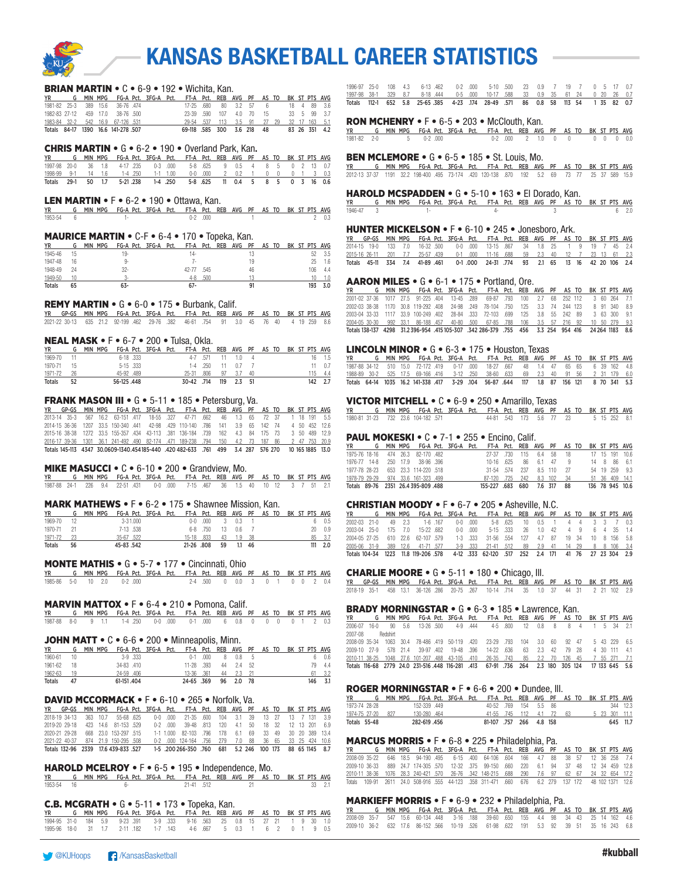

#### BRIAN MARTIN • C • 6-9 • 192 • Wichita, Kan.

|  |  | G MIN MPG FG-A Pct. 3FG-A Pct. FT-A Pct. REB AVG PF AS TO BK ST PTS AVG |  |                                           |                         |  |  |               |             |  |
|--|--|-------------------------------------------------------------------------|--|-------------------------------------------|-------------------------|--|--|---------------|-------------|--|
|  |  | 1981-82 25-3 389 15.6 36-76 474                                         |  |                                           | 17-25 .680 80 3.2 57 6  |  |  |               | 18 4 89 3.6 |  |
|  |  | 1982-83 27-12 459 17.0 38-76 500                                        |  |                                           | 23-39 590 107 4.0 70 15 |  |  |               | 33 5 99 3.7 |  |
|  |  | 1983-84 32-2 542 16.9 67-126 531                                        |  | 29-54 .537 113 3.5 91 27 29 32 17 163 5.1 |                         |  |  |               |             |  |
|  |  | Totals 84-17 1390 16.6 141-278 507                                      |  | 69-118 .585 300 3.6 218 48                |                         |  |  | 83 26 351 4.2 |             |  |

#### CHRIS MARTIN • G • 6-2 • 190 • Overland Park, Kan.

| <b>YR</b>                                                           |  |  |  | G MIN MPG FG-A Pct. 3FG-A Pct. FT-A Pct. REB AVG PF AS TO BK ST PTS AVG |  |  |  |  |  |
|---------------------------------------------------------------------|--|--|--|-------------------------------------------------------------------------|--|--|--|--|--|
| 1997-98 20-0 36 1.8 4-17 235 0-3 000 5-8 625 9 0.5 4 8 5 0 2 13 0.7 |  |  |  |                                                                         |  |  |  |  |  |
| 1998-99 9-1 14 1.6 1-4 250 1-1 1.00 0-0 000 2 0.2 1 0 0 0 1 3 0.3   |  |  |  |                                                                         |  |  |  |  |  |
| Totals 29-1 50 1.7 5-21 238 1-4 250 5-8 625 11 0.4 5 8 5 0 3 16 0.6 |  |  |  |                                                                         |  |  |  |  |  |

#### LEN MARTIN • F • 6-2 • 190 • Ottawa, Kan.

 $\begin{array}{ccccccccccccccccccccccccccccccccccccccccc} \textbf{YR} & \textbf{G} & \textbf{MIN} & \textbf{MPG} & \textbf{FG-A} & \textbf{Pct.} & \textbf{3FG-A} & \textbf{Pct.} & \textbf{FTA} & \textbf{Pct.} & \textbf{RES} & \textbf{AVG} & \textbf{PF} & \textbf{AS} & \textbf{TO} & \textbf{BK} & \textbf{ST} & \textbf{PTS} & \textbf{AVG} & \textbf{SSE} & \textbf{SSE} & \textbf{SSE} & \textbf{SSE} & \textbf{SSE} & \textbf{SSE} & \textbf{SSE$ 1953-54 6 1- 0-2 .000 1 2 0.3

#### MAURICE MARTIN • C-F • 6-4 • 170 • Topeka, Kan.

| <b>YR</b>     | G  | MIN MPG |           | FG-A Pct. 3FG-A Pct. |       |      | FT-A Pct. REB AVG PF |    | AS TO |  |     | BK ST PTS AVG |
|---------------|----|---------|-----------|----------------------|-------|------|----------------------|----|-------|--|-----|---------------|
| 1945-46       | 15 |         | 19-       |                      | 14-   |      |                      |    |       |  |     | 3.5           |
| 1947-48       | 16 |         | <b>Q.</b> |                      | ۰.    |      |                      | 19 |       |  | 25  | 1.6           |
| 1948-49       | 24 |         | $32 -$    |                      | 42-77 | .545 |                      | 46 |       |  | 106 | 4.4           |
| 1949-50       | 10 |         |           |                      | $4-8$ | .500 |                      |    |       |  |     |               |
| <b>Totals</b> | 65 |         | 63-       |                      | $67-$ |      |                      |    |       |  | 193 |               |

#### REMY MARTIN • G • 6-0 • 175 • Burbank, Calif.

| YR GP-GS MIN MPG FG-A Pct. 3FG-A Pct. FT-A Pct. REB AVG PF AS TO BK ST PTS AVG     |  |  |  |  |  |  |  |  |  |
|------------------------------------------------------------------------------------|--|--|--|--|--|--|--|--|--|
| 2021-22 30-13 635 21.2 92-199 462 29-76 382 46-61 754 91 3.0 45 76 40 4 19 259 8.6 |  |  |  |  |  |  |  |  |  |

#### NEAL MASK • F • 6-7 • 200 • Tulsa, Okla.

| <b>YR</b>  |      | MIN MPG |            |          | FG-A Pct. 3FG-A Pct. FT-A Pct. REB AVG PF AS TO BK ST PTS AVG |                      |                  |  |  |  |         |
|------------|------|---------|------------|----------|---------------------------------------------------------------|----------------------|------------------|--|--|--|---------|
| 1969-70 11 |      |         |            | 6-18.333 |                                                               |                      | 4-7 571 11 1.0 4 |  |  |  | 16 1.5  |
| 1970-71    | - 15 |         | 5-15 .333  |          |                                                               |                      | 1-4 250 11 0.7 7 |  |  |  | 11 07   |
| 1971-72 26 |      |         | 45-92 489  |          |                                                               | 25-31 .806 97 3.7 40 |                  |  |  |  | 115 4.4 |
| Totals     | 52   |         | 56-125.448 |          |                                                               | 30-42 714 119 2.3 51 |                  |  |  |  | 142 2.7 |

#### FRANK MASON III • G • 5-11 • 185 • Petersburg, Va.

YR GP-GS MIN MPG FG-A Pct. 3FG-A Pct. FT-A Pct. REB AVG PF AS TO BK ST PTS AVG 2013-14 35-3 567 16.2 63-151 .417 18-55 .327 47-71 .662 46 1.3 65 72 37 1 18 191 5.5 2014-15 36-36 1207 33.5 150-340 .441 42-98 .429 110-140 .786 141 3.9 65 142 74 4 50 452 12.6 2015-16 38-38 1272 33.5 155-357 .434 43-113 .381 136-184 .739 162 4.3 84 175 73 3 50 489 12.9 2016-17 39-36 1301 36.1 241-492 .490 82-174 .471 189-238 .794 150 4.2 73 187 86 2 47 753 20.9 Totals 145-113 4347 30.0609-1340.454185-440 .420 482-633 .761 499 3.4 287 576 270 10 165 1885 13.0

#### MIKE MASUCCI • C • 6-10 • 200 • Grandview, Mo.

|  |  | YR G MIN MPG FG-A Pct. 3FG-A Pct. FT-A Pct. REB AVG PF AS TO BK ST PTS AVG |  |  |  |  |  |  |  |
|--|--|----------------------------------------------------------------------------|--|--|--|--|--|--|--|
|  |  | 1987-88 24-1 226 9.4 22-51 431 0-0 000 7-15 467 36 1.5 40 10 12 3 7 51 2.1 |  |  |  |  |  |  |  |

#### MARK MATHEWS • F • 6-2 • 175 • Shawnee Mission, Kan.

| YR            |    | MIN MPG FG-A Pct. 3FG-A Pct. FT-A Pct. REB AVG PF AS TO BK ST PTS AVG |           |              |  |            |            |    |                 |                |  |  |     |             |
|---------------|----|-----------------------------------------------------------------------|-----------|--------------|--|------------|------------|----|-----------------|----------------|--|--|-----|-------------|
| 1969-70       |    |                                                                       |           | $3 - 31.000$ |  |            |            |    | $0-0.000$ 3 0.3 |                |  |  |     | 0.5         |
| 1970-71       |    |                                                                       |           | 7-13 538     |  |            | 6-8 .750   |    | 13 0.6 7        |                |  |  |     | $20 \t 0.9$ |
| 1971-72       |    |                                                                       | 35-67.522 |              |  |            | 15-18 .833 | 43 | 19              | - 38           |  |  |     | 85 3.7      |
| <b>Totals</b> | 56 |                                                                       | 45-83.542 |              |  | 21-26 .808 |            | 59 |                 | $1.1 \quad 46$ |  |  | 111 | 2.0         |

#### MONTE MATHIS • G • 5-7 • 177 • Cincinnati, Ohio

|  |  | YR G MIN MPG FG-A Pct. 3FG-A Pct. FT-A Pct. REB AVG PF AS TO BK ST PTS AVG |  |  |  |  |  |  |                               |
|--|--|----------------------------------------------------------------------------|--|--|--|--|--|--|-------------------------------|
|  |  | 1985-86 5-0 10 2.0 0-2.000                                                 |  |  |  |  |  |  | 2-4 500 0 0.0 3 0 1 0 0 2 0.4 |

#### MARVIN MATTOX • F • 6-4 • 210 • Pomona, Calif.

| YR             G    MIN  MPG     FG-A  Pct.    3FG-A    Pct.     FT-A    Pct.    REB   AVG    PF    AS  TO    BK   ST  PTS   AVG |  |  |  |  |  |  |  |  |  |
|----------------------------------------------------------------------------------------------------------------------------------|--|--|--|--|--|--|--|--|--|
| 1987-88 8-0 9 1.1 1-4 250 0-0 000 0-1 000 6 0.8 0 0 0 0 1 2 0.3                                                                  |  |  |  |  |  |  |  |  |  |

#### JOHN MATT • C • 6-6 • 200 • Minneapolis, Minn.

| <b>YR</b>     |    | <b>MIN</b> | MPG        |              | FG-A Pct. 3FG-A Pct. | FT-A Pct. REB AVG PF AS TO BK ST PTS AVG |      |    |          |  |  |     |      |
|---------------|----|------------|------------|--------------|----------------------|------------------------------------------|------|----|----------|--|--|-----|------|
| 1960-61       | 10 |            |            | $3-9$ $.333$ |                      | $0 - 1$                                  | .000 | 8  | 0.8      |  |  |     | 0.6  |
| 1961-62       | 18 |            | 34-83 .410 |              |                      | 11-28 .393                               |      | 44 | $2.4$ 52 |  |  | 70. | 4.4  |
| 1962-63       | 19 |            | 406. 24-59 |              |                      | 13-36 361                                |      | 44 | - 23     |  |  | -61 | -3.2 |
| <b>Totals</b> | 47 |            | 61-151.404 |              |                      | 24-65 .369                               |      | 96 | 2.0      |  |  | 146 |      |

#### DAVID MCCORMACK • F • 6-10 • 265 • Norfolk, Va.

|                                   |  |                      |  | YR GP-GS MIN-MPG FG-A-Pct. 3FG-A-Pct. FT-A-Pct. REB AVG PF AS-TO-BK-ST-PTS-AVG             |  |  |  |  |  |
|-----------------------------------|--|----------------------|--|--------------------------------------------------------------------------------------------|--|--|--|--|--|
|                                   |  |                      |  | 2018-19 34-13 363 10.7 55-68 625 0-0 000 21-35 600 104 3.1 39 13 27 13 7 131 3.9           |  |  |  |  |  |
| 2019-20 29-18 423 14.6 81-153 529 |  |                      |  | 0-2 000 39-48 813 120 4.1 50 18 32 12 13 201 6.9                                           |  |  |  |  |  |
| 2020-21 29-28                     |  | 668 23.0 153-297 515 |  | 1-1 1.000 82-103 796 178 6.1 69 33 49 30 20 389 13.4                                       |  |  |  |  |  |
|                                   |  |                      |  | 2021-22 40-37 874 21.9 150-295 508 0-2 000 124-164 756 279 7.0 88 36 65 33 25 424 10.6     |  |  |  |  |  |
|                                   |  |                      |  | Totals 132-96 2339 17.6 439-833 527 1-5 200 266-350 760 681 5.2 246 100 173 88 65 1145 8.7 |  |  |  |  |  |

#### HAROLD MCELROY • F • 6-5 • 195 • Independence, Mo.

YR G MIN MPG FG-A Pct. 3FG-A Pct. FT-A Pct. REB AVG PF AS TO BK ST PTS AVG 1953-54 16 6- 21-41 .512 21 33 2.1

#### C.B. MCGRATH • G • 5-11 • 173 • Topeka, Kan.

| YR G MIN MPG FG-A Pct. 3FG-A Pct. FT-A Pct. REB AVG PF AS TO BK ST PTS AVG |  |  |  |  |  |  |  |  |  |
|----------------------------------------------------------------------------|--|--|--|--|--|--|--|--|--|
| 1994-95 31-0 184 5.9 9-23 391 3-9 333 9-16 563 25 0.8 15 27 21 1 9 30 1.0  |  |  |  |  |  |  |  |  |  |
| 1995-96 18-0 31 1.7 2-11 182 1-7 143 4-6 667 5 0.3 1 6 2 0 1 9 0.5         |  |  |  |  |  |  |  |  |  |

1996-97 25-0 108 4.3 6-13 .462 0-2 .000 5-10 .500 23 0.9 7 19 7 0 5 17 0.7 1997-98 38-1 329 8.7 8-18 .444 0-5 .000 10-17 .588 33 0.9 35 61 24 0 20 26 0.7 Totals 112-1 652 5.8 25-65 .385 4-23 .174 28-49 .571 86 0.8 58 113 54 1 35 82 0.7

#### RON MCHENRY • F • 6-5 • 203 • McClouth, Kan.

YR G MIN MPG FG-A Pct. 3FG-A Pct. FT-A Pct. REB AVG PF AS TO BK ST PTS AVG 1981-82 2-0 5 0-2 .000 0-2 .000 2 1.0 0 0 0 0 0 0.0

#### BEN MCLEMORE • G • 6-5 • 185 • St. Louis, Mo.

YR G MIN MPG FG-A Pct. 3FG-A Pct. FT-A Pct. REB AVG PF AS TO BK ST PTS AVG 2012-13 37-37 1191 32.2 198-400 .495 73-174 .420 120-138 .870 192 5.2 69 73 77 25 37 589 15.9

#### HAROLD MCSPADDEN • G • 5-10 • 163 • El Dorado, Kan.

YR G MIN MPG FG-A Pct. 3FG-A Pct. FT-A Pct. REB AVG PF AS TO BK ST PTS AVG 1946-47 3 1- 4- 3 6 2.0

#### HUNTER MICKELSON • F • 6-10 • 245 • Jonesboro, Ark.

|  |  |  |  | YR GP-GS MIN-MPG FG-A-Pct. 3FG-A-Pct. FT-A-Pct. REB AVG PF AS-TO-BK-ST-PTS-AVG |  |  |  |  |  |
|--|--|--|--|--------------------------------------------------------------------------------|--|--|--|--|--|
|  |  |  |  | 2014-15 19-0 133 7.0 16-32 500 0-0 000 13-15 867 34 1.8 25 1 9 19 7 45 2.4     |  |  |  |  |  |
|  |  |  |  | 2015-16 26-11 201 7.7 25-57 439 0-1 000 11-16 688 59 2.3 40 12 7 23 13 61 2.3  |  |  |  |  |  |
|  |  |  |  | Totals 45-11 334 7.4 41-89 461 0-1 000 24-31 774 93 2.1 65 13 16 42 20 106 2.4 |  |  |  |  |  |

#### AARON MILES • G • 6-1 • 175 • Portland, Ore.

|  |  |  |  | YR G MIN MPG FG-A Pct. 3FG-A Pct. FT-A Pct. REB AVG PF AS TO BK ST PTS AVG                           |  |  |  |  |  |
|--|--|--|--|------------------------------------------------------------------------------------------------------|--|--|--|--|--|
|  |  |  |  | 2001-02 37-36 1017 27.5 91-225 404 13-45 289 69-87 793 100 2.7 68 252 112 3 60 264 7.1               |  |  |  |  |  |
|  |  |  |  | 2002-03 38-38 1170 30.8 119-292 408 24-98 .249 78-104 .750 125 3.3 74 244 123 8 91 340 8.9           |  |  |  |  |  |
|  |  |  |  | 2003-04 33-33 1117 33.9 100-249 .402 28-84 .333 72-103 .699 125 3.8 55 242 89 3 63 300 9.1           |  |  |  |  |  |
|  |  |  |  | 2004-05 30-30 992 33.1 86-188 457 40-80 500 67-85 788 106 3.5 57 216 92 10 50 279 9.3                |  |  |  |  |  |
|  |  |  |  | 6.6 7181 1940 1426 1941 1840 155 155 156 1565 1566 1567 1561 1567 1566 1578 1589 1581 1581 158 159 1 |  |  |  |  |  |

#### LINCOLN MINOR • G • 6-3 • 175 • Houston, Texas

|  |  | YR G MIN MPG FG-A Pct. 3FG-A Pct. FT-A Pct. REB AVG PF AS TO BK ST PTS AVG            |  |  |  |  |  |  |  |
|--|--|---------------------------------------------------------------------------------------|--|--|--|--|--|--|--|
|  |  | 1987-88 34-12 510 15.0 72-172 419 0-17 000 18-27 667 48 1.4 47 65 65 6 39 162 4.8     |  |  |  |  |  |  |  |
|  |  | 1988-89 30-2 525 17.5 69-166 416 3-12 250 38-60 633 69 2.3 40 91 56 2 31 179 6.0      |  |  |  |  |  |  |  |
|  |  | Totals 64-14 1035 16.2 141-338 417 3-29 104 56-87 644 117 1.8 87 156 121 8 70 341 5.3 |  |  |  |  |  |  |  |

#### VICTOR MITCHELL • C • 6-9 • 250 • Amarillo, Texas

**YR G MIN MPG FG-A Pct. 3FG-A Pct. FT-A Pct. REB AVG PF AS TO BK ST PTS AVG**<br>1980-81 31-23 732 23.6 104-182 571 44-81 543 173 5.6 77 23 5 15 252 8.1 44-81 .543 173 5.6 77 23

#### PAUL MOKESKI • C • 7-1 • 255 • Encino, Calif.

| YR          G    MIN  MPG     FG-A  Pct.    3FG-A   Pct.     FT-A   Pct.   REB   AVG   PF    AS  TO    BK  ST  PTS  AVG |  |  |  |                                             |  |  |  |  |                |
|-------------------------------------------------------------------------------------------------------------------------|--|--|--|---------------------------------------------|--|--|--|--|----------------|
| 1975-76 18-16 474 26.3 82-170 482                                                                                       |  |  |  | 27-37 730 115 6.4 58 18 17 15 191 10.6      |  |  |  |  |                |
| 1976-77 14-8 250 17.9 38-96 396                                                                                         |  |  |  | 10-16 625 86 6.1 47 9                       |  |  |  |  | 14 8 86 6.1    |
| 1977-78 28-23 653 23.3 114-220 518                                                                                      |  |  |  | 31-54 574 237 8.5 110 27                    |  |  |  |  | 54 19 259 9.3  |
| 1978-79 29-29 974 33.6 161-323 .499                                                                                     |  |  |  | 87-120 .725 242 8.3 102 34                  |  |  |  |  | 51 36 409 14.1 |
| Totals 89-76 2351 26.4395-809 488                                                                                       |  |  |  | 155-227 .683 680 7.6 317 88 136 78 945 10.6 |  |  |  |  |                |

#### CHRISTIAN MOODY • F • 6-7 • 205 • Asheville, N.C.

| YR G MIN MPG FG-A Pct. 3FG-A Pct. FT-A Pct. REB AVG PF AS TO BK ST PTS AVG              |  |  |  |                                                 |  |  |  |  |  |
|-----------------------------------------------------------------------------------------|--|--|--|-------------------------------------------------|--|--|--|--|--|
| 2002-03 21-0 49 2.3 1-6 167 0-0 000 5-8 625 10 0.5 1 4 4 3 3 7 0.3                      |  |  |  |                                                 |  |  |  |  |  |
| 2003-04 25-0 175 7.0 15-22 682 0-0 000 5-15 333 26 1.0 42 4 9 6 4 35 1.4                |  |  |  |                                                 |  |  |  |  |  |
| 2004-05 27-25 610 22.6 62-107 579                                                       |  |  |  | 1-3 333 31-56 554 127 4.7 87 19 34 10 8 156 5.8 |  |  |  |  |  |
| 2005-06 31-9 389 12.6 41-71 577 3-9 333 21-41 512 89 2.9 41 14 29 8 8 106 3.4           |  |  |  |                                                 |  |  |  |  |  |
| Totals 104-34 1223 11.8 119-206 578 4-12 333 62-120 517 252 2.4 171 41 76 27 23 304 2.9 |  |  |  |                                                 |  |  |  |  |  |

#### CHARLIE MOORE • G • 5-11 • 180 • Chicago, Ill.

YR GP-GS MIN MPG FG-A Pct. 3FG-A Pct. FT-A Pct. REB AVG PF AS TO BK ST PTS AVG 2018-19 35-1 458 13.1 36-126 .286 20-75 .267 10-14 .714 35 1.0 37 44 31 2 21 102 2.9

#### BRADY MORNINGSTAR • G • 6-3 • 185 • Lawrence, Kan.

|         |          | YR G MIN MPG FG-A Pct. 3FG-A Pct. FT-A Pct. REB AVG PF AS TO BK ST PTS AVG                     |  |  |  |  |  |  |  |
|---------|----------|------------------------------------------------------------------------------------------------|--|--|--|--|--|--|--|
|         |          | 2006-07 16-0 90 5.6 13-26 500 4-9 444 4-5 800 12 0.8 8 8 4 1 5 34 2.1                          |  |  |  |  |  |  |  |
| 2007-08 | Redshirt |                                                                                                |  |  |  |  |  |  |  |
|         |          | 2008-09 35-34 1063 30.4 78-486 419 50-119 420 23-29 793 104 3.0 60 92 47 5 43 229 6.5          |  |  |  |  |  |  |  |
|         |          | 2009-10 27-9 578 21.4 39-97 402 19-48 396 14-22 636 63 2.3 42 79 28 4 30 111 4.1               |  |  |  |  |  |  |  |
|         |          | 2010-11 38-25 1048 27.6 101-207 488 43-105 410 26-35 743 85 2.2 70 126 45 7 55 271 7.1         |  |  |  |  |  |  |  |
|         |          | Totals 116-68 2779 24.0 231-516 448 116-281 .413 67-91 .736 264 2.3 180 305 124 17 133 645 5.6 |  |  |  |  |  |  |  |

#### ROGER MORNINGSTAR • F • 6-6 • 200 • Dundee, Ill.

| YR            |     | MIN MPG FG-A Pct. 3FG-A Pct. FT-A Pct. REB AVG PF AS TO BK ST PTS AVG |  |                        |  |  |    |  |  |               |
|---------------|-----|-----------------------------------------------------------------------|--|------------------------|--|--|----|--|--|---------------|
| 1973-74 28-28 |     | 152-339 449                                                           |  | 40-52 769 154 5.5 86   |  |  |    |  |  | 344 12.3      |
| 1974-75 27-20 | 827 | 130-280 464                                                           |  | 41-55 745 112 4.1 72   |  |  | 63 |  |  | 5 23 301 11.1 |
| Totals 55-48  |     | 282-619 456                                                           |  | 81-107 757 266 4.8 158 |  |  |    |  |  | 645 11.7      |

### **MARCUS MORRIS • F • 6-8 • 225 • Philadelphia, Pa.**<br>YR G MIN MPG FG-A Pct. 3FG-A Pct. FT-A Pct. REB AVG PF

G MIN MPG FG-A Pct. 3FG-A Pct. FT-A Pct. REB AVG PF AS TO BK ST PTS AVG 2008-09 35-22 646 18.5 94-190 .495 6-15 .400 64-106 .604 166 4.7 88 38 57 12 36 258 7.4 2009-10 36-33 889 24.7 174-305 .570 12-32 .375 99-150 .660 220 6.1 94 37 48 12 34 459 12.8 2010-11 38-36 1076 28.3 240-421 .570 26-76 .342 148-215 .688 290 7.6 97 62 67 24 32 654 17.2 Totals 109-91 2611 24.0 508-916 .555 44-123 .358 311-471 .660 676 6.2 279 137 172 48 102 1371 12.6

### **MARKIEFF MORRIS • F • 6-9 • 232 • Philadelphia, Pa.**<br>YR 6 MIN MPG FG-A Prt 3FG-A Prt FT-A Prt RFB AVG PE A

YR G MIN MPG FG-A Pct. 3FG-A Pct. FT-A Pct. REB AVG PF AS TO BK ST PTS AVG 2008-09 35-7 547 15.6 60-134 .448 3-16 .188 39-60 .650 155 4.4 98 34 43 25 14 162 4.6 2009-10 36-2 632 17.6 86-152 .566 10-19 .526 61-98 .622 191 5.3 92 39 51 35 16 243 6.8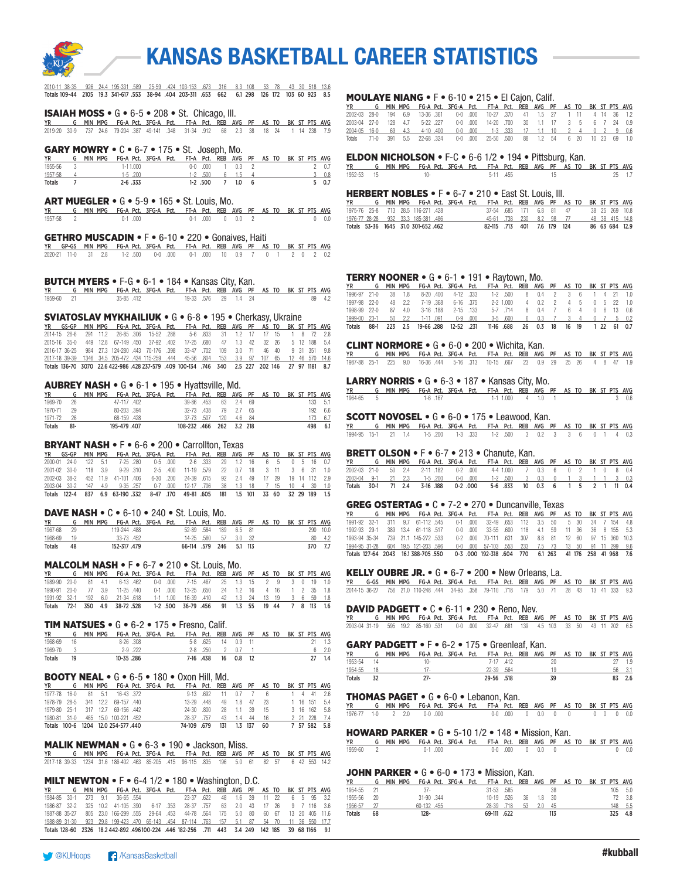

| 2010-11 38-35 926 24.4 195-331 589 25-59 .424 103-153 .673 316 8.3 108 53 78 43 30 518 13.6  |  |  |  |  |  |  |  |  |  |
|----------------------------------------------------------------------------------------------|--|--|--|--|--|--|--|--|--|
| Totals 109-44 2105 19.3 341-617 553 38-94 404 203-311 653 662 6.1 298 126 172 103 60 923 8.5 |  |  |  |  |  |  |  |  |  |

ISAIAH MOSS • G • 6-5 • 208 • St. Chicago, Ill.

YR G MIN MPG FG-A Pct. 3FG-A Pct. FT-A Pct. REB AVG PF AS TO BK ST PTS AVG 2019-20 30-9 737 24.6 79-204 .387 49-141 .348 31-34 .912 68 2.3 38 18 24 1 14 238 7.9

#### **GARY MOWRY •**  $C \cdot 6 - 7 \cdot 175 \cdot S$ t. Joseph, Mo.

| <b>YR</b>     | MIN MPG | FG-A Pct. 3FG-A Pct. FT-A Pct. REB AVG PF AS TO BK ST PTS AVG |  |            |      |  |  |  |     |
|---------------|---------|---------------------------------------------------------------|--|------------|------|--|--|--|-----|
| 1955-56       |         | $1 - 11.000$                                                  |  | $0-0$ .000 | 03 2 |  |  |  | 0.7 |
| 1957-58       |         | $1-5$ 200                                                     |  | $1-2$ .500 | 6 15 |  |  |  | 0.8 |
| <b>Totals</b> |         | $2 - 6$ .333                                                  |  | 1-2 .500   |      |  |  |  | 0.7 |

#### ART MUEGLER • G • 5-9 • 165 • St. Louis, Mo.

|           |                                                                            |  | . |  |  |                 |  |  |  |              |
|-----------|----------------------------------------------------------------------------|--|---|--|--|-----------------|--|--|--|--------------|
|           | YR G MIN MPG FG-A Pct. 3FG-A Pct. FT-A Pct. REB AVG PF AS TO BK ST PTS AVG |  |   |  |  |                 |  |  |  |              |
| 1957-58 2 | $0-1$ 000                                                                  |  |   |  |  | 0-1 000 0 0.0 2 |  |  |  | $0\quad 0.0$ |

#### GETHRO MUSCADIN • F • 6-10 • 220 • Gonaives, Haiti

|  |  | YR GP-GS MIN MPG FG-A Pct. 3FG-A Pct. FT-A Pct. REB AVG PF AS TO BK ST PTS AVG |  |  |  |  |  |  |  |
|--|--|--------------------------------------------------------------------------------|--|--|--|--|--|--|--|
|  |  | 2020-21 11-0 31 2.8 1-2 500 0-0 000 0-1 000 10 0.9 7 0 1 2 0 2 0.2             |  |  |  |  |  |  |  |

#### BUTCH MYERS • F-G • 6-1 • 184 • Kansas City, Kan.

| <b>YR</b>  | G MIN MPG FG-A Pct. 3FG-A Pct. FT-A Pct. REB AVG PF AS TO BK ST PTS AVG |           |  |                     |  |  |  |  |        |
|------------|-------------------------------------------------------------------------|-----------|--|---------------------|--|--|--|--|--------|
| 1959-60 21 |                                                                         | 35-85.412 |  | 19-33 576 29 1.4 24 |  |  |  |  | 89 4.2 |

#### SVIATOSLAV MYKHAILIUK • G • 6-8 • 195 • Cherkasy, Ukraine

|  |  |  |  | YR GS-GP MIN MPG FG-A Pct. 3FG-A Pct. FT-A Pct. REB AVG PF AS TO BK ST PTS AVG                    |  |  |  |  |  |
|--|--|--|--|---------------------------------------------------------------------------------------------------|--|--|--|--|--|
|  |  |  |  | 2014-15 26-6 291 11.2 26-85 306 15-52 288 5-6 833 31 1.2 17 17 15 1 8 72 2.8                      |  |  |  |  |  |
|  |  |  |  | 2015-16 35-0 449 12.8 67-149 450 37-92 402 17-25 680 47 1.3 42 32 26 5 12 188 5.4                 |  |  |  |  |  |
|  |  |  |  | 2016-17 36-25 984 27.3 124-280 443 70-176 .398 33-47 .702 109 3.0 71 46 40 9 31 351 9.8           |  |  |  |  |  |
|  |  |  |  | 2017-18 39-39 1346 34.5 205-472 .434 115-259 .444 45-56 .804 153 3.9 97 107 65 12 46 570 14.6     |  |  |  |  |  |
|  |  |  |  | Totals 136-70 3070 22.6 422-986 .428 237-579 .409 100-134 .746 340 2.5 227 202 146 27 97 1181 8.7 |  |  |  |  |  |

#### AUBREY NASH • G • 6-1 • 195 • Hyattsville, Md.

|               |        | MIN MPG FG-A Pct. 3FG-A Pct. FT-A Pct. REB AVG PF AS TO BK ST PTS AVG |             |  |                          |     |           |       |  |  |     |         |
|---------------|--------|-----------------------------------------------------------------------|-------------|--|--------------------------|-----|-----------|-------|--|--|-----|---------|
| 1969-70       | 26     |                                                                       | 47-117 402  |  | 39-86 453                |     | 63 2.4 69 |       |  |  | 133 | - 5.1   |
| 1970-71       | 29     |                                                                       | 80-203 .394 |  | 32-73 438                | 79  | 2.7 65    |       |  |  |     | 192 6.6 |
| 1971-72       | 26     |                                                                       | 68-159 428  |  | 37-73 507                | 120 |           | 46 84 |  |  |     | 6.7     |
| <b>Totals</b> | $81 -$ |                                                                       | 195-479.407 |  | 108-232 .466 262 3.2 218 |     |           |       |  |  | 498 | - 6.1   |

#### BRYANT NASH • F • 6-6 • 200 • Carrollton, Texas

|  |  |  |  | YR GS-GP MIN-MPG FG-A-Pct. 3FG-A-Pct. FT-A-Pct. REB AVG PF AS-TO-BK-ST-PTS-AVG     |  |  |  |  |  |
|--|--|--|--|------------------------------------------------------------------------------------|--|--|--|--|--|
|  |  |  |  | 2000-01 24-0 122 5.1 7-25 280 0-5 000 2-6 333 29 1.2 16 6 5 0 5 16 0.7             |  |  |  |  |  |
|  |  |  |  | 2001-02 30-0 118 3.9 9-29 310 2-5 400 11-19 579 22 0.7 18 3 11 3 6 31 1.0          |  |  |  |  |  |
|  |  |  |  | 2002-03 38-2 452 11.9 41-101 406 6-30 200 24-39 615 92 2.4 49 17 29 19 14 112 2.9  |  |  |  |  |  |
|  |  |  |  | 2003-04 30-2 147 4.9 9-35 257 0-7 000 12-17 706 38 1.3 18 7 15 10 4 30 1.0         |  |  |  |  |  |
|  |  |  |  | Totals 122-4 837 6.9 63-190 332 8-47 170 49-81 605 181 1.5 101 33 60 32 29 189 1.5 |  |  |  |  |  |

#### DAVE NASH • C • 6-10 • 240 • St. Louis, Mo.

| <b>YR</b> |      |  | MIN MPG FG-A Pct. 3FG-A Pct. FT-A Pct. REB AVG PF AS TO BK ST PTS AVG |  |                         |                      |  |  |  |          |
|-----------|------|--|-----------------------------------------------------------------------|--|-------------------------|----------------------|--|--|--|----------|
| 1967-68   | - 29 |  | 119-244 .488                                                          |  | 52-89 .584 189 6.5 81   |                      |  |  |  | 290 10.0 |
| 1968-69   | - 19 |  | 33-73 452                                                             |  |                         | 14-25 .560 57 3.0 32 |  |  |  | 80 4.2   |
| Totals    | 48   |  | 152-317.479                                                           |  | 66-114 .579 246 5.1 113 |                      |  |  |  | 370 7.7  |

#### MALCOLM NASH • F • 6-7 • 210 • St. Louis, Mo.

| <b>YR</b>                                                                    |  |  |  | G MIN MPG FG-A Pct. 3FG-A Pct. FT-A Pct. REB AVG PF AS TO BK ST PTS AVG |  |  |  |  |  |
|------------------------------------------------------------------------------|--|--|--|-------------------------------------------------------------------------|--|--|--|--|--|
| 1989-90 20-0 81 4.1 6-13 462 0-0 000 7-15 467 25 1.3 15 2 9 3 0 19 1.0       |  |  |  |                                                                         |  |  |  |  |  |
| 1990-91 20-0 77 3.9 11-25 440 0-1 000 13-25 650 24 1.2 16 4 16 1 2 35 1.8    |  |  |  |                                                                         |  |  |  |  |  |
| 1991-92 32-1 192 6.0 21-34 618 1-1 1.00 16-39 410 42 1.3 24 13 19 3 6 59 1.8 |  |  |  |                                                                         |  |  |  |  |  |
| Totals 72-1 350 4.9 38-72 528 1-2 500 36-79 456 91 1.3 55 19 44 7 8 113 1.6  |  |  |  |                                                                         |  |  |  |  |  |

#### TIM NATSUES • G • 6-2 • 175 • Fresno, Calif.

| YR            |    | min MPG FG-A Pct. 3FG-A Pct. FT-A Pct. REB AVG PF AS TO BK ST PTS AVG |         |  |             |    |          |  |  |  |     |
|---------------|----|-----------------------------------------------------------------------|---------|--|-------------|----|----------|--|--|--|-----|
| 1968-69       | 16 | $8-26$ $308$                                                          |         |  | 5-8 625     |    | 14 09 11 |  |  |  |     |
| 1969-70       |    |                                                                       | 2-9.222 |  | $2 - 8$ 250 |    |          |  |  |  |     |
| <b>Totals</b> | 19 | 10-35.286                                                             |         |  | 7-16.438    | 16 | 0.8      |  |  |  | 1.4 |

#### BOOTY NEAL • G • 6-5 • 180 • Oxon Hill, Md.

|              |    |     | G MIN MPG FG-A Pct. 3FG-A Pct. FT-A Pct. REB AVG PF AS TO BK ST PTS AVG |  |            |             |     |       |         |      |  |  |              |
|--------------|----|-----|-------------------------------------------------------------------------|--|------------|-------------|-----|-------|---------|------|--|--|--------------|
| 1977-78 16-0 | 81 | 5.1 | 16-43.372                                                               |  |            | 9-13 692 11 |     | 07    |         | fi.  |  |  | 44126        |
|              |    |     | 1978-79 28-5 341 12.2 69-157 440                                        |  | 13-29      | .448        | 49  | 18 47 |         | -23  |  |  | 1 16 151 5.4 |
|              |    |     | 1979-80 25-1 317 12.7 69-156 442                                        |  | 24-30 800  |             | 28  | 11 39 |         | - 15 |  |  | 3 16 162 5.8 |
| 1980-81 31-0 |    |     | 465 15.0 100-221 .452                                                   |  | 28-37 757  |             | 43  | - 14  | 44      | - 16 |  |  | 2 21 228 7.4 |
|              |    |     | Totals 100-6 1204 12.0 254-577.440                                      |  | 74-109 679 |             | 131 |       | 1.3 137 | 60   |  |  | 7 57 582 5.8 |

#### MALIK NEWMAN • G • 6-3 • 190 • Jackson, Miss.

| <b>YR</b> |  | G MIN MPG FG-A Pct. 3FG-A Pct. FT-A Pct. REB AVG PF AS TO BK ST PTS AVG                     |  |  |  |  |  |  |  |
|-----------|--|---------------------------------------------------------------------------------------------|--|--|--|--|--|--|--|
|           |  | 2017-18 39-33 1234 31.6 186-402 .463 85-205 .415 96-115 .835 196 5.0 61 82 57 6 42 553 14.2 |  |  |  |  |  |  |  |

#### MILT NEWTON  $\bullet$  F $\bullet$  6-4 1/2  $\bullet$  180  $\bullet$  Washington, D.C.

YR G MIN MPG FG-A Pct. 3FG-A Pct. FT-A Pct. REB AVG PF AS TO BK ST PTS AVG 1984-85 30-1 273 9.1 36-65 .554 23-37 .622 48 1.6 39 11 22 6 5 95 3.2 1986-87 32-2 325 10.2 41-105 .390 6-17 .353 28-37 .757 63 2.0 43 17 26 9 7 116 3.6 1987-88 35-27 805 23.0 166-299 .555 29-64 .453 44-78 .564 175 5.0 80 60 67 13 20 405 11.6 1988-89 31-30 923 29.8 199-423 .470 65-143 .454 87-114 .763 157 5.1 87 54 70 11 36 550 17.7 Totals 128-60 2326 18.2 442-892 .496100-224 .446 182-256 .711 443 3.4 249 142 185 39 68 1166 9.1

#### MOULAYE NIANG • F • 6-10 • 215 • El Cajon, Calif.

|  |  |  |  | YR G MIN MPG FG-A Pct. 3FG-A Pct. FT-A Pct. REB AVG PF AS TO BK ST PTS AVG  |  |  |  |  |  |
|--|--|--|--|-----------------------------------------------------------------------------|--|--|--|--|--|
|  |  |  |  | 2002-03 28-0 194 6.9 13-36 361 0-0 000 10-27 370 41 1.5 27 1 11 4 14 36 1.2 |  |  |  |  |  |
|  |  |  |  | 2003-04 27-0 128 4.7 5-22 227 0-0 000 14-20 700 30 1.1 17 3 5 6 7 24 0.9    |  |  |  |  |  |
|  |  |  |  | 2004-05 16-0 69 4.3 4-10 400 0-0 000 1-3 333 17 1.1 10 2 4 0 2 9 0.6        |  |  |  |  |  |
|  |  |  |  | Totals 71-0 391 5.5 22-68 324 0-0 000 25-50 500 88 1.2 54 6 20 10 23 69 1.0 |  |  |  |  |  |

#### ELDON NICHOLSON • F-C • 6-6 1/2 • 194 • Pittsburg, Kan.

 $\frac{YR}{1952-53}$  G MIN MPG FG-A Pct. 3FG-A Pct. FT-A Pct. REB AVG PF AS TO BK ST PTS AVG 1952-53 15 10- 5-11 .455 15 25 1.7

#### HERBERT NOBLES • F • 6-7 • 210 • East St. Louis, Ill.

|  |  | G MIN MPG FG-A Pct. 3FG-A Pct. FT-A Pct. REB AVG PF AS TO BK ST PTS AVG |  |                            |  |  |  |  |                |
|--|--|-------------------------------------------------------------------------|--|----------------------------|--|--|--|--|----------------|
|  |  | 1975-76 25-8 713 28.5 116-271 428                                       |  | 37-54 685 171 6.8 81 47    |  |  |  |  | 38 25 269 10.8 |
|  |  | 1976-77 28-28 932 33.3 185-381 486                                      |  | 45-61 .738 230 8.2 98 77   |  |  |  |  | 48 38 415 14.8 |
|  |  | Totals 53-36 1645 31.0 301-652 462                                      |  | 82-115 713 401 7.6 179 124 |  |  |  |  | 86 63 684 12.9 |

#### TERRY NOONER • G • 6-1 • 191 • Raytown, Mo.

| YR                                                                            |  |        |                 |                   |             | G MIN MPG FG-A Pct. 3FG-A Pct. FT-A Pct. REB AVG PF AS TO BK ST PTS AVG |           |                                |  |  |  |  |
|-------------------------------------------------------------------------------|--|--------|-----------------|-------------------|-------------|-------------------------------------------------------------------------|-----------|--------------------------------|--|--|--|--|
| 1996-97 21-0 38 1.8 8-20 400 4-12 333 1-2 500 8 0.4 2 3 6 1 4 21 1.0          |  |        |                 |                   |             |                                                                         |           |                                |  |  |  |  |
| 1997-98 22-0                                                                  |  | 48 2.2 |                 | 7-19 368 6-16 375 |             |                                                                         | 2-2 1.000 | 4 0.2 2 4 5 0 5 22 1.0         |  |  |  |  |
| 1998-99 22-0                                                                  |  | 87 4.0 |                 | 3-16 188 2-15 133 |             |                                                                         |           | 5-7 714 8 0.4 7 6 4 0 6 13 0.6 |  |  |  |  |
| 1999-00 23-1                                                                  |  |        | 50 2.2 1-11 091 |                   | $0-9$ $000$ |                                                                         |           | 3-5 600 6 0.3 7 3 4 0 7 5 0.2  |  |  |  |  |
| Totals 88-1 223 2.5 19-66 288 12-52 231 11-16 688 26 0.3 18 16 19 1 22 61 0.7 |  |        |                 |                   |             |                                                                         |           |                                |  |  |  |  |

#### CLINT NORMORE • G • 6-0 • 200 • Wichita, Kan.

| YR G MIN MPG FG-A Pct. 3FG-A Pct. FT-A Pct. REB AVG PF AS TO BK ST PTS AVG   |  |  |  |  |  |  |  |  |  |
|------------------------------------------------------------------------------|--|--|--|--|--|--|--|--|--|
| 1987-88 25-1 225 9.0 16-36 444 5-16 313 10-15 667 23 0.9 29 25 26 4 8 47 1.9 |  |  |  |  |  |  |  |  |  |

#### LARRY NORRIS • G • 6-3 • 187 • Kansas City, Mo.

YR G MIN MPG FG-A Pct. 3FG-A Pct. FT-A Pct. REB AVG PF AS TO BK ST PTS AVG 1964-65 5 1-6 .167 1-1 1.000 4 1.0 1 3 0.6

## **SCOTT NOVOSEL •** G • 6-0 • 175 • Leawood, Kan.

YR G MIN MPG FG-A Pct. 3FG-A Pct. FT-A Pct. REB AVG PF AS TO BK ST PTS AVG 1994-95 15-1 21 1.4 1-5 .200 1-3 .333 1-2 .500 3 0.2 3 3 6 0 1 4 0.3

#### BRETT OLSON • F • 6-7 • 213 • Chanute, Kan.

|  |  |  | YR           G    MIN  MPG     FG-A  Pct.    3FG-A    Pct.     FT-A   Pct.    REB   AVG    PF    AS  TO    BK  ST  PTS  AVG |  |  |  |  |  |  |  |
|--|--|--|-----------------------------------------------------------------------------------------------------------------------------|--|--|--|--|--|--|--|
|  |  |  | 2002-03 21-0 50 2.4 2-11 182 0-2 000 4-4 1.000 7 0.3 6 0 2 1 0 8 0.4                                                        |  |  |  |  |  |  |  |
|  |  |  | 2003-04 9-1 21 2.3 1-5 200 0-0 000 1-2 500 3 0.3 0 1 3 1 1 3 0.3                                                            |  |  |  |  |  |  |  |
|  |  |  | Totals 30-1  71 2.4  3-16 188   0-2 .000   5-6 .833   10 0.3   6   1  5   2  1  11 0.4                                      |  |  |  |  |  |  |  |

#### GREG OSTERTAG • C • 7-2 • 270 • Duncanville, Texas

| <b>YR</b>                                                                      |  |                      |  | G MIN MPG FG-A Pct. 3FG-A Pct. FT-A Pct. REB AVG PF AS TO BK ST PTS AVG |  |  |  |  |  |
|--------------------------------------------------------------------------------|--|----------------------|--|-------------------------------------------------------------------------|--|--|--|--|--|
| 1991-92 32-1 311 9.7 61-112 545 0-1 000 32-49 653 112 3.5 50 5 30 34 7 154 4.8 |  |                      |  |                                                                         |  |  |  |  |  |
| 1992-93 29-1                                                                   |  | 389 13.4 61-118 517  |  | 0-0 000 33-55 600 118 4.1 59 11 36 36 8 155 5.3                         |  |  |  |  |  |
| 1993-94 35-34 739 21.1 145-272 533                                             |  |                      |  | 0-2 000 70-111 631 307 8.8 81 12 60 97 15 360 10.3                      |  |  |  |  |  |
| 1994-95 31-28                                                                  |  | 604 19.5 121-203 596 |  | 0-0 .000 57-103 .553 233 7.5 73 13 50 91 11 299 9.6                     |  |  |  |  |  |
| Totals 127-64 2043 16.1 388-705 550                                            |  |                      |  | 0-3 000 192-318 604 770 61 263 41 176 258 41 968 7.6                    |  |  |  |  |  |

#### KELLY OUBRE JR. • G • 6-7 • 200 • New Orleans, La.

YR G-GS MIN MPG FG-A Pct. 3FG-A Pct. FT-A Pct. REB AVG PF AS TO BK ST PTS AVG 2014-15 36-27 756 21.0 110-248 .444 34-95 .358 79-110 .718 179 5.0 71 28 43 13 41 333 9.3

#### DAVID PADGETT • C • 6-11 • 230 • Reno, Nev.

YR G MIN MPG FG-A Pct. 3FG-A Pct. FT-A Pct. REB AVG PF AS TO BK ST PTS AVG 2003-04 31-19 595 19.2 85-160 .531 0-0 .000 32-47 .681 139 4.5 103 33 50 43 11 202 6.5

#### GARY PADGETT • F • 6-2 • 175 • Greenleaf, Kan.

|               |      | MIN MPG FG-A Pct. 3FG-A Pct. FT-A Pct. REB AVG PF AS TO BK ST PTS AVG |    |     |
|---------------|------|-----------------------------------------------------------------------|----|-----|
| 1953-54       | 111- | 7-17 412                                                              | 20 | 1.9 |
| 1954-55       |      | 22-39 .564                                                            | 19 | 56  |
| <b>Totals</b> | 27-  | 29-56 .518                                                            |    |     |

#### THOMAS PAGET • G • 6-0 • Lebanon, Kan.

YR G MIN MPG FG-A Pct. 3FG-A Pct. FT-A Pct. REB AVG PF AS TO BK ST PTS AVG 1976-77 1-0 2 2.0 0-0 .000 0-0 .000 0 0.0 0 0 0 0 0 0.0

#### HOWARD PARKER • G • 5-10 1/2 • 148 • Mission, Kan.

|           | YR             G    MIN  MPG     FG-A  Pct.    3FG-A   Pct.     FT-A   Pct.    REB   AVG    PF    AS  TO    BK  ST  PTS  AVG |         |  |  |                    |  |  |  |
|-----------|------------------------------------------------------------------------------------------------------------------------------|---------|--|--|--------------------|--|--|--|
| 1959-60 2 |                                                                                                                              | 0-1.000 |  |  | $0-0$ 0.00 0 0.0 0 |  |  |  |

#### JOHN PARKER • G • 6-0 • 173 • Mission, Kan.

| ΥR            | G  | MIN MPG |            | FG-A Pct. 3FG-A Pct. FT-A Pct. REB AVG PF AS TO BK ST PTS AVG |            |      |    |    |     |  |  |     |      |
|---------------|----|---------|------------|---------------------------------------------------------------|------------|------|----|----|-----|--|--|-----|------|
| 1954-55       |    | $37-$   |            |                                                               | 31-53 .585 |      |    |    | 38  |  |  | 105 | 5.0  |
| 1955-56       | 20 |         | 31-90 .344 |                                                               | 10-19      | .526 | 36 | 18 | -30 |  |  | 72. | -3.8 |
| 1956-57       |    |         | 60-132.455 |                                                               | 28-39 718  |      | 53 | 20 | 45  |  |  | 148 | 5.5  |
| <b>Totals</b> | 68 | 128-    |            |                                                               | 69-111 622 |      |    |    | 113 |  |  | 325 | 4.8  |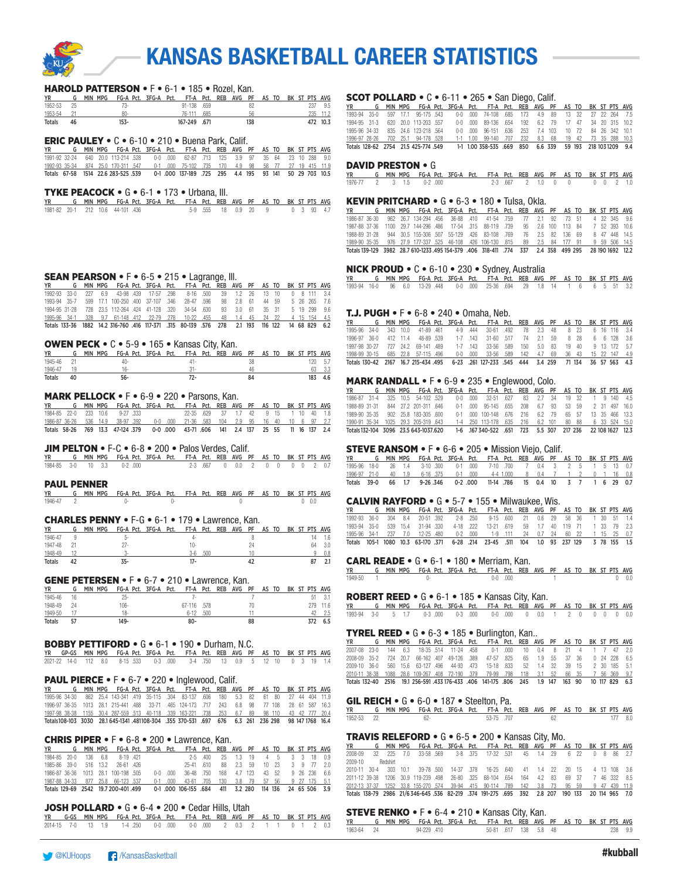

#### HAROLD PATTERSON • F • 6-1 • 185 • Rozel, Kan.

| <b>YR</b> |    | MPG<br>MIN |       | FG-A Pct. 3FG-A Pct. FT-A Pct. REB AVG PF AS TO BK ST PTS AVG |              |      |  |     |  |  |     |          |
|-----------|----|------------|-------|---------------------------------------------------------------|--------------|------|--|-----|--|--|-----|----------|
| 1952-53   | 25 |            | 73-   |                                                               | 91-138 .659  |      |  | 82  |  |  | 237 | 9.5      |
| 1953-54   |    |            | $80-$ |                                                               | 76-111       | .685 |  | 56  |  |  |     | 235 11.2 |
| Totals    | 46 | 153-       |       |                                                               | 167-249 .671 |      |  | 138 |  |  |     | 472 10.3 |

#### ERIC PAULEY • C • 6-10 • 210 • Buena Park, Calif.

| YR |  |                                    |  | G MIN MPG FG-A Pct. 3FG-A Pct. FT-A Pct. REB AVG PF AS TO BK ST PTS AVG               |  |  |  |  |  |
|----|--|------------------------------------|--|---------------------------------------------------------------------------------------|--|--|--|--|--|
|    |  |                                    |  | 1991-92 32-24 640 20.0 113-214 528 0-0 000 62-87 713 125 3.9 97 35 64 23 10 288 9.0   |  |  |  |  |  |
|    |  |                                    |  | 1992-93 35-34 874 25.0 170-311 547 0-1 000 75-102 735 170 4.9 98 58 77 27 19 415 11.9 |  |  |  |  |  |
|    |  | Totals 67-58 1514 22.6 283-525 539 |  | 0-1 000 137-189 725 295 4.4 195 93 141 50 29 703 10.5                                 |  |  |  |  |  |

#### TYKE PEACOCK • G • 6-1 • 173 • Urbana, Ill.

| YR G MIN MPG FG-A Pct. 3FG-A Pct. FT-A Pct. REB AVG PF AS TO BK ST PTS AVG |  |  |  |  |                                |  |  |  |  |
|----------------------------------------------------------------------------|--|--|--|--|--------------------------------|--|--|--|--|
| 1981-82 20-1 212 10.6 44-101 436                                           |  |  |  |  | 5-9 555 18 0.9 20 9 0 3 93 4.7 |  |  |  |  |

#### SEAN PEARSON • F • 6-5 • 215 • Lagrange, Ill.

| <b>YR</b>                                                                     |  |  |  | G MIN MPG FG-A Pct. 3FG-A Pct. FT-A Pct. REB AVG PF AS TO BK ST PTS AVG                        |  |  |  |  |  |
|-------------------------------------------------------------------------------|--|--|--|------------------------------------------------------------------------------------------------|--|--|--|--|--|
| 1992-93 33-0 227 6.9 43-98 439 17-57 298 8-16 500 39 1.2 26 13 10 0 8 111 3.4 |  |  |  |                                                                                                |  |  |  |  |  |
|                                                                               |  |  |  | 1993-94 35-7 599 17.1 100-250 400 37-107 346 28-47 596 98 2.8 61 44 59 5 26 265 7.6            |  |  |  |  |  |
|                                                                               |  |  |  | 1994-95 31-28 728 23.5 112-264 424 41-128 320 34-54 630 93 3.0 61 35 31 5 19 299 9.6           |  |  |  |  |  |
|                                                                               |  |  |  | 1995-96 34-1 328 9.7 61-148 412 22-79 278 10-22 455 48 1.4 45 24 22 4 15 154 4.5               |  |  |  |  |  |
|                                                                               |  |  |  | Totals 133-36 1882 14.2 316-760 416 117-371 .315 80-139 .576 278 2.1 193 116 122 14 68 829 6.2 |  |  |  |  |  |

#### OWEN PECK • C • 5-9 • 165 • Kansas City, Kan.

|               |    |                                                                       |     | . |  |    |  |  |      |       |
|---------------|----|-----------------------------------------------------------------------|-----|---|--|----|--|--|------|-------|
| <b>YR</b>     |    | MIN MPG FG-A Pct. 3FG-A Pct. FT-A Pct. REB AVG PF AS TO BK ST PTS AVG |     |   |  |    |  |  |      |       |
| 1945-46       |    |                                                                       | 40- |   |  |    |  |  | 120. | - 5.7 |
| 1946-47       |    |                                                                       |     |   |  |    |  |  |      | 3.3   |
| <b>Totals</b> | 40 |                                                                       | 56- |   |  | 84 |  |  | 183  | 4.6   |

#### MARK PELLOCK • F • 6-9 • 220 • Parsons, Kan.

| YR |  |                                |  | G MIN MPG FG-A Pct. 3FG-A Pct. FT-A Pct. REB AVG PF AS TO BK ST PTS AVG            |  |  |  |  |  |
|----|--|--------------------------------|--|------------------------------------------------------------------------------------|--|--|--|--|--|
|    |  | 1984-85 22-0 233 10.6 9-27 333 |  | 22-35 629 37 1.7 42 9 15 1 10 40 1.8                                               |  |  |  |  |  |
|    |  |                                |  | 1986-87 36-26 536 14.9 38-97 392 0-0 000 21-36 583 104 2.9 95 16 40 10 6 97 2.7    |  |  |  |  |  |
|    |  |                                |  | Totals 58-26 769 13.3 47-124 379 0-0 000 43-71 606 141 2.4 137 25 55 11 16 137 2.4 |  |  |  |  |  |

#### JIM PELTON • F-C • 6-8 • 200 • Palos Verdes, Calif.

|  |  | YR G MIN MPG FG-A Pct. 3FG-A Pct. FT-A Pct. REB AVG PF AS TO BK ST PTS AVG |  |  |                               |  |  |  |  |
|--|--|----------------------------------------------------------------------------|--|--|-------------------------------|--|--|--|--|
|  |  | 1984-85 3-0 10 3.3 0-2 000                                                 |  |  | 2-3 667 0 0.0 2 0 0 0 0 2 0.7 |  |  |  |  |

#### PAUL PENNER

|           | YR G MIN MPG FG-A Pct. 3FG-A Pct. FT-A Pct. REB AVG PF AS TO BK ST PTS AVG |  |  |  |  |  |  |       |  |
|-----------|----------------------------------------------------------------------------|--|--|--|--|--|--|-------|--|
| 1946-47 2 |                                                                            |  |  |  |  |  |  | 0.0.0 |  |

#### CHARLES PENNY • F-G • 6-1 • 179 • Lawrence, Kan.

| <b>YR</b>     |          | <b>MIN</b><br><b>MPG</b> | 3FG-A<br>FG-A Pct. | FT-A<br>Pct. | Pct. | <b>REB</b> | AVG<br>PF | то<br>AS | BK | ST PTS AVG |     |
|---------------|----------|--------------------------|--------------------|--------------|------|------------|-----------|----------|----|------------|-----|
| 1946-47       |          | n.                       |                    |              |      |            |           |          |    |            |     |
| 1947-48       |          | 27.                      |                    | 10-          |      |            | 24        |          |    | 64         | 3.0 |
| 1948-49       | $\sim$ 0 |                          |                    | 3-6          | .500 |            |           |          |    |            | 0.8 |
| <b>Totals</b> |          | 35-                      |                    | 17-          |      |            |           |          |    |            |     |

#### GENE PETERSEN • F • 6-7 • 210 • Lawrence, Kan.

| <b>YR</b>     |    | MPG<br><b>MIN</b> | FG-A Pct. 3FG-A Pct. |  | FT-A Pct.   |      | REB AVG PF |    | AS TO |  |     | BK ST PTS AVG |
|---------------|----|-------------------|----------------------|--|-------------|------|------------|----|-------|--|-----|---------------|
| 1945-46       | 16 |                   | 25-                  |  | ٠.          |      |            |    |       |  | 51  |               |
| 1948-49       | 24 |                   | $106 -$              |  | 67-116 .578 |      |            | 70 |       |  | 279 | 11.6          |
| 1949-50       |    |                   | 18-                  |  | 6-12        | .500 |            |    |       |  |     |               |
| <b>Totals</b> | 57 |                   | 149-                 |  | 80-         |      |            | 88 |       |  |     | 6.5           |

#### BOBBY PETTIFORD • G • 6-1 • 190 • Durham, N.C.

| YR GP-GS MIN MPG FG-A Pct. 3FG-A Pct. FT-A Pct. REB AVG PF AS TO BK ST PTS AVG |  |  |  |  |  |  |  |  |  |
|--------------------------------------------------------------------------------|--|--|--|--|--|--|--|--|--|
| 2021-22 14-0 112 8.0 8-15 533 0-3 000 3-4 750 13 0.9 5 12 10 0 3 19 1.4        |  |  |  |  |  |  |  |  |  |

#### PAUL PIERCE • F • 6-7 • 220 • Inglewood, Calif.

YR G MIN MPG FG-A Pct. 3FG-A Pct. FT-A Pct. REB AVG PF AS TO BK ST PTS AVG 862 25.4 143-341 .419 35-115 .304 83-137 .606 180 5.3 82 61 80 27 1996-97 36-35 1013 28.1 215-441 .488 33-71 .465 124-173 .717 243 6.8 98 77 108 28 61 587 16.3 1997-98 38-38 1155 30.4 287-559 .513 40-118 .339 163-221 .738 253 6.7 89 98 110 43 42 777 20.4 Totals108-103 3030 28.1 645-1341 .481108-304 .355 370-531 .697 676 6.3 261 236 298 98 147 1768 16.4

#### CHRIS PIPER • F • 6-8 • 200 • Lawrence, Kan.

| YR                                  |     |         |           |          |             | G MIN MPG FG-A Pct. 3FG-A Pct. FT-A Pct. REB AVG PF AS TO BK ST PTS AVG |              |     |                                   |    |       |  |                   |
|-------------------------------------|-----|---------|-----------|----------|-------------|-------------------------------------------------------------------------|--------------|-----|-----------------------------------|----|-------|--|-------------------|
| 1984-85 20-0                        | 136 | 68      |           | 8-19 421 |             |                                                                         | $2-5$ $.400$ | 25  | 1.3 1.9                           |    | 4 5   |  | $3 \t3 \t18 \t09$ |
| 1985-86 39-0                        |     | 516 132 | 26-61 426 |          |             | $25-41$ 610                                                             |              | 88  | - 23                              | 59 | 10 23 |  | 3 9 77 20         |
| 1986-87 36-36 1013 28.1 100-198 505 |     |         |           |          | $0-0$ $000$ | $36-48$ 750                                                             |              | 168 | 47 123                            |    | 43 52 |  | 9.26.236.66       |
| 1987-88 34-33 877 25.8 66-123 537   |     |         |           |          | 0-1 .000    | 43-61 705 130 3.8 79 57 56 9 27 175 5.1                                 |              |     |                                   |    |       |  |                   |
| Totals 129-69 2542 19.7 200-401 499 |     |         |           |          |             | 0-1.000 106-155 .684                                                    |              |     | 411 3.2 280 114 136 24 65 506 3.9 |    |       |  |                   |

#### JOSH POLLARD • G • 6-4 • 200 • Cedar Hills, Utah

|  |  |  |  | YR G-GS MIN MPG FG-A Pct. 3FG-A Pct. FT-A Pct. REB AVG PF AS TO BK ST PTS AVG |  |  |  |  |  |
|--|--|--|--|-------------------------------------------------------------------------------|--|--|--|--|--|
|  |  |  |  | 2014-15 7-0 13 1.9 1-4 250 0-0 000 0-0 000 2 0.3 2 1 1 0 1 2 0.3              |  |  |  |  |  |

#### SCOT POLLARD • C • 6-11 • 265 • San Diego, Calif.

|  |  |                                   |  | YR           G    MIN  MPG     FG-A  Pct.    3FG-A    Pct.     FT-A    Pct.    REB   AVG    PF    AS  TO    BK   ST  PTS  AVG |  |  |  |  |  |
|--|--|-----------------------------------|--|-------------------------------------------------------------------------------------------------------------------------------|--|--|--|--|--|
|  |  |                                   |  | 1993-94 35-0 597 17.1 95-175 543 0-0 000 74-108 685 173 4.9 89 13 32 27 22 264 7.5                                            |  |  |  |  |  |
|  |  |                                   |  | 1994-95 31-3 620 20.0 113-203 557 0-0 000 89-136 654 192 6.2 79 17 47 34 20 315 10.2                                          |  |  |  |  |  |
|  |  |                                   |  | 1995-96 34-33 835 24.6 123-218 564 000 000 96-151 636 253 7.4 103 10 72 84 26 342 10.1                                        |  |  |  |  |  |
|  |  | 1996-97 28-26 702 25.1 94-178 528 |  | 1-1 1.00 99-140 .707 232 8.3 68 19 42 73 35 288 10.3                                                                          |  |  |  |  |  |
|  |  |                                   |  | Totals 128-62 2754 21.5 425-774 .549   1-1 1.00 358-535 .669  850  6.6 339  59 193  218 103 1209  9.4                         |  |  |  |  |  |

#### DAVID PRESTON • G

FT-A Pct. REB AVG PF AS TO BK ST PTS AVG 1976 - 1976 - 1976 - 1976 - 1976 - 1976 - 1976 - 1976 - 1976 - 1976 - 1976 - 1976 - 1976 - 1976 - 1976 - 1976<br>1976-77 - 2 3 1.5 0-2 .000 - 2 - 2 - 2 - 3 .667 - 2 1.0 0 0 0 0 2 1.0

### **KEVIN PRITCHARD •**  $G \cdot 6$  **• 180 • Tulsa, Okla.**<br>YR 6 MIN MPG FG-A Pct. 3FG-A Pct. FT-A Pct. REB AVG

YR G MIN MPG FG-A Pct. 3FG-A Pct. FT-A Pct. REB AVG PF AS TO BK ST PTS AVG 062 26.7 134-294 456 36-88 410 41-54 759 77 2.1 1987-88 37-36 1100 29.7 144-296 .486 17-54 .315 88-119 .739 95 2.6 100 113 84 7 52 393 10.6 1988-89 31-28 944 30.5 155-306 .507 55-129 .426 83-108 .769 76 2.5 82 136 69 8 47 448 14.5 1989-90 35-35 976 27.9 177-337 .525 46-108 .426 106-130 .815 89 2.5 84 177 91 9 59 506 14.5 Totals 139-129 3982 28.7 610-1233 .495 154-379 .406 318-411 .774 337 2.4 358 499 295 28 190 1692 12.2

## NICK PROUD • C • 6-10 • 230 • Sydney, Australia<br>YR G MIN MPG FG-A Pct. 3FG-A Pct. FT-A Pct. REB AVG

YR G MIN MPG FG-A Pct. 3FG-A Pct. FT-A Pct. REB AVG PF AS TO BK ST PTS AVG 1993-94 16-0 96 6.0 13-29 .448 0-0 .000 25-36 .694 29 1.8 14 1 6 6 5 51 3.2

#### T.J. PUGH • F • 6-8 • 240 • Omaha, Neb.

|               |     |         |                        |  |           | G MIN MPG FG-A Pct. 3FG-A Pct. FT-A Pct. REB AVG PF AS TO BK ST PTS AVG |      |     |    |       |       |        |  |               |
|---------------|-----|---------|------------------------|--|-----------|-------------------------------------------------------------------------|------|-----|----|-------|-------|--------|--|---------------|
| 1995-96 34-0  | 343 | 10.0    | 41-89 461              |  | 4-9 444   | 30-61 492                                                               |      | 78  | 23 | 48    |       | 8 23   |  | 6 16 116 34   |
| 1996-97 36-0  |     | 412 114 | 48-89 539              |  | $1-7$ 143 | 31-60 517                                                               |      | 74  | 21 | 59    |       | 8 28   |  | 6 6 128 36    |
| 1997-98 30-27 | 727 | 24 2    | 69-141 489             |  | $1-7$ 143 | $33 - 56$                                                               | .589 | 150 |    | 50 83 | 19    | 40     |  | 9 13 172 5.7  |
| 1998-99 30-15 |     |         | 685 22.8 57-115 496    |  |           | 0-0 000 33-56 589 142 4.7 69                                            |      |     |    |       | 36 43 |        |  | 15 22 147 4.9 |
| Totals 130-42 |     |         | 2167 16.7 215-434 .495 |  |           | 6-23 .261 127-233 .545 444 3.4 259                                      |      |     |    |       |       | 71 134 |  | 36 57 563 4.3 |

#### MARK RANDALL • F • 6-9 • 235 • Englewood, Colo.

| <b>YR</b>                             |  |                      |  | G MIN MPG FG-A Pct. 3FG-A Pct. FT-A Pct. REB AVG PF AS TO BK ST PTS AVG |  |  |       |  |                      |
|---------------------------------------|--|----------------------|--|-------------------------------------------------------------------------|--|--|-------|--|----------------------|
| 1986-87 31-4                          |  | 325 10.5 54-102 529  |  | 0-0 000 32-51 627 83 2.7 34                                             |  |  | 19 32 |  | 9 140 45             |
| 1988-89 31-31                         |  | 844 27.2 201-311 646 |  | 0-1 000 95-145 655 208 6.7 93 53 59                                     |  |  |       |  | 2 31 497 160         |
| 1989-90 35-35                         |  | 902 25.8 183-305 600 |  | 0-1 000 100-148 676 216 6.2 79                                          |  |  |       |  | 65 57 13 35 466 13.3 |
| 1990-91 35-34 1025 29.3 205-319 643   |  |                      |  | 1-4 .250 113-178 .635 216 6.2 101 80 88 6 33 524 15.0                   |  |  |       |  |                      |
| Totals 132-104 3096 23.5 643-1037.620 |  |                      |  | 1-6 .167 340 522 .651 723 5.5 307 217 236 22 108 1627 12.3              |  |  |       |  |                      |

#### STEVE RANSOM • F • 6-6 • 205 • Mission Viejo, Calif.

|  |  | YR G MIN MPG FG-A Pct. 3FG-A Pct. FT-A Pct. REB AVG PF AS TO BK ST PTS AVG |  |  |  |  |  |  |  |
|--|--|----------------------------------------------------------------------------|--|--|--|--|--|--|--|
|  |  | 1995-96 18-0 26 1.4 3-10 300 0-1 000 7-10 700 7 0.4 3 2 5 1 5 13 0.7       |  |  |  |  |  |  |  |
|  |  | 1996-97 21-0 40 1.9 6-16 375 0-1 000 4-4 1.000 8 0.4 7 1 2 0 1 16 0.8      |  |  |  |  |  |  |  |
|  |  | Totals 39-0 66 1.7 9-26 346 0-2 000 11-14 786 15 0.4 10 3 7 1 6 29 0.7     |  |  |  |  |  |  |  |

#### CALVIN RAYFORD • G • 5-7 • 155 • Milwaukee, Wis.

|  |  |  |  | YR G MIN MPG FG-A Pct. 3FG-A Pct. FT-A Pct. REB AVG PF AS TO BK ST PTS AVG              |  |  |  |  |  |
|--|--|--|--|-----------------------------------------------------------------------------------------|--|--|--|--|--|
|  |  |  |  | 1992-93 36-0 304 8.4 20-51 392 2-8 250 9-15 600 21 0.6 29 58 36 1 30 51 1.4             |  |  |  |  |  |
|  |  |  |  | 1993-94 35-0 539 15.4 31-94 330 4-18 222 13-21 619 59 1.7 40 119 71 1 33 79 2.3         |  |  |  |  |  |
|  |  |  |  | 1995-96 34-1 237 7.0 12-25 480 0-2 000 1-9 111 24 0.7 24 60 22 1 15 25 0.7              |  |  |  |  |  |
|  |  |  |  | Totals 105-1 1080 10.3 63-170 .371 6-28 .214 23-45 .511 104 1.0 93 237 129 3 78 155 1.5 |  |  |  |  |  |

**CARL READE •** G • 6-1 • 180 • Merriam, Kan.<br><u>YR G MIN MPG FG-A Pct. 3FG-A Pct. FT-A Pct. REB AVG PF AS TO BK ST PTS AVG<br>1949-50 1 000 000 000 1 000 000 1 000 000</u>

#### ROBERT REED • G • 6-1 • 185 • Kansas City, Kan.

| YR G MIN MPG FG-A Pct. 3FG-A Pct. FT-A Pct. REB AVG PF AS TO BK ST PTS AVG |  |  |  |  |  |  |  |  |  |
|----------------------------------------------------------------------------|--|--|--|--|--|--|--|--|--|
| 1993-94 3-0 5 1.7 0-3 000 0-3 000 0-0 000 0 0.0 1 2 0 0 0 0 0.0            |  |  |  |  |  |  |  |  |  |

#### TYREL REED • G • 6-3 • 185 • Burlington, Kan..

YR G MIN MPG FG-A Pct. 3FG-A Pct. FT-A Pct. REB AVG PF AS TO BK ST PTS AVG 2007-08 23-0 144 6.3 18-35 .514 11-24 .458 0-1 .000 10 0.4 8 21 4 1 7 47 2.0 2008-09 35-2 724 20.7 66-162 .407 49-126 .389 47-57 .825 65 1.9 55 37 36 0 24 228 6.5 2009-10 36-0 560 15.6 63-127 .496 44-93 .473 15-18 .833 52 1.4 32 39 15 2 30 185 5.1 2010-11 38-38 1088 28.6 109-267 .408 72-190 .379 Totals 132-40 2516 19.1 256-591 .433 176-433 .406 141-175 .806 245 1.9 147 163 90 10 117 829 6.3

#### **GIL REICH •**  $G \cdot 6 - 0 \cdot 187 \cdot$  Steelton, Pa.

YR G MIN MPG FG-A Pct. 3FG-A Pct. FT-A Pct. REB AVG PF AS TO BK ST PTS AVG 1952-53 22 62- 53-75 .707 62 177 8.0

#### TRAVIS RELEFORD • G • 6-5 • 200 • Kansas City, Mo.

|                  |  |  |  | YR            G    MIN  MPG     FG-A  Pct.    3FG-A    Pct.     FT-A    Pct.    REB    AVG    PF     AS  TO    BK   ST  PTS   AVG |  |  |  |  |  |
|------------------|--|--|--|-----------------------------------------------------------------------------------------------------------------------------------|--|--|--|--|--|
|                  |  |  |  | 2008-09 32 225 7.0 33-58 569 3-8 375 17-32 531 45 1.4 29 6 22 0 8 86 2.7                                                          |  |  |  |  |  |
| 2009-10 Redshirt |  |  |  |                                                                                                                                   |  |  |  |  |  |
|                  |  |  |  | 2010-11 30-4 303 10.1 39-78 500 14-37 378 16-25 640 41 1.4 22 20 15 4 13 108 3.6                                                  |  |  |  |  |  |
|                  |  |  |  | 2011-12 39-38 1206 30.9 119-239 498 26-80 .325 68-104 .654 164 4.2 83 69 37 7 46 332 8.5                                          |  |  |  |  |  |
|                  |  |  |  | 2012-13 37-37 1252 33.8 155-270 574 39-94 .415 90-114 .789 142 3.8 73 95 59 9 47 439 11.9                                         |  |  |  |  |  |
|                  |  |  |  | Totals 138-79 2986 21/6346-645 536 82-219 .374 191-275 .695 392 2.8 207 190 133 20 114 965 7.0                                    |  |  |  |  |  |

#### STEVE RENKO • F • 6-4 • 210 • Kansas City, Kan.

|            | YR G MIN MPG FG-A Pct. 3FG-A Pct. FT-A Pct. REB AVG PF AS TO BK ST PTS AVG |            |  |                       |  |  |  |  |         |
|------------|----------------------------------------------------------------------------|------------|--|-----------------------|--|--|--|--|---------|
| 1963-64 24 |                                                                            | 94-229 410 |  | 50-81 .617 138 5.8 48 |  |  |  |  | 238 9.9 |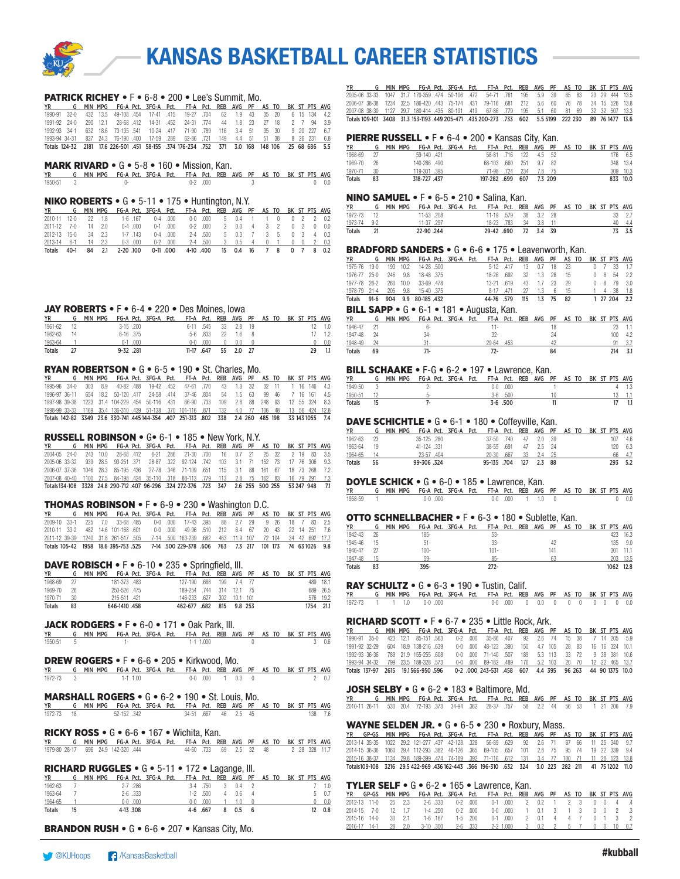

|  |  |  |  | <b>PATRICK RICHEY • F • 6-8 • 200 • Lee's Summit. Mo.</b>                                    |  |  |  |  |  |
|--|--|--|--|----------------------------------------------------------------------------------------------|--|--|--|--|--|
|  |  |  |  | YR G MIN MPG FG-A Pct. 3FG-A Pct. FT-A Pct. REB AVG PF AS TO BK ST PTS AVG                   |  |  |  |  |  |
|  |  |  |  | 1990-91 32-0 432 13.5 49-108 454 17-41 415 19-27 704 62 1.9 43 35 20 6 15 134 4.2            |  |  |  |  |  |
|  |  |  |  | 1991-92 24-0 290 12.1 28-68 412 14-31 452 24-31 774 44 1.8 23 27 18 2 7 94 3.9               |  |  |  |  |  |
|  |  |  |  | 1992-93 34-1 632 18.6 73-135 541 10-24 417 71-90 789 116 3.4 51 35 30 9 20 227 6.7           |  |  |  |  |  |
|  |  |  |  | 1993-94 34-31 827 24.3 76-190 400 17-59 289 62-86 721 149 4.4 51 51 38 8 26 231 6.8          |  |  |  |  |  |
|  |  |  |  | Totals 124-32 2181 17.6 226-501 451 58-155 374 176-234 752 371 3.0 168 148 106 25 68 686 5.5 |  |  |  |  |  |

## MARK RIVARD • G • 5-8 • 160 • Mission, Kan.

REB AVG PF AS TO BK ST PTS AVG 1950-51 3 0- 0-2 .000 3 0 0.0

#### NIKO ROBERTS • G • 5-11 • 175 • Huntington, N.Y.

| <b>YR</b>                          |  |        |             |                         |           | G MIN MPG FG-A Pct. 3FG-A Pct. FT-A Pct. REB AVG PF AS TO BK ST PTS AVG |  |                               |  |  |  |                               |
|------------------------------------|--|--------|-------------|-------------------------|-----------|-------------------------------------------------------------------------|--|-------------------------------|--|--|--|-------------------------------|
| 2010-11 12-0 22 1.8 1-6 167        |  |        |             |                         |           | 0-4 000 0-0 000 5 0.4 1 1 0 0 2 2 0.2                                   |  |                               |  |  |  |                               |
| 2011-12 7-0 14 20                  |  |        |             | $0-4$ $000$ $0-1$ $000$ |           |                                                                         |  | $0-2$ 000 2 0.3 4 3 2         |  |  |  | $0.2 \quad 0.00$              |
| 2012-13 15-0 34 2.3                |  |        | $1-7$ $143$ |                         | $0-4$ 000 |                                                                         |  | 2-4 500 5 0.3 7 3 5           |  |  |  | $0 \quad 3 \quad 4 \quad 0.3$ |
| 2013-14 6-1 14 2.3 0-3,000 0-2,000 |  |        |             |                         |           |                                                                         |  | 2-4 500 3 0.5 4 0 1 0 0 2 0.3 |  |  |  |                               |
| Totals 40-1                        |  | 84 2.1 |             | 2-20 100 0-11 000       |           |                                                                         |  | 4-10 .400  15  0.4  16  7  8  |  |  |  | 0 7 8 0.2                     |

#### JAY ROBERTS • F • 6-4 • 220 • Des Moines, Iowa

| YR            |    | MIN | MPG |           |             | FG-A Pct. 3FG-A Pct. FT-A Pct. REB AVG PF AS TO |           |          |    |     |     |  |  | BK ST PTS AVG |
|---------------|----|-----|-----|-----------|-------------|-------------------------------------------------|-----------|----------|----|-----|-----|--|--|---------------|
| 1961-62       |    |     |     |           | $3-15$ .200 |                                                 | 6-11 .545 |          | 33 | 28  | -19 |  |  |               |
| 1962-63       | 14 |     |     | 6-16 .375 |             |                                                 |           | 5-6 .833 | 22 | 1.6 | - 8 |  |  |               |
| 1963-64       |    |     |     | N-1       | .000        |                                                 | n-n       | .000.    |    | 0.0 |     |  |  | 0.0           |
| <b>Totals</b> |    |     |     | 9-32 .281 |             |                                                 | 11-17     | .647     | 55 | 2.0 |     |  |  |               |

#### RYAN ROBERTSON • G • 6-5 • 190 • St. Charles, Mo.

| <b>YR</b>     |  |  |  | G MIN MPG FG-A Pct. 3FG-A Pct. FT-A Pct. REB AVG PF AS TO BK ST PTS AVG                           |  |  |  |  |  |
|---------------|--|--|--|---------------------------------------------------------------------------------------------------|--|--|--|--|--|
|               |  |  |  | 1995-96 34-0 303 8.9 40-82 488 19-42 452 47-61 770 43 1.3 32 32 11 1 16 146 4.3                   |  |  |  |  |  |
| 1996-97 36-11 |  |  |  | 654 18.2 50-120 417 24-58 414 37-46 804 54 1.5 63 99 46 7 16 161 4.5                              |  |  |  |  |  |
|               |  |  |  | 1997-98 39-38 1223 31.4 104-229 454 50-116 431 66-90 733 109 2.8 88 248 93 12 55 324 8.3          |  |  |  |  |  |
|               |  |  |  | 1998-99 33-33 1169 35.4 136-310 439 51-138 .370 101-116 .871 132 4.0 77 106 48 13 56 424 12.8     |  |  |  |  |  |
|               |  |  |  | Totals 142-82 3349 23.6 330-741 445 144-354 .407 251-313 .802 338 2.4 260 485 198 33 143 1055 7.4 |  |  |  |  |  |

#### RUSSELL ROBINSON • G• 6-1 • 185 • New York, N.Y.

|  |  |  |  | YR         G    MIN  MPG     FG-A  Pct.    3FG-A   Pct.     FT-A   Pct.    REB   AVG    PF    AS  TO    BK  ST  PTS  AVG |  |  |  |  |  |
|--|--|--|--|--------------------------------------------------------------------------------------------------------------------------|--|--|--|--|--|
|  |  |  |  | 2004-05 24-0 243 10.0 28-68 412 6-21 286 21-30 700 16 0.7 21 25 32 2 19 83 3.5                                           |  |  |  |  |  |
|  |  |  |  | 2005-06 33-32 939 28.5 93-251 371 28-87 322 92-124 742 103 3.1 71 152 73 17 76 306 9.3                                   |  |  |  |  |  |
|  |  |  |  | 2006-07 37-36 1046 28.3 85-195 436 27-78 346 71-109 651 115 3.1 88 161 67 18 73 268 7.2                                  |  |  |  |  |  |
|  |  |  |  | 2007-08 40-40 1100 27.5 84-198 424 35-110 318 88-113 779 113 2.8 75 162 83 16 79 291 7.3                                 |  |  |  |  |  |
|  |  |  |  | Totals 134-108 3328 24.8 290-712 407 96-296 .324 272-376 .723 347 2.6 255 500 255 53 247 948 7.1                         |  |  |  |  |  |

#### THOMAS ROBINSON • F • 6-9 • 230 • Washington D.C.

| <b>YR</b>                                                                                   |  |  |  | G MIN MPG FG-A Pct. 3FG-A Pct. FT-A Pct. REB AVG PF AS TO BK ST PTS AVG |  |  |  |  |  |
|---------------------------------------------------------------------------------------------|--|--|--|-------------------------------------------------------------------------|--|--|--|--|--|
| 2009-10 33-1 225 7.0 33-68 485 0-0 000 17-43 395 88 2.7 29 9 26 18 7 83 2.5                 |  |  |  |                                                                         |  |  |  |  |  |
| 2010-11 33-2 482 14.6 101-168 601 0-0 000 49-96 510 212 6.4 67 20 43 22 14 251 7.6          |  |  |  |                                                                         |  |  |  |  |  |
| 2011-12 39-39 1240 31.8 261-517 505 7-14 500 163-239 682 463 11.9 107 72 104 34 42 692 17.7 |  |  |  |                                                                         |  |  |  |  |  |
| Totals 105-42 1958 18.6 395-753 525 7-14 500 229-378 606 763 7.3 217 101 173 74 63 1026 9.8 |  |  |  |                                                                         |  |  |  |  |  |

#### DAVE ROBISCH • F • 6-10 • 235 • Springfield, III.

| YR            |      |  |              |  | MIN MPG FG-A Pct. 3FG-A Pct. FT-A Pct. REB AVG PF AS TO BK ST PTS AVG |  |  |  |  |           |
|---------------|------|--|--------------|--|-----------------------------------------------------------------------|--|--|--|--|-----------|
| 1968-69       | - 27 |  | 181-373 483  |  | 127-190 .668 199 7.4 77                                               |  |  |  |  | 489 18.1  |
| 1969-70       | - 26 |  | 250-526 .475 |  | 189-254 744 314 12.1 75                                               |  |  |  |  | 689 26.5  |
| 1970-71       | 30   |  | 215-511 .421 |  | 146-233 .627 302 10.1 101                                             |  |  |  |  | 576 19.2  |
| <b>Totals</b> | 83   |  | 646-1410.458 |  | 462-677 .682 815 9.8 253                                              |  |  |  |  | 1754 21.1 |

#### JACK RODGERS • F • 6-0 • 171 • Oak Park, III.

| YR        | G MIN MPG FG-A Pct. 3FG-A Pct. FT-A Pct. REB AVG PF AS TO BK ST PTS AVG |  |  |           |  |  |  |  |      |
|-----------|-------------------------------------------------------------------------|--|--|-----------|--|--|--|--|------|
| 1950-51 5 |                                                                         |  |  | 1-1 1.000 |  |  |  |  | 30.6 |

#### DREW ROGERS • F • 6-6 • 205 • Kirkwood, Mo.

| YR        | G MIN-MPG FG-A-Pct. 3FG-A-Pct. FT-A-Pct. REB AVG PF AS-TO-BK-ST-PTS-AVG |            |  |  |                 |  |  |  |       |
|-----------|-------------------------------------------------------------------------|------------|--|--|-----------------|--|--|--|-------|
| 1972-73 3 |                                                                         | $1-1$ 1.00 |  |  | 0-0 000 1 0.3 0 |  |  |  | 2 0.7 |

#### MARSHALL ROGERS • G • 6-2 • 190 • St. Louis, Mo.

|            | YR G MIN MPG FG-A Pct. 3FG-A Pct. FT-A Pct. REB AVG PF AS TO BK ST PTS AVG |            |  |                     |  |  |  |  |         |
|------------|----------------------------------------------------------------------------|------------|--|---------------------|--|--|--|--|---------|
| 1972-73 18 |                                                                            | 52-152.342 |  | 34-51 667 46 2.5 45 |  |  |  |  | 138 7.6 |

#### RICKY ROSS • G • 6-6 • 167 • Wichita, Kan.

| YR G MIN MPG FG-A Pct. 3FG-A Pct. FT-A Pct. REB AVG PF AS TO BK ST PTS AVG |  |  |  |                                      |  |  |  |  |  |
|----------------------------------------------------------------------------|--|--|--|--------------------------------------|--|--|--|--|--|
| 1979-80 28-17 696 24.9 142-320 444                                         |  |  |  | 44-60 733 69 2.5 32 48 2 28 328 11.7 |  |  |  |  |  |

#### RICHARD RUGGLES • G • 5-11 • 172 • Lagange, Ill.

| ΥR            | G  | MIN | MPG |              | FG-A Pct. 3FG-A Pct. |     |            | FT-A Pct. REB AVG PF AS TO |     |    |  |  | BK ST PTS AVG |       |
|---------------|----|-----|-----|--------------|----------------------|-----|------------|----------------------------|-----|----|--|--|---------------|-------|
| 1962-63       |    |     |     | $2 - 7$ .286 |                      | 3-4 | .750       |                            | 0.4 |    |  |  |               | 1.0   |
| 1963-64       |    |     |     | $2 - 6$ .333 |                      |     | $1-2$ .500 |                            | 0 6 |    |  |  |               | 5 0.7 |
| 1964-65       |    |     |     | $0-0.000$    |                      | n-n | .000       |                            |     |    |  |  |               | 0.0   |
| <b>Totals</b> | 15 |     |     | 4-13.308     |                      |     | 4-6 .667   |                            | 0.5 | -6 |  |  |               | 0.8   |

BRANDON RUSH • G • 6-6 • 207 • Kansas City, Mo.

MIN MPG FG-A Pct. 3FG-A Pct. FT-A Pct. REB AVG PF AS TO BK ST PTS AVG<br>1047 31.7 170-359 474 50-106 472 54-71 761 195 5.9 39 65 83 23 29 444 13.5 2005-06 33-33 1047 31.7 170-359 .474 50-106 .472 54-71 .761 195 5.9 39 65 83 23 29 444 13.5 2006-07 38-38 1234 32.5 186-420 .443 75-174 .431 79-116 .681 212 5.6 60 76 78 34 15 526<br>2006-07 38-38 1234 32.5 186-420 .443 75-174 .431 79-116 .681 212 5.6 60 76 78 34 15 526<br>2007-08 38-30 1127 29.7 180-414 .435 80-191 .4 29.7 180-414 .435 Totals 109-101 3408 31.3 153-1193 .449 205-471 .435 200-273 .733 602 5.5 5199 222 230 89 76 1477 13.6

#### PIERRE RUSSELL • F • 6-4 • 200 • Kansas City, Kan.

| YR L       |    |  | G MIN MPG FG-A Pct. 3FG-A Pct. FT-A Pct. REB AVG PF AS TO BK ST PTS AVG |  |                          |                       |  |  |  |          |
|------------|----|--|-------------------------------------------------------------------------|--|--------------------------|-----------------------|--|--|--|----------|
| 1968-69 27 |    |  | 59-140.421                                                              |  |                          | 58-81 .716 122 4.5 52 |  |  |  | 176 6.5  |
| 1969-70 26 |    |  | 140-286 .490                                                            |  | 68-103 .660 251 9.7 82   |                       |  |  |  | 348 13.4 |
| 1970-71 30 |    |  | 119-301 .395                                                            |  | 71-98 724 234 7.8 75     |                       |  |  |  | 309 10.3 |
| Totals     | 83 |  | 318-727.437                                                             |  | 197-282 .699 607 7.3 209 |                       |  |  |  | 833 10.0 |

#### **NINO SAMUEL • F • 6-5 • 210 • Salina, Kan.**

|             |    | YR G MIN MPG FG-A Pct. 3FG-A Pct. FT-A Pct. REB AVG PF AS TO BK ST PTS AVG |            |                      |                      |  |  |  |        |
|-------------|----|----------------------------------------------------------------------------|------------|----------------------|----------------------|--|--|--|--------|
| 1972-73 12  |    |                                                                            | 11-53 .208 | 11-19 .579 38 3.2 28 |                      |  |  |  | 33 2.7 |
| 1973-74 9-2 |    |                                                                            | 11-37.297  |                      | 18-23 .783 34 3.8 11 |  |  |  | 40 4.4 |
| Totals      | 21 |                                                                            | 22-90 .244 | 29-42 .690 72 3.4 39 |                      |  |  |  | 73 3.5 |

#### BRADFORD SANDERS • G • 6-6 • 175 • Leavenworth, Kan.

| <b>YR</b>                                                               |  |          | G MIN MPG FG-A Pct. 3FG-A Pct. FT-A Pct. REB AVG PF AS TO BK ST PTS AVG |  |               |    |                              |      |               |  |                |     |                       |
|-------------------------------------------------------------------------|--|----------|-------------------------------------------------------------------------|--|---------------|----|------------------------------|------|---------------|--|----------------|-----|-----------------------|
| 1975-76 19-0                                                            |  | 193 10.2 | 14-28 .500                                                              |  | 5-12 417      | 13 | 0.7                          | - 18 | 23            |  | 0 <sub>7</sub> | -33 | 1.7                   |
| 1976-77 25-0                                                            |  | 246 9.8  | 18-48 375                                                               |  | 18-26 692     |    | 32 1.3 28                    |      | 15 0 8 54 2.2 |  |                |     |                       |
| 1977-78 26-2 260 10.0                                                   |  |          | 33-69 478                                                               |  | $13-21$ $619$ |    | 43 1.7 23                    |      | 29            |  |                |     | $0 \t 8 \t 79 \t 3.0$ |
| 1978-79 21-4 205 9.8 15-40 375                                          |  |          |                                                                         |  |               |    | 8-17 .471 27 1.3 6 15 1 4 38 |      |               |  |                |     | 1.8                   |
| Totals 91-6 904 9.9 80-185 432                                          |  |          |                                                                         |  | 44-76 .579    |    | 115 1.3 75 82                |      |               |  |                |     | 1 27 204 2.2          |
| <b>BILL SAPP •</b> $G \cdot 6 - 1 \cdot 181 \cdot \text{Augusta, Kan.}$ |  |          |                                                                         |  |               |    |                              |      |               |  |                |     |                       |

#### $\frac{YR}{1946-47}$  G MIN MPG FG-A Pct. 3FG-A Pct. FT-A Pct. REB AVG PF AS TO BK ST PTS AVG<br> $\frac{1946-47}{21}$   $\frac{21}{11}$   $\frac{6}{11}$   $\frac{11}{11}$   $\frac{18}{11}$ 1946-47 21 6- 11- 18 23 1.1  $1947-48$  24  $34$  32-  $24$  50  $10$  4.2<br>1947-48 24 31- 29-64 453 42 91 3.7 1948-49 24 31- 29-64 .453 42 91 3.7 Totals 69 71- 72- 84 214 3.1

### **BILL SCHAAKE •** F-G • 6-2 • 197 • Lawrence, Kan.<br>YR G MIN MPG FG-A Pct. 3FG-A Pct. FT-A Pct. REB AVG P

| YR            | MIN MPG | FG-A Pct. 3FG-A Pct. FT-A Pct. REB AVG PF AS TO BK ST PTS AVG |  |     |            |  |  |  |  |  |
|---------------|---------|---------------------------------------------------------------|--|-----|------------|--|--|--|--|--|
| 1949-50       |         |                                                               |  | n-n | .000.      |  |  |  |  |  |
| 1950-51       |         |                                                               |  | 3-R | .500       |  |  |  |  |  |
| <b>Totals</b> |         |                                                               |  |     | $3-6$ .500 |  |  |  |  |  |

#### DAVE SCHICHTLE • G • 6-1 • 180 • Coffeyville, Kan.

|               |     | G MIN MPG |             | FG-A Pct. 3FG-A Pct. FT-A Pct. REB AVG PF AS TO BK ST PTS AVG |             |      |     |         |  |  |     |     |
|---------------|-----|-----------|-------------|---------------------------------------------------------------|-------------|------|-----|---------|--|--|-----|-----|
| 1962-63       | -23 |           | 35-125 .280 |                                                               | 37-50 740   |      | 47  | 2.0 3.9 |  |  | 107 | 4.6 |
| 1963-64       | 19  |           | 41-124 331  |                                                               | 38-55 .691  |      | 47  | 2.5 24  |  |  | 120 | 6.3 |
| 1964-65       |     |           | 23-57 404   |                                                               | 20-30       | .667 | -33 | 2.4 25  |  |  | 66  | 4.7 |
| <b>Totals</b> | 56  |           | 99-306.324  |                                                               | 95-135 .704 |      | 127 | 2.3 88  |  |  | 293 | 5.2 |

#### DOYLE SCHICK • G • 6-0 • 185 • Lawrence, Kan.

|           | YR G MIN MPG FG-A Pct. 3FG-A Pct. FT-A Pct. REB AVG PF AS TO BK ST PTS AVG |           |  |  |                           |  |  |  |               |
|-----------|----------------------------------------------------------------------------|-----------|--|--|---------------------------|--|--|--|---------------|
| 1958-59 1 |                                                                            | $0-0.000$ |  |  | $0-0$ $000$ $1$ $1.0$ $0$ |  |  |  | $0 \quad 0.0$ |

#### OTTO SCHNELLBACHER • F • 6-3 • 180 • Sublette, Kan.

| <b>YR</b> | G  | MIN MPG |         | FG-A Pct. 3FG-A Pct. | FT-A Pct. REB AVG PF AS TO |  |     |  |  |      | BK ST PTS AVG |
|-----------|----|---------|---------|----------------------|----------------------------|--|-----|--|--|------|---------------|
| 1942-43   | 26 |         | 185-    |                      | $53-$                      |  |     |  |  | 423  | 16.3          |
| 1945-46   | 15 |         | $51 -$  |                      | $33 -$                     |  | 42  |  |  | 135  | 9.0           |
| 1946-47   |    |         | $100 -$ |                      | $101 -$                    |  | 141 |  |  | 301  | $-11.1$       |
| 1947-48   |    |         | 59-     |                      | $85 -$                     |  | 63  |  |  |      | 203 13.5      |
| Totals    | 83 |         | $395 -$ |                      | $272 -$                    |  |     |  |  | 1062 | 12.8          |

## RAY SCHULTZ • G • 6-3 • 190 • Tustin, Calif.

YR G MIN MPG FG-A Pct. 3FG-A Pct. FT-A Pct. REB AVG PF AS TO BK ST PTS AVG 1972-73 1 1 1.0 0-0 .000 0-0 .000 0 0.0 0 0 0 0 0 0 0.0

#### RICHARD SCOTT • F • 6-7 • 235 • Little Rock, Ark.

|  |  |                                     |  | G MIN MPG FG-A Pct. 3FG-A Pct. FT-A Pct. REB AVG PF AS TO BK ST PTS AVG                   |  |  |  |  |  |
|--|--|-------------------------------------|--|-------------------------------------------------------------------------------------------|--|--|--|--|--|
|  |  |                                     |  | 1990-91 35-0 423 12.1 85-151 563 0-2 000 35-86 407 92 2.6 74 15 38 7 14 205 5.9           |  |  |  |  |  |
|  |  | 1991-92 32-29 604 18.9 138-216 639  |  | 0-0 000 48-123 390 150 4.7 105 28 83 16 16 324 10.1                                       |  |  |  |  |  |
|  |  | 1992-93 36-36 789 21.9 155-255 608  |  | 0-0 000 71-140 507 189 5.3 113 33 72 9 38 381 10.6                                        |  |  |  |  |  |
|  |  | 1993-94 34-32 799 23.5 188-328 .573 |  | 0-0 .000 89-182 .489 176 5.2 103 20 70 12 22 465 13.7                                     |  |  |  |  |  |
|  |  |                                     |  | Totals 137-97 2615 19.1566-950 596 0-2 000 243-531 458 607 4.4 395 96 263 44 90 1375 10.0 |  |  |  |  |  |

### JOSH SELBY • G • 6-2 • 183 • Baltimore, Md.

YR G MIN MPG FG-A Pct. 3FG-A Pct. FT-A Pct. REB AVG PF AS TO BK ST PTS AVG 2010-11 26-11 530 20.4 72-193 .373 34-94 .362 28-37 .757 58 2.2 44 56 53 1 21 206 7.9

#### WAYNE SELDEN JR. • G • 6-5 • 230 • Roxbury, Mass.

|  |  |  |  | YR GP-GS MIN-MPG FG-A-Pct. 3FG-A-Pct. FT-A-Pct. REB AVG PF AS-TO-BK-ST-PTS-AVG                |  |  |  |  |  |
|--|--|--|--|-----------------------------------------------------------------------------------------------|--|--|--|--|--|
|  |  |  |  | 2013-14 35-35 1022 29.2 121-277 437 42-128 328 56-89 629 92 2.6 71 87 66 11 25 340 9.7        |  |  |  |  |  |
|  |  |  |  | 2014-15 36-36 1060 29.4 112-293 382 46-126 365 69-105 .657 101 2.8 75 95 74 19 22 339 9.4     |  |  |  |  |  |
|  |  |  |  | 2015-16 38-37 1134 29.8 189-399 474 74-189 .392 71-116 .612 131 3.4 77 100 71 11 28 523 13.8  |  |  |  |  |  |
|  |  |  |  | Totals109-108 3216 29.5 422-969 436162-443 366 196-310 632 324 3.0 223 282 211 41 751202 11.0 |  |  |  |  |  |

#### TYLER SELF • G • 6-2 • 165 • Lawrence, Kan.

| YR GP-GS MIN MPG FG-A Pct. 3FG-A Pct. FT-A Pct. REB AVG PF AS TO BK ST PTS AVG |  |  |  |  |  |  |  |  |  |
|--------------------------------------------------------------------------------|--|--|--|--|--|--|--|--|--|
|                                                                                |  |  |  |  |  |  |  |  |  |
| 2012-13 11-0 25 2.3 2-6 333 0-2 000 0-1 000 2 0.2 1 2 3 0 0 4 .4               |  |  |  |  |  |  |  |  |  |
| 2014-15 7-0 12 1.7 1-4 250 0-2 000 0-0 000 1 0.1 3 1 3 0 0 2 3                 |  |  |  |  |  |  |  |  |  |
| 2015-16 14-0 30 2.1 1-6 167 1-5 200 0-1 000 2 0.1 4 4 7 0 1 3 2                |  |  |  |  |  |  |  |  |  |
| 2016-17 14-1 28 2.0 3-10 300 2-6 333 2-2 1.000 3 0.2 2 5 7 0 0 10 0.7          |  |  |  |  |  |  |  |  |  |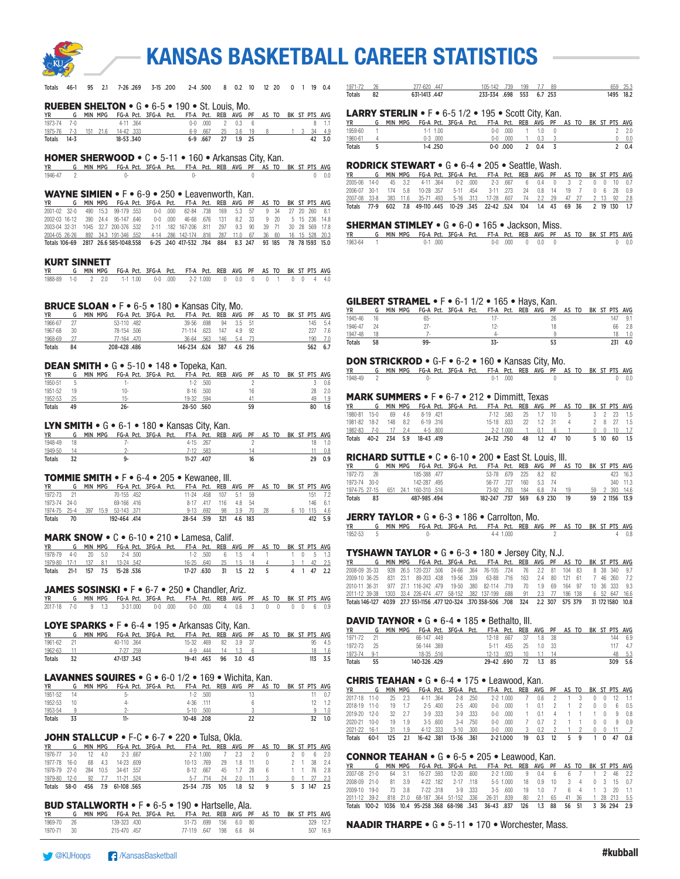

Totals 46-1 95 2.1 7-26 .269 3-15 .200 2-4 .500 8 0.2 10 12 20 0 1 19 0.4

# KANSAS BASKETBALL CAREER STATISTICS

1971-72 26 277-620 .447 105-142 .739 199 7.7 89 659 25.3<br>1976 10tals 82 631-1413 .447 233-334 .698 553 6.7 253 1495 18.2

<u>Totals 82 632 632 6.7</u> 233-334 .698 553 6.7 253

|                                               | G MIN MPG FG-A Pct. 3FG-A Pct. FT-A Pct. REB AVG PF AS TO BK ST PTS AVG                                                            | 4-11 .364                                             |                                                                      | $0 - 0$ .000 2                | $0.3\qquad 6$                  |                                          |                | $8 - 1.1$                              | <b>YR</b>                    |                          | LARRY STERLIN • F • 6-5 1/2 • 195 • Scott City, Kan.<br>G MIN MPG FG-A Pct. 3FG-A Pct. FT-A Pct. REB AVG PF AS TO BK ST PTS AVG                                       |                              |                     |                         |                           |                                  |                                   |                                  |                              |                                                                          |                       |
|-----------------------------------------------|------------------------------------------------------------------------------------------------------------------------------------|-------------------------------------------------------|----------------------------------------------------------------------|-------------------------------|--------------------------------|------------------------------------------|----------------|----------------------------------------|------------------------------|--------------------------|-----------------------------------------------------------------------------------------------------------------------------------------------------------------------|------------------------------|---------------------|-------------------------|---------------------------|----------------------------------|-----------------------------------|----------------------------------|------------------------------|--------------------------------------------------------------------------|-----------------------|
| 1975-76<br>7-3                                | 151 21.6 14-42 .333                                                                                                                | 18-53.340                                             |                                                                      | 6-9 .667 25                   | $3.6$ 19<br>6-9 .667 27 1.9 25 |                                          |                | 34 4.9<br>3<br>42 3.0                  | 1959-60<br>1960-61           | $\overline{1}$           |                                                                                                                                                                       | $1-1$ $1.00$<br>$0-3$ .000   |                     |                         | $0-0$ .000<br>$0-0$ .000  | $\overline{1}$                   | $1 \t1.0 \t0$<br>0.3              | -3                               |                              |                                                                          | $2 - 2.0$<br>0 0.0    |
| Totals<br>14-3                                |                                                                                                                                    |                                                       |                                                                      |                               |                                |                                          |                |                                        | Totals                       | 5                        |                                                                                                                                                                       | $1-4.250$                    |                     |                         | $0-0.000$                 |                                  | 20.43                             |                                  |                              |                                                                          | 2 0.4                 |
|                                               | <b>HOMER SHERWOOD • C • 5-11 • 160 • Arkansas City, Kan.</b>                                                                       |                                                       |                                                                      |                               |                                |                                          |                |                                        |                              |                          | <b>RODRICK STEWART • G • 6-4 • 205 • Seattle, Wash.</b>                                                                                                               |                              |                     |                         |                           |                                  |                                   |                                  |                              |                                                                          |                       |
| <b>YR</b><br>1946-47<br>$\overline{2}$        | G MIN MPG FG-A Pct. 3FG-A Pct. FT-A Pct. REB AVG PF AS TO BK ST PTS AVG                                                            | $()$ -                                                |                                                                      | $()$ -                        |                                | $\mathbf{0}$                             |                | $0 \t 0.0$                             | YR                           |                          | MIN MPG                                                                                                                                                               | FG-A Pct. 3FG-A Pct.         |                     |                         |                           |                                  |                                   |                                  |                              | FT-A Pct. REB AVG PF AS TO BK ST PTS AVG                                 |                       |
|                                               |                                                                                                                                    |                                                       |                                                                      |                               |                                |                                          |                |                                        | 2005-06 14-0<br>2006-07 30-1 |                          | 45<br>3.2<br>174 5.8                                                                                                                                                  | 4-11 .364<br>10-28 .357      |                     | $0-2$ .000<br>5-11 .454 | $2 - 3$ .667<br>3-11 .273 | $6\phantom{.0}$<br>24            | 0.4                               | $\overline{0}$<br>0.8 14 19 7    | 3 <sub>2</sub>               | $0\quad 0$<br>$0\quad 6$                                                 | $10 \t 0.7$<br>28 0.9 |
|                                               | <b>WAYNE SIMIEN • F</b> • 6-9 • 250 • Leavenworth, Kan.<br>G MIN MPG FG-A Pct. 3FG-A Pct. FT-A Pct. REB AVG PF AS TO BK ST PTS AVG |                                                       |                                                                      |                               |                                |                                          |                |                                        | 2007-08 33-8                 |                          | 383 11.6                                                                                                                                                              | 35-71 .493                   | $5 - 16$            | .313                    |                           |                                  | 17-28 .607 74 2.2 29              |                                  | 47 27                        | $2 \t13$                                                                 | 92 2.8                |
| 2001-02 32-0                                  | 490<br>15.3                                                                                                                        | 99-179 .553                                           | $0-0$ .000                                                           | 62-84 .738                    | 169<br>5.3                     | 57<br>9 34                               | 27 20          | 260<br>8.1                             |                              |                          | Totals 77-9 602 7.8 49-110.445                                                                                                                                        |                              | 10-29 .345          |                         |                           | 22-42 .524 104                   | $1.4$ 43                          |                                  | 69 36                        | 2 19 130 1.7                                                             |                       |
| 2002-03 16-12                                 | 390 24.4 95-147 .646<br>2003-04 32-31 1045 32.7 200-376 .532                                                                       |                                                       | $0-0$ .000<br>2-11 .182 167-206 .811 297 9.3 90 39 71 30 28 569 17.8 | 46-68 .676 131                | 8.2 33                         | 9 20                                     |                | 5 15 236 14.8                          |                              |                          | <b>SHERMAN STIMLEY • G • 6-0 • 165 • Jackson, Miss.</b>                                                                                                               |                              |                     |                         |                           |                                  |                                   |                                  |                              |                                                                          |                       |
| 2004-05 26-26                                 | 892 34.3 191-346 .552                                                                                                              |                                                       | 4-14 .286 142-174 .816 287 11.0 67 36 60 16 15 528 20.3              |                               |                                |                                          |                |                                        | <b>YR</b>                    |                          | G MIN MPG FG-A Pct. 3FG-A Pct. FT-A Pct. REB AVG PF AS TO BK ST PTS AVG                                                                                               |                              |                     |                         |                           |                                  |                                   |                                  |                              |                                                                          |                       |
|                                               | Totals 106-69 2817 26.6 585-1048.558                                                                                               |                                                       | 6-25 .240 417-532 .784 884 8.3 247 93 185 78 78 1593 15.0            |                               |                                |                                          |                |                                        | 1963-64                      |                          |                                                                                                                                                                       | $0-1$ .000                   |                     |                         |                           |                                  | $0-0$ $0.000$ $0$ $0.00$ $0$      |                                  |                              |                                                                          | $0 \t 0.0$            |
| <b>KURT SINNETT</b>                           |                                                                                                                                    |                                                       |                                                                      |                               |                                |                                          |                |                                        |                              |                          |                                                                                                                                                                       |                              |                     |                         |                           |                                  |                                   |                                  |                              |                                                                          |                       |
| YR<br>1988-89<br>1-0                          | G MIN MPG FG-A Pct. 3FG-A Pct. FT-A Pct. REB AVG PF AS TO BK ST PTS AVG<br>$2 \t 2.0$                                              | $1-1$ 1.00                                            | $0-0$ .000                                                           | $2 - 2$ 1.000                 | $0\qquad 0.0$                  | $\overline{0}$                           |                | 0 1 0 0 4 4.0                          |                              |                          |                                                                                                                                                                       |                              |                     |                         |                           |                                  |                                   |                                  |                              |                                                                          |                       |
|                                               |                                                                                                                                    |                                                       |                                                                      |                               |                                |                                          |                |                                        |                              |                          |                                                                                                                                                                       |                              |                     |                         |                           |                                  |                                   |                                  |                              |                                                                          |                       |
|                                               |                                                                                                                                    |                                                       |                                                                      |                               |                                |                                          |                |                                        |                              |                          | <b>GILBERT STRAMEL • F</b> • 6-1 $1/2$ • 165 • Hays, Kan.                                                                                                             |                              |                     |                         |                           |                                  |                                   |                                  |                              |                                                                          |                       |
| <b>YR</b>                                     | <b>BRUCE SLOAN • F</b> • 6-5 • 180 • Kansas City, Mo.<br>G MIN MPG FG-A Pct. 3FG-A Pct. FT-A Pct. REB AVG PF AS TO BK ST PTS AVG   |                                                       |                                                                      |                               |                                |                                          |                |                                        | <b>YR</b>                    |                          | G MIN MPG FG-A Pct. 3FG-A Pct. FT-A Pct. REB AVG PF AS TO BK ST PTS AVG                                                                                               |                              |                     |                         |                           |                                  |                                   |                                  |                              |                                                                          |                       |
| 1966-67<br>27                                 |                                                                                                                                    | 53-110 .482                                           |                                                                      | 39-56 .698                    | $3.5$ $51$<br>94               |                                          |                | 145 5.4                                | 1945-46<br>1946-47           | 16<br>24                 |                                                                                                                                                                       | 65-<br>$27 -$                |                     |                         | $17 -$<br>$12 -$          |                                  |                                   | 26<br>18                         |                              |                                                                          | 147 9.1<br>66 2.8     |
| 1967-68<br>30<br>1968-69<br>27                |                                                                                                                                    | 78-154 .506<br>77-164 .470                            |                                                                      | 71-114 .623 147<br>36-64 .563 | 4.9 92<br>146<br>5.4 73        |                                          |                | 227 7.6<br>190<br>7.0                  | 1947-48                      | 18                       |                                                                                                                                                                       | $7-$                         |                     |                         | $4-$                      |                                  |                                   | 9                                |                              |                                                                          | $18 - 1.0$            |
| Totals<br>84                                  | 208-428.486                                                                                                                        |                                                       |                                                                      | 146-234 .624 387              | 4.6 216                        |                                          |                | 562 6.7                                | Totals                       | 58                       |                                                                                                                                                                       | 99-                          |                     |                         | $33 -$                    |                                  |                                   | 53                               |                              |                                                                          | 231 4.0               |
|                                               |                                                                                                                                    |                                                       |                                                                      |                               |                                |                                          |                |                                        |                              |                          | <b>DON STRICKROD •</b> G-F • 6-2 • 160 • Kansas City, Mo.                                                                                                             |                              |                     |                         |                           |                                  |                                   |                                  |                              |                                                                          |                       |
| <b>YR</b>                                     | DEAN SMITH • G • 5-10 • 148 • Topeka, Kan.<br>G MIN MPG FG-A Pct. 3FG-A Pct. FT-A Pct. REB AVG PF AS TO BK ST PTS AVG              |                                                       |                                                                      |                               |                                |                                          |                |                                        | <b>YR</b>                    |                          | G MIN MPG FG-A Pct. 3FG-A Pct. FT-A Pct. REB AVG PF AS TO BK ST PTS AVG                                                                                               |                              |                     |                         |                           |                                  |                                   |                                  |                              |                                                                          |                       |
| 1950-51<br>- 5                                |                                                                                                                                    | $1 -$                                                 |                                                                      | $1 - 2$ .500                  |                                | $\overline{2}$                           |                | 30.6                                   | 1948-49                      | $\overline{\phantom{a}}$ |                                                                                                                                                                       | $0-$                         |                     |                         | $0-1$ .000                |                                  |                                   | $\mathbf{0}$                     |                              |                                                                          | $0\quad 0.0$          |
| 1951-52<br>19<br>1952-53<br>25                | $10 -$<br>$15 -$                                                                                                                   |                                                       | 19-32                                                                | 8-16 .500<br>.594             |                                | 16<br>41                                 |                | 28 2.0<br>49<br>1.9                    |                              |                          | <b>MARK SUMMERS • F • 6-7 • 212 • Dimmitt. Texas</b>                                                                                                                  |                              |                     |                         |                           |                                  |                                   |                                  |                              |                                                                          |                       |
| 49<br>Totals                                  | $26 -$                                                                                                                             |                                                       |                                                                      | 28-50 .560                    |                                | 59                                       |                | 80<br>1.6                              | YR                           |                          | G MIN MPG FG-A Pct. 3FG-A Pct. FT-A Pct. REB AVG PF                                                                                                                   |                              |                     |                         |                           |                                  |                                   |                                  |                              | AS TO BK ST PTS AVG                                                      |                       |
|                                               |                                                                                                                                    |                                                       |                                                                      |                               |                                |                                          |                |                                        | 1980-81 15-0                 | 1981-82 18-2 148 8.2     | 69 4.6                                                                                                                                                                | 8-19 .421<br>6-19 .316       |                     |                         | 7-12 .583                 | 25                               | 1.7<br>15-18 .833 22 1.2 31       | 10<br>- 5<br>$\frac{4}{3}$       |                              | 3 <sup>2</sup><br>2 8 27 1.5                                             | 23 1.5                |
|                                               | LYN SMITH • G • 6-1 • 180 • Kansas City, Kan.                                                                                      |                                                       |                                                                      |                               |                                |                                          |                |                                        | 1982-83 7-0                  |                          | $17$ 2.4                                                                                                                                                              | 4-5 .800                     |                     |                         | $2 - 2$ 1.000             | $\overline{1}$                   | 0.1                               | 6<br>$\overline{1}$              |                              | $0 \t 0 \t 10 \t 1.7$                                                    |                       |
| <b>YR</b><br>1948-49<br>18                    | G MIN MPG FG-A Pct. 3FG-A Pct. FT-A Pct. REB AVG PF                                                                                | $7-$                                                  |                                                                      | 4-15 .267                     |                                | $\overline{c}$                           |                | AS TO BK ST PTS AVG<br>18 1.0          |                              |                          | Totals 40-2 234 5.9 18-43 419                                                                                                                                         |                              |                     |                         |                           | 24-32 .750 48                    |                                   | 1.2 47 10                        |                              | 5 10 60 1.5                                                              |                       |
| 1949-50<br>14                                 |                                                                                                                                    | $2 -$                                                 |                                                                      | 7-12 .583                     |                                | 14                                       |                | $11 - 0.8$                             |                              |                          | <b>RICHARD SUTTLE • C • 6-10 • 200 • East St. Louis, III.</b>                                                                                                         |                              |                     |                         |                           |                                  |                                   |                                  |                              |                                                                          |                       |
| 32<br>Totals                                  |                                                                                                                                    | $9-$                                                  |                                                                      | 11-27 .407                    |                                | 16                                       |                | 29 0.9                                 | <b>YR</b>                    |                          | G MIN MPG FG-A Pct. 3FG-A Pct. FT-A Pct. REB AVG PF AS TO BK ST PTS AVG                                                                                               |                              |                     |                         |                           |                                  |                                   |                                  |                              |                                                                          |                       |
|                                               | <b>TOMMIE SMITH • F • 6-4 • 205 • Kewanee, III.</b>                                                                                |                                                       |                                                                      |                               |                                |                                          |                |                                        | 1972-73 26<br>1973-74 30-0   |                          |                                                                                                                                                                       | 185-388 .477<br>142-287 .495 |                     |                         |                           | 53-78 .679 225<br>56-77 .727 160 | 8.2 82                            |                                  |                              |                                                                          | 423 16.3<br>340 11.3  |
| YR                                            | G MIN MPG FG-A Pct. 3FG-A Pct.                                                                                                     |                                                       |                                                                      | FT-A Pct. REB AVG             |                                | PF<br>AS TO                              |                | BK ST PTS AVG                          |                              |                          | 1974-75 27-15 651 24.1 160-310 516                                                                                                                                    |                              |                     |                         |                           |                                  | 5.3 74<br>73-92 793 184 6.8 74 19 |                                  |                              | 59 2 393 14.6                                                            |                       |
| 1972-73<br>21<br>1973-74 24-0                 |                                                                                                                                    | 70-155 .452<br>69-166 .416                            |                                                                      | 11-24 .458<br>8-17 .417 116   | 107<br>5.1 59<br>4.8 54        |                                          |                | 151 7.2<br>146 6.1                     | Totals 83                    |                          |                                                                                                                                                                       | 487-985.494                  |                     |                         |                           |                                  | 182-247 .737 569 6.9 230 19       |                                  |                              | 59 2 1156 13.9                                                           |                       |
| 1974-75 25-4                                  | 397 15.9 53-143 .371                                                                                                               |                                                       |                                                                      | 9-13 .692                     | 98<br>3.9 70                   | 28                                       |                | 6 10 115 4.6                           |                              |                          |                                                                                                                                                                       |                              |                     |                         |                           |                                  |                                   |                                  |                              |                                                                          |                       |
| Totals<br>70                                  | 192-464 .414                                                                                                                       |                                                       |                                                                      |                               | 28-54 .519 321 4.6 183         |                                          |                | 412 5.9                                | <b>YR</b>                    |                          | JERRY TAYLOR • G • 6-3 • 186 • Carrolton, Mo.<br>G MIN MPG FG-A Pct. 3FG-A Pct. FT-A Pct. REB AVG PF AS TO BK ST PTS AVG                                              |                              |                     |                         |                           |                                  |                                   |                                  |                              |                                                                          |                       |
|                                               | <b>MARK SNOW • C • 6-10 • 210 • Lamesa, Calif.</b>                                                                                 |                                                       |                                                                      |                               |                                |                                          |                |                                        | 1952-53                      | -5                       |                                                                                                                                                                       | $0-$                         |                     |                         | 4-4 1.000                 |                                  |                                   | $\overline{c}$                   |                              |                                                                          | 40.8                  |
| YR                                            | G MIN MPG FG-A Pct. 3FG-A Pct. FT-A Pct. REB AVG PF AS TO BK ST PTS AVG                                                            |                                                       |                                                                      |                               |                                |                                          |                |                                        |                              |                          | <b>TYSHAWN TAYLOR • <math>G \cdot 6 - 3 \cdot 180 \cdot</math></b> Jersey City, N.J.                                                                                  |                              |                     |                         |                           |                                  |                                   |                                  |                              |                                                                          |                       |
| 1978-79<br>$4 - 0$<br>1979-80<br>$17 - 1$     | $20\quad 5.0$<br>137 8.1                                                                                                           | $2 - 4$ .500<br>13-24 .542                            |                                                                      | $1-2$ .500<br>16-25 .640      | 6 1.5 4 1<br>1.5<br>25         | 18<br>$\overline{4}$                     | $3 \quad 1$    | $1 \t 0 \t 5 \t 1.3$<br>$42$ $2.5$     | YR                           |                          | G MIN MPG FG-A Pct. 3FG-A Pct.                                                                                                                                        |                              |                     |                         |                           |                                  | FT-A Pct. REB AVG PF              |                                  |                              | AS TO BK ST PTS AVG                                                      |                       |
| Totals                                        | 21-1 157 7.5 15-28 536                                                                                                             |                                                       |                                                                      | 17-27 .630                    | 31<br>$1.5$ 22                 |                                          |                | 4 1 47 2.2                             | 2008-09 35-33                |                          | 928                                                                                                                                                                   | 26.5 120-237 .506            | 24-66<br>19-56 .339 | .364                    | 76-105 .724               | 76                               | $2.2^{\circ}$                     | 81                               | 104 83                       | 8 38<br>7 46 260 7.2                                                     | 340 9.7               |
|                                               | JAMES SOSINSKI • F • 6-7 • 250 • Chandler, Ariz.                                                                                   |                                                       |                                                                      |                               |                                |                                          |                |                                        | 2009-10 36-25                |                          | 831 23.1 89-203 .438<br>2010-11 36-31 977 27.1 116-242 .479 19-50 .380 82-114 .719 70 1.9 69 164 97                                                                   |                              |                     |                         |                           |                                  | 63-88 .716 163 2.4 80 121 61      |                                  |                              | 10 36 333 9.3                                                            |                       |
|                                               | G MIN MPG FG-A Pct. 3FG-A Pct. FT-A Pct. REB AVG PF AS TO BK ST PTS AVG                                                            |                                                       |                                                                      |                               |                                |                                          |                |                                        |                              |                          | 2011-12 39-38 1303 33.4 226-474 477 58-152 .382 137-199 .688<br>Totals 146-127 4039 27.7 551-1156 .477 120-324 .370 358-506 .708 324 2.2 307 575 379 31 172 1580 10.8 |                              |                     |                         |                           |                                  | 91 2.3 77 186 138                 |                                  |                              | 6 52 647 16.6                                                            |                       |
| 2017-18 7-0                                   | $9 \t1.3$                                                                                                                          | 3-31.000                                              | $0-0$ .000                                                           | $0-0$ .000                    | 4<br>0.6                       | 3<br>$0\quad 0$                          |                | $0 \t0 \t6 \t0.9$                      |                              |                          |                                                                                                                                                                       |                              |                     |                         |                           |                                  |                                   |                                  |                              |                                                                          |                       |
|                                               | <b>LOYE SPARKS • F</b> • 6-4 • 195 • Arkansas City, Kan.                                                                           |                                                       |                                                                      |                               |                                |                                          |                |                                        |                              |                          | <b>DAVID TAYNOR • G • 6-4 • 185 • Bethalto, III.</b>                                                                                                                  |                              |                     |                         |                           |                                  |                                   |                                  |                              |                                                                          |                       |
| <b>YR</b>                                     | G MIN MPG FG-A Pct. 3FG-A Pct.                                                                                                     |                                                       |                                                                      |                               |                                | FT-A Pct. REB AVG PF AS TO BK ST PTS AVG |                |                                        | YR<br>1971-72                | 21                       | G MIN MPG FG-A Pct. 3FG-A Pct.                                                                                                                                        | 66-147.449                   |                     |                         | 12-18 .667                | 37                               | 1.8 38                            |                                  |                              | FT-A Pct. REB AVG PF AS TO BK ST PTS AVG                                 | 144 6.9               |
| 1961-62<br>21<br>-11                          |                                                                                                                                    | 40-110 .364<br>7-27 .259                              |                                                                      | 15-32 .469<br>4-9 .444        | 82 3.9 37<br>14<br>1.3         | - 6                                      |                | 95 4.5<br>$18 - 1.6$                   | 1972-73                      | 25                       |                                                                                                                                                                       | 56-144 .389                  |                     |                         | 5-11 .455                 | 25                               | $1.0$ 33                          |                                  |                              |                                                                          | 117 4.7               |
| 1962-63<br>Totals<br>32                       |                                                                                                                                    | 47-137.343                                            |                                                                      | 19-41 .463                    | 96<br>3.0 43                   |                                          |                | 113 3.5                                | 1973-74<br>Totals            | $9-1$<br>55              |                                                                                                                                                                       | 18-35 .516<br>140-326.429    |                     |                         | 12-13 .923<br>29-42.690   | 10                               | $1.1$ 14<br>72 1.3 85             |                                  |                              |                                                                          | 48 5.3<br>309 5.6     |
|                                               |                                                                                                                                    |                                                       |                                                                      |                               |                                |                                          |                |                                        |                              |                          |                                                                                                                                                                       |                              |                     |                         |                           |                                  |                                   |                                  |                              |                                                                          |                       |
|                                               | <b>LAVANNES SQUIRES •</b> $G \cdot 6 - 0$ 1/2 • 169 • Wichita, Kan.<br>MIN MPG FG-A Pct. 3FG-A Pct.                                |                                                       |                                                                      |                               | FT-A Pct. REB AVG PF           |                                          |                | AS TO BK ST PTS AVG                    |                              |                          | <b>CHRIS TEAHAN •</b> G • 6-4 • 175 • Leawood, Kan.                                                                                                                   |                              |                     |                         |                           |                                  |                                   |                                  |                              |                                                                          |                       |
|                                               |                                                                                                                                    | $5-$                                                  |                                                                      | $1 - 2$ .500                  |                                | 13                                       |                | 11 0.7                                 | YR<br>2017-18 11-0           |                          | G MIN MPG FG-A Pct. 3FG-A Pct.<br>25<br>2.3                                                                                                                           | 4-11 .364                    |                     | $2 - 8$ .250            | $2 - 2$ 1.000             | $\overline{7}$                   | 0.6                               | $\overline{c}$<br>$\overline{1}$ | 3                            | FT-A Pct. REB AVG PF AS TO BK ST PTS AVG<br>$\theta$<br>$\left( \right)$ | $12 - 1.1$            |
| 14                                            |                                                                                                                                    | 4-                                                    |                                                                      | 4-36 .111<br>$5-10$ .500      |                                | 6                                        |                | $12 \t 1.2$<br>9                       | 2018-19 11-0                 |                          | 19 1.7                                                                                                                                                                | $2 - 5$ .400                 |                     | $2 - 5$ .400            | $0-0$ .000                | $\overline{1}$                   | 0.1                               | $\overline{2}$                   | $\overline{1}$<br>2          | $\mathbf{0}$<br>0                                                        | 6 0.5                 |
| 10                                            |                                                                                                                                    |                                                       |                                                                      | 10-48 .208                    |                                | 22                                       |                | 1.0<br>32 1.0                          | 2019-20 12-0<br>2020-21 10-0 |                          | 32 2.7<br>19<br>1.9                                                                                                                                                   | 3-9 .333<br>$3-5.600$        |                     | 3-9 .333<br>3-4 .750    | $0-0$ .000<br>$0-0$ .000  | $\overline{I}$                   | 0.1<br>0.7                        | 4<br>$\overline{c}$<br>-1        | -1                           | 0<br>0<br>$\mathbf{0}$                                                   | 90.8<br>90.9          |
| - 9<br>33                                     |                                                                                                                                    | $11 -$                                                |                                                                      |                               |                                |                                          |                |                                        | 2021-22 16-1                 |                          | 1.9<br>31                                                                                                                                                             | 4-12 .333                    | $3 - 10$            | .300                    | $0 - 0$ .000              | $\mathbf{3}$                     |                                   | $\mathcal{P}$                    |                              | $\mathbf{0}$                                                             | 11                    |
| YR<br>1951-52<br>1952-53<br>1953-54<br>Totals |                                                                                                                                    |                                                       |                                                                      |                               |                                |                                          |                |                                        |                              |                          |                                                                                                                                                                       |                              |                     |                         |                           |                                  | 0.2                               |                                  |                              |                                                                          |                       |
|                                               | JOHN STALLCUP $\bullet$ F-C $\bullet$ 6-7 $\bullet$ 220 $\bullet$ Tulsa, Okla.                                                     |                                                       |                                                                      |                               |                                |                                          |                |                                        | Totals 60-1                  |                          | 2.1<br>125                                                                                                                                                            | 16-42.381                    | 13-36 .361          |                         | 2-21.000                  | 19                               | $0.3$ 12                          |                                  | 5 9                          | $1\quad 0$                                                               |                       |
| <b>YR</b><br>1976-77<br>$3-0$                 | G MIN MPG<br>12 4.0                                                                                                                | FG-A Pct. 3FG-A Pct. FT-A Pct. REB AVG PF<br>2-3 .667 |                                                                      | 2-2 1.000                     | 2.3<br>7                       | AS TO<br>$\overline{c}$<br>0             | $2 \quad 0$    | BK ST PTS AVG<br>$6\quad 2.0$          |                              |                          |                                                                                                                                                                       |                              |                     |                         |                           |                                  |                                   |                                  |                              |                                                                          |                       |
| 1977-78 16-0                                  | 68<br>4.3                                                                                                                          | 14-23 .609                                            |                                                                      | 10-13 .769                    | 29<br>1.8                      | 11<br>0                                  | $2 \quad 1$    | 38 2.4                                 | YR                           | G                        | <b>CONNOR TEAHAN •</b> $G \cdot 6 - 5 \cdot 205 \cdot$ Leawood, Kan.<br>MIN MPG                                                                                       | FG-A Pct.                    | 3FG-A Pct.          |                         |                           |                                  |                                   |                                  |                              | FT-A Pct. REB AVG PF AS TO BK ST PTS AVG                                 | 47 0.8                |
| 1978-79<br>27-0<br>$12 - 0$<br>1979-80        | 284 10.5<br>92<br>7.7                                                                                                              | 34-61 .557<br>11-21 .524                              |                                                                      | 8-12 .667<br>$5-7$ .714       | 45<br>1.7<br>2.0<br>24         | 28<br>6<br>11<br>3                       | 0 <sub>1</sub> | $1 \t1 \t76 \t2.8$<br>27<br><u>2.3</u> | 2007-08 21-0                 |                          | 64<br>3.1                                                                                                                                                             | 16-27 .593                   | 12-20               | .600                    | 2-2 1.000                 | 9                                | 0.4                               | 6                                | 6<br>7                       | 2                                                                        | 46 2.2                |
| Totals 58-0                                   | 456 7.9 61-108 565                                                                                                                 |                                                       |                                                                      | 25-34 .735 105                | 1.8                            | 52<br>9                                  |                | 5 3 147 2.5                            | 2008-09 21-0<br>2009-10 19-0 |                          | 81<br>3.9<br>73 3.8                                                                                                                                                   | 4-22 .182<br>7-22 .318       |                     | 2-17 .118<br>3-9 .333   | 5-5 1.000<br>$3-5$ .600   | 18<br>19                         | 0.9<br>1.0                        | 10<br>$\overline{7}$             | 3<br>4<br>6<br>$\frac{4}{3}$ | $\mathbf 0$<br>3<br>3<br>$\overline{1}$                                  | 15 0.7<br>$20 - 1.1$  |

NAADIR THARPE • G • 5-11 • 170 • Worchester, Mass.

1969-70 26 139-323 .430 51-73 .699 156 6.0 80 329 12.7

1970-71 30 215-470 457 77-119 647 198 6.6 84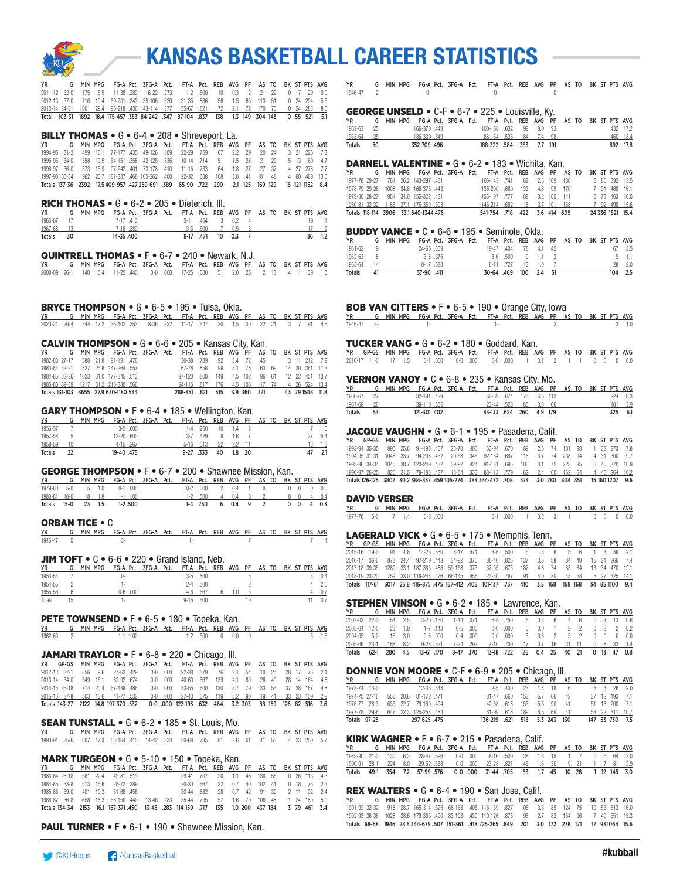

|  |  |  |  | YR G MIN MPG FG-A Pct. 3FG-A Pct. FT-A Pct. REB AVG PF AS TO BK ST PTS AVG                |  |  |  |  |  |
|--|--|--|--|-------------------------------------------------------------------------------------------|--|--|--|--|--|
|  |  |  |  | 2011-12 32-0 175 5.5 11-38 289 6-22 273 1-2 500 10 0.3 12 21 22 0 7 29 0.9                |  |  |  |  |  |
|  |  |  |  | 2012-13 37-0 716 19.4 69-201 343 35-106 330 31-35 886 56 1.5 65 113 51 0 24 204 5.5       |  |  |  |  |  |
|  |  |  |  | 2013-14 34-31 1001 29.4 95-218 436 43-114 377 55-67 821 72 2.1 72 170 70 0 24 288 8.5     |  |  |  |  |  |
|  |  |  |  | Total 103-31 1892 18.4 175-457 383 84-242 347 87-104 837 138 1.3 149 304 143 0 55 521 5.1 |  |  |  |  |  |

#### BILLY THOMAS • G • 6-4 • 208 • Shreveport, La.

|  |  |  |  | YR G MIN MPG FG-A Pct. 3FG-A Pct. FT-A Pct. REB AVG PF AS TO BK ST PTS AVG                      |  |  |  |  |  |
|--|--|--|--|-------------------------------------------------------------------------------------------------|--|--|--|--|--|
|  |  |  |  | 1994-95 31-2 499 16.1 77-177 435 49-126 389 22-29 759 67 2.2 29 20 24 3 21 225 7.3              |  |  |  |  |  |
|  |  |  |  | 1995-96 34-0 358 10.5 54-151 358 42-125 336 10-14 714 51 1.5 28 21 20 5 13 160 4.7              |  |  |  |  |  |
|  |  |  |  | 1996-97 36-0 573 15.9 97-242 401 73-178 410 11-15 733 64 1.8 27 27 37 4 27 278 7.7              |  |  |  |  |  |
|  |  |  |  | 1997-98 36-34 962 26.7 181-387 468 105-262 400 22-32 688 108 3.0 41 101 48 4 60 489 13.6        |  |  |  |  |  |
|  |  |  |  | Totals 137-36 2392 17.5 409-957 427 269-691 .389 65-90 .722 290 2.1 125 169 129 16 121 1152 8.4 |  |  |  |  |  |

#### RICH THOMAS • G • 6-2 • 205 • Dieterich, Ill.

| <b>YR</b>  |      | G MIN MPG FG-A Pct. 3FG-A Pct. FT-A Pct. REB AVG PF AS TO BK ST PTS AVG |           |  |  |                    |  |  |  |            |
|------------|------|-------------------------------------------------------------------------|-----------|--|--|--------------------|--|--|--|------------|
| 1966-67 17 |      |                                                                         | 7-17 413  |  |  | 5-11 454 3 0.2 4   |  |  |  | $19 - 1.1$ |
| 1967-68 13 |      |                                                                         | 7-18 389  |  |  | 3-6 .500 7 0.5 3   |  |  |  | 17 1.2     |
| Totals     | - 30 |                                                                         | 14-35.400 |  |  | 8-17 .471 10 0.3 7 |  |  |  | 36 1.2     |

#### QUINTRELL THOMAS • F • 6-7 • 240 • Newark, N.J.

|  |  | YR             G    MIN  MPG     FG-A  Pct.    3FG-A    Pct.     FT-A   Pct.    REB   AVG    PF    AS  TO    BK  ST  PTS   AVG |  |  |  |  |  |  |  |
|--|--|--------------------------------------------------------------------------------------------------------------------------------|--|--|--|--|--|--|--|
|  |  | 2008-09 26-1 140 5.4 11-25 440 0-0 000 17-25 680 51 2.0 25 2 13 4 1 39 1.5                                                     |  |  |  |  |  |  |  |

#### BRYCE THOMPSON • G • 6-5 • 195 • Tulsa, Okla.

YR G MIN MPG FG-A Pct. 3FG-A Pct. FT-A Pct. REB AVG PF AS TO BK ST PTS AVG 2020-21 20-4 344 17.2 36-102 .353 8-36 .222 11-17 .647 30 1.5 30 22 21 3 7 91 4.6

#### CALVIN THOMPSON • G • 6-6 • 205 • Kansas City, Kan.

| YR                                    |  |  |  | G MIN MPG FG-A Pct. 3FG-A Pct. FT-A Pct. REB AVG PF AS TO BK ST PTS AVG |  |                           |  |  |  |                |
|---------------------------------------|--|--|--|-------------------------------------------------------------------------|--|---------------------------|--|--|--|----------------|
| 1982-83 27-17 588 21.8 91-191 476     |  |  |  | 30-38 789                                                               |  | 92 3.4 72 45 3 11 212 7.9 |  |  |  |                |
| 1983-84 32-21 827 25.8 147-264 557    |  |  |  | 67-78 858                                                               |  | 98 3.1 78 63 69           |  |  |  | 14 20 361 11.3 |
| 1984-85 33-26 1023 31.0 177-345 513   |  |  |  | 97-120 808 149 4.5 102 96 61 12 22 451 13.7                             |  |                           |  |  |  |                |
| 1985-86 39-39 1217 31.2 215-380 .566  |  |  |  | 94-115 .817 176 4.5 108 117 74 14 26 524 13.4                           |  |                           |  |  |  |                |
| Totals 131-103 3655 27.9 630-1180.534 |  |  |  | 288-351 .821 515 3.9 360 321 43 79 1548 11.8                            |  |                           |  |  |  |                |

#### GARY THOMPSON • F • 6-4 • 185 • Wellington, Kan.

| <b>YR</b>     |               | MIN MPG |            |            | FG-A Pct. 3FG-A Pct. FT-A Pct. REB AVG PF AS TO BK ST PTS AVG |           |              |    |                  |  |  |    |     |
|---------------|---------------|---------|------------|------------|---------------------------------------------------------------|-----------|--------------|----|------------------|--|--|----|-----|
| 1956-57       |               |         |            | $3-5$ .600 |                                                               |           | $1-4$ .250   |    | $10 \t 1.4 \t 2$ |  |  |    |     |
| 1957-58       | $\mathcal{D}$ |         | 12-20 .600 |            |                                                               |           | $3-7$ $429$  |    | 81.6             |  |  | 27 | 5.4 |
| 1958-59       |               |         |            | 4-15 267   |                                                               |           | $5-16$ $313$ | 22 | 22 11            |  |  |    |     |
| <b>Totals</b> |               |         | 19-40.475  |            |                                                               | 9-27 .333 |              | 40 | 1.8 20           |  |  |    |     |

#### GEORGE THOMPSON • F • 6-7 • 200 • Shawnee Mission, Kan.

| <b>YR</b> |  | G MIN MPG FG-A Pct. 3FG-A Pct. FT-A Pct. REB AVG PF AS TO BK ST PTS AVG |  |  |                             |  |  |  |  |
|-----------|--|-------------------------------------------------------------------------|--|--|-----------------------------|--|--|--|--|
|           |  | 1979-80 5-0 5 1.0 0-1 000                                               |  |  | 0-2 000 2 0.4 1 0 0 0 0 0.0 |  |  |  |  |
|           |  | 1980-81 10-0 18 1.8 1-1 1.00                                            |  |  | 1-2 500 4 0.4 8 2 0 0 4 0.4 |  |  |  |  |
|           |  | Totals 15-0 23 1.5 1-2.500                                              |  |  | 1-4 250 6 0.4 9 2 0 0 4 0.3 |  |  |  |  |

#### ORBAN TICE • C

YR G MIN MPG FG-A Pct. 3FG-A Pct. FT-A Pct. REB AVG PF AS TO BK ST PTS AVG 1946-47 5 3- 1- 7 7 1.4

#### **JIM TOFT •**  $C \cdot 6 - 6 \cdot 220 \cdot 6$  and Island, Neb.

| <b>YR</b> | MPG<br><b>MIN</b> |      |      | FG-A Pct. 3FG-A Pct. |          |              | FT-A Pct. REB AVG PF |  | ' AS TO |  |  | BK ST PTS AVG |
|-----------|-------------------|------|------|----------------------|----------|--------------|----------------------|--|---------|--|--|---------------|
| 1953-54   |                   |      |      |                      | $3 - 5$  | .600         |                      |  |         |  |  | 0.4           |
| 1954-55   |                   | ۰.   |      |                      |          | $2 - 4$ .500 |                      |  |         |  |  |               |
| 1955-56   |                   | ე. ჩ | .000 |                      | 4-ĥ      | .667         |                      |  |         |  |  |               |
| Totals    |                   | ۰.   |      |                      | $9 - 15$ | .600         |                      |  |         |  |  |               |

#### PETE TOWNSEND • F • 6-5 • 180 • Topeka, Kan.

YR G MIN MPG FG-A Pct. 3FG-A Pct. FT-A Pct. REB AVG PF AS TO BK ST PTS AVG 1962-63 2 1-1 1.00 1-2 .500 0 0.0 0 3 1.5

#### JAMARI TRAYLOR • F • 6-8 • 220 • Chicago, III.

|  |  |  |  | YR GP-GS MIN MPG FG-A Pct. 3FG-A Pct. FT-A Pct. REB AVG PF AS TO BK ST PTS AVG            |  |  |  |  |  |
|--|--|--|--|-------------------------------------------------------------------------------------------|--|--|--|--|--|
|  |  |  |  | 2012-13 37-1 356 9.6 27-63 429 0-0 000 22-38 579 76 2.1 54 10 25 28 17 76 2.1             |  |  |  |  |  |
|  |  |  |  | 2013-14 34-0 549 16.1 62-92 674 0-0 000 40-60 667 139 4.1 80 26 40 28 14 164 4.8          |  |  |  |  |  |
|  |  |  |  | 2014-15 35-18 714 20.4 67-138 486 0-0 000 33-55 600 130 3.7 79 3.3 5.3 3.7 28 167 4.8     |  |  |  |  |  |
|  |  |  |  | 2015-16 37-8 503 13.6 41-77 532 0-0 000 27-40 675 119 3.2 90 19 41 33 23 109 2.9          |  |  |  |  |  |
|  |  |  |  | Totals 143-27 2122 14.8 197-370 532 0-0 000 122-193 632 464 3.2 303 88 159 126 82 516 3.6 |  |  |  |  |  |

#### SEAN TUNSTALL • G • 6-2 • 185 • St. Louis, Mo.

| YR           G    MIN  MPG     FG-A  Pct.    3FG-A   Pct.     FT-A   Pct.    REB   AVG    PF    AS  TO    BK  ST  PTS  AVG |  |  |  |  |  |  |  |  |  |
|----------------------------------------------------------------------------------------------------------------------------|--|--|--|--|--|--|--|--|--|
| 1990-91 35-6 607 17.3 68-164 415 14-42 333 50-68 735 91 2.6 61 41 53 4 23 200 5.7                                          |  |  |  |  |  |  |  |  |  |

#### MARK TURGEON • G • 5-10 • 150 • Topeka, Kan.

| YR                     |  |                                 |  | G MIN MPG FG-A Pct. 3FG-A Pct. FT-A Pct. REB AVG PF AS TO BK ST PTS AVG                    |  |                               |  |  |  |             |
|------------------------|--|---------------------------------|--|--------------------------------------------------------------------------------------------|--|-------------------------------|--|--|--|-------------|
| 1983-84 26-18 581 22.4 |  | 42-81 519                       |  | 29-41 707                                                                                  |  | 28 1.1 48 138 56 0 26 113 4.3 |  |  |  |             |
|                        |  | 1984-85 33-8 513 15.6 28-72 389 |  | 20-30 667                                                                                  |  | 22  0.7  40  102  41          |  |  |  | 0 18 76 2.3 |
|                        |  | 1985-86 39-0 401 10.3 31-68 456 |  | 30-44 682                                                                                  |  | 28  0.7  42  91  39           |  |  |  | 2 11 92 24  |
|                        |  |                                 |  | 1986-87 36-8 658 18.3 66-150 440 13-46 .283 35-44 .795 57 1.6 70 106 48 1 24 180 5.0       |  |                               |  |  |  |             |
|                        |  |                                 |  | Totals 134-34 2153 16.1 167-371.450 13-46 283 114-159 717 135 1.0 200 437 184 3 79 461 3.4 |  |                               |  |  |  |             |

PAUL TURNER • F • 6-1 • 190 • Shawnee Mission, Kan.

YR G MIN MPG FG-A Pct. 3FG-A Pct. FT-A Pct. REB AVG PF AS TO BK ST PTS AVG 1946-47 2 0- 0- 0

#### GEORGE UNSELD • C-F • 6-7 • 225 • Louisville, Ky.

| ΥR         |    | G MIN MPG FG-A Pct. 3FG-A Pct. FT-A Pct. REB AVG PF AS TO BK ST PTS AVG |  |                          |  |  |  |  |          |
|------------|----|-------------------------------------------------------------------------|--|--------------------------|--|--|--|--|----------|
| 1962-63 25 |    | 166-370 449                                                             |  | 100-158 .632 199 8.0 93  |  |  |  |  | 432 17.2 |
| 1963-64 25 |    | 186-339 549                                                             |  | 88-164 536 184 7.4 98    |  |  |  |  | 460 18.4 |
| Totals     | 50 | 352-709 .496                                                            |  | 188-322 .584 383 7.7 191 |  |  |  |  | 892 17.8 |

#### DARNELL VALENTINE • G • 6-2 • 183 • Wichita, Kan.

|                                       |  |  |  | YR G MIN MPG FG-A Pct. 3FG-A Pct. FT-A Pct. REB AVG PF AS TO BK ST PTS AVG |  |  |  |  |                  |
|---------------------------------------|--|--|--|----------------------------------------------------------------------------|--|--|--|--|------------------|
| 1977-78 29-27 761 26.2 143-297 481    |  |  |  | 106-143 741 82 2.8 109 130 5 80 392 13.5                                   |  |  |  |  |                  |
| 1978-79 29-28 1008 34.8 166-375 443   |  |  |  | 136-200 680 133 4.6 99 170                                                 |  |  |  |  | 7 91 468 16.1    |
| 1979-80 28-27 951 34.0 155-322 481    |  |  |  | 153-197 .777 89 3.2 105 141                                                |  |  |  |  | 5 73 463 16.5    |
| 1980-81 32-32 1186 37.1 176-350 .503  |  |  |  | 146-214 .682 118 3.7 101 168                                               |  |  |  |  | 7 92 498 15.6    |
| Totals 118-114 3906 33.1 640-1344.476 |  |  |  | 541-754 .718 422 3.6 414 609                                               |  |  |  |  | 24 336 1821 15.4 |

#### BUDDY VANCE • C • 6-6 • 195 • Seminole, Okla.

| YR      | G. | MIN MPG |            | FG-A Pct. 3FG-A Pct. FT-A Pct. REB AVG PF AS TO BK ST PTS AVG |            |          |     |                 |  |  |     |           |
|---------|----|---------|------------|---------------------------------------------------------------|------------|----------|-----|-----------------|--|--|-----|-----------|
| 1961-62 | 19 |         | 24-65 .369 |                                                               | 19-47 .404 |          |     | 78   4.1   42   |  |  |     | 67 3.5    |
| 1962-63 |    |         | 3-8 375    |                                                               |            |          |     | 3-6 500 9 1.1 2 |  |  |     | $9 \t1.1$ |
| 1963-64 | 14 |         | 10-17 .588 |                                                               |            | 8-11 727 |     | 10              |  |  |     | 28 2.0    |
| Totals  | 41 |         | 37-90 .411 |                                                               | 30-64 .469 |          | 100 | 2.4 51          |  |  | 104 | 2.5       |

#### BOB VAN CITTERS • F • 6-5 • 190 • Orange City, Iowa

YR G MIN MPG FG-A Pct. 3FG-A Pct. FT-A Pct. REB AVG PF AS TO BK ST PTS AVG 1946-47 3- 1- 1- 3 3 1.0

#### TUCKER VANG • G • 6-2 • 180 • Goddard, Kan.

YR GP-GS MIN MPG FG-A Pct. 3FG-A Pct. FT-A Pct. REB AVG PF AS TO BK ST PTS AVG 2016-17 11-0 17 1.5 0-1 .000 0-0 .000 0-0 .000 1 0.1 2 1 1 0 0 0 0.0

#### VERNON VANOY • C • 6-8 • 235 • Kansas City, Mo.

| <b>YR</b>     |     |  |             | MIN MPG FG-A Pct. 3FG-A Pct. FT-A Pct. REB AVG PF AS TO BK ST PTS AVG |                         |  |  |  |  |     |         |
|---------------|-----|--|-------------|-----------------------------------------------------------------------|-------------------------|--|--|--|--|-----|---------|
| 1966-67       |     |  | 82-191 429  |                                                                       | 60-89 674 175 6.5 113   |  |  |  |  | 224 | - 8.3   |
| 1967-68       | 26  |  | 39-110 355  |                                                                       | 23-44 523 85 3.3 66     |  |  |  |  |     | 101 3.9 |
| <b>Totals</b> | 53. |  | 121-301.402 |                                                                       | 83-133 .624 260 4.9 179 |  |  |  |  | 325 | 6.1     |

#### JACQUE VAUGHN • G • 6-1 • 195 • Pasadena, Calif.

|  |  |  |  | YR GP-GS MIN-MPG FG-A-Pct. 3FG-A-Pct. FT-A-Pct. REB AVG PF-AS-TO-BK-ST-PTS-AVG-                                |  |  |  |  |  |
|--|--|--|--|----------------------------------------------------------------------------------------------------------------|--|--|--|--|--|
|  |  |  |  | 1993-94 35-35 896 25.6 91-195 467 28-70 400 63-94 670 89 2.5 74 181 98 1 38 273 7.8                            |  |  |  |  |  |
|  |  |  |  | 1994-95 31-31 1046 33.7 94-208 452 20-58 345 92-134 687 116 3.7 74 238 94 4 31 300 9.7                         |  |  |  |  |  |
|  |  |  |  | 1995-96 34-34 1045 30.7 120-249 482 39-92 424 91-131 695 106 3.1 72 223 95 6 45 370 10.9                       |  |  |  |  |  |
|  |  |  |  | 1996-97 26-25 820 31.5 79-185 427 18-54 .333 88-113 .779 62 2.4 60 162 64 4 46 264 10.2                        |  |  |  |  |  |
|  |  |  |  | 70 15 160 1207 160 1207 161 160 1207 161 161 162 164 164 164 164 164 164 165 164 165 166 166 166 166 166 166 1 |  |  |  |  |  |

#### DAVID VERSER

|  |  | YR G MIN MPG FG-A Pct. 3FG-A Pct. FT-A Pct. REB AVG PF AS TO BK ST PTS AVG |  |  |                             |  |  |  |  |
|--|--|----------------------------------------------------------------------------|--|--|-----------------------------|--|--|--|--|
|  |  | 1977-78 5-0 7 1.4 0-3 000                                                  |  |  | 0-1 000 1 0.2 3 1 0 0 0 0.0 |  |  |  |  |

#### LAGERALD VICK • G • 6-5 • 175 • Memphis, Tenn.

|  |  |  |  | YR GP-GS MIN MPG FG-A Pct. 3FG-A Pct. FT-A Pct. REB AVG PF AS TO BK ST PTS AVG                 |  |  |  |  |  |
|--|--|--|--|------------------------------------------------------------------------------------------------|--|--|--|--|--|
|  |  |  |  | 2015-16 19-0 91 4.8 14-25 560 8-17 471 3-6 500 5 3 6 8 6 1 3 39 2.1                            |  |  |  |  |  |
|  |  |  |  | 2016-17 36-6 878 24.4 97-219 443 34-92 370 38-46 826 137 3.5 58 34 40 15 21 266 7.4            |  |  |  |  |  |
|  |  |  |  | 2017-18 39-35 1289 33.1 187-383 488 59-158 .373 37-55 .673 187 4.8 74 83 64 13 34 470 12.1     |  |  |  |  |  |
|  |  |  |  | 2018-19 23-20 759 33.0 118-248 476 66-145 455 23-30 767 91 4.0 30 43 58 5 27 325 14.1          |  |  |  |  |  |
|  |  |  |  | Totals 117-61 3017 25.8 416-875 475 167-412 405 101-137 737 410 3.5 168 168 168 34 85 1100 9.4 |  |  |  |  |  |

#### STEPHEN VINSON • G • 6-2 • 185 • Lawrence, Kan.

|                    |      |     |       |         |                     |           | G MIN MPG FG-A Pct. 3FG-A Pct. FT-A Pct. REB AVG PF AS TO BK ST PTS AVG |               |                               |       |  |  |               |
|--------------------|------|-----|-------|---------|---------------------|-----------|-------------------------------------------------------------------------|---------------|-------------------------------|-------|--|--|---------------|
|                    |      |     |       |         |                     |           |                                                                         |               |                               |       |  |  |               |
| 2002-03 22-0       |      |     | 54 25 |         |                     |           | 3-20 150 1-14 071 6-8 750                                               |               | 6 0.3 6 4 6 0 3 13 0.6        |       |  |  |               |
| 2003-04 12-0       |      | 23  | 19    | 1-7 143 |                     | $0-5$ 000 |                                                                         | $0 - 0$ $000$ | 0 0.0 1 2 2 0 2 2 0.2         |       |  |  |               |
| 2004-05 5-0 15 3.0 |      |     |       |         | $0-6$ 000 $0-4$ 000 |           |                                                                         |               | 0-0 000 3 0.6 2 3 2 0 0 0 0.0 |       |  |  |               |
| 2005-06 23-1       |      |     |       |         |                     |           | 188 8.2 9-28 321 7-24 292 7-10 700 17 0.7 16 31 11 0 8 32 1.4           |               |                               |       |  |  |               |
|                    | 62-1 | 280 | 4.5   |         |                     |           | 13-61 170 8-47 170 13-18 722 26 0.4 25                                  |               |                               | 40 21 |  |  | $0$ 13 47 0.8 |

#### DONNIE VON MOORE • C-F • 6-9 • 205 • Chicago, Ill.

| YR                                 |  | G MIN MPG FG-A Pct. 3FG-A Pct. FT-A Pct. REB AVG PF AS TO BK ST PTS AVG |  |                             |                                |  |  |  |                |
|------------------------------------|--|-------------------------------------------------------------------------|--|-----------------------------|--------------------------------|--|--|--|----------------|
| 1973-74 13-0 12-35 343             |  |                                                                         |  |                             | 2-5 400 23 1.8 18 6 6 3 26 2.0 |  |  |  |                |
| 1974-75 27-16 555 20.6 81-172 .471 |  |                                                                         |  | 31-47 660 153 5.7 66 42     |                                |  |  |  | 37 12 193 7.1  |
| 1976-77 28-3 635 22.7 79-160 494   |  |                                                                         |  | 42-68 618 153 5.5 90 41     |                                |  |  |  | 51 16 200 7.1  |
| 1977-78 29-6 647 22.3 125-258 484  |  |                                                                         |  | 61-99 .616 189 6.5 69 41    |                                |  |  |  | 53 22 311 10.7 |
| Totals 97-25                       |  | 297-625 .475                                                            |  | 136-219 621 518 5.3 243 130 |                                |  |  |  | 147 53 730 7.5 |

#### KIRK WAGNER • F • 6-7 • 215 • Pasadena, Calif.

|                                                                              |  |  |  | G MIN MPG FG-A Pct. 3FG-A Pct. FT-A Pct. REB AVG PF AS TO BK ST PTS AVG |  |  |  |  |  |
|------------------------------------------------------------------------------|--|--|--|-------------------------------------------------------------------------|--|--|--|--|--|
| 1989-90 21-0 130 6.2 28-47 596 0-0 000 8-16 500 38 1.8 15 1 7 0 5 64 3.0     |  |  |  |                                                                         |  |  |  |  |  |
| 1990-91 28-1 224 8.0 29-52 558 0-0 000 23-28 821 45 1.6 30 9 21 1 7 81 2.9   |  |  |  |                                                                         |  |  |  |  |  |
| Totals 49-1 354 7.2 57-99 576 0-0 000 31-44 705 83 1.7 45 10 28 1 12 145 3.0 |  |  |  |                                                                         |  |  |  |  |  |

### **REX WALTERS •**  $G \cdot 6$ **-4 • 190 • San Jose, Calif.**<br>YR G MIN MPG FG-A Pct. 3FG-A Pct. FT-A Pct. REB AVG

YR G MIN MPG FG-A Pct. 3FG-A Pct. FT-A Pct. REB AVG PF AS TO BK ST PTS AVG 1991-92 32-32 918 28.7 165-314 .525 68-168 .405 115-139 .827 105 3.3 89 124 75 10 53 513 16.0 1992-93 36-36 1028 28.6 179-365 .490 83-193 .430 110-126 .873 96 2.7 83 154 96 7 40 551 15.3 Totals 68-68 1946 28.6 344-679 .507 151-361 .418 225-265 .849 201 3.0 172 278 171 17 93 1064 15.6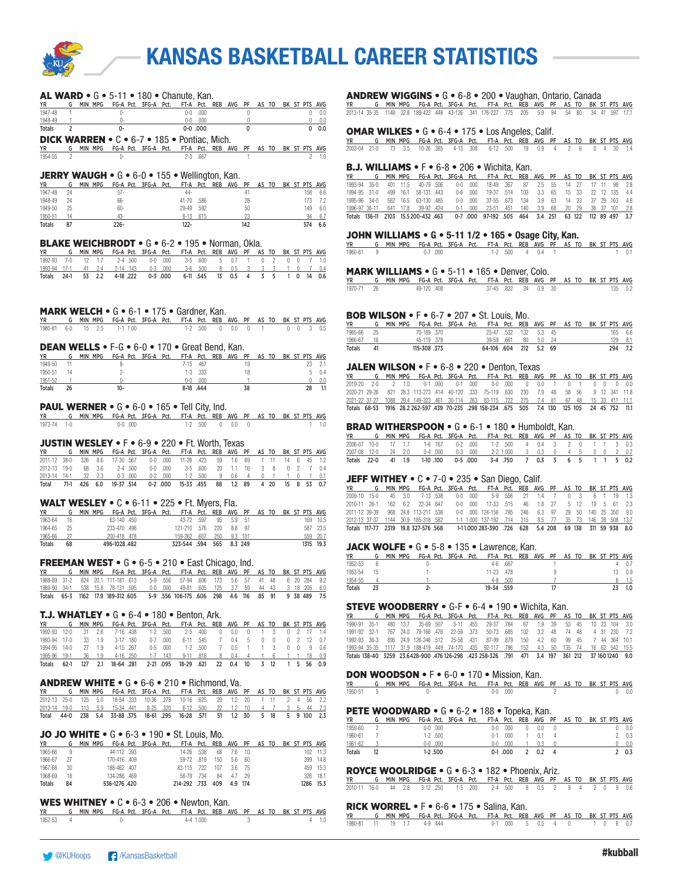

| <b>AL WARD •</b> G • 5-11 • 180 • Chanute, Kan.<br>G MIN MPG FG-A Pct. 3FG-A Pct. FT-A Pct. REB AVG PF AS TO BK ST PTS AVG<br><b>YR</b><br>1947-48<br>$0-0$ .000<br>$\overline{0}$<br>$0 \t 0.0$<br>$\mathbf{1}$<br>0-<br>1948-49<br>$0-$<br>$0-0$ . $000$<br>0<br>$0 \t 0.0$<br>-1<br>$0-0.000$<br>0<br>0<br>0.0<br>Totals<br>2<br>0-<br>DICK WARREN • C • 6-7 • 185 • Pontiac, Mich.<br>YR.<br><b>YR</b><br>G MIN MPG FG-A Pct. 3FG-A Pct. FT-A Pct. REB AVG PF<br>AS TO BK ST PTS AVG<br>$\overline{c}$<br>$2 - 3$ .667<br>1954-55<br>0-<br>$\overline{1}$<br>$2 - 1.0$<br><b>JERRY WAUGH •</b> G • 6-0 • 155 • Wellington, Kan.<br>G MIN MPG FG-A Pct. 3FG-A Pct. FT-A Pct. REB AVG PF<br>AS TO BK ST PTS AVG<br>yr<br>1947-48<br>24<br>44-<br>$57 -$<br>41<br>158<br>6.6<br>41-70 .586<br>1948-49<br>24<br>66-<br>28<br>173<br>7.2<br>1949-50<br>25<br>$60 -$<br>29-49 .592<br>50<br>149<br>6.0<br>23<br>94<br>1950-51<br>14<br>43-<br>8-13 .615<br>6.7<br>$226 -$<br>Totals<br>$122 -$<br>142<br>574<br>6.6<br>87<br><b>BLAKE WEICHBRODT •</b> G • 6-2 • 195 • Norman, Okla.<br>G MIN MPG FG-A Pct. 3FG-A Pct. FT-A Pct. REB AVG PF<br>AS TO<br>BK ST PTS AVG<br>YR I<br>$2 - 4$ .500<br>$0-0$ .000<br>1992-93<br>7-0<br>12<br>1.7<br>$3-5$ .600<br>5<br>0.7<br>$\mathbf{1}$<br>$\Omega$<br>$\overline{c}$<br>$0\quad 0$<br>$\overline{7}$<br>1.0<br>1993-94 17-1<br>41<br>2.4<br>2-14 .143<br>$0-3$ .000<br>$3-6$ .500<br>8<br>0.5<br>3<br>0.4<br>3<br>3<br>1.<br>0<br>7<br>$24-1$<br>53<br>2.2<br>4-18 .222<br>$0-3$ .000<br>6-11 .545<br>13<br>0.5<br>5<br>Totals<br>4<br>3<br>$\mathbf{1}$<br>0<br>14<br>0.6<br><b>MARK WELCH •</b> G • 6-1 • 175 • Gardner, Kan.<br>G MIN MPG FG-A Pct. 3FG-A Pct. FT-A Pct. REB AVG PF<br>AS TO BK ST PTS AVG<br>YR<br>1980-81<br>$6 - 0$<br>15<br>2.5<br>$1-1$ 1.00<br>$1-2$ .500<br>$\overline{0}$<br>0.0<br>$\overline{0}$<br>$0\quad 0$<br>-1<br>3<br>0.5<br><b>DEAN WELLS •</b> F-G • 6-0 • 170 • Great Bend, Kan.<br>G MIN MPG FG-A Pct. 3FG-A Pct. FT-A Pct. REB AVG PF<br>AS TO BK ST PTS AVG<br>YR I<br>11<br>8-<br>7-15 .467<br>19<br>23<br>2.1<br>1949-50<br>1950-51<br>$2 -$<br>$1-3$ .333<br>5<br>0.4<br>14<br>18<br>1951-52<br>$\overline{1}$<br>$0-$<br>$0-0$ .000<br>$\overline{1}$<br>$\mathbf{0}$<br>0.0<br>$10 -$<br>8-18 .444<br>38<br>28<br>Totals<br>26<br>1.1<br><b>PAUL WERNER •</b> $G \bullet 6 - 0 \bullet 165 \bullet$ Tell City. Ind.<br>G MIN MPG FG-A Pct. 3FG-A Pct. FT-A Pct. REB AVG PF<br><b>YR</b><br>AS TO BK ST PTS AVG<br>1973-74 1-0<br>$0-0.000$<br>$1-2$ .500 0 0.0 0<br>1.0<br>1.<br><b>JUSTIN WESLEY •</b> F • 6-9 • 220 • Ft. Worth, Texas<br>MIN MPG FG-A Pct. 3FG-A Pct. FT-A Pct. REB AVG PF<br>AS TO<br>BK ST PTS AVG<br>YR.<br>G<br>17-30 .567<br>11-26 .423<br>2011-12 38-0<br>326<br>8.6<br>$0-0$ .000<br>59<br>1.6<br>69<br>11<br>14<br>45<br>1.2<br>1<br>- 6<br>2012-13 19-0<br>68<br>3.6<br>$2 - 4$ .500<br>$0-0$ .000<br>$3-5$ .600<br>20<br>1.1<br>8<br>$\overline{2}$<br>16<br>3<br>0<br>7<br>0.4<br>32<br>2.3<br>$0-3$ .000<br>$0-2$ .000<br>$1-2$ .500<br>2013-14<br>14-1<br>-9<br>0.6<br>4<br>0<br>1<br>1<br>1<br>0.1<br>0<br>Total<br>$71-1$<br>426<br>6.0<br>19-37 .514<br>$0-2$ .000<br>15-33 .455<br>88<br>1.2<br>89<br>4 20<br>15<br>53<br>0.7<br>8<br>WALT WESLEY $\bullet$ C $\bullet$ 6-11 $\bullet$ 225 $\bullet$ Ft. Myers, Fla.<br>G MIN MPG FG-A Pct. 3FG-A Pct. FT-A Pct. REB AVG<br>PF<br>AS TO BK ST PTS AVG<br>YR I<br>1963-64<br>16<br>63-140.450<br>43-72 .597<br>95<br>5.9<br>51<br>169 10.5<br>1964-65<br>25<br>233-470.496<br>121-210 .576<br>220<br>8.8<br>97<br>587 23.5<br>200-418 .478<br>159-262<br>20.7<br>1965-66<br>27<br>.607<br>250<br>9.3<br>101<br>559<br>323-544 .594<br>496-1028.482<br>565<br>8.3 249<br>1315 19.3<br>Totals<br>68<br><b>FREEMAN WEST •</b> G • 6-5 • 210 • East Chicago, Ind.<br>YR G MIN MPG FG-A Pct. 3FG-A Pct. FT-A Pct. REB AVG PF<br>AS TO BK ST PTS AVG<br>1988-89 31-2 624 20.1 111-181 .613<br>5-9 .556<br>57-94 .606<br>173<br>5.6 57<br>41 48<br>6 20 284<br>9.2<br>1989-90<br>- 34-1<br>15.8<br>78-131 .595<br>$0-0$ $000$ $49-81$<br>.605<br>6.0<br>1162 17.9 189-312 605<br>116<br>91<br>Totals<br>65-3<br>5-9 .556 106-175 .606<br>298<br>4.6<br>85<br>9 38 489<br>7.5<br><b>T.J. WHATLEY •</b> G • 6-4 • 180 • Benton, Ark.<br>MIN MPG<br>FG-A Pct. 3FG-A Pct.<br>FT-A Pct.<br>REB<br>ΥR<br>G<br><b>AVG</b><br>PF<br><u>AS TO</u><br>BK ST PTS AVG<br>1992-93<br>$12-0$<br>31<br>2.6<br>7-16 .438<br>$1 - 2$<br>.500<br>$2 - 5$<br>.400<br>0<br>0.0<br>3<br>0<br>2<br>17<br>1.4<br>0<br>1<br>1993-94<br>$17-0$<br>33<br>1.9<br>3-17 .180<br>$0 - 7$<br>.000<br>$6 - 11$<br>.545<br>7<br>0.4<br>5<br>$\overline{c}$<br>12<br>0.7<br>0<br>0<br>0<br>1994-95<br>$14-0$<br>27<br>1.9<br>4-15 .267<br>$0-5$ .000<br>$1-2$ .500<br>$\overline{7}$<br>3<br>0.5<br>1<br>1<br>0<br>0<br>9<br>0.6<br>1995-96<br>$19-1$<br>36<br>1.9<br>4-16 .250<br>$1 - 7$<br>.143<br>$9 - 11$<br>.818<br>8<br>0.4<br>4<br>6<br>18<br>0.9<br>1<br>1<br>$62-1$<br>127<br>2.1<br>2-21 .095<br>18-29<br>22<br>0.4<br>10<br>3<br>12<br>56<br>Totals<br>18-64 .281<br>.621<br>$\mathbf{1}$<br>5<br>0.9<br><b>ANDREW WHITE •</b> G • 6-6 • 210 • Richmond. Va.<br>MIN MPG<br>FG-A Pct. 3FG-A Pct.<br>FT-A Pct.<br>REB AVG<br><b>PF</b><br>AS TO<br>BK ST PTS AVG<br>YR.<br>G<br>2012-13 25-0<br>125<br>5.0<br>18-54 .333<br>10-36 .278<br>10-16 .625<br>29<br>1.2<br>20<br>11<br>2<br>4<br>56<br>2.2<br>1<br>5.9<br>15-34 .441<br>8-25 .320<br>22<br>2013-14 19-0<br>113<br>$6 - 12$<br>.500<br>1.2<br>10<br>4<br>7<br>3<br>5<br>44<br>2.3<br>238<br>5.4<br>33-88.375<br>$16 - 28$<br>1.2<br>Total<br>44-0<br>18-61 .295<br>.571<br>51<br>30<br>5<br>18<br>5<br>9 100<br>2.3<br>JO JO WHITE • G • 6-3 • 190 • St. Louis, Mo.<br>MIN MPG FG-A Pct. 3FG-A Pct.<br>BK ST PTS AVG<br>ΥR<br>G<br>FT-A Pct.<br>REB<br>AVG<br>PF<br>AS TO<br>1965-66<br>9<br>44-112 .393<br>14-26 .538<br>11.3<br>68<br>7.6<br>10<br>102<br>1966-67<br>27<br>170-416 .409<br>59-72 .819<br>150<br>5.6<br>399 14.8<br>60<br>30<br>188-462 .407<br>83-115 .722<br>459 15.3<br>1967-68<br>107<br>3.6<br>75<br>1968-69<br>18<br>134-286 .469<br>58-79 .734<br>84<br>4.7<br>29<br>326 18.1<br>214-292 .733<br>409<br>Totals<br>84<br>536-1276.420<br>4.9 174<br>1286 15.3 |  |  |  |  |  |  |  |  |  | ANDF                           |
|----------------------------------------------------------------------------------------------------------------------------------------------------------------------------------------------------------------------------------------------------------------------------------------------------------------------------------------------------------------------------------------------------------------------------------------------------------------------------------------------------------------------------------------------------------------------------------------------------------------------------------------------------------------------------------------------------------------------------------------------------------------------------------------------------------------------------------------------------------------------------------------------------------------------------------------------------------------------------------------------------------------------------------------------------------------------------------------------------------------------------------------------------------------------------------------------------------------------------------------------------------------------------------------------------------------------------------------------------------------------------------------------------------------------------------------------------------------------------------------------------------------------------------------------------------------------------------------------------------------------------------------------------------------------------------------------------------------------------------------------------------------------------------------------------------------------------------------------------------------------------------------------------------------------------------------------------------------------------------------------------------------------------------------------------------------------------------------------------------------------------------------------------------------------------------------------------------------------------------------------------------------------------------------------------------------------------------------------------------------------------------------------------------------------------------------------------------------------------------------------------------------------------------------------------------------------------------------------------------------------------------------------------------------------------------------------------------------------------------------------------------------------------------------------------------------------------------------------------------------------------------------------------------------------------------------------------------------------------------------------------------------------------------------------------------------------------------------------------------------------------------------------------------------------------------------------------------------------------------------------------------------------------------------------------------------------------------------------------------------------------------------------------------------------------------------------------------------------------------------------------------------------------------------------------------------------------------------------------------------------------------------------------------------------------------------------------------------------------------------------------------------------------------------------------------------------------------------------------------------------------------------------------------------------------------------------------------------------------------------------------------------------------------------------------------------------------------------------------------------------------------------------------------------------------------------------------------------------------------------------------------------------------------------------------------------------------------------------------------------------------------------------------------------------------------------------------------------------------------------------------------------------------------------------------------------------------------------------------------------------------------------------------------------------------------------------------------------------------------------------------------------------------------------------------------------------------------------------------------------------------------------------------------------------------------------------------------------------------------------------------------------------------------------------------------------------------------------------------------------------------------------------------------------------------------------------------------------------------------------------------------------------------------------------------------------------------------------------------------------------------------------------------------------------------------------------------------------------------------------------------------------------------------------------------------------------------------------------------------------------------------------------------------------------------------------------------------------------------------------------------------------------------------------------------------------------------------------------------------------------------------------------------------------------------------------------------------------------------------------------------------------------------------------------------------------------------------------------------------------------------------------------------------------------------------------------------------------------------------------------------------------------------------------------|--|--|--|--|--|--|--|--|--|--------------------------------|
|                                                                                                                                                                                                                                                                                                                                                                                                                                                                                                                                                                                                                                                                                                                                                                                                                                                                                                                                                                                                                                                                                                                                                                                                                                                                                                                                                                                                                                                                                                                                                                                                                                                                                                                                                                                                                                                                                                                                                                                                                                                                                                                                                                                                                                                                                                                                                                                                                                                                                                                                                                                                                                                                                                                                                                                                                                                                                                                                                                                                                                                                                                                                                                                                                                                                                                                                                                                                                                                                                                                                                                                                                                                                                                                                                                                                                                                                                                                                                                                                                                                                                                                                                                                                                                                                                                                                                                                                                                                                                                                                                                                                                                                                                                                                                                                                                                                                                                                                                                                                                                                                                                                                                                                                                                                                                                                                                                                                                                                                                                                                                                                                                                                                                                                                                                                                                                                                                                                                                                                                                                                                                                                                                                                                                                                                                              |  |  |  |  |  |  |  |  |  | YR                             |
|                                                                                                                                                                                                                                                                                                                                                                                                                                                                                                                                                                                                                                                                                                                                                                                                                                                                                                                                                                                                                                                                                                                                                                                                                                                                                                                                                                                                                                                                                                                                                                                                                                                                                                                                                                                                                                                                                                                                                                                                                                                                                                                                                                                                                                                                                                                                                                                                                                                                                                                                                                                                                                                                                                                                                                                                                                                                                                                                                                                                                                                                                                                                                                                                                                                                                                                                                                                                                                                                                                                                                                                                                                                                                                                                                                                                                                                                                                                                                                                                                                                                                                                                                                                                                                                                                                                                                                                                                                                                                                                                                                                                                                                                                                                                                                                                                                                                                                                                                                                                                                                                                                                                                                                                                                                                                                                                                                                                                                                                                                                                                                                                                                                                                                                                                                                                                                                                                                                                                                                                                                                                                                                                                                                                                                                                                              |  |  |  |  |  |  |  |  |  | 2013-14 35                     |
|                                                                                                                                                                                                                                                                                                                                                                                                                                                                                                                                                                                                                                                                                                                                                                                                                                                                                                                                                                                                                                                                                                                                                                                                                                                                                                                                                                                                                                                                                                                                                                                                                                                                                                                                                                                                                                                                                                                                                                                                                                                                                                                                                                                                                                                                                                                                                                                                                                                                                                                                                                                                                                                                                                                                                                                                                                                                                                                                                                                                                                                                                                                                                                                                                                                                                                                                                                                                                                                                                                                                                                                                                                                                                                                                                                                                                                                                                                                                                                                                                                                                                                                                                                                                                                                                                                                                                                                                                                                                                                                                                                                                                                                                                                                                                                                                                                                                                                                                                                                                                                                                                                                                                                                                                                                                                                                                                                                                                                                                                                                                                                                                                                                                                                                                                                                                                                                                                                                                                                                                                                                                                                                                                                                                                                                                                              |  |  |  |  |  |  |  |  |  |                                |
|                                                                                                                                                                                                                                                                                                                                                                                                                                                                                                                                                                                                                                                                                                                                                                                                                                                                                                                                                                                                                                                                                                                                                                                                                                                                                                                                                                                                                                                                                                                                                                                                                                                                                                                                                                                                                                                                                                                                                                                                                                                                                                                                                                                                                                                                                                                                                                                                                                                                                                                                                                                                                                                                                                                                                                                                                                                                                                                                                                                                                                                                                                                                                                                                                                                                                                                                                                                                                                                                                                                                                                                                                                                                                                                                                                                                                                                                                                                                                                                                                                                                                                                                                                                                                                                                                                                                                                                                                                                                                                                                                                                                                                                                                                                                                                                                                                                                                                                                                                                                                                                                                                                                                                                                                                                                                                                                                                                                                                                                                                                                                                                                                                                                                                                                                                                                                                                                                                                                                                                                                                                                                                                                                                                                                                                                                              |  |  |  |  |  |  |  |  |  | <b>OMAI</b>                    |
|                                                                                                                                                                                                                                                                                                                                                                                                                                                                                                                                                                                                                                                                                                                                                                                                                                                                                                                                                                                                                                                                                                                                                                                                                                                                                                                                                                                                                                                                                                                                                                                                                                                                                                                                                                                                                                                                                                                                                                                                                                                                                                                                                                                                                                                                                                                                                                                                                                                                                                                                                                                                                                                                                                                                                                                                                                                                                                                                                                                                                                                                                                                                                                                                                                                                                                                                                                                                                                                                                                                                                                                                                                                                                                                                                                                                                                                                                                                                                                                                                                                                                                                                                                                                                                                                                                                                                                                                                                                                                                                                                                                                                                                                                                                                                                                                                                                                                                                                                                                                                                                                                                                                                                                                                                                                                                                                                                                                                                                                                                                                                                                                                                                                                                                                                                                                                                                                                                                                                                                                                                                                                                                                                                                                                                                                                              |  |  |  |  |  |  |  |  |  | 2003-04 2                      |
|                                                                                                                                                                                                                                                                                                                                                                                                                                                                                                                                                                                                                                                                                                                                                                                                                                                                                                                                                                                                                                                                                                                                                                                                                                                                                                                                                                                                                                                                                                                                                                                                                                                                                                                                                                                                                                                                                                                                                                                                                                                                                                                                                                                                                                                                                                                                                                                                                                                                                                                                                                                                                                                                                                                                                                                                                                                                                                                                                                                                                                                                                                                                                                                                                                                                                                                                                                                                                                                                                                                                                                                                                                                                                                                                                                                                                                                                                                                                                                                                                                                                                                                                                                                                                                                                                                                                                                                                                                                                                                                                                                                                                                                                                                                                                                                                                                                                                                                                                                                                                                                                                                                                                                                                                                                                                                                                                                                                                                                                                                                                                                                                                                                                                                                                                                                                                                                                                                                                                                                                                                                                                                                                                                                                                                                                                              |  |  |  |  |  |  |  |  |  |                                |
|                                                                                                                                                                                                                                                                                                                                                                                                                                                                                                                                                                                                                                                                                                                                                                                                                                                                                                                                                                                                                                                                                                                                                                                                                                                                                                                                                                                                                                                                                                                                                                                                                                                                                                                                                                                                                                                                                                                                                                                                                                                                                                                                                                                                                                                                                                                                                                                                                                                                                                                                                                                                                                                                                                                                                                                                                                                                                                                                                                                                                                                                                                                                                                                                                                                                                                                                                                                                                                                                                                                                                                                                                                                                                                                                                                                                                                                                                                                                                                                                                                                                                                                                                                                                                                                                                                                                                                                                                                                                                                                                                                                                                                                                                                                                                                                                                                                                                                                                                                                                                                                                                                                                                                                                                                                                                                                                                                                                                                                                                                                                                                                                                                                                                                                                                                                                                                                                                                                                                                                                                                                                                                                                                                                                                                                                                              |  |  |  |  |  |  |  |  |  | B.J. V                         |
|                                                                                                                                                                                                                                                                                                                                                                                                                                                                                                                                                                                                                                                                                                                                                                                                                                                                                                                                                                                                                                                                                                                                                                                                                                                                                                                                                                                                                                                                                                                                                                                                                                                                                                                                                                                                                                                                                                                                                                                                                                                                                                                                                                                                                                                                                                                                                                                                                                                                                                                                                                                                                                                                                                                                                                                                                                                                                                                                                                                                                                                                                                                                                                                                                                                                                                                                                                                                                                                                                                                                                                                                                                                                                                                                                                                                                                                                                                                                                                                                                                                                                                                                                                                                                                                                                                                                                                                                                                                                                                                                                                                                                                                                                                                                                                                                                                                                                                                                                                                                                                                                                                                                                                                                                                                                                                                                                                                                                                                                                                                                                                                                                                                                                                                                                                                                                                                                                                                                                                                                                                                                                                                                                                                                                                                                                              |  |  |  |  |  |  |  |  |  | YR                             |
|                                                                                                                                                                                                                                                                                                                                                                                                                                                                                                                                                                                                                                                                                                                                                                                                                                                                                                                                                                                                                                                                                                                                                                                                                                                                                                                                                                                                                                                                                                                                                                                                                                                                                                                                                                                                                                                                                                                                                                                                                                                                                                                                                                                                                                                                                                                                                                                                                                                                                                                                                                                                                                                                                                                                                                                                                                                                                                                                                                                                                                                                                                                                                                                                                                                                                                                                                                                                                                                                                                                                                                                                                                                                                                                                                                                                                                                                                                                                                                                                                                                                                                                                                                                                                                                                                                                                                                                                                                                                                                                                                                                                                                                                                                                                                                                                                                                                                                                                                                                                                                                                                                                                                                                                                                                                                                                                                                                                                                                                                                                                                                                                                                                                                                                                                                                                                                                                                                                                                                                                                                                                                                                                                                                                                                                                                              |  |  |  |  |  |  |  |  |  | 1993-94<br>1994-95             |
|                                                                                                                                                                                                                                                                                                                                                                                                                                                                                                                                                                                                                                                                                                                                                                                                                                                                                                                                                                                                                                                                                                                                                                                                                                                                                                                                                                                                                                                                                                                                                                                                                                                                                                                                                                                                                                                                                                                                                                                                                                                                                                                                                                                                                                                                                                                                                                                                                                                                                                                                                                                                                                                                                                                                                                                                                                                                                                                                                                                                                                                                                                                                                                                                                                                                                                                                                                                                                                                                                                                                                                                                                                                                                                                                                                                                                                                                                                                                                                                                                                                                                                                                                                                                                                                                                                                                                                                                                                                                                                                                                                                                                                                                                                                                                                                                                                                                                                                                                                                                                                                                                                                                                                                                                                                                                                                                                                                                                                                                                                                                                                                                                                                                                                                                                                                                                                                                                                                                                                                                                                                                                                                                                                                                                                                                                              |  |  |  |  |  |  |  |  |  | 1995-96 3                      |
|                                                                                                                                                                                                                                                                                                                                                                                                                                                                                                                                                                                                                                                                                                                                                                                                                                                                                                                                                                                                                                                                                                                                                                                                                                                                                                                                                                                                                                                                                                                                                                                                                                                                                                                                                                                                                                                                                                                                                                                                                                                                                                                                                                                                                                                                                                                                                                                                                                                                                                                                                                                                                                                                                                                                                                                                                                                                                                                                                                                                                                                                                                                                                                                                                                                                                                                                                                                                                                                                                                                                                                                                                                                                                                                                                                                                                                                                                                                                                                                                                                                                                                                                                                                                                                                                                                                                                                                                                                                                                                                                                                                                                                                                                                                                                                                                                                                                                                                                                                                                                                                                                                                                                                                                                                                                                                                                                                                                                                                                                                                                                                                                                                                                                                                                                                                                                                                                                                                                                                                                                                                                                                                                                                                                                                                                                              |  |  |  |  |  |  |  |  |  | 1996-97 36                     |
|                                                                                                                                                                                                                                                                                                                                                                                                                                                                                                                                                                                                                                                                                                                                                                                                                                                                                                                                                                                                                                                                                                                                                                                                                                                                                                                                                                                                                                                                                                                                                                                                                                                                                                                                                                                                                                                                                                                                                                                                                                                                                                                                                                                                                                                                                                                                                                                                                                                                                                                                                                                                                                                                                                                                                                                                                                                                                                                                                                                                                                                                                                                                                                                                                                                                                                                                                                                                                                                                                                                                                                                                                                                                                                                                                                                                                                                                                                                                                                                                                                                                                                                                                                                                                                                                                                                                                                                                                                                                                                                                                                                                                                                                                                                                                                                                                                                                                                                                                                                                                                                                                                                                                                                                                                                                                                                                                                                                                                                                                                                                                                                                                                                                                                                                                                                                                                                                                                                                                                                                                                                                                                                                                                                                                                                                                              |  |  |  |  |  |  |  |  |  | Totals 13                      |
|                                                                                                                                                                                                                                                                                                                                                                                                                                                                                                                                                                                                                                                                                                                                                                                                                                                                                                                                                                                                                                                                                                                                                                                                                                                                                                                                                                                                                                                                                                                                                                                                                                                                                                                                                                                                                                                                                                                                                                                                                                                                                                                                                                                                                                                                                                                                                                                                                                                                                                                                                                                                                                                                                                                                                                                                                                                                                                                                                                                                                                                                                                                                                                                                                                                                                                                                                                                                                                                                                                                                                                                                                                                                                                                                                                                                                                                                                                                                                                                                                                                                                                                                                                                                                                                                                                                                                                                                                                                                                                                                                                                                                                                                                                                                                                                                                                                                                                                                                                                                                                                                                                                                                                                                                                                                                                                                                                                                                                                                                                                                                                                                                                                                                                                                                                                                                                                                                                                                                                                                                                                                                                                                                                                                                                                                                              |  |  |  |  |  |  |  |  |  | JOHN                           |
|                                                                                                                                                                                                                                                                                                                                                                                                                                                                                                                                                                                                                                                                                                                                                                                                                                                                                                                                                                                                                                                                                                                                                                                                                                                                                                                                                                                                                                                                                                                                                                                                                                                                                                                                                                                                                                                                                                                                                                                                                                                                                                                                                                                                                                                                                                                                                                                                                                                                                                                                                                                                                                                                                                                                                                                                                                                                                                                                                                                                                                                                                                                                                                                                                                                                                                                                                                                                                                                                                                                                                                                                                                                                                                                                                                                                                                                                                                                                                                                                                                                                                                                                                                                                                                                                                                                                                                                                                                                                                                                                                                                                                                                                                                                                                                                                                                                                                                                                                                                                                                                                                                                                                                                                                                                                                                                                                                                                                                                                                                                                                                                                                                                                                                                                                                                                                                                                                                                                                                                                                                                                                                                                                                                                                                                                                              |  |  |  |  |  |  |  |  |  | ΥR                             |
|                                                                                                                                                                                                                                                                                                                                                                                                                                                                                                                                                                                                                                                                                                                                                                                                                                                                                                                                                                                                                                                                                                                                                                                                                                                                                                                                                                                                                                                                                                                                                                                                                                                                                                                                                                                                                                                                                                                                                                                                                                                                                                                                                                                                                                                                                                                                                                                                                                                                                                                                                                                                                                                                                                                                                                                                                                                                                                                                                                                                                                                                                                                                                                                                                                                                                                                                                                                                                                                                                                                                                                                                                                                                                                                                                                                                                                                                                                                                                                                                                                                                                                                                                                                                                                                                                                                                                                                                                                                                                                                                                                                                                                                                                                                                                                                                                                                                                                                                                                                                                                                                                                                                                                                                                                                                                                                                                                                                                                                                                                                                                                                                                                                                                                                                                                                                                                                                                                                                                                                                                                                                                                                                                                                                                                                                                              |  |  |  |  |  |  |  |  |  | 1960-61                        |
|                                                                                                                                                                                                                                                                                                                                                                                                                                                                                                                                                                                                                                                                                                                                                                                                                                                                                                                                                                                                                                                                                                                                                                                                                                                                                                                                                                                                                                                                                                                                                                                                                                                                                                                                                                                                                                                                                                                                                                                                                                                                                                                                                                                                                                                                                                                                                                                                                                                                                                                                                                                                                                                                                                                                                                                                                                                                                                                                                                                                                                                                                                                                                                                                                                                                                                                                                                                                                                                                                                                                                                                                                                                                                                                                                                                                                                                                                                                                                                                                                                                                                                                                                                                                                                                                                                                                                                                                                                                                                                                                                                                                                                                                                                                                                                                                                                                                                                                                                                                                                                                                                                                                                                                                                                                                                                                                                                                                                                                                                                                                                                                                                                                                                                                                                                                                                                                                                                                                                                                                                                                                                                                                                                                                                                                                                              |  |  |  |  |  |  |  |  |  |                                |
|                                                                                                                                                                                                                                                                                                                                                                                                                                                                                                                                                                                                                                                                                                                                                                                                                                                                                                                                                                                                                                                                                                                                                                                                                                                                                                                                                                                                                                                                                                                                                                                                                                                                                                                                                                                                                                                                                                                                                                                                                                                                                                                                                                                                                                                                                                                                                                                                                                                                                                                                                                                                                                                                                                                                                                                                                                                                                                                                                                                                                                                                                                                                                                                                                                                                                                                                                                                                                                                                                                                                                                                                                                                                                                                                                                                                                                                                                                                                                                                                                                                                                                                                                                                                                                                                                                                                                                                                                                                                                                                                                                                                                                                                                                                                                                                                                                                                                                                                                                                                                                                                                                                                                                                                                                                                                                                                                                                                                                                                                                                                                                                                                                                                                                                                                                                                                                                                                                                                                                                                                                                                                                                                                                                                                                                                                              |  |  |  |  |  |  |  |  |  | MARK                           |
|                                                                                                                                                                                                                                                                                                                                                                                                                                                                                                                                                                                                                                                                                                                                                                                                                                                                                                                                                                                                                                                                                                                                                                                                                                                                                                                                                                                                                                                                                                                                                                                                                                                                                                                                                                                                                                                                                                                                                                                                                                                                                                                                                                                                                                                                                                                                                                                                                                                                                                                                                                                                                                                                                                                                                                                                                                                                                                                                                                                                                                                                                                                                                                                                                                                                                                                                                                                                                                                                                                                                                                                                                                                                                                                                                                                                                                                                                                                                                                                                                                                                                                                                                                                                                                                                                                                                                                                                                                                                                                                                                                                                                                                                                                                                                                                                                                                                                                                                                                                                                                                                                                                                                                                                                                                                                                                                                                                                                                                                                                                                                                                                                                                                                                                                                                                                                                                                                                                                                                                                                                                                                                                                                                                                                                                                                              |  |  |  |  |  |  |  |  |  | YR<br>1970-71                  |
|                                                                                                                                                                                                                                                                                                                                                                                                                                                                                                                                                                                                                                                                                                                                                                                                                                                                                                                                                                                                                                                                                                                                                                                                                                                                                                                                                                                                                                                                                                                                                                                                                                                                                                                                                                                                                                                                                                                                                                                                                                                                                                                                                                                                                                                                                                                                                                                                                                                                                                                                                                                                                                                                                                                                                                                                                                                                                                                                                                                                                                                                                                                                                                                                                                                                                                                                                                                                                                                                                                                                                                                                                                                                                                                                                                                                                                                                                                                                                                                                                                                                                                                                                                                                                                                                                                                                                                                                                                                                                                                                                                                                                                                                                                                                                                                                                                                                                                                                                                                                                                                                                                                                                                                                                                                                                                                                                                                                                                                                                                                                                                                                                                                                                                                                                                                                                                                                                                                                                                                                                                                                                                                                                                                                                                                                                              |  |  |  |  |  |  |  |  |  |                                |
|                                                                                                                                                                                                                                                                                                                                                                                                                                                                                                                                                                                                                                                                                                                                                                                                                                                                                                                                                                                                                                                                                                                                                                                                                                                                                                                                                                                                                                                                                                                                                                                                                                                                                                                                                                                                                                                                                                                                                                                                                                                                                                                                                                                                                                                                                                                                                                                                                                                                                                                                                                                                                                                                                                                                                                                                                                                                                                                                                                                                                                                                                                                                                                                                                                                                                                                                                                                                                                                                                                                                                                                                                                                                                                                                                                                                                                                                                                                                                                                                                                                                                                                                                                                                                                                                                                                                                                                                                                                                                                                                                                                                                                                                                                                                                                                                                                                                                                                                                                                                                                                                                                                                                                                                                                                                                                                                                                                                                                                                                                                                                                                                                                                                                                                                                                                                                                                                                                                                                                                                                                                                                                                                                                                                                                                                                              |  |  |  |  |  |  |  |  |  |                                |
|                                                                                                                                                                                                                                                                                                                                                                                                                                                                                                                                                                                                                                                                                                                                                                                                                                                                                                                                                                                                                                                                                                                                                                                                                                                                                                                                                                                                                                                                                                                                                                                                                                                                                                                                                                                                                                                                                                                                                                                                                                                                                                                                                                                                                                                                                                                                                                                                                                                                                                                                                                                                                                                                                                                                                                                                                                                                                                                                                                                                                                                                                                                                                                                                                                                                                                                                                                                                                                                                                                                                                                                                                                                                                                                                                                                                                                                                                                                                                                                                                                                                                                                                                                                                                                                                                                                                                                                                                                                                                                                                                                                                                                                                                                                                                                                                                                                                                                                                                                                                                                                                                                                                                                                                                                                                                                                                                                                                                                                                                                                                                                                                                                                                                                                                                                                                                                                                                                                                                                                                                                                                                                                                                                                                                                                                                              |  |  |  |  |  |  |  |  |  | BOB \                          |
|                                                                                                                                                                                                                                                                                                                                                                                                                                                                                                                                                                                                                                                                                                                                                                                                                                                                                                                                                                                                                                                                                                                                                                                                                                                                                                                                                                                                                                                                                                                                                                                                                                                                                                                                                                                                                                                                                                                                                                                                                                                                                                                                                                                                                                                                                                                                                                                                                                                                                                                                                                                                                                                                                                                                                                                                                                                                                                                                                                                                                                                                                                                                                                                                                                                                                                                                                                                                                                                                                                                                                                                                                                                                                                                                                                                                                                                                                                                                                                                                                                                                                                                                                                                                                                                                                                                                                                                                                                                                                                                                                                                                                                                                                                                                                                                                                                                                                                                                                                                                                                                                                                                                                                                                                                                                                                                                                                                                                                                                                                                                                                                                                                                                                                                                                                                                                                                                                                                                                                                                                                                                                                                                                                                                                                                                                              |  |  |  |  |  |  |  |  |  | ΥR                             |
|                                                                                                                                                                                                                                                                                                                                                                                                                                                                                                                                                                                                                                                                                                                                                                                                                                                                                                                                                                                                                                                                                                                                                                                                                                                                                                                                                                                                                                                                                                                                                                                                                                                                                                                                                                                                                                                                                                                                                                                                                                                                                                                                                                                                                                                                                                                                                                                                                                                                                                                                                                                                                                                                                                                                                                                                                                                                                                                                                                                                                                                                                                                                                                                                                                                                                                                                                                                                                                                                                                                                                                                                                                                                                                                                                                                                                                                                                                                                                                                                                                                                                                                                                                                                                                                                                                                                                                                                                                                                                                                                                                                                                                                                                                                                                                                                                                                                                                                                                                                                                                                                                                                                                                                                                                                                                                                                                                                                                                                                                                                                                                                                                                                                                                                                                                                                                                                                                                                                                                                                                                                                                                                                                                                                                                                                                              |  |  |  |  |  |  |  |  |  | 1965-66<br>1966-67             |
|                                                                                                                                                                                                                                                                                                                                                                                                                                                                                                                                                                                                                                                                                                                                                                                                                                                                                                                                                                                                                                                                                                                                                                                                                                                                                                                                                                                                                                                                                                                                                                                                                                                                                                                                                                                                                                                                                                                                                                                                                                                                                                                                                                                                                                                                                                                                                                                                                                                                                                                                                                                                                                                                                                                                                                                                                                                                                                                                                                                                                                                                                                                                                                                                                                                                                                                                                                                                                                                                                                                                                                                                                                                                                                                                                                                                                                                                                                                                                                                                                                                                                                                                                                                                                                                                                                                                                                                                                                                                                                                                                                                                                                                                                                                                                                                                                                                                                                                                                                                                                                                                                                                                                                                                                                                                                                                                                                                                                                                                                                                                                                                                                                                                                                                                                                                                                                                                                                                                                                                                                                                                                                                                                                                                                                                                                              |  |  |  |  |  |  |  |  |  | Totals                         |
|                                                                                                                                                                                                                                                                                                                                                                                                                                                                                                                                                                                                                                                                                                                                                                                                                                                                                                                                                                                                                                                                                                                                                                                                                                                                                                                                                                                                                                                                                                                                                                                                                                                                                                                                                                                                                                                                                                                                                                                                                                                                                                                                                                                                                                                                                                                                                                                                                                                                                                                                                                                                                                                                                                                                                                                                                                                                                                                                                                                                                                                                                                                                                                                                                                                                                                                                                                                                                                                                                                                                                                                                                                                                                                                                                                                                                                                                                                                                                                                                                                                                                                                                                                                                                                                                                                                                                                                                                                                                                                                                                                                                                                                                                                                                                                                                                                                                                                                                                                                                                                                                                                                                                                                                                                                                                                                                                                                                                                                                                                                                                                                                                                                                                                                                                                                                                                                                                                                                                                                                                                                                                                                                                                                                                                                                                              |  |  |  |  |  |  |  |  |  |                                |
|                                                                                                                                                                                                                                                                                                                                                                                                                                                                                                                                                                                                                                                                                                                                                                                                                                                                                                                                                                                                                                                                                                                                                                                                                                                                                                                                                                                                                                                                                                                                                                                                                                                                                                                                                                                                                                                                                                                                                                                                                                                                                                                                                                                                                                                                                                                                                                                                                                                                                                                                                                                                                                                                                                                                                                                                                                                                                                                                                                                                                                                                                                                                                                                                                                                                                                                                                                                                                                                                                                                                                                                                                                                                                                                                                                                                                                                                                                                                                                                                                                                                                                                                                                                                                                                                                                                                                                                                                                                                                                                                                                                                                                                                                                                                                                                                                                                                                                                                                                                                                                                                                                                                                                                                                                                                                                                                                                                                                                                                                                                                                                                                                                                                                                                                                                                                                                                                                                                                                                                                                                                                                                                                                                                                                                                                                              |  |  |  |  |  |  |  |  |  | JALEI                          |
|                                                                                                                                                                                                                                                                                                                                                                                                                                                                                                                                                                                                                                                                                                                                                                                                                                                                                                                                                                                                                                                                                                                                                                                                                                                                                                                                                                                                                                                                                                                                                                                                                                                                                                                                                                                                                                                                                                                                                                                                                                                                                                                                                                                                                                                                                                                                                                                                                                                                                                                                                                                                                                                                                                                                                                                                                                                                                                                                                                                                                                                                                                                                                                                                                                                                                                                                                                                                                                                                                                                                                                                                                                                                                                                                                                                                                                                                                                                                                                                                                                                                                                                                                                                                                                                                                                                                                                                                                                                                                                                                                                                                                                                                                                                                                                                                                                                                                                                                                                                                                                                                                                                                                                                                                                                                                                                                                                                                                                                                                                                                                                                                                                                                                                                                                                                                                                                                                                                                                                                                                                                                                                                                                                                                                                                                                              |  |  |  |  |  |  |  |  |  | YR I<br>2019-20                |
|                                                                                                                                                                                                                                                                                                                                                                                                                                                                                                                                                                                                                                                                                                                                                                                                                                                                                                                                                                                                                                                                                                                                                                                                                                                                                                                                                                                                                                                                                                                                                                                                                                                                                                                                                                                                                                                                                                                                                                                                                                                                                                                                                                                                                                                                                                                                                                                                                                                                                                                                                                                                                                                                                                                                                                                                                                                                                                                                                                                                                                                                                                                                                                                                                                                                                                                                                                                                                                                                                                                                                                                                                                                                                                                                                                                                                                                                                                                                                                                                                                                                                                                                                                                                                                                                                                                                                                                                                                                                                                                                                                                                                                                                                                                                                                                                                                                                                                                                                                                                                                                                                                                                                                                                                                                                                                                                                                                                                                                                                                                                                                                                                                                                                                                                                                                                                                                                                                                                                                                                                                                                                                                                                                                                                                                                                              |  |  |  |  |  |  |  |  |  | 2020-21 29                     |
|                                                                                                                                                                                                                                                                                                                                                                                                                                                                                                                                                                                                                                                                                                                                                                                                                                                                                                                                                                                                                                                                                                                                                                                                                                                                                                                                                                                                                                                                                                                                                                                                                                                                                                                                                                                                                                                                                                                                                                                                                                                                                                                                                                                                                                                                                                                                                                                                                                                                                                                                                                                                                                                                                                                                                                                                                                                                                                                                                                                                                                                                                                                                                                                                                                                                                                                                                                                                                                                                                                                                                                                                                                                                                                                                                                                                                                                                                                                                                                                                                                                                                                                                                                                                                                                                                                                                                                                                                                                                                                                                                                                                                                                                                                                                                                                                                                                                                                                                                                                                                                                                                                                                                                                                                                                                                                                                                                                                                                                                                                                                                                                                                                                                                                                                                                                                                                                                                                                                                                                                                                                                                                                                                                                                                                                                                              |  |  |  |  |  |  |  |  |  | 2021-22 37                     |
|                                                                                                                                                                                                                                                                                                                                                                                                                                                                                                                                                                                                                                                                                                                                                                                                                                                                                                                                                                                                                                                                                                                                                                                                                                                                                                                                                                                                                                                                                                                                                                                                                                                                                                                                                                                                                                                                                                                                                                                                                                                                                                                                                                                                                                                                                                                                                                                                                                                                                                                                                                                                                                                                                                                                                                                                                                                                                                                                                                                                                                                                                                                                                                                                                                                                                                                                                                                                                                                                                                                                                                                                                                                                                                                                                                                                                                                                                                                                                                                                                                                                                                                                                                                                                                                                                                                                                                                                                                                                                                                                                                                                                                                                                                                                                                                                                                                                                                                                                                                                                                                                                                                                                                                                                                                                                                                                                                                                                                                                                                                                                                                                                                                                                                                                                                                                                                                                                                                                                                                                                                                                                                                                                                                                                                                                                              |  |  |  |  |  |  |  |  |  | Totals 68                      |
|                                                                                                                                                                                                                                                                                                                                                                                                                                                                                                                                                                                                                                                                                                                                                                                                                                                                                                                                                                                                                                                                                                                                                                                                                                                                                                                                                                                                                                                                                                                                                                                                                                                                                                                                                                                                                                                                                                                                                                                                                                                                                                                                                                                                                                                                                                                                                                                                                                                                                                                                                                                                                                                                                                                                                                                                                                                                                                                                                                                                                                                                                                                                                                                                                                                                                                                                                                                                                                                                                                                                                                                                                                                                                                                                                                                                                                                                                                                                                                                                                                                                                                                                                                                                                                                                                                                                                                                                                                                                                                                                                                                                                                                                                                                                                                                                                                                                                                                                                                                                                                                                                                                                                                                                                                                                                                                                                                                                                                                                                                                                                                                                                                                                                                                                                                                                                                                                                                                                                                                                                                                                                                                                                                                                                                                                                              |  |  |  |  |  |  |  |  |  | <b>BRAD</b>                    |
|                                                                                                                                                                                                                                                                                                                                                                                                                                                                                                                                                                                                                                                                                                                                                                                                                                                                                                                                                                                                                                                                                                                                                                                                                                                                                                                                                                                                                                                                                                                                                                                                                                                                                                                                                                                                                                                                                                                                                                                                                                                                                                                                                                                                                                                                                                                                                                                                                                                                                                                                                                                                                                                                                                                                                                                                                                                                                                                                                                                                                                                                                                                                                                                                                                                                                                                                                                                                                                                                                                                                                                                                                                                                                                                                                                                                                                                                                                                                                                                                                                                                                                                                                                                                                                                                                                                                                                                                                                                                                                                                                                                                                                                                                                                                                                                                                                                                                                                                                                                                                                                                                                                                                                                                                                                                                                                                                                                                                                                                                                                                                                                                                                                                                                                                                                                                                                                                                                                                                                                                                                                                                                                                                                                                                                                                                              |  |  |  |  |  |  |  |  |  | YR                             |
|                                                                                                                                                                                                                                                                                                                                                                                                                                                                                                                                                                                                                                                                                                                                                                                                                                                                                                                                                                                                                                                                                                                                                                                                                                                                                                                                                                                                                                                                                                                                                                                                                                                                                                                                                                                                                                                                                                                                                                                                                                                                                                                                                                                                                                                                                                                                                                                                                                                                                                                                                                                                                                                                                                                                                                                                                                                                                                                                                                                                                                                                                                                                                                                                                                                                                                                                                                                                                                                                                                                                                                                                                                                                                                                                                                                                                                                                                                                                                                                                                                                                                                                                                                                                                                                                                                                                                                                                                                                                                                                                                                                                                                                                                                                                                                                                                                                                                                                                                                                                                                                                                                                                                                                                                                                                                                                                                                                                                                                                                                                                                                                                                                                                                                                                                                                                                                                                                                                                                                                                                                                                                                                                                                                                                                                                                              |  |  |  |  |  |  |  |  |  | 2006-07                        |
|                                                                                                                                                                                                                                                                                                                                                                                                                                                                                                                                                                                                                                                                                                                                                                                                                                                                                                                                                                                                                                                                                                                                                                                                                                                                                                                                                                                                                                                                                                                                                                                                                                                                                                                                                                                                                                                                                                                                                                                                                                                                                                                                                                                                                                                                                                                                                                                                                                                                                                                                                                                                                                                                                                                                                                                                                                                                                                                                                                                                                                                                                                                                                                                                                                                                                                                                                                                                                                                                                                                                                                                                                                                                                                                                                                                                                                                                                                                                                                                                                                                                                                                                                                                                                                                                                                                                                                                                                                                                                                                                                                                                                                                                                                                                                                                                                                                                                                                                                                                                                                                                                                                                                                                                                                                                                                                                                                                                                                                                                                                                                                                                                                                                                                                                                                                                                                                                                                                                                                                                                                                                                                                                                                                                                                                                                              |  |  |  |  |  |  |  |  |  | 2007-08<br>Totals <sub>2</sub> |
|                                                                                                                                                                                                                                                                                                                                                                                                                                                                                                                                                                                                                                                                                                                                                                                                                                                                                                                                                                                                                                                                                                                                                                                                                                                                                                                                                                                                                                                                                                                                                                                                                                                                                                                                                                                                                                                                                                                                                                                                                                                                                                                                                                                                                                                                                                                                                                                                                                                                                                                                                                                                                                                                                                                                                                                                                                                                                                                                                                                                                                                                                                                                                                                                                                                                                                                                                                                                                                                                                                                                                                                                                                                                                                                                                                                                                                                                                                                                                                                                                                                                                                                                                                                                                                                                                                                                                                                                                                                                                                                                                                                                                                                                                                                                                                                                                                                                                                                                                                                                                                                                                                                                                                                                                                                                                                                                                                                                                                                                                                                                                                                                                                                                                                                                                                                                                                                                                                                                                                                                                                                                                                                                                                                                                                                                                              |  |  |  |  |  |  |  |  |  |                                |
|                                                                                                                                                                                                                                                                                                                                                                                                                                                                                                                                                                                                                                                                                                                                                                                                                                                                                                                                                                                                                                                                                                                                                                                                                                                                                                                                                                                                                                                                                                                                                                                                                                                                                                                                                                                                                                                                                                                                                                                                                                                                                                                                                                                                                                                                                                                                                                                                                                                                                                                                                                                                                                                                                                                                                                                                                                                                                                                                                                                                                                                                                                                                                                                                                                                                                                                                                                                                                                                                                                                                                                                                                                                                                                                                                                                                                                                                                                                                                                                                                                                                                                                                                                                                                                                                                                                                                                                                                                                                                                                                                                                                                                                                                                                                                                                                                                                                                                                                                                                                                                                                                                                                                                                                                                                                                                                                                                                                                                                                                                                                                                                                                                                                                                                                                                                                                                                                                                                                                                                                                                                                                                                                                                                                                                                                                              |  |  |  |  |  |  |  |  |  | JEFF                           |
|                                                                                                                                                                                                                                                                                                                                                                                                                                                                                                                                                                                                                                                                                                                                                                                                                                                                                                                                                                                                                                                                                                                                                                                                                                                                                                                                                                                                                                                                                                                                                                                                                                                                                                                                                                                                                                                                                                                                                                                                                                                                                                                                                                                                                                                                                                                                                                                                                                                                                                                                                                                                                                                                                                                                                                                                                                                                                                                                                                                                                                                                                                                                                                                                                                                                                                                                                                                                                                                                                                                                                                                                                                                                                                                                                                                                                                                                                                                                                                                                                                                                                                                                                                                                                                                                                                                                                                                                                                                                                                                                                                                                                                                                                                                                                                                                                                                                                                                                                                                                                                                                                                                                                                                                                                                                                                                                                                                                                                                                                                                                                                                                                                                                                                                                                                                                                                                                                                                                                                                                                                                                                                                                                                                                                                                                                              |  |  |  |  |  |  |  |  |  | YR                             |
|                                                                                                                                                                                                                                                                                                                                                                                                                                                                                                                                                                                                                                                                                                                                                                                                                                                                                                                                                                                                                                                                                                                                                                                                                                                                                                                                                                                                                                                                                                                                                                                                                                                                                                                                                                                                                                                                                                                                                                                                                                                                                                                                                                                                                                                                                                                                                                                                                                                                                                                                                                                                                                                                                                                                                                                                                                                                                                                                                                                                                                                                                                                                                                                                                                                                                                                                                                                                                                                                                                                                                                                                                                                                                                                                                                                                                                                                                                                                                                                                                                                                                                                                                                                                                                                                                                                                                                                                                                                                                                                                                                                                                                                                                                                                                                                                                                                                                                                                                                                                                                                                                                                                                                                                                                                                                                                                                                                                                                                                                                                                                                                                                                                                                                                                                                                                                                                                                                                                                                                                                                                                                                                                                                                                                                                                                              |  |  |  |  |  |  |  |  |  | 2009-10                        |
|                                                                                                                                                                                                                                                                                                                                                                                                                                                                                                                                                                                                                                                                                                                                                                                                                                                                                                                                                                                                                                                                                                                                                                                                                                                                                                                                                                                                                                                                                                                                                                                                                                                                                                                                                                                                                                                                                                                                                                                                                                                                                                                                                                                                                                                                                                                                                                                                                                                                                                                                                                                                                                                                                                                                                                                                                                                                                                                                                                                                                                                                                                                                                                                                                                                                                                                                                                                                                                                                                                                                                                                                                                                                                                                                                                                                                                                                                                                                                                                                                                                                                                                                                                                                                                                                                                                                                                                                                                                                                                                                                                                                                                                                                                                                                                                                                                                                                                                                                                                                                                                                                                                                                                                                                                                                                                                                                                                                                                                                                                                                                                                                                                                                                                                                                                                                                                                                                                                                                                                                                                                                                                                                                                                                                                                                                              |  |  |  |  |  |  |  |  |  | $2010 - 11$ 2<br>2011-12 39    |
|                                                                                                                                                                                                                                                                                                                                                                                                                                                                                                                                                                                                                                                                                                                                                                                                                                                                                                                                                                                                                                                                                                                                                                                                                                                                                                                                                                                                                                                                                                                                                                                                                                                                                                                                                                                                                                                                                                                                                                                                                                                                                                                                                                                                                                                                                                                                                                                                                                                                                                                                                                                                                                                                                                                                                                                                                                                                                                                                                                                                                                                                                                                                                                                                                                                                                                                                                                                                                                                                                                                                                                                                                                                                                                                                                                                                                                                                                                                                                                                                                                                                                                                                                                                                                                                                                                                                                                                                                                                                                                                                                                                                                                                                                                                                                                                                                                                                                                                                                                                                                                                                                                                                                                                                                                                                                                                                                                                                                                                                                                                                                                                                                                                                                                                                                                                                                                                                                                                                                                                                                                                                                                                                                                                                                                                                                              |  |  |  |  |  |  |  |  |  | 2012-13 37                     |
|                                                                                                                                                                                                                                                                                                                                                                                                                                                                                                                                                                                                                                                                                                                                                                                                                                                                                                                                                                                                                                                                                                                                                                                                                                                                                                                                                                                                                                                                                                                                                                                                                                                                                                                                                                                                                                                                                                                                                                                                                                                                                                                                                                                                                                                                                                                                                                                                                                                                                                                                                                                                                                                                                                                                                                                                                                                                                                                                                                                                                                                                                                                                                                                                                                                                                                                                                                                                                                                                                                                                                                                                                                                                                                                                                                                                                                                                                                                                                                                                                                                                                                                                                                                                                                                                                                                                                                                                                                                                                                                                                                                                                                                                                                                                                                                                                                                                                                                                                                                                                                                                                                                                                                                                                                                                                                                                                                                                                                                                                                                                                                                                                                                                                                                                                                                                                                                                                                                                                                                                                                                                                                                                                                                                                                                                                              |  |  |  |  |  |  |  |  |  | Totals 117                     |
|                                                                                                                                                                                                                                                                                                                                                                                                                                                                                                                                                                                                                                                                                                                                                                                                                                                                                                                                                                                                                                                                                                                                                                                                                                                                                                                                                                                                                                                                                                                                                                                                                                                                                                                                                                                                                                                                                                                                                                                                                                                                                                                                                                                                                                                                                                                                                                                                                                                                                                                                                                                                                                                                                                                                                                                                                                                                                                                                                                                                                                                                                                                                                                                                                                                                                                                                                                                                                                                                                                                                                                                                                                                                                                                                                                                                                                                                                                                                                                                                                                                                                                                                                                                                                                                                                                                                                                                                                                                                                                                                                                                                                                                                                                                                                                                                                                                                                                                                                                                                                                                                                                                                                                                                                                                                                                                                                                                                                                                                                                                                                                                                                                                                                                                                                                                                                                                                                                                                                                                                                                                                                                                                                                                                                                                                                              |  |  |  |  |  |  |  |  |  |                                |
|                                                                                                                                                                                                                                                                                                                                                                                                                                                                                                                                                                                                                                                                                                                                                                                                                                                                                                                                                                                                                                                                                                                                                                                                                                                                                                                                                                                                                                                                                                                                                                                                                                                                                                                                                                                                                                                                                                                                                                                                                                                                                                                                                                                                                                                                                                                                                                                                                                                                                                                                                                                                                                                                                                                                                                                                                                                                                                                                                                                                                                                                                                                                                                                                                                                                                                                                                                                                                                                                                                                                                                                                                                                                                                                                                                                                                                                                                                                                                                                                                                                                                                                                                                                                                                                                                                                                                                                                                                                                                                                                                                                                                                                                                                                                                                                                                                                                                                                                                                                                                                                                                                                                                                                                                                                                                                                                                                                                                                                                                                                                                                                                                                                                                                                                                                                                                                                                                                                                                                                                                                                                                                                                                                                                                                                                                              |  |  |  |  |  |  |  |  |  | JACK<br>YR I                   |
|                                                                                                                                                                                                                                                                                                                                                                                                                                                                                                                                                                                                                                                                                                                                                                                                                                                                                                                                                                                                                                                                                                                                                                                                                                                                                                                                                                                                                                                                                                                                                                                                                                                                                                                                                                                                                                                                                                                                                                                                                                                                                                                                                                                                                                                                                                                                                                                                                                                                                                                                                                                                                                                                                                                                                                                                                                                                                                                                                                                                                                                                                                                                                                                                                                                                                                                                                                                                                                                                                                                                                                                                                                                                                                                                                                                                                                                                                                                                                                                                                                                                                                                                                                                                                                                                                                                                                                                                                                                                                                                                                                                                                                                                                                                                                                                                                                                                                                                                                                                                                                                                                                                                                                                                                                                                                                                                                                                                                                                                                                                                                                                                                                                                                                                                                                                                                                                                                                                                                                                                                                                                                                                                                                                                                                                                                              |  |  |  |  |  |  |  |  |  | 1952-53                        |
|                                                                                                                                                                                                                                                                                                                                                                                                                                                                                                                                                                                                                                                                                                                                                                                                                                                                                                                                                                                                                                                                                                                                                                                                                                                                                                                                                                                                                                                                                                                                                                                                                                                                                                                                                                                                                                                                                                                                                                                                                                                                                                                                                                                                                                                                                                                                                                                                                                                                                                                                                                                                                                                                                                                                                                                                                                                                                                                                                                                                                                                                                                                                                                                                                                                                                                                                                                                                                                                                                                                                                                                                                                                                                                                                                                                                                                                                                                                                                                                                                                                                                                                                                                                                                                                                                                                                                                                                                                                                                                                                                                                                                                                                                                                                                                                                                                                                                                                                                                                                                                                                                                                                                                                                                                                                                                                                                                                                                                                                                                                                                                                                                                                                                                                                                                                                                                                                                                                                                                                                                                                                                                                                                                                                                                                                                              |  |  |  |  |  |  |  |  |  | 1953-54                        |
|                                                                                                                                                                                                                                                                                                                                                                                                                                                                                                                                                                                                                                                                                                                                                                                                                                                                                                                                                                                                                                                                                                                                                                                                                                                                                                                                                                                                                                                                                                                                                                                                                                                                                                                                                                                                                                                                                                                                                                                                                                                                                                                                                                                                                                                                                                                                                                                                                                                                                                                                                                                                                                                                                                                                                                                                                                                                                                                                                                                                                                                                                                                                                                                                                                                                                                                                                                                                                                                                                                                                                                                                                                                                                                                                                                                                                                                                                                                                                                                                                                                                                                                                                                                                                                                                                                                                                                                                                                                                                                                                                                                                                                                                                                                                                                                                                                                                                                                                                                                                                                                                                                                                                                                                                                                                                                                                                                                                                                                                                                                                                                                                                                                                                                                                                                                                                                                                                                                                                                                                                                                                                                                                                                                                                                                                                              |  |  |  |  |  |  |  |  |  | 1954-55<br>Totals              |
|                                                                                                                                                                                                                                                                                                                                                                                                                                                                                                                                                                                                                                                                                                                                                                                                                                                                                                                                                                                                                                                                                                                                                                                                                                                                                                                                                                                                                                                                                                                                                                                                                                                                                                                                                                                                                                                                                                                                                                                                                                                                                                                                                                                                                                                                                                                                                                                                                                                                                                                                                                                                                                                                                                                                                                                                                                                                                                                                                                                                                                                                                                                                                                                                                                                                                                                                                                                                                                                                                                                                                                                                                                                                                                                                                                                                                                                                                                                                                                                                                                                                                                                                                                                                                                                                                                                                                                                                                                                                                                                                                                                                                                                                                                                                                                                                                                                                                                                                                                                                                                                                                                                                                                                                                                                                                                                                                                                                                                                                                                                                                                                                                                                                                                                                                                                                                                                                                                                                                                                                                                                                                                                                                                                                                                                                                              |  |  |  |  |  |  |  |  |  |                                |
|                                                                                                                                                                                                                                                                                                                                                                                                                                                                                                                                                                                                                                                                                                                                                                                                                                                                                                                                                                                                                                                                                                                                                                                                                                                                                                                                                                                                                                                                                                                                                                                                                                                                                                                                                                                                                                                                                                                                                                                                                                                                                                                                                                                                                                                                                                                                                                                                                                                                                                                                                                                                                                                                                                                                                                                                                                                                                                                                                                                                                                                                                                                                                                                                                                                                                                                                                                                                                                                                                                                                                                                                                                                                                                                                                                                                                                                                                                                                                                                                                                                                                                                                                                                                                                                                                                                                                                                                                                                                                                                                                                                                                                                                                                                                                                                                                                                                                                                                                                                                                                                                                                                                                                                                                                                                                                                                                                                                                                                                                                                                                                                                                                                                                                                                                                                                                                                                                                                                                                                                                                                                                                                                                                                                                                                                                              |  |  |  |  |  |  |  |  |  | STEV                           |
|                                                                                                                                                                                                                                                                                                                                                                                                                                                                                                                                                                                                                                                                                                                                                                                                                                                                                                                                                                                                                                                                                                                                                                                                                                                                                                                                                                                                                                                                                                                                                                                                                                                                                                                                                                                                                                                                                                                                                                                                                                                                                                                                                                                                                                                                                                                                                                                                                                                                                                                                                                                                                                                                                                                                                                                                                                                                                                                                                                                                                                                                                                                                                                                                                                                                                                                                                                                                                                                                                                                                                                                                                                                                                                                                                                                                                                                                                                                                                                                                                                                                                                                                                                                                                                                                                                                                                                                                                                                                                                                                                                                                                                                                                                                                                                                                                                                                                                                                                                                                                                                                                                                                                                                                                                                                                                                                                                                                                                                                                                                                                                                                                                                                                                                                                                                                                                                                                                                                                                                                                                                                                                                                                                                                                                                                                              |  |  |  |  |  |  |  |  |  | YR                             |
|                                                                                                                                                                                                                                                                                                                                                                                                                                                                                                                                                                                                                                                                                                                                                                                                                                                                                                                                                                                                                                                                                                                                                                                                                                                                                                                                                                                                                                                                                                                                                                                                                                                                                                                                                                                                                                                                                                                                                                                                                                                                                                                                                                                                                                                                                                                                                                                                                                                                                                                                                                                                                                                                                                                                                                                                                                                                                                                                                                                                                                                                                                                                                                                                                                                                                                                                                                                                                                                                                                                                                                                                                                                                                                                                                                                                                                                                                                                                                                                                                                                                                                                                                                                                                                                                                                                                                                                                                                                                                                                                                                                                                                                                                                                                                                                                                                                                                                                                                                                                                                                                                                                                                                                                                                                                                                                                                                                                                                                                                                                                                                                                                                                                                                                                                                                                                                                                                                                                                                                                                                                                                                                                                                                                                                                                                              |  |  |  |  |  |  |  |  |  | 1990-91 3<br>1991-92           |
|                                                                                                                                                                                                                                                                                                                                                                                                                                                                                                                                                                                                                                                                                                                                                                                                                                                                                                                                                                                                                                                                                                                                                                                                                                                                                                                                                                                                                                                                                                                                                                                                                                                                                                                                                                                                                                                                                                                                                                                                                                                                                                                                                                                                                                                                                                                                                                                                                                                                                                                                                                                                                                                                                                                                                                                                                                                                                                                                                                                                                                                                                                                                                                                                                                                                                                                                                                                                                                                                                                                                                                                                                                                                                                                                                                                                                                                                                                                                                                                                                                                                                                                                                                                                                                                                                                                                                                                                                                                                                                                                                                                                                                                                                                                                                                                                                                                                                                                                                                                                                                                                                                                                                                                                                                                                                                                                                                                                                                                                                                                                                                                                                                                                                                                                                                                                                                                                                                                                                                                                                                                                                                                                                                                                                                                                                              |  |  |  |  |  |  |  |  |  | 1992-93                        |
|                                                                                                                                                                                                                                                                                                                                                                                                                                                                                                                                                                                                                                                                                                                                                                                                                                                                                                                                                                                                                                                                                                                                                                                                                                                                                                                                                                                                                                                                                                                                                                                                                                                                                                                                                                                                                                                                                                                                                                                                                                                                                                                                                                                                                                                                                                                                                                                                                                                                                                                                                                                                                                                                                                                                                                                                                                                                                                                                                                                                                                                                                                                                                                                                                                                                                                                                                                                                                                                                                                                                                                                                                                                                                                                                                                                                                                                                                                                                                                                                                                                                                                                                                                                                                                                                                                                                                                                                                                                                                                                                                                                                                                                                                                                                                                                                                                                                                                                                                                                                                                                                                                                                                                                                                                                                                                                                                                                                                                                                                                                                                                                                                                                                                                                                                                                                                                                                                                                                                                                                                                                                                                                                                                                                                                                                                              |  |  |  |  |  |  |  |  |  | 1993-94 35                     |
|                                                                                                                                                                                                                                                                                                                                                                                                                                                                                                                                                                                                                                                                                                                                                                                                                                                                                                                                                                                                                                                                                                                                                                                                                                                                                                                                                                                                                                                                                                                                                                                                                                                                                                                                                                                                                                                                                                                                                                                                                                                                                                                                                                                                                                                                                                                                                                                                                                                                                                                                                                                                                                                                                                                                                                                                                                                                                                                                                                                                                                                                                                                                                                                                                                                                                                                                                                                                                                                                                                                                                                                                                                                                                                                                                                                                                                                                                                                                                                                                                                                                                                                                                                                                                                                                                                                                                                                                                                                                                                                                                                                                                                                                                                                                                                                                                                                                                                                                                                                                                                                                                                                                                                                                                                                                                                                                                                                                                                                                                                                                                                                                                                                                                                                                                                                                                                                                                                                                                                                                                                                                                                                                                                                                                                                                                              |  |  |  |  |  |  |  |  |  | Totals 138                     |
|                                                                                                                                                                                                                                                                                                                                                                                                                                                                                                                                                                                                                                                                                                                                                                                                                                                                                                                                                                                                                                                                                                                                                                                                                                                                                                                                                                                                                                                                                                                                                                                                                                                                                                                                                                                                                                                                                                                                                                                                                                                                                                                                                                                                                                                                                                                                                                                                                                                                                                                                                                                                                                                                                                                                                                                                                                                                                                                                                                                                                                                                                                                                                                                                                                                                                                                                                                                                                                                                                                                                                                                                                                                                                                                                                                                                                                                                                                                                                                                                                                                                                                                                                                                                                                                                                                                                                                                                                                                                                                                                                                                                                                                                                                                                                                                                                                                                                                                                                                                                                                                                                                                                                                                                                                                                                                                                                                                                                                                                                                                                                                                                                                                                                                                                                                                                                                                                                                                                                                                                                                                                                                                                                                                                                                                                                              |  |  |  |  |  |  |  |  |  | DON '                          |
|                                                                                                                                                                                                                                                                                                                                                                                                                                                                                                                                                                                                                                                                                                                                                                                                                                                                                                                                                                                                                                                                                                                                                                                                                                                                                                                                                                                                                                                                                                                                                                                                                                                                                                                                                                                                                                                                                                                                                                                                                                                                                                                                                                                                                                                                                                                                                                                                                                                                                                                                                                                                                                                                                                                                                                                                                                                                                                                                                                                                                                                                                                                                                                                                                                                                                                                                                                                                                                                                                                                                                                                                                                                                                                                                                                                                                                                                                                                                                                                                                                                                                                                                                                                                                                                                                                                                                                                                                                                                                                                                                                                                                                                                                                                                                                                                                                                                                                                                                                                                                                                                                                                                                                                                                                                                                                                                                                                                                                                                                                                                                                                                                                                                                                                                                                                                                                                                                                                                                                                                                                                                                                                                                                                                                                                                                              |  |  |  |  |  |  |  |  |  | <u>YR</u>                      |
|                                                                                                                                                                                                                                                                                                                                                                                                                                                                                                                                                                                                                                                                                                                                                                                                                                                                                                                                                                                                                                                                                                                                                                                                                                                                                                                                                                                                                                                                                                                                                                                                                                                                                                                                                                                                                                                                                                                                                                                                                                                                                                                                                                                                                                                                                                                                                                                                                                                                                                                                                                                                                                                                                                                                                                                                                                                                                                                                                                                                                                                                                                                                                                                                                                                                                                                                                                                                                                                                                                                                                                                                                                                                                                                                                                                                                                                                                                                                                                                                                                                                                                                                                                                                                                                                                                                                                                                                                                                                                                                                                                                                                                                                                                                                                                                                                                                                                                                                                                                                                                                                                                                                                                                                                                                                                                                                                                                                                                                                                                                                                                                                                                                                                                                                                                                                                                                                                                                                                                                                                                                                                                                                                                                                                                                                                              |  |  |  |  |  |  |  |  |  | 1950-51                        |
|                                                                                                                                                                                                                                                                                                                                                                                                                                                                                                                                                                                                                                                                                                                                                                                                                                                                                                                                                                                                                                                                                                                                                                                                                                                                                                                                                                                                                                                                                                                                                                                                                                                                                                                                                                                                                                                                                                                                                                                                                                                                                                                                                                                                                                                                                                                                                                                                                                                                                                                                                                                                                                                                                                                                                                                                                                                                                                                                                                                                                                                                                                                                                                                                                                                                                                                                                                                                                                                                                                                                                                                                                                                                                                                                                                                                                                                                                                                                                                                                                                                                                                                                                                                                                                                                                                                                                                                                                                                                                                                                                                                                                                                                                                                                                                                                                                                                                                                                                                                                                                                                                                                                                                                                                                                                                                                                                                                                                                                                                                                                                                                                                                                                                                                                                                                                                                                                                                                                                                                                                                                                                                                                                                                                                                                                                              |  |  |  |  |  |  |  |  |  |                                |
|                                                                                                                                                                                                                                                                                                                                                                                                                                                                                                                                                                                                                                                                                                                                                                                                                                                                                                                                                                                                                                                                                                                                                                                                                                                                                                                                                                                                                                                                                                                                                                                                                                                                                                                                                                                                                                                                                                                                                                                                                                                                                                                                                                                                                                                                                                                                                                                                                                                                                                                                                                                                                                                                                                                                                                                                                                                                                                                                                                                                                                                                                                                                                                                                                                                                                                                                                                                                                                                                                                                                                                                                                                                                                                                                                                                                                                                                                                                                                                                                                                                                                                                                                                                                                                                                                                                                                                                                                                                                                                                                                                                                                                                                                                                                                                                                                                                                                                                                                                                                                                                                                                                                                                                                                                                                                                                                                                                                                                                                                                                                                                                                                                                                                                                                                                                                                                                                                                                                                                                                                                                                                                                                                                                                                                                                                              |  |  |  |  |  |  |  |  |  | <b>PETE</b>                    |
|                                                                                                                                                                                                                                                                                                                                                                                                                                                                                                                                                                                                                                                                                                                                                                                                                                                                                                                                                                                                                                                                                                                                                                                                                                                                                                                                                                                                                                                                                                                                                                                                                                                                                                                                                                                                                                                                                                                                                                                                                                                                                                                                                                                                                                                                                                                                                                                                                                                                                                                                                                                                                                                                                                                                                                                                                                                                                                                                                                                                                                                                                                                                                                                                                                                                                                                                                                                                                                                                                                                                                                                                                                                                                                                                                                                                                                                                                                                                                                                                                                                                                                                                                                                                                                                                                                                                                                                                                                                                                                                                                                                                                                                                                                                                                                                                                                                                                                                                                                                                                                                                                                                                                                                                                                                                                                                                                                                                                                                                                                                                                                                                                                                                                                                                                                                                                                                                                                                                                                                                                                                                                                                                                                                                                                                                                              |  |  |  |  |  |  |  |  |  | <u>YR</u>                      |
|                                                                                                                                                                                                                                                                                                                                                                                                                                                                                                                                                                                                                                                                                                                                                                                                                                                                                                                                                                                                                                                                                                                                                                                                                                                                                                                                                                                                                                                                                                                                                                                                                                                                                                                                                                                                                                                                                                                                                                                                                                                                                                                                                                                                                                                                                                                                                                                                                                                                                                                                                                                                                                                                                                                                                                                                                                                                                                                                                                                                                                                                                                                                                                                                                                                                                                                                                                                                                                                                                                                                                                                                                                                                                                                                                                                                                                                                                                                                                                                                                                                                                                                                                                                                                                                                                                                                                                                                                                                                                                                                                                                                                                                                                                                                                                                                                                                                                                                                                                                                                                                                                                                                                                                                                                                                                                                                                                                                                                                                                                                                                                                                                                                                                                                                                                                                                                                                                                                                                                                                                                                                                                                                                                                                                                                                                              |  |  |  |  |  |  |  |  |  | 1959-60<br>1960-61             |
|                                                                                                                                                                                                                                                                                                                                                                                                                                                                                                                                                                                                                                                                                                                                                                                                                                                                                                                                                                                                                                                                                                                                                                                                                                                                                                                                                                                                                                                                                                                                                                                                                                                                                                                                                                                                                                                                                                                                                                                                                                                                                                                                                                                                                                                                                                                                                                                                                                                                                                                                                                                                                                                                                                                                                                                                                                                                                                                                                                                                                                                                                                                                                                                                                                                                                                                                                                                                                                                                                                                                                                                                                                                                                                                                                                                                                                                                                                                                                                                                                                                                                                                                                                                                                                                                                                                                                                                                                                                                                                                                                                                                                                                                                                                                                                                                                                                                                                                                                                                                                                                                                                                                                                                                                                                                                                                                                                                                                                                                                                                                                                                                                                                                                                                                                                                                                                                                                                                                                                                                                                                                                                                                                                                                                                                                                              |  |  |  |  |  |  |  |  |  | 1961-62                        |
|                                                                                                                                                                                                                                                                                                                                                                                                                                                                                                                                                                                                                                                                                                                                                                                                                                                                                                                                                                                                                                                                                                                                                                                                                                                                                                                                                                                                                                                                                                                                                                                                                                                                                                                                                                                                                                                                                                                                                                                                                                                                                                                                                                                                                                                                                                                                                                                                                                                                                                                                                                                                                                                                                                                                                                                                                                                                                                                                                                                                                                                                                                                                                                                                                                                                                                                                                                                                                                                                                                                                                                                                                                                                                                                                                                                                                                                                                                                                                                                                                                                                                                                                                                                                                                                                                                                                                                                                                                                                                                                                                                                                                                                                                                                                                                                                                                                                                                                                                                                                                                                                                                                                                                                                                                                                                                                                                                                                                                                                                                                                                                                                                                                                                                                                                                                                                                                                                                                                                                                                                                                                                                                                                                                                                                                                                              |  |  |  |  |  |  |  |  |  | Totals                         |
|                                                                                                                                                                                                                                                                                                                                                                                                                                                                                                                                                                                                                                                                                                                                                                                                                                                                                                                                                                                                                                                                                                                                                                                                                                                                                                                                                                                                                                                                                                                                                                                                                                                                                                                                                                                                                                                                                                                                                                                                                                                                                                                                                                                                                                                                                                                                                                                                                                                                                                                                                                                                                                                                                                                                                                                                                                                                                                                                                                                                                                                                                                                                                                                                                                                                                                                                                                                                                                                                                                                                                                                                                                                                                                                                                                                                                                                                                                                                                                                                                                                                                                                                                                                                                                                                                                                                                                                                                                                                                                                                                                                                                                                                                                                                                                                                                                                                                                                                                                                                                                                                                                                                                                                                                                                                                                                                                                                                                                                                                                                                                                                                                                                                                                                                                                                                                                                                                                                                                                                                                                                                                                                                                                                                                                                                                              |  |  |  |  |  |  |  |  |  | ROYC                           |
|                                                                                                                                                                                                                                                                                                                                                                                                                                                                                                                                                                                                                                                                                                                                                                                                                                                                                                                                                                                                                                                                                                                                                                                                                                                                                                                                                                                                                                                                                                                                                                                                                                                                                                                                                                                                                                                                                                                                                                                                                                                                                                                                                                                                                                                                                                                                                                                                                                                                                                                                                                                                                                                                                                                                                                                                                                                                                                                                                                                                                                                                                                                                                                                                                                                                                                                                                                                                                                                                                                                                                                                                                                                                                                                                                                                                                                                                                                                                                                                                                                                                                                                                                                                                                                                                                                                                                                                                                                                                                                                                                                                                                                                                                                                                                                                                                                                                                                                                                                                                                                                                                                                                                                                                                                                                                                                                                                                                                                                                                                                                                                                                                                                                                                                                                                                                                                                                                                                                                                                                                                                                                                                                                                                                                                                                                              |  |  |  |  |  |  |  |  |  | <u>YR</u>                      |
|                                                                                                                                                                                                                                                                                                                                                                                                                                                                                                                                                                                                                                                                                                                                                                                                                                                                                                                                                                                                                                                                                                                                                                                                                                                                                                                                                                                                                                                                                                                                                                                                                                                                                                                                                                                                                                                                                                                                                                                                                                                                                                                                                                                                                                                                                                                                                                                                                                                                                                                                                                                                                                                                                                                                                                                                                                                                                                                                                                                                                                                                                                                                                                                                                                                                                                                                                                                                                                                                                                                                                                                                                                                                                                                                                                                                                                                                                                                                                                                                                                                                                                                                                                                                                                                                                                                                                                                                                                                                                                                                                                                                                                                                                                                                                                                                                                                                                                                                                                                                                                                                                                                                                                                                                                                                                                                                                                                                                                                                                                                                                                                                                                                                                                                                                                                                                                                                                                                                                                                                                                                                                                                                                                                                                                                                                              |  |  |  |  |  |  |  |  |  | 2010-11                        |

#### WES WHITNEY • C • 6-3 • 206 • Newton, Kan.

|           | YR G MIN MPG FG-A Pct. 3FG-A Pct. FT-A Pct. REB AVG PF AS TO BK ST PTS AVG |  |               |  |  |  |  |       |
|-----------|----------------------------------------------------------------------------|--|---------------|--|--|--|--|-------|
| 1952-53 4 |                                                                            |  | $4-4$ 1.000 3 |  |  |  |  | 4 1.0 |

#### **REW WIGGINS •** G • 6-8 • 200 • Vaughan, Ontario, Canada

YR G MIN MPG FG-A Pct. 3FG-A Pct. FT-A Pct. REB AVG PF AS TO BK ST PTS AVG 2013-14 35-35 1148 32.8 189-422 .448 43-126 .341 176-227 .775 205 5.9 94 54 80 34 41 597 17.1

#### **R WILKES** •  $G$  •  $6-4$  • 175 • Los Angeles, Calif.

YR G MIN MPG FG-A Pct. 3FG-A Pct. FT-A Pct. REB AVG PF AS TO BK ST PTS AVG 2003-04 21-0 73 3.5 10-26 .385 4-13 .308 6-12 .500 19 0.9 4 2 6 0 4 30 1.4

#### $VILLIAMS \cdot F \cdot 6 - 8 \cdot 206 \cdot$  Wichita, Kan.

|  |  |  |  | YR G MIN MPG FG-A Pct. 3FG-A Pct. FT-A Pct. REB AVG PF AS TO BK ST PTS AVG                    |  |  |  |  |  |
|--|--|--|--|-----------------------------------------------------------------------------------------------|--|--|--|--|--|
|  |  |  |  | 1993-94 35-0 401 11.5 40-79 506 0-0 000 18-49 367 87 2.5 55 14 27 17 11 98 2.8                |  |  |  |  |  |
|  |  |  |  | 1994-95 31-0 499 16.1 58-131 443 0-6 000 19-37 514 103 3.3 65 15 33 22 12 135 4.4             |  |  |  |  |  |
|  |  |  |  | 1995-96 34-0 562 16.5 63-130 485 0-0 000 37-55 673 134 3.9 63 14 33 37 29 163 4.8             |  |  |  |  |  |
|  |  |  |  | 1996-97 36-11 641 17.8 39-92 424 0-1 000 23-51 451 140 3.9 68 20 29 36 37 101 2.8             |  |  |  |  |  |
|  |  |  |  | Totals 136-11 2103 15.5200-432 463  0-7 000 97-192 505 464  3.4  251  63 122  112 89 497  3.7 |  |  |  |  |  |

### $\sqrt{3}$  WILLIAMS • G • 5-11 1/2 • 165 • Osage City, Kan.

YR G MIN MPG FG-A Pct. 3FG-A Pct. FT-A Pct. REB AVG PF AS TO BK ST PTS AVG 1960-61 9 0-7 .000 1-2 .500 4 0.4 1 1 0.1

#### K WILLIAMS  $\bullet$  G  $\bullet$  5-11  $\bullet$  165  $\bullet$  Denver, Colo.

G MIN MPG FG-A Pct. 3FG-A Pct. FT-A Pct. REB AVG PF AS TO BK ST PTS AVG 1970-71 26 49-120 .408 37-45 .822 24 0.9 30 135 5.2

#### WILSON  $\bullet$  F $\bullet$  6-7  $\bullet$  207  $\bullet$  St. Louis, Mo.

|               |      |  |             | G MIN MPG FG-A Pct. 3FG-A Pct. FT-A Pct. REB AVG PF AS TO BK ST PTS AVG |                       |  |                     |  |  |  |         |
|---------------|------|--|-------------|-------------------------------------------------------------------------|-----------------------|--|---------------------|--|--|--|---------|
| 1965-66       | - 25 |  | 70-189.370  |                                                                         | 25-47 .532 132 5.3 45 |  |                     |  |  |  | 165 6.6 |
| 1966-67       | 16   |  | 45-119 378  |                                                                         |                       |  | 39-59 661 80 5.0 24 |  |  |  | 129 8.1 |
| <b>Totals</b> | 41   |  | 115-308.373 |                                                                         | 64-106 604 212 5.2 69 |  |                     |  |  |  | 294 7.2 |

#### $N$  WILSON • F • 6-8 • 220 • Denton, Texas

|  |  |  |  | YR G MIN MPG FG-A Pct. 3FG-A Pct. FT-A Pct. REB AVG PF AS TO BK ST PTS AVG                     |  |  |  |  |  |
|--|--|--|--|------------------------------------------------------------------------------------------------|--|--|--|--|--|
|  |  |  |  | 2019-20 2-0 2 1.0 0-1 000 0-1 000 0-0 000 0 0.0 1 0 1 0 0 0 0.0                                |  |  |  |  |  |
|  |  |  |  | 2020-21 29-26 821 28.3 113-273 414 40-120 .333 75-119 .630 230 7.9 48 58 56 9 12 341 11.8      |  |  |  |  |  |
|  |  |  |  | 2021-22 37-27 1088 29.4 149-323 461 30-114 263 83-115 722 275 7.4 81 67 48 15 33 411 11.1      |  |  |  |  |  |
|  |  |  |  | Totals 68-53 1916 28.2 262-597 439 70-235 .298 158-234 .675 505 7.4 130 125 105 24 45 752 11.1 |  |  |  |  |  |

#### **Humboldt, Kan.**

| YR G MIN MPG FG-A Pct. 3FG-A Pct. FT-A Pct. REB AVG PF AS TO BK ST PTS AVG |  |  |  |  |  |  |  |  |  |
|----------------------------------------------------------------------------|--|--|--|--|--|--|--|--|--|
| 2006-07 10-0 17 1.7 1-6 167 0-2 000 1-2 500 4 0.4 3 2 0 1 1 3 0.3          |  |  |  |  |  |  |  |  |  |
| 2007-08 12-0 24 2.0 0-4 000 0-3 000 2-2 1.000 3 0.3 0 4 5 0 0 2 0.2        |  |  |  |  |  |  |  |  |  |
| Totals 22-0 41 1.9 1-10 100 0-5 000 3-4 750 7 0.3 3 6 5 1 1 5 0.2          |  |  |  |  |  |  |  |  |  |

#### **WITHEY • C • 7-0 • 235 • San Diego, Calif.**

|                                     |  |                      |  | G MIN MPG FG-A Pct. 3FG-A Pct. FT-A Pct. REB AVG PF AS TO BK ST PTS AVG |  |  |  |  |                 |
|-------------------------------------|--|----------------------|--|-------------------------------------------------------------------------|--|--|--|--|-----------------|
| 2009-10 15-0                        |  | 45 3.0 7-13 538      |  | 0-0 000 5-9 556 21 1.4 7 0 3                                            |  |  |  |  | 6 1 19 13       |
| 2010-11 26-1                        |  | 162 6.2 22-34 647    |  | 0-0 000 17-33 515 46 1.8 27                                             |  |  |  |  | 5 12 19 5 61 23 |
| 2011-12 39-39                       |  | 968 24.8 113-211 536 |  | 0-0 000 124-156 795 246 6.3 97 29 50 140 25 350 9.0                     |  |  |  |  |                 |
| 2012-13 37-37 1144 30.9 185-318 582 |  |                      |  | 1-1 1.000 137-192 714 315 8.5 77 35 73 146 28 508 13.7                  |  |  |  |  |                 |
| Totals 117-77 2319 19.8 327-576 568 |  |                      |  | 1-11.000 283-390 .726  628  5.4  208  69  138  311  59  938  8.0        |  |  |  |  |                 |

#### WOLFE  $\bullet$  G  $\bullet$  5-8  $\bullet$  135  $\bullet$  Lawrence, Kan.

| ΥR            | G  | MIN MPG |  | FG-A Pct. 3FG-A Pct. FT-A Pct. REB AVG PF AS TO |             |  |  |  |  | BK ST PTS AVG |
|---------------|----|---------|--|-------------------------------------------------|-------------|--|--|--|--|---------------|
| 1952-53       |    |         |  |                                                 | $4-6$ $667$ |  |  |  |  |               |
| 1953-54       | 15 |         |  |                                                 | 11-23 .478  |  |  |  |  | 0.9           |
| 1954-55       |    |         |  | 4-8                                             | .500        |  |  |  |  |               |
| <b>Totals</b> |    |         |  |                                                 | 19-34 .559  |  |  |  |  |               |

#### $E$  WOODBERRY • G-F • 6-4 • 190 • Wichita, Kan.

|  |  | YR G MIN MPG FG-A Pct. 3FG-A Pct. FT-A Pct. REB AVG PF AS TO BK ST PTS AVG                              |  |  |  |  |  |  |  |
|--|--|---------------------------------------------------------------------------------------------------------|--|--|--|--|--|--|--|
|  |  | 1990-91 35-1 480 13.7 35-69 507 5-11 455 29-37 784 67 1.9 39 53 45 10 23 104 3.0                        |  |  |  |  |  |  |  |
|  |  | 1991-92 32-1 767 24.0 79-166 476 22-59 373 50-73 685 102 3.2 48 74 48 4 31 230 7.2                      |  |  |  |  |  |  |  |
|  |  | 1992-93 36-3 895 24.9 126-246 512 25-58 431 87-99 879 150 4.2 60 99 45 7 44 364 10.1                    |  |  |  |  |  |  |  |
|  |  | 1993-94 35-35 1117 31.9 188-419 449 74-170 435 92-117 786 152 4.3 50 135 74 16 62 542 15.5              |  |  |  |  |  |  |  |
|  |  | 0.0 1240 130-40 125 131-501 1471 1471 1471 1481 150-298 1423 158-326 1591 1471 1471 1481 157 168 17 160 |  |  |  |  |  |  |  |

#### **WOODSON • F** • 6-0 • 170 • Mission, Kan.

YR G MIN MPG FG-A Pct. 3FG-A Pct. FT-A Pct. REB AVG PF AS TO BK ST PTS AVG 1950-51 5 0- 0-0 .000 2 0 0.0

#### WOODWARD •  $G \cdot 6 - 2 \cdot 188 \cdot$  Topeka, Kan.

| YR            | G | MIN | <b>MPG</b> |     |            | FG-A Pct. 3FG-A Pct. |     |       | FT-A Pct. REB AVG PF |  | AS TO |  | BK ST PTS AVG |
|---------------|---|-----|------------|-----|------------|----------------------|-----|-------|----------------------|--|-------|--|---------------|
| 1959-60       |   |     |            |     | $0-0.000$  |                      | በ-በ | .000. | 0.0                  |  |       |  | 0.0           |
| 1960-61       |   |     |            |     | $1-2$ .500 |                      | 0-1 | .000. | -0.1                 |  |       |  | 0.3           |
| 1961-62       |   |     |            | 0-0 | .000       |                      | n-n | .000  |                      |  |       |  | 0.0           |
| <b>Totals</b> |   |     |            |     | $1-2.500$  |                      | 0-1 | .000  | 0.2                  |  |       |  | 0.3           |

#### $E$  WOOLRIDGE •  $G$  • 6-3 • 182 • Phoenix, Ariz.

YR G MIN MPG FG-A Pct. 3FG-A Pct. FT-A Pct. REB AVG PF AS TO BK ST PTS AVG 2010-11 16-0 44 2.8 3-12 .250 1-5 .200 2-4 .500 8 0.5 2 9 4 2 0 9 0.6

#### RICK WORREL • F • 6-6 • 175 • Salina, Kan.

| YR G MIN MPG FG-A Pct. 3FG-A Pct. FT-A Pct. REB AVG PF AS TO BK ST PTS AVG |  |  |  |  |  |  |  |  |                             |
|----------------------------------------------------------------------------|--|--|--|--|--|--|--|--|-----------------------------|
| 1980-81 11 19 1.7 4-9 444                                                  |  |  |  |  |  |  |  |  | 0-1 000 5 0.5 4 0 1 0 8 0.7 |